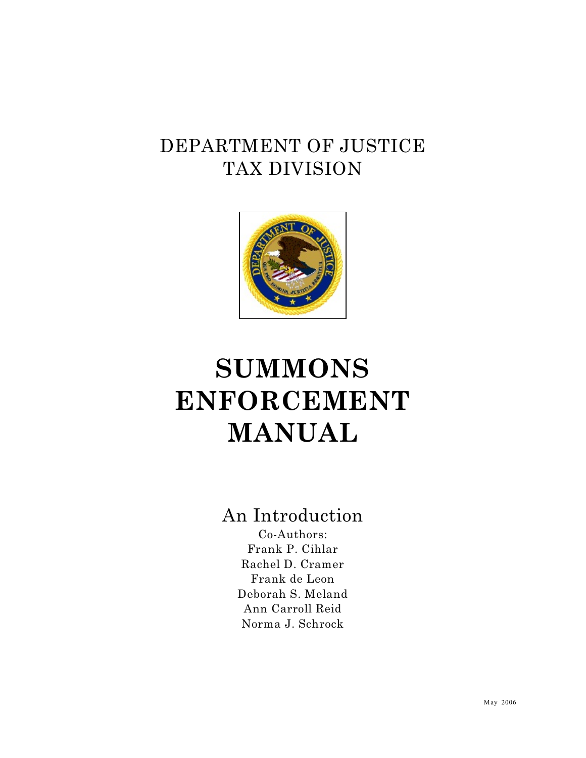## DEPARTMENT OF JUSTICE TAX DIVISION



# **SUMMONS ENFORCEMENT MANUAL**

## An Introduction

Co-Authors: Frank P. Cihlar Rachel D. Cramer Frank de Leon Deborah S. Meland Ann Carroll Reid Norma J. Schrock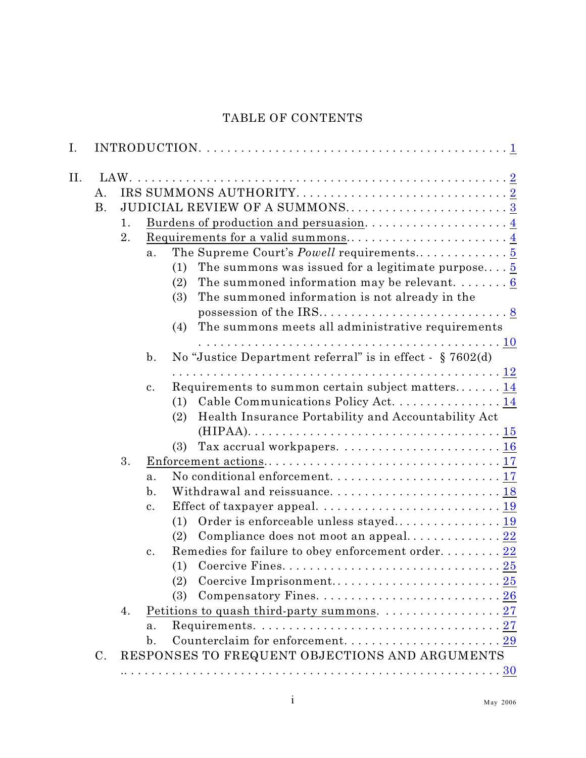### TABLE OF CONTENTS

| I.  |                 |    |                |                                                                                                           |
|-----|-----------------|----|----------------|-----------------------------------------------------------------------------------------------------------|
| II. |                 |    |                |                                                                                                           |
|     | Α.              |    |                |                                                                                                           |
|     | <b>B.</b>       |    |                | JUDICIAL REVIEW OF A SUMMONS3                                                                             |
|     |                 | 1. |                |                                                                                                           |
|     |                 | 2. |                |                                                                                                           |
|     |                 |    | a <sub>1</sub> |                                                                                                           |
|     |                 |    |                | The summons was issued for a legitimate purpose $5$<br>(1)                                                |
|     |                 |    |                | The summoned information may be relevant. $\dots \dots 6$<br>(2)                                          |
|     |                 |    |                | The summoned information is not already in the<br>(3)                                                     |
|     |                 |    |                |                                                                                                           |
|     |                 |    |                | The summons meets all administrative requirements<br>(4)                                                  |
|     |                 |    |                |                                                                                                           |
|     |                 |    | $\mathbf{b}$ . | No "Justice Department referral" is in effect - $\S 7602(d)$                                              |
|     |                 |    |                |                                                                                                           |
|     |                 |    | $\mathbf{c}$ . | Requirements to summon certain subject matters 14                                                         |
|     |                 |    |                | (1) Cable Communications Policy Act. 14                                                                   |
|     |                 |    |                | Health Insurance Portability and Accountability Act<br>(2)                                                |
|     |                 |    |                |                                                                                                           |
|     |                 |    |                | (3)                                                                                                       |
|     |                 | 3. |                |                                                                                                           |
|     |                 |    | a <sub>1</sub> |                                                                                                           |
|     |                 |    | $\mathbf{b}$ . | Withdrawal and reissuance 18                                                                              |
|     |                 |    | $\mathbf{c}$ . | Effect of taxpayer appeal. $\ldots \ldots \ldots \ldots \ldots \ldots \ldots \ldots \ldots \frac{19}{19}$ |
|     |                 |    |                | (1)                                                                                                       |
|     |                 |    |                | Compliance does not moot an appeal 22<br>(2)                                                              |
|     |                 |    | c.             | Remedies for failure to obey enforcement order 22                                                         |
|     |                 |    |                |                                                                                                           |
|     |                 |    |                | (2)                                                                                                       |
|     |                 |    |                | (3)                                                                                                       |
|     |                 | 4. |                | <u>Petitions to quash third-party summons.</u> $\ldots \ldots \ldots \ldots \ldots 27$                    |
|     |                 |    | a.             |                                                                                                           |
|     |                 |    | $\mathbf{b}$ . |                                                                                                           |
|     | $\mathcal{C}$ . |    |                | RESPONSES TO FREQUENT OBJECTIONS AND ARGUMENTS                                                            |
|     |                 |    |                |                                                                                                           |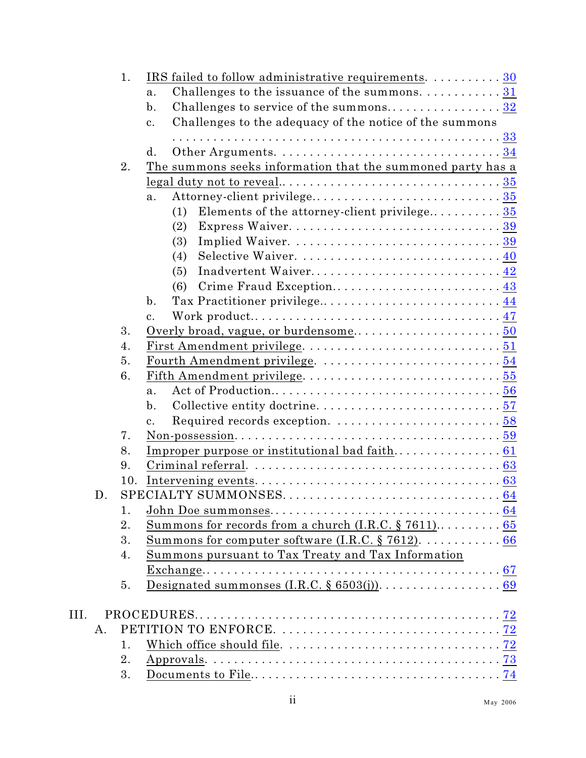|      |    | 1.       | IRS failed to follow administrative requirements.  30                            |  |
|------|----|----------|----------------------------------------------------------------------------------|--|
|      |    |          | Challenges to the issuance of the summons. $\dots \dots \dots 31$<br>a.          |  |
|      |    |          | Challenges to service of the summons32<br>$\mathbf{b}$ .                         |  |
|      |    |          | Challenges to the adequacy of the notice of the summons<br>$\mathbf{c}$ .        |  |
|      |    |          |                                                                                  |  |
|      |    |          | d.                                                                               |  |
|      |    | 2.       | The summons seeks information that the summoned party has a                      |  |
|      |    |          | $\text{legal duty not to reveal}\dots\dots\dots\dots\dots\dots\dots\dots\dots35$ |  |
|      |    |          | a.                                                                               |  |
|      |    |          | (1)                                                                              |  |
|      |    |          | (2)                                                                              |  |
|      |    |          | (3)                                                                              |  |
|      |    |          | (4)                                                                              |  |
|      |    |          | Inadvertent Waiver 42<br>(5)                                                     |  |
|      |    |          | Crime Fraud Exception 43<br>(6)                                                  |  |
|      |    |          | $\mathbf{b}$ .<br>Tax Practitioner privilege 44                                  |  |
|      |    |          | $\mathbf{c}$ .                                                                   |  |
|      |    | 3.       |                                                                                  |  |
|      |    | 4.       |                                                                                  |  |
|      |    | 5.       |                                                                                  |  |
|      |    | 6.       |                                                                                  |  |
|      |    |          | $a$ .                                                                            |  |
|      |    |          | $\mathbf{b}$ .                                                                   |  |
|      |    |          | $\mathbf{c}$ .                                                                   |  |
|      |    | 7.       |                                                                                  |  |
|      |    | 8.       |                                                                                  |  |
|      |    | 9.       |                                                                                  |  |
|      |    | 10.      |                                                                                  |  |
|      | D. |          |                                                                                  |  |
|      |    | 1.<br>2. |                                                                                  |  |
|      |    | 3.       |                                                                                  |  |
|      |    | 4.       | <u>Summons for computer software (I.R.C. § 7612).</u> 66                         |  |
|      |    |          | Summons pursuant to Tax Treaty and Tax Information                               |  |
|      |    | 5.       |                                                                                  |  |
|      |    |          |                                                                                  |  |
| III. |    |          |                                                                                  |  |
|      | A. |          |                                                                                  |  |
|      |    | 1.       |                                                                                  |  |
|      |    | 2.       |                                                                                  |  |
|      |    | 3.       |                                                                                  |  |
|      |    |          |                                                                                  |  |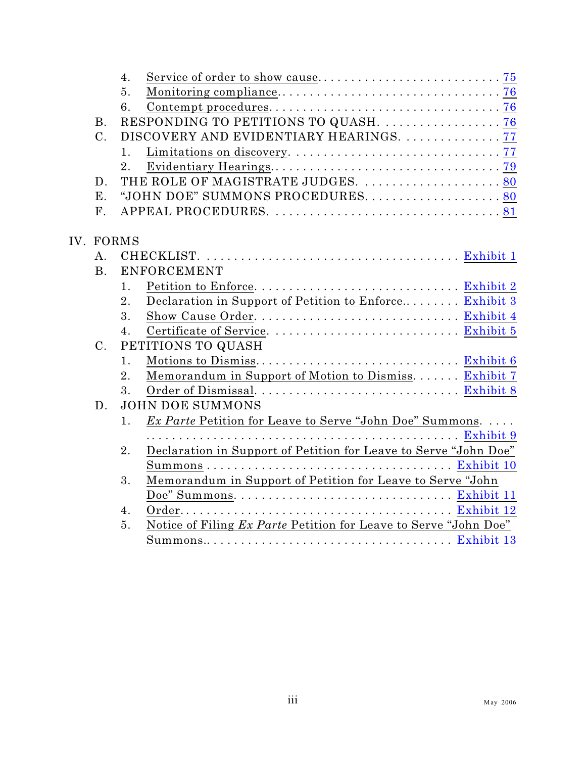| DISCOVERY AND EVIDENTIARY HEARINGS.  77                          |  |  |
|------------------------------------------------------------------|--|--|
|                                                                  |  |  |
|                                                                  |  |  |
| THE ROLE OF MAGISTRATE JUDGES.  80                               |  |  |
| "JOHN DOE" SUMMONS PROCEDURES. 80                                |  |  |
|                                                                  |  |  |
|                                                                  |  |  |
|                                                                  |  |  |
|                                                                  |  |  |
|                                                                  |  |  |
|                                                                  |  |  |
| Declaration in Support of Petition to Enforce Exhibit 3          |  |  |
|                                                                  |  |  |
|                                                                  |  |  |
| PETITIONS TO QUASH                                               |  |  |
|                                                                  |  |  |
| Memorandum in Support of Motion to Dismiss Exhibit 7             |  |  |
|                                                                  |  |  |
|                                                                  |  |  |
| <i>Ex Parte</i> Petition for Leave to Serve "John Doe" Summons.  |  |  |
|                                                                  |  |  |
| Declaration in Support of Petition for Leave to Serve "John Doe" |  |  |
|                                                                  |  |  |
| Memorandum in Support of Petition for Leave to Serve "John       |  |  |
|                                                                  |  |  |
|                                                                  |  |  |
|                                                                  |  |  |
| Notice of Filing Ex Parte Petition for Leave to Serve "John Doe" |  |  |
|                                                                  |  |  |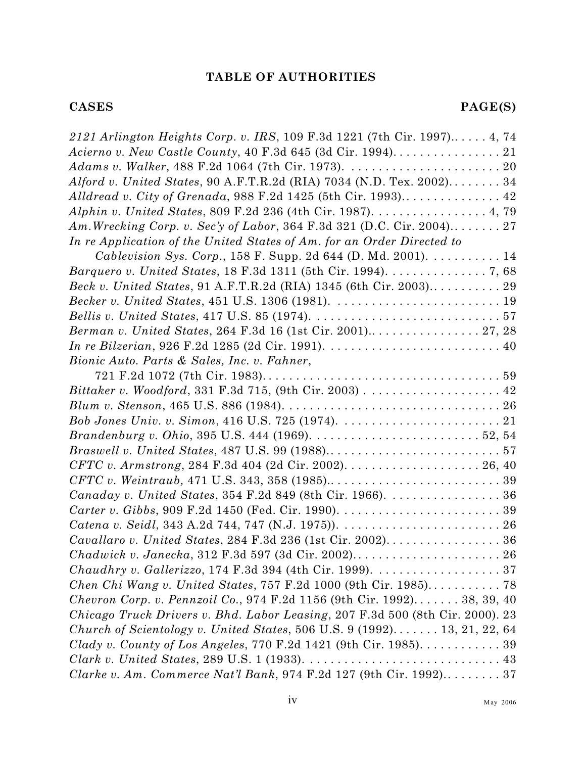#### **TABLE OF AUTHORITIES**

| 2121 Arlington Heights Corp. v. IRS, 109 F.3d 1221 (7th Cir. 1997) 4, 74                                                   |
|----------------------------------------------------------------------------------------------------------------------------|
|                                                                                                                            |
|                                                                                                                            |
| Alford v. United States, 90 A.F.T.R.2d (RIA) 7034 (N.D. Tex. 2002) 34                                                      |
| Alldread v. City of Grenada, 988 F.2d 1425 (5th Cir. 1993) 42                                                              |
| Alphin v. United States, 809 F.2d 236 (4th Cir. 1987). 4, 79                                                               |
| Am. Wrecking Corp. v. Sec'y of Labor, 364 F.3d 321 (D.C. Cir. 2004) 27                                                     |
| In re Application of the United States of Am. for an Order Directed to                                                     |
| <i>Cablevision Sys. Corp.</i> , 158 F. Supp. 2d 644 (D. Md. 2001). $\dots \dots \dots 14$                                  |
| <i>Barquero v. United States, 18 F.3d 1311 (5th Cir. 1994).</i> 7, 68                                                      |
| Beck v. United States, 91 A.F.T.R.2d (RIA) 1345 (6th Cir. 2003) 29                                                         |
|                                                                                                                            |
|                                                                                                                            |
| Berman v. United States, 264 F.3d 16 (1st Cir. 2001) 27, 28                                                                |
| <i>In re Bilzerian</i> , 926 F.2d 1285 (2d Cir. 1991). $\ldots \ldots \ldots \ldots \ldots \ldots \ldots \ldots \ldots$ 40 |
| Bionic Auto. Parts & Sales, Inc. v. Fahner,                                                                                |
|                                                                                                                            |
| Bittaker v. Woodford, 331 F.3d 715, (9th Cir. 2003) 42                                                                     |
|                                                                                                                            |
|                                                                                                                            |
|                                                                                                                            |
|                                                                                                                            |
|                                                                                                                            |
|                                                                                                                            |
| Canaday v. United States, 354 F.2d 849 (8th Cir. 1966). 36                                                                 |
|                                                                                                                            |
|                                                                                                                            |
|                                                                                                                            |
|                                                                                                                            |
| <i>Chaudhry v. Gallerizzo</i> , 174 F.3d 394 (4th Cir. 1999). $\ldots \ldots \ldots \ldots \ldots \ldots 37$               |
| Chen Chi Wang v. United States, 757 F.2d 1000 (9th Cir. 1985) 78                                                           |
| Chevron Corp. v. Pennzoil Co., 974 F.2d 1156 (9th Cir. 1992) 38, 39, 40                                                    |
| Chicago Truck Drivers v. Bhd. Labor Leasing, 207 F.3d 500 (8th Cir. 2000). 23                                              |
| Church of Scientology v. United States, 506 U.S. 9 $(1992)$ 13, 21, 22, 64                                                 |
| Clady v. County of Los Angeles, 770 F.2d 1421 (9th Cir. 1985). 39                                                          |
|                                                                                                                            |
| Clarke v. Am. Commerce Nat'l Bank, 974 F.2d 127 (9th Cir. 1992) 37                                                         |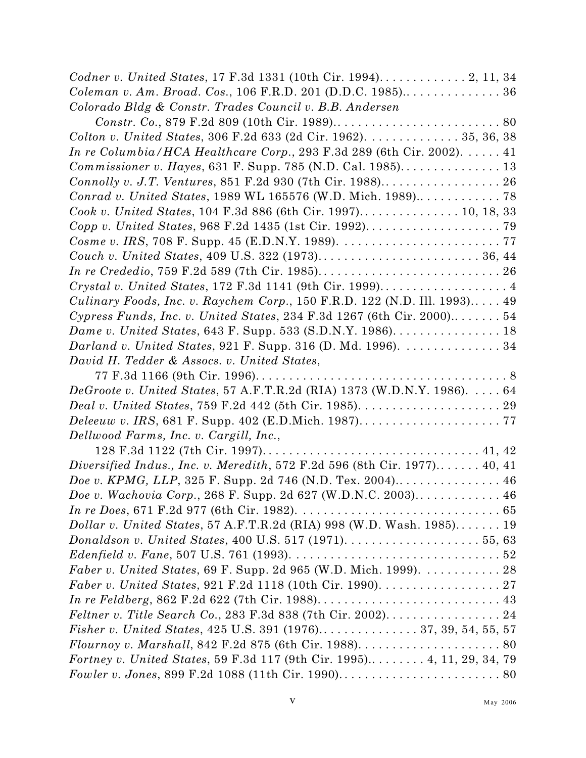| Codner v. United States, 17 F.3d 1331 (10th Cir. 1994) 2, 11, 34                                                          |
|---------------------------------------------------------------------------------------------------------------------------|
| Coleman v. Am. Broad. Cos., 106 F.R.D. 201 (D.D.C. 1985) 36                                                               |
| Colorado Bldg & Constr. Trades Council v. B.B. Andersen                                                                   |
|                                                                                                                           |
| Colton v. United States, 306 F.2d 633 (2d Cir. 1962). 35, 36, 38                                                          |
| In re Columbia/HCA Healthcare Corp., 293 F.3d 289 (6th Cir. 2002). $\dots$ 41                                             |
|                                                                                                                           |
| Connolly v. J.T. Ventures, 851 F.2d 930 (7th Cir. 1988) 26                                                                |
| Conrad v. United States, 1989 WL 165576 (W.D. Mich. 1989) 78                                                              |
| Cook v. United States, 104 F.3d 886 (6th Cir. 1997) 10, 18, 33                                                            |
|                                                                                                                           |
|                                                                                                                           |
|                                                                                                                           |
|                                                                                                                           |
| Crystal v. United States, 172 F.3d 1141 (9th Cir. 1999) 4                                                                 |
| Culinary Foods, Inc. v. Raychem Corp., 150 F.R.D. 122 (N.D. Ill. 1993) 49                                                 |
| Cypress Funds, Inc. v. United States, 234 F.3d 1267 (6th Cir. 2000) 54                                                    |
| Dame v. United States, 643 F. Supp. 533 (S.D.N.Y. 1986). 18                                                               |
| Darland v. United States, 921 F. Supp. 316 (D. Md. 1996). 34                                                              |
| David H. Tedder & Assocs. v. United States,                                                                               |
|                                                                                                                           |
| DeGroote v. United States, 57 A.F.T.R.2d (RIA) 1373 (W.D.N.Y. 1986). 64                                                   |
|                                                                                                                           |
|                                                                                                                           |
| Dellwood Farms, Inc. v. Cargill, Inc.,                                                                                    |
|                                                                                                                           |
| Diversified Indus., Inc. v. Meredith, 572 F.2d 596 (8th Cir. 1977) 40, 41                                                 |
| Doe v. KPMG, LLP, 325 F. Supp. 2d 746 (N.D. Tex. 2004) 46                                                                 |
| Doe v. Wachovia Corp., 268 F. Supp. 2d 627 (W.D.N.C. 2003) 46                                                             |
|                                                                                                                           |
| Dollar v. United States, 57 A.F.T.R.2d (RIA) 998 (W.D. Wash. 1985) 19                                                     |
| Donaldson v. United States, 400 U.S. 517 (1971). $\ldots \ldots \ldots \ldots \ldots 55, 63$                              |
| Edenfield v. Fane, 507 U.S. 761 (1993). $\ldots \ldots \ldots \ldots \ldots \ldots \ldots \ldots \ldots \ldots \ldots 52$ |
| Faber v. United States, 69 F. Supp. 2d 965 (W.D. Mich. 1999). 28                                                          |
| <i>Faber v. United States, 921 F.2d 1118 (10th Cir. 1990).</i> $\dots \dots \dots \dots \dots 27$                         |
|                                                                                                                           |
| Feltner v. Title Search Co., 283 F.3d 838 (7th Cir. 2002) 24                                                              |
|                                                                                                                           |
|                                                                                                                           |
| Fortney v. United States, 59 F.3d 117 (9th Cir. 1995) 4, 11, 29, 34, 79                                                   |
|                                                                                                                           |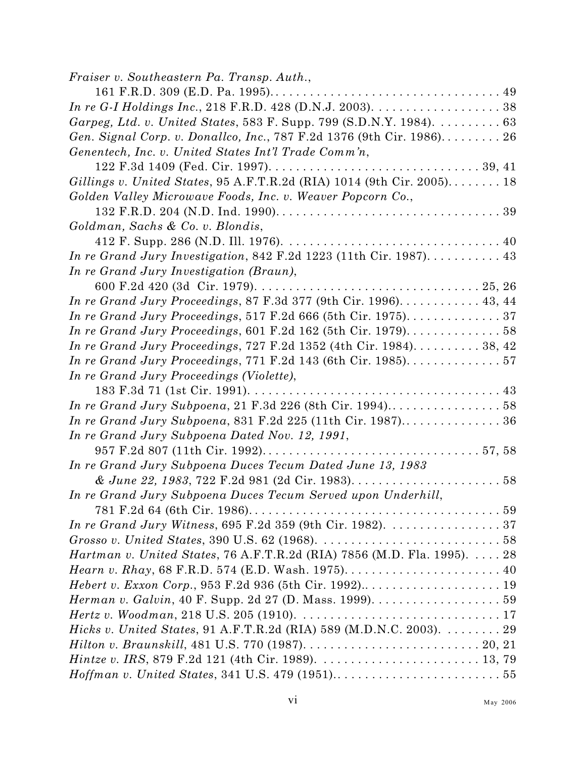| Fraiser v. Southeastern Pa. Transp. Auth.,                                                                       |
|------------------------------------------------------------------------------------------------------------------|
|                                                                                                                  |
| In re G-I Holdings Inc., 218 F.R.D. 428 (D.N.J. 2003). $\ldots \ldots \ldots \ldots \ldots 38$                   |
| Garpeg, Ltd. v. United States, 583 F. Supp. 799 (S.D.N.Y. 1984). 63                                              |
| Gen. Signal Corp. v. Donallco, Inc., 787 F.2d 1376 (9th Cir. 1986) 26                                            |
| Genentech, Inc. v. United States Int'l Trade Comm'n,                                                             |
|                                                                                                                  |
| Gillings v. United States, 95 A.F.T.R.2d (RIA) 1014 (9th Cir. 2005) 18                                           |
| Golden Valley Microwave Foods, Inc. v. Weaver Popcorn Co.,                                                       |
|                                                                                                                  |
| Goldman, Sachs & Co. v. Blondis,                                                                                 |
|                                                                                                                  |
| In re Grand Jury Investigation, 842 F.2d 1223 (11th Cir. 1987) 43                                                |
| In re Grand Jury Investigation (Braun),                                                                          |
|                                                                                                                  |
| In re Grand Jury Proceedings, 87 F.3d 377 (9th Cir. 1996). 43, 44                                                |
| In re Grand Jury Proceedings, 517 F.2d 666 (5th Cir. 1975). $\dots \dots \dots \dots 37$                         |
| In re Grand Jury Proceedings, 601 F.2d 162 (5th Cir. 1979). 58                                                   |
| <i>In re Grand Jury Proceedings, 727 F.2d 1352 (4th Cir. 1984).</i> $\dots \dots \dots 38, 42$                   |
| In re Grand Jury Proceedings, 771 F.2d 143 (6th Cir. 1985). $\dots \dots \dots \dots 57$                         |
| In re Grand Jury Proceedings (Violette),                                                                         |
|                                                                                                                  |
| In re Grand Jury Subpoena, 21 F.3d 226 (8th Cir. 1994)58                                                         |
| In re Grand Jury Subpoena, 831 F.2d 225 (11th Cir. 1987) 36                                                      |
| In re Grand Jury Subpoena Dated Nov. 12, 1991,                                                                   |
|                                                                                                                  |
| In re Grand Jury Subpoena Duces Tecum Dated June 13, 1983                                                        |
|                                                                                                                  |
| In re Grand Jury Subpoena Duces Tecum Served upon Underhill,                                                     |
|                                                                                                                  |
| In re Grand Jury Witness, 695 F.2d 359 (9th Cir. 1982). $\ldots \ldots \ldots \ldots \ldots$ 37                  |
| Grosso v. United States, 390 U.S. 62 (1968). $\ldots \ldots \ldots \ldots \ldots \ldots \ldots \ldots \ldots 58$ |
| <i>Hartman v. United States, 76 A.F.T.R.2d (RIA) 7856 (M.D. Fla. 1995).</i> 28                                   |
|                                                                                                                  |
|                                                                                                                  |
|                                                                                                                  |
|                                                                                                                  |
| Hicks v. United States, 91 A.F.T.R.2d (RIA) 589 (M.D.N.C. 2003). 29                                              |
|                                                                                                                  |
|                                                                                                                  |
|                                                                                                                  |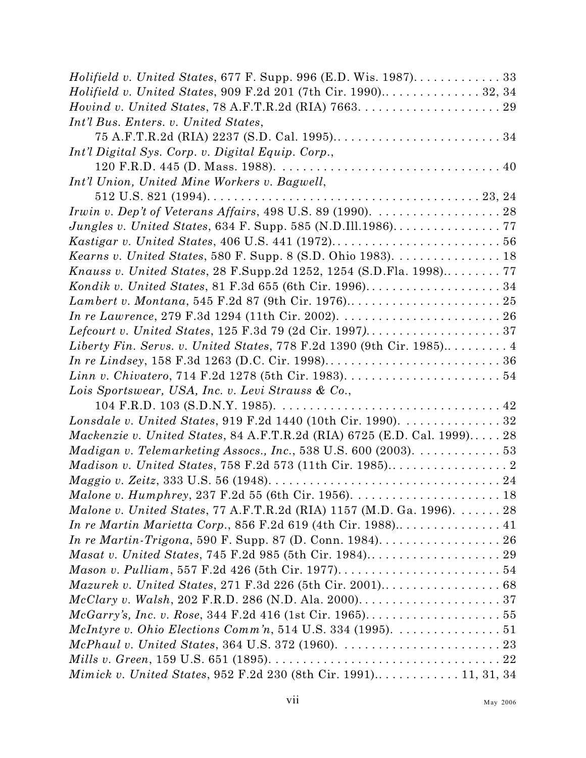| Holifield v. United States, 677 F. Supp. 996 (E.D. Wis. 1987). 33                                      |  |
|--------------------------------------------------------------------------------------------------------|--|
|                                                                                                        |  |
|                                                                                                        |  |
| Int'l Bus. Enters. v. United States,                                                                   |  |
|                                                                                                        |  |
| Int'l Digital Sys. Corp. v. Digital Equip. Corp.,                                                      |  |
|                                                                                                        |  |
| Int'l Union, United Mine Workers v. Bagwell,                                                           |  |
|                                                                                                        |  |
| Irwin v. Dep't of Veterans Affairs, 498 U.S. 89 (1990). $\ldots \ldots \ldots \ldots \ldots \ldots$ 28 |  |
| <i>Jungles v. United States, 634 F. Supp. 585 (N.D.Ill.1986)</i> 77                                    |  |
|                                                                                                        |  |
| Kearns v. United States, 580 F. Supp. 8 (S.D. Ohio 1983). 18                                           |  |
| Knauss v. United States, 28 F.Supp.2d 1252, 1254 (S.D.Fla. 1998) 77                                    |  |
|                                                                                                        |  |
|                                                                                                        |  |
|                                                                                                        |  |
|                                                                                                        |  |
| Liberty Fin. Servs. v. United States, 778 F.2d 1390 (9th Cir. 1985) 4                                  |  |
|                                                                                                        |  |
|                                                                                                        |  |
| Lois Sportswear, USA, Inc. v. Levi Strauss & Co.,                                                      |  |
|                                                                                                        |  |
| Lonsdale v. United States, 919 F.2d 1440 (10th Cir. 1990). 32                                          |  |
| <i>Mackenzie v. United States, 84 A.F.T.R.2d (RIA) 6725 (E.D. Cal. 1999)</i> 28                        |  |
| Madigan v. Telemarketing Assocs., Inc., 538 U.S. 600 (2003). $\dots \dots \dots \dots 53$              |  |
|                                                                                                        |  |
|                                                                                                        |  |
|                                                                                                        |  |
| <i>Malone v. United States, 77 A.F.T.R.2d (RIA) 1157 (M.D. Ga. 1996).</i> $\dots \dots 28$             |  |
|                                                                                                        |  |
|                                                                                                        |  |
|                                                                                                        |  |
|                                                                                                        |  |
| <i>Mazurek v. United States, 271 F.3d 226 (5th Cir. 2001).</i> $\dots \dots \dots \dots \dots 68$      |  |
|                                                                                                        |  |
|                                                                                                        |  |
| <i>McIntyre v. Ohio Elections Comm'n,</i> 514 U.S. 334 (1995). $\ldots \ldots \ldots \ldots 51$        |  |
| $McPhaul$ v. United States, 364 U.S. 372 (1960). $\ldots \ldots \ldots \ldots \ldots \ldots \ldots 23$ |  |
|                                                                                                        |  |
| Mimick v. United States, 952 F.2d 230 (8th Cir. 1991) 11, 31, 34                                       |  |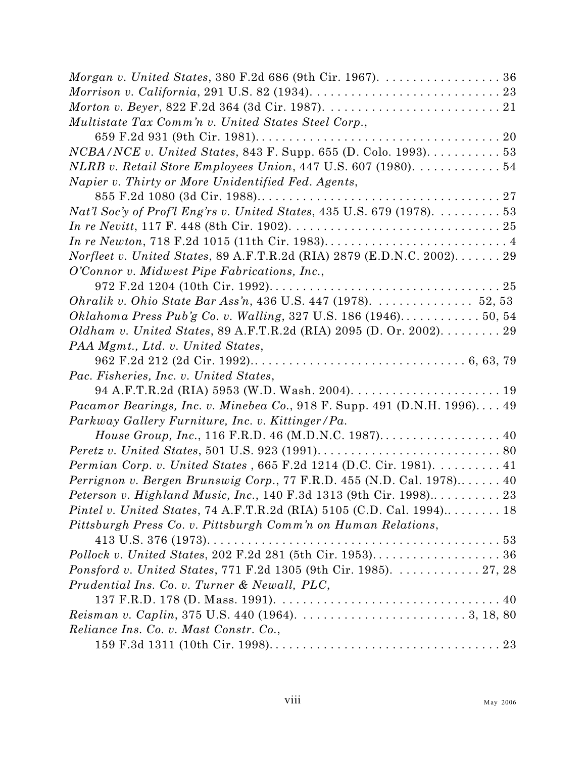| <i>Morgan v. United States, 380 F.2d 686 (9th Cir. 1967).</i> $\dots \dots \dots \dots \dots 36$ |
|--------------------------------------------------------------------------------------------------|
|                                                                                                  |
|                                                                                                  |
| Multistate Tax Comm'n v. United States Steel Corp.,                                              |
|                                                                                                  |
| NCBA/NCE v. United States, 843 F. Supp. 655 (D. Colo. 1993). 53                                  |
| NLRB v. Retail Store Employees Union, 447 U.S. 607 (1980). $\dots \dots \dots 54$                |
| Napier v. Thirty or More Unidentified Fed. Agents,                                               |
|                                                                                                  |
| Nat'l Soc'y of Prof'l Eng'rs v. United States, 435 U.S. 679 (1978). $\dots \dots \dots 53$       |
|                                                                                                  |
|                                                                                                  |
| Norfleet v. United States, 89 A.F.T.R.2d (RIA) 2879 (E.D.N.C. 2002) 29                           |
| O'Connor v. Midwest Pipe Fabrications, Inc.,                                                     |
|                                                                                                  |
| Ohralik v. Ohio State Bar Ass'n, 436 U.S. 447 (1978). $\ldots \ldots \ldots \ldots 52, 53$       |
| Oklahoma Press Pub'g Co. v. Walling, 327 U.S. 186 (1946) 50, 54                                  |
| Oldham v. United States, 89 A.F.T.R.2d (RIA) 2095 (D. Or. 2002). 29                              |
| PAA Mgmt., Ltd. v. United States,                                                                |
|                                                                                                  |
| Pac. Fisheries, Inc. v. United States,                                                           |
|                                                                                                  |
| Pacamor Bearings, Inc. v. Minebea Co., 918 F. Supp. 491 (D.N.H. 1996) 49                         |
| Parkway Gallery Furniture, Inc. v. Kittinger/Pa.                                                 |
| House Group, Inc., 116 F.R.D. 46 (M.D.N.C. 1987) 40                                              |
|                                                                                                  |
| <i>Permian Corp. v. United States</i> , $665$ F.2d 1214 (D.C. Cir. 1981). 41                     |
| Perrignon v. Bergen Brunswig Corp., 77 F.R.D. 455 (N.D. Cal. 1978) 40                            |
| Peterson v. Highland Music, Inc., 140 F.3d 1313 (9th Cir. 1998) 23                               |
| <i>Pintel v. United States, 74 A.F.T.R.2d (RIA) 5105 (C.D. Cal. 1994)</i> 18                     |
| Pittsburgh Press Co. v. Pittsburgh Comm'n on Human Relations,                                    |
|                                                                                                  |
|                                                                                                  |
| Ponsford v. United States, 771 F.2d 1305 (9th Cir. 1985). 27, 28                                 |
| Prudential Ins. Co. v. Turner & Newall, PLC,                                                     |
|                                                                                                  |
|                                                                                                  |
| Reliance Ins. Co. v. Mast Constr. Co.,                                                           |
|                                                                                                  |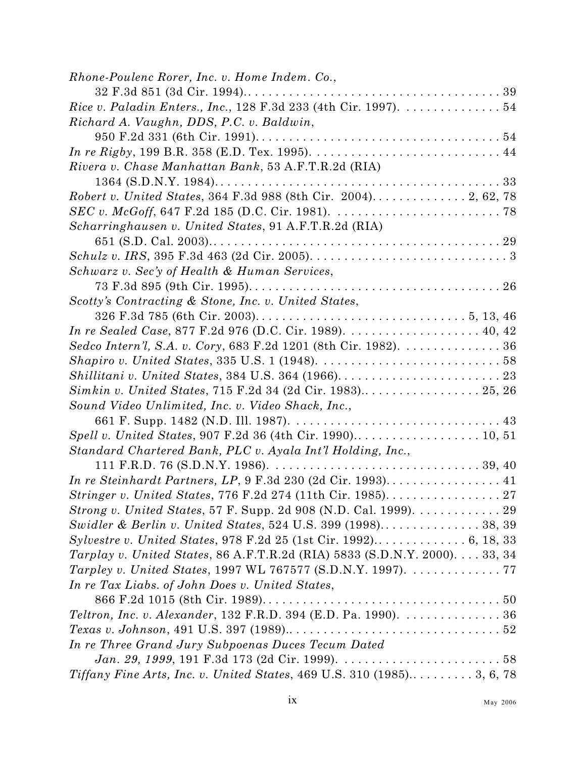| Rhone-Poulenc Rorer, Inc. v. Home Indem. Co.,                                                                       |
|---------------------------------------------------------------------------------------------------------------------|
|                                                                                                                     |
| Rice v. Paladin Enters., Inc., 128 F.3d 233 (4th Cir. 1997). 54                                                     |
| Richard A. Vaughn, DDS, P.C. v. Baldwin,                                                                            |
|                                                                                                                     |
|                                                                                                                     |
| Rivera v. Chase Manhattan Bank, 53 A.F.T.R.2d (RIA)                                                                 |
|                                                                                                                     |
| Robert v. United States, 364 F.3d 988 (8th Cir. 2004) 2, 62, 78                                                     |
| SEC v. McGoff, 647 F.2d 185 (D.C. Cir. 1981). $\ldots \ldots \ldots \ldots \ldots \ldots \ldots \ldots$ 78          |
| Scharringhausen v. United States, 91 A.F.T.R.2d (RIA)                                                               |
|                                                                                                                     |
| Schulz v. IRS, 395 F.3d 463 (2d Cir. 2005). $\ldots \ldots \ldots \ldots \ldots \ldots \ldots \ldots \ldots \ldots$ |
| Schwarz v. Sec'y of Health & Human Services,                                                                        |
|                                                                                                                     |
| Scotty's Contracting & Stone, Inc. v. United States,                                                                |
|                                                                                                                     |
| In re Sealed Case, 877 F.2d 976 (D.C. Cir. 1989). 40, 42                                                            |
| Sedco Intern'l, S.A. v. Cory, 683 F.2d 1201 (8th Cir. 1982). 36                                                     |
|                                                                                                                     |
|                                                                                                                     |
|                                                                                                                     |
| Sound Video Unlimited, Inc. v. Video Shack, Inc.,                                                                   |
|                                                                                                                     |
|                                                                                                                     |
| Standard Chartered Bank, PLC v. Ayala Int'l Holding, Inc.,                                                          |
|                                                                                                                     |
|                                                                                                                     |
|                                                                                                                     |
| <i>Strong v. United States,</i> 57 F. Supp. 2d 908 (N.D. Cal. 1999). $\dots \dots \dots \dots 29$                   |
|                                                                                                                     |
|                                                                                                                     |
| <i>Tarplay v. United States, 86 A.F.T.R.2d (RIA) 5833 (S.D.N.Y. 2000)</i> 33, 34                                    |
| Tarpley v. United States, 1997 WL 767577 (S.D.N.Y. 1997). 77                                                        |
| In re Tax Liabs. of John Does v. United States,                                                                     |
|                                                                                                                     |
| Teltron, Inc. v. Alexander, 132 F.R.D. 394 (E.D. Pa. 1990). 36                                                      |
|                                                                                                                     |
| In re Three Grand Jury Subpoenas Duces Tecum Dated                                                                  |
|                                                                                                                     |
|                                                                                                                     |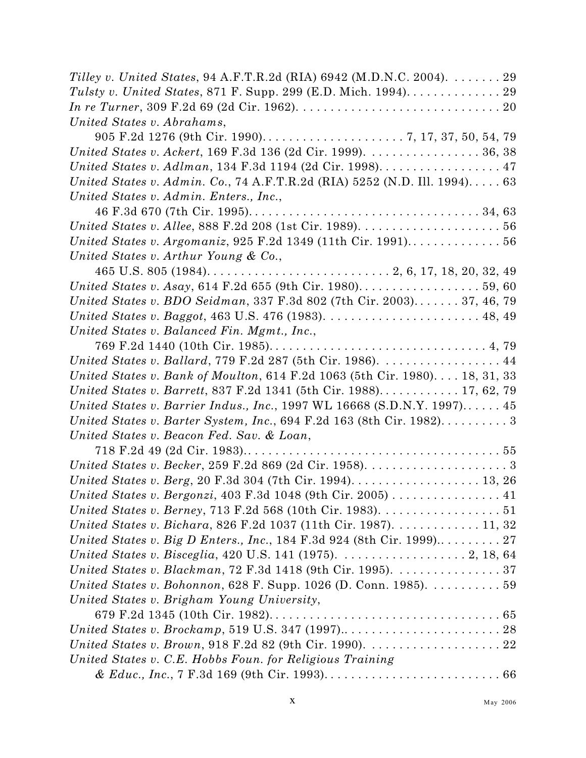| Tilley v. United States, 94 A.F.T.R.2d (RIA) 6942 (M.D.N.C. 2004). 29                                   |
|---------------------------------------------------------------------------------------------------------|
|                                                                                                         |
|                                                                                                         |
| United States v. Abrahams,                                                                              |
|                                                                                                         |
| United States v. Ackert, 169 F.3d 136 (2d Cir. 1999). 36, 38                                            |
| United States v. Adlman, 134 F.3d 1194 (2d Cir. 1998). 47                                               |
| United States v. Admin. Co., 74 A.F.T.R.2d (RIA) 5252 (N.D. Ill. 1994) 63                               |
| United States v. Admin. Enters., Inc.,                                                                  |
|                                                                                                         |
|                                                                                                         |
|                                                                                                         |
| United States v. Arthur Young & Co.,                                                                    |
| 465 U.S. 805 (1984). $\dots$ . $\dots$ . $\dots$ . $\dots$ . $\dots$ . $2, 6, 17, 18, 20, 32, 49$       |
|                                                                                                         |
| United States v. BDO Seidman, 337 F.3d 802 (7th Cir. 2003) 37, 46, 79                                   |
|                                                                                                         |
| United States v. Balanced Fin. Mgmt., Inc.,                                                             |
|                                                                                                         |
| United States v. Ballard, 779 F.2d 287 (5th Cir. 1986). 44                                              |
| United States v. Bank of Moulton, 614 F.2d 1063 (5th Cir. 1980) 18, 31, 33                              |
| United States v. Barrett, 837 F.2d 1341 (5th Cir. 1988) 17, 62, 79                                      |
| United States v. Barrier Indus., Inc., 1997 WL 16668 (S.D.N.Y. 1997) 45                                 |
| United States v. Barter System, Inc., $694$ F.2d 163 (8th Cir. 1982) 3                                  |
| United States v. Beacon Fed. Sav. & Loan,                                                               |
|                                                                                                         |
|                                                                                                         |
|                                                                                                         |
| United States v. Bergonzi, 403 F.3d 1048 (9th Cir. 2005) $\ldots \ldots \ldots \ldots$ 41               |
| United States v. Berney, 713 F.2d 568 (10th Cir. 1983). $\dots \dots \dots \dots \dots \dots 51$        |
| United States v. Bichara, 826 F.2d 1037 (11th Cir. 1987). 11, 32                                        |
| United States v. Big D Enters., Inc., 184 F.3d 924 (8th Cir. 1999) 27                                   |
| United States v. Bisceglia, 420 U.S. 141 (1975). $\ldots \ldots \ldots \ldots \ldots \ldots 2$ , 18, 64 |
| United States v. Blackman, 72 F.3d 1418 (9th Cir. 1995). 37                                             |
| United States v. Bohonnon, 628 F. Supp. 1026 (D. Conn. 1985). $\dots \dots \dots 59$                    |
| United States v. Brigham Young University,                                                              |
|                                                                                                         |
|                                                                                                         |
|                                                                                                         |
| United States v. C.E. Hobbs Foun. for Religious Training                                                |
|                                                                                                         |
|                                                                                                         |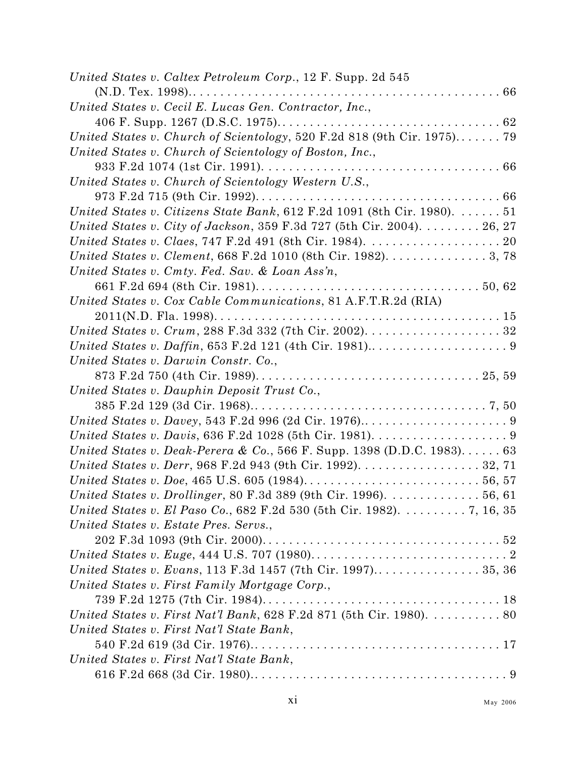| United States v. Caltex Petroleum Corp., 12 F. Supp. 2d 545                                          |
|------------------------------------------------------------------------------------------------------|
|                                                                                                      |
| United States v. Cecil E. Lucas Gen. Contractor, Inc.,                                               |
|                                                                                                      |
| United States v. Church of Scientology, 520 F.2d 818 (9th Cir. 1975) 79                              |
| United States v. Church of Scientology of Boston, Inc.,                                              |
|                                                                                                      |
| United States v. Church of Scientology Western U.S.,                                                 |
|                                                                                                      |
| United States v. Citizens State Bank, 612 F.2d 1091 (8th Cir. 1980).  51                             |
| United States v. City of Jackson, 359 F.3d 727 (5th Cir. 2004). 26, 27                               |
| United States v. Claes, 747 F.2d 491 (8th Cir. 1984). $\ldots \ldots \ldots \ldots \ldots \ldots 20$ |
| United States v. Clement, 668 F.2d 1010 (8th Cir. 1982). 3, 78                                       |
| United States v. Cmty. Fed. Sav. & Loan Ass'n,                                                       |
|                                                                                                      |
| United States v. Cox Cable Communications, 81 A.F.T.R.2d (RIA)                                       |
| $2011(N.D. Fla. 1998). \ldots. \ldots. \ldots. \ldots. \ldots. \ldots. \ldots. \ldots. \ldots. 15$   |
| United States v. Crum, 288 F.3d 332 (7th Cir. 2002). $\ldots \ldots \ldots \ldots \ldots 32$         |
|                                                                                                      |
| United States v. Darwin Constr. Co.,                                                                 |
|                                                                                                      |
| United States v. Dauphin Deposit Trust Co.,                                                          |
|                                                                                                      |
|                                                                                                      |
|                                                                                                      |
| United States v. Deak-Perera & Co., 566 F. Supp. 1398 (D.D.C. 1983). 63                              |
| United States v. Derr, 968 F.2d 943 (9th Cir. 1992). 32, 71                                          |
|                                                                                                      |
| United States v. Drollinger, 80 F.3d 389 (9th Cir. 1996). 56, 61                                     |
| United States v. El Paso Co., 682 F.2d 530 (5th Cir. 1982). 7, 16, 35                                |
| United States v. Estate Pres. Servs.,                                                                |
|                                                                                                      |
|                                                                                                      |
| United States v. Evans, 113 F.3d 1457 (7th Cir. 1997) 35, 36                                         |
| United States v. First Family Mortgage Corp.,                                                        |
|                                                                                                      |
| United States v. First Nat'l Bank, 628 F.2d 871 (5th Cir. 1980). 80                                  |
| United States v. First Nat'l State Bank,                                                             |
|                                                                                                      |
| United States v. First Nat'l State Bank,                                                             |
|                                                                                                      |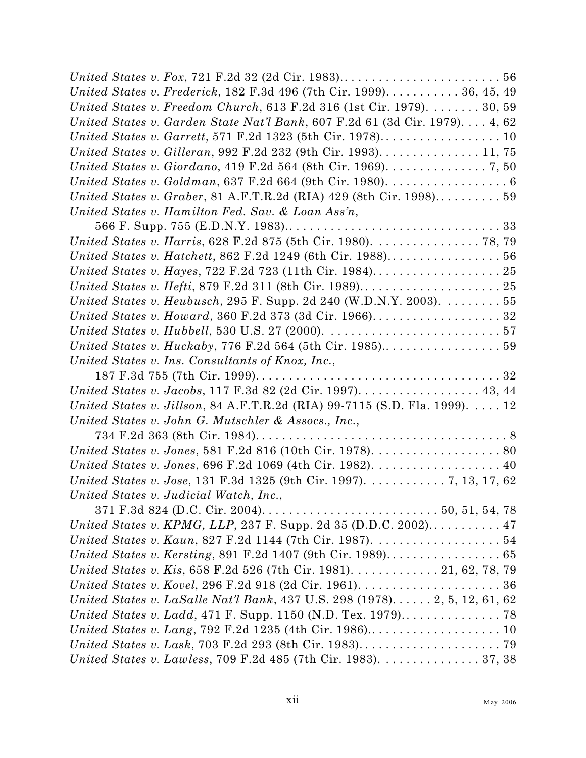| United States v. Frederick, 182 F.3d 496 (7th Cir. 1999) 36, 45, 49                                        |  |
|------------------------------------------------------------------------------------------------------------|--|
| United States v. Freedom Church, 613 F.2d 316 (1st Cir. 1979). $\dots \dots 30, 59$                        |  |
| United States v. Garden State Nat'l Bank, 607 F.2d 61 (3d Cir. 1979). 4, 62                                |  |
|                                                                                                            |  |
| United States v. Gilleran, 992 F.2d 232 (9th Cir. 1993). 11, 75                                            |  |
| United States v. Giordano, 419 F.2d 564 (8th Cir. 1969). 7, 50                                             |  |
| United States v. Goldman, 637 F.2d 664 (9th Cir. 1980). 6                                                  |  |
|                                                                                                            |  |
| United States v. Hamilton Fed. Sav. & Loan Ass'n,                                                          |  |
|                                                                                                            |  |
| United States v. Harris, 628 F.2d 875 (5th Cir. 1980). 78, 79                                              |  |
|                                                                                                            |  |
|                                                                                                            |  |
|                                                                                                            |  |
| United States v. Heubusch, 295 F. Supp. 2d 240 (W.D.N.Y. 2003). $\dots \dots 55$                           |  |
| United States v. Howard, 360 F.2d 373 (3d Cir. 1966). 32                                                   |  |
| United States v. Hubbell, 530 U.S. 27 (2000). $\ldots \ldots \ldots \ldots \ldots \ldots \ldots \ldots 57$ |  |
|                                                                                                            |  |
| United States v. Ins. Consultants of Knox, Inc.,                                                           |  |
|                                                                                                            |  |
| United States v. Jacobs, 117 F.3d 82 (2d Cir. 1997). 43, 44                                                |  |
| United States v. Jillson, 84 A.F.T.R.2d (RIA) 99-7115 (S.D. Fla. 1999). $\dots$ 12                         |  |
| United States v. John G. Mutschler & Assocs., Inc.,                                                        |  |
|                                                                                                            |  |
|                                                                                                            |  |
| United States v. Jones, 696 F.2d 1069 (4th Cir. 1982). 40                                                  |  |
| United States v. Jose, 131 F.3d 1325 (9th Cir. 1997). 7, 13, 17, 62                                        |  |
| United States v. Judicial Watch, Inc.,                                                                     |  |
|                                                                                                            |  |
| United States v. KPMG, LLP, 237 F. Supp. 2d 35 (D.D.C. 2002) 47                                            |  |
|                                                                                                            |  |
|                                                                                                            |  |
| United States v. Kis, 658 F.2d 526 (7th Cir. 1981). 21, 62, 78, 79                                         |  |
|                                                                                                            |  |
| United States v. LaSalle Nat'l Bank, 437 U.S. 298 (1978) 2, 5, 12, 61, 62                                  |  |
|                                                                                                            |  |
|                                                                                                            |  |
|                                                                                                            |  |
| United States v. Lawless, 709 F.2d 485 (7th Cir. 1983). 37, 38                                             |  |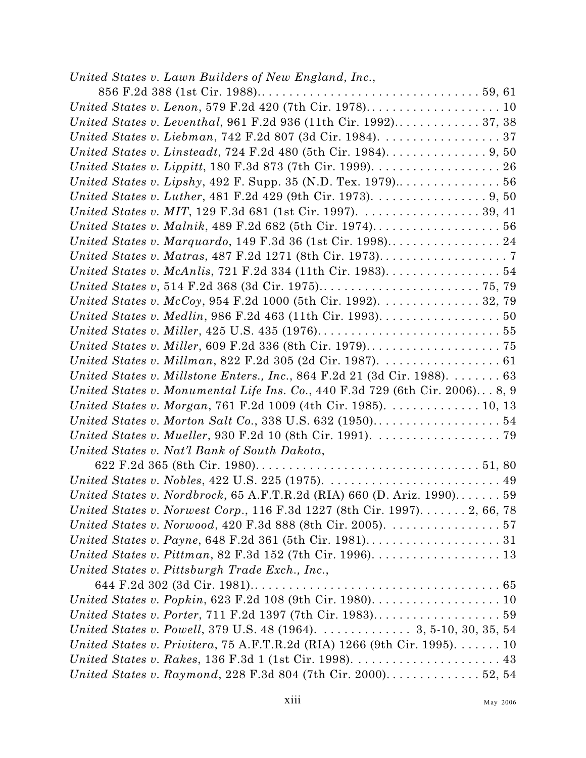| United States v. Lawn Builders of New England, Inc.,                                                    |
|---------------------------------------------------------------------------------------------------------|
|                                                                                                         |
|                                                                                                         |
| United States v. Leventhal, 961 F.2d 936 (11th Cir. 1992) 37, 38                                        |
| United States v. Liebman, $742$ F.2d $807$ (3d Cir. 1984). $\dots \dots \dots \dots \dots \dots 37$     |
|                                                                                                         |
|                                                                                                         |
|                                                                                                         |
| United States v. Luther, 481 F.2d 429 (9th Cir. 1973). 9, 50                                            |
| United States v. MIT, 129 F.3d 681 (1st Cir. 1997). $\ldots \ldots \ldots \ldots \ldots 39, 41$         |
|                                                                                                         |
|                                                                                                         |
|                                                                                                         |
| United States v. McAnlis, 721 F.2d 334 (11th Cir. 1983). 54                                             |
|                                                                                                         |
| United States v. McCoy, 954 F.2d 1000 (5th Cir. 1992). 32, 79                                           |
| United States v. Medlin, 986 F.2d 463 (11th Cir. 1993). 50                                              |
|                                                                                                         |
|                                                                                                         |
| United States v. Millman, 822 F.2d 305 (2d Cir. 1987). $\ldots \ldots \ldots \ldots \ldots 61$          |
| United States v. Millstone Enters., Inc., 864 F.2d 21 (3d Cir. 1988). $\dots \dots 63$                  |
| United States v. Monumental Life Ins. Co., 440 F.3d 729 (6th Cir. 2006) $8, 9$                          |
| United States v. Morgan, 761 F.2d 1009 (4th Cir. 1985). $\dots \dots \dots \dots \dots 10$ , 13         |
|                                                                                                         |
| United States v. Mueller, 930 F.2d 10 (8th Cir. 1991). $\ldots \ldots \ldots \ldots \ldots \ldots$      |
| United States v. Nat'l Bank of South Dakota,                                                            |
|                                                                                                         |
|                                                                                                         |
| United States v. Nordbrock, $65$ A.F.T.R.2d (RIA) $660$ (D. Ariz. 1990) 59                              |
| United States v. Norwest Corp., 116 F.3d 1227 (8th Cir. 1997). 2, 66, 78                                |
| United States v. Norwood, 420 F.3d 888 (8th Cir. 2005). $\ldots \ldots \ldots \ldots 57$                |
|                                                                                                         |
| United States v. Pittman, 82 F.3d $152$ (7th Cir. 1996). $\ldots \ldots \ldots \ldots \ldots \ldots$ 13 |
| United States v. Pittsburgh Trade Exch., Inc.,                                                          |
|                                                                                                         |
|                                                                                                         |
|                                                                                                         |
| United States v. Powell, 379 U.S. 48 (1964). 3, 5-10, 30, 35, 54                                        |
| United States v. Privitera, 75 A.F.T.R.2d (RIA) 1266 (9th Cir. 1995). 10                                |
| United States v. Rakes, 136 F.3d 1 (1st Cir. 1998). $\ldots \ldots \ldots \ldots \ldots \ldots$ 43      |
| United States v. Raymond, 228 F.3d 804 (7th Cir. 2000) 52, 54                                           |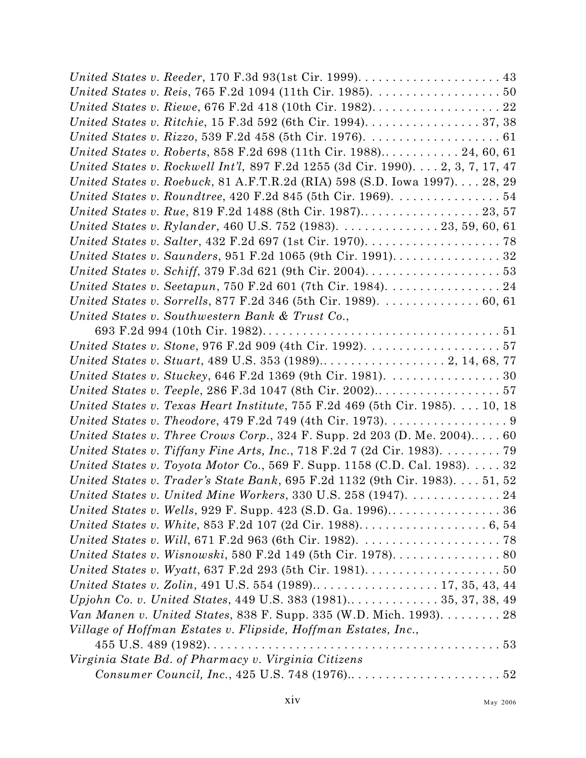| United States v. Ritchie, 15 F.3d 592 (6th Cir. 1994). 37, 38                                         |  |
|-------------------------------------------------------------------------------------------------------|--|
| United States v. Rizzo, 539 F.2d 458 (5th Cir. 1976). $\ldots \ldots \ldots \ldots \ldots \ldots 61$  |  |
| United States v. Roberts, 858 F.2d 698 (11th Cir. 1988) 24, 60, 61                                    |  |
| United States v. Rockwell Int'l, 897 F.2d 1255 (3d Cir. 1990). 2, 3, 7, 17, 47                        |  |
| United States v. Roebuck, 81 A.F.T.R.2d (RIA) 598 (S.D. Iowa 1997) 28, 29                             |  |
| United States v. Roundtree, 420 F.2d 845 (5th Cir. 1969). 54                                          |  |
|                                                                                                       |  |
| United States v. Rylander, 460 U.S. 752 (1983). 23, 59, 60, 61                                        |  |
|                                                                                                       |  |
|                                                                                                       |  |
| United States v. Schiff, 379 F.3d 621 (9th Cir. 2004). $\dots \dots \dots \dots \dots \dots \dots$ 53 |  |
|                                                                                                       |  |
| United States v. Sorrells, 877 F.2d 346 (5th Cir. 1989). 60, 61                                       |  |
| United States v. Southwestern Bank & Trust Co.,                                                       |  |
|                                                                                                       |  |
|                                                                                                       |  |
|                                                                                                       |  |
| United States v. Stuckey, 646 F.2d 1369 (9th Cir. 1981). 30                                           |  |
|                                                                                                       |  |
| United States v. Texas Heart Institute, 755 F.2d 469 (5th Cir. 1985). 10, 18                          |  |
| United States v. Theodore, 479 F.2d 749 (4th Cir. 1973). 9                                            |  |
| United States v. Three Crows Corp., 324 F. Supp. 2d 203 (D. Me. 2004) 60                              |  |
| United States v. Tiffany Fine Arts, Inc., 718 F.2d 7 (2d Cir. 1983). $\dots \dots$ . 79               |  |
| United States v. Toyota Motor Co., 569 F. Supp. 1158 (C.D. Cal. 1983). $\dots$ 32                     |  |
| United States v. Trader's State Bank, 695 F.2d 1132 (9th Cir. 1983). 51, 52                           |  |
| United States v. United Mine Workers, 330 U.S. 258 (1947).  24                                        |  |
|                                                                                                       |  |
|                                                                                                       |  |
|                                                                                                       |  |
|                                                                                                       |  |
| United States v. Wyatt, 637 F.2d 293 (5th Cir. 1981). $\ldots \ldots \ldots \ldots \ldots \ldots 50$  |  |
|                                                                                                       |  |
|                                                                                                       |  |
| <i>Van Manen v. United States, 838 F. Supp. 335 (W.D. Mich. 1993).</i> $\dots \dots 28$               |  |
| Village of Hoffman Estates v. Flipside, Hoffman Estates, Inc.,                                        |  |
|                                                                                                       |  |
| Virginia State Bd. of Pharmacy v. Virginia Citizens                                                   |  |
|                                                                                                       |  |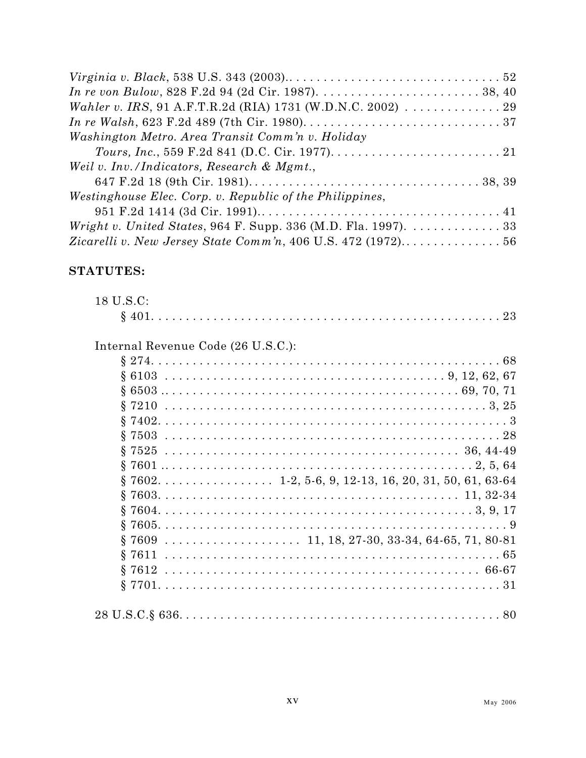| Wahler v. IRS, 91 A.F.T.R.2d (RIA) 1731 (W.D.N.C. 2002) 29                                          |  |
|-----------------------------------------------------------------------------------------------------|--|
|                                                                                                     |  |
| Washington Metro. Area Transit Comm'n v. Holiday                                                    |  |
|                                                                                                     |  |
| Weil v. Inv./Indicators, Research & Mgmt.,                                                          |  |
|                                                                                                     |  |
| Westinghouse Elec. Corp. v. Republic of the Philippines,                                            |  |
|                                                                                                     |  |
| <i>Wright v. United States, 964 F. Supp. 336 (M.D. Fla. 1997).</i> $\ldots \ldots \ldots \ldots 33$ |  |
|                                                                                                     |  |

### **STATUTES:**

| 18 U.S.C:                          |
|------------------------------------|
|                                    |
| Internal Revenue Code (26 U.S.C.): |
|                                    |
|                                    |
|                                    |
|                                    |
|                                    |
|                                    |
|                                    |
|                                    |
|                                    |
|                                    |
|                                    |
|                                    |
|                                    |
|                                    |
|                                    |
|                                    |
|                                    |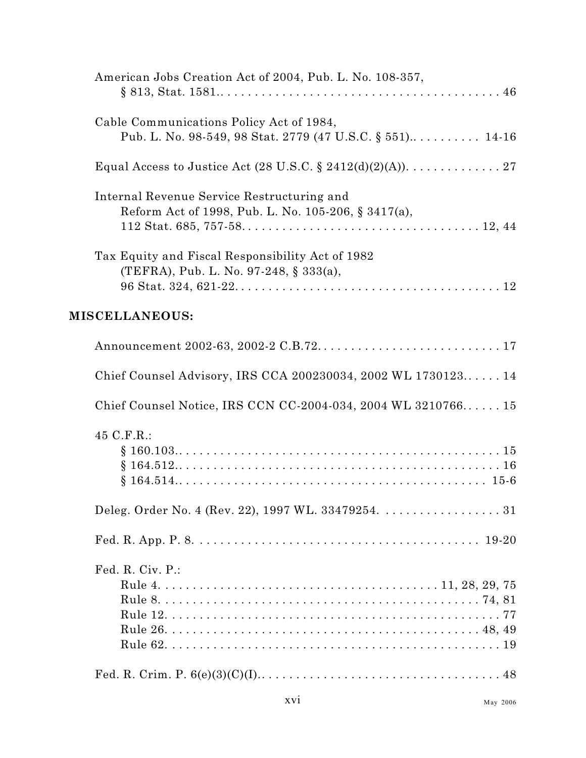| American Jobs Creation Act of 2004, Pub. L. No. 108-357,                                              |
|-------------------------------------------------------------------------------------------------------|
| Cable Communications Policy Act of 1984,<br>Pub. L. No. 98-549, 98 Stat. 2779 (47 U.S.C. § 551) 14-16 |
| Equal Access to Justice Act (28 U.S.C. § 2412(d)(2)(A)). 27                                           |
| Internal Revenue Service Restructuring and<br>Reform Act of 1998, Pub. L. No. 105-206, § 3417(a),     |
| Tax Equity and Fiscal Responsibility Act of 1982<br>(TEFRA), Pub. L. No. 97-248, § 333(a),            |
| <b>MISCELLANEOUS:</b>                                                                                 |
|                                                                                                       |
| Chief Counsel Advisory, IRS CCA 200230034, 2002 WL 1730123 14                                         |
| Chief Counsel Notice, IRS CCN CC-2004-034, 2004 WL 3210766 15                                         |
| 45 C.F.R.:                                                                                            |
|                                                                                                       |
|                                                                                                       |
| Fed. R. Civ. P.:                                                                                      |
|                                                                                                       |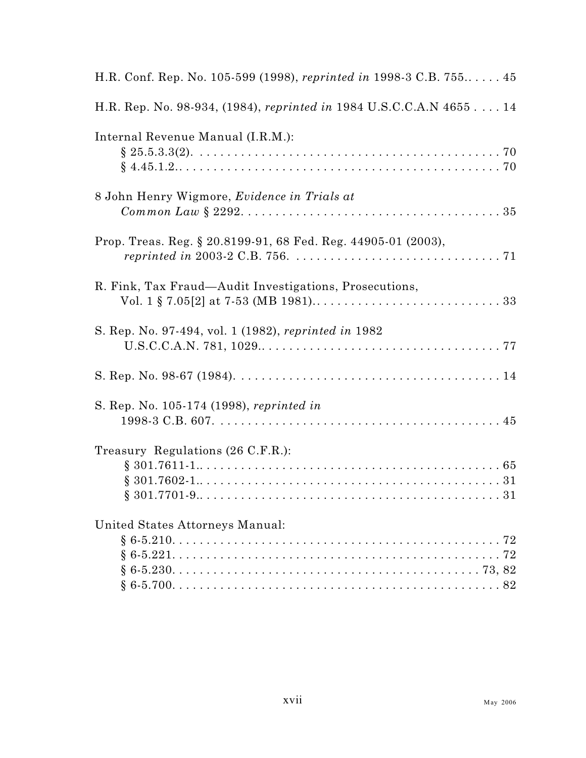| H.R. Conf. Rep. No. 105-599 (1998), reprinted in 1998-3 C.B. 755 45 |
|---------------------------------------------------------------------|
| H.R. Rep. No. 98-934, (1984), reprinted in 1984 U.S.C.C.A.N 4655 14 |
| Internal Revenue Manual (I.R.M.):                                   |
| 8 John Henry Wigmore, Evidence in Trials at                         |
| Prop. Treas. Reg. § 20.8199-91, 68 Fed. Reg. 44905-01 (2003),       |
| R. Fink, Tax Fraud-Audit Investigations, Prosecutions,              |
| S. Rep. No. 97-494, vol. 1 (1982), reprinted in 1982                |
|                                                                     |
| S. Rep. No. 105-174 (1998), reprinted in                            |
| Treasury Regulations (26 C.F.R.):                                   |
| United States Attorneys Manual:                                     |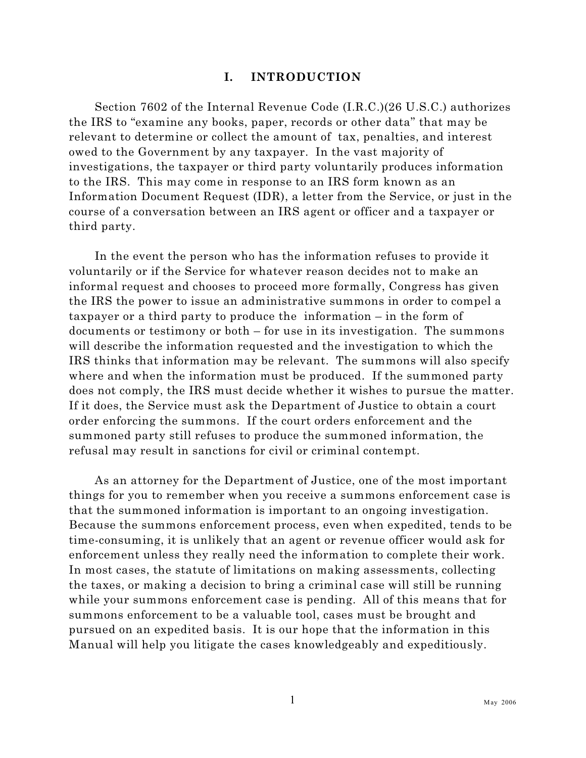#### <span id="page-18-0"></span>**I. INTRODUCTION**

Section 7602 of the Internal Revenue Code (I.R.C.)(26 U.S.C.) authorizes the IRS to "examine any books, paper, records or other data" that may be relevant to determine or collect the amount of tax, penalties, and interest owed to the Government by any taxpayer. In the vast majority of investigations, the taxpayer or third party voluntarily produces information to the IRS. This may come in response to an IRS form known as an Information Document Request (IDR), a letter from the Service, or just in the course of a conversation between an IRS agent or officer and a taxpayer or third party.

In the event the person who has the information refuses to provide it voluntarily or if the Service for whatever reason decides not to make an informal request and chooses to proceed more formally, Congress has given the IRS the power to issue an administrative summons in order to compel a taxpayer or a third party to produce the information – in the form of documents or testimony or both – for use in its investigation. The summons will describe the information requested and the investigation to which the IRS thinks that information may be relevant. The summons will also specify where and when the information must be produced. If the summoned party does not comply, the IRS must decide whether it wishes to pursue the matter. If it does, the Service must ask the Department of Justice to obtain a court order enforcing the summons. If the court orders enforcement and the summoned party still refuses to produce the summoned information, the refusal may result in sanctions for civil or criminal contempt.

As an attorney for the Department of Justice, one of the most important things for you to remember when you receive a summons enforcement case is that the summoned information is important to an ongoing investigation. Because the summons enforcement process, even when expedited, tends to be time-consuming, it is unlikely that an agent or revenue officer would ask for enforcement unless they really need the information to complete their work. In most cases, the statute of limitations on making assessments, collecting the taxes, or making a decision to bring a criminal case will still be running while your summons enforcement case is pending. All of this means that for summons enforcement to be a valuable tool, cases must be brought and pursued on an expedited basis. It is our hope that the information in this Manual will help you litigate the cases knowledgeably and expeditiously.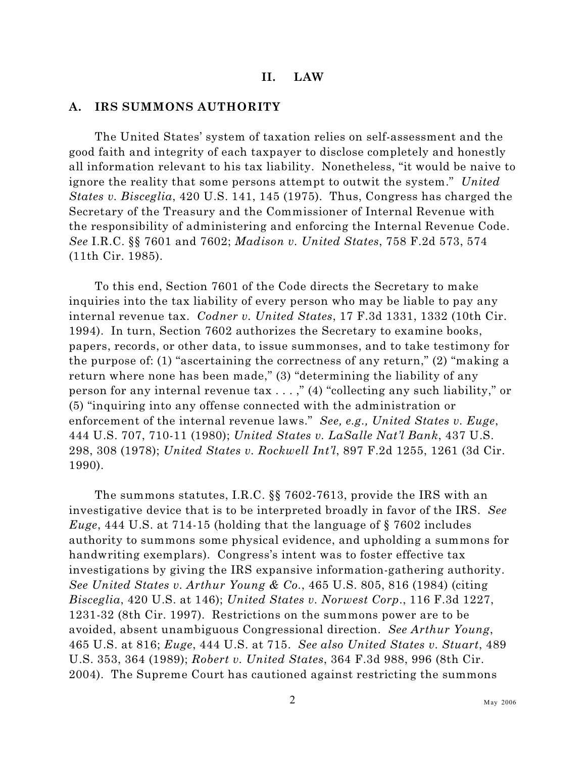#### <span id="page-19-0"></span>**II. LAW**

#### <span id="page-19-1"></span>**A. IRS SUMMONS AUTHORITY**

The United States' system of taxation relies on self-assessment and the good faith and integrity of each taxpayer to disclose completely and honestly all information relevant to his tax liability. Nonetheless, "it would be naive to ignore the reality that some persons attempt to outwit the system." *United States v. Bisceglia*, 420 U.S. 141, 145 (1975). Thus, Congress has charged the Secretary of the Treasury and the Commissioner of Internal Revenue with the responsibility of administering and enforcing the Internal Revenue Code. *See* I.R.C. §§ 7601 and 7602; *Madison v. United States*, 758 F.2d 573, 574 (11th Cir. 1985).

To this end, Section 7601 of the Code directs the Secretary to make inquiries into the tax liability of every person who may be liable to pay any internal revenue tax. *Codner v. United States*, 17 F.3d 1331, 1332 (10th Cir. 1994). In turn, Section 7602 authorizes the Secretary to examine books, papers, records, or other data, to issue summonses, and to take testimony for the purpose of: (1) "ascertaining the correctness of any return," (2) "making a return where none has been made," (3) "determining the liability of any person for any internal revenue tax . . . ," (4) "collecting any such liability," or (5) "inquiring into any offense connected with the administration or enforcement of the internal revenue laws." *See, e.g., United States v. Euge*, 444 U.S. 707, 710-11 (1980); *United States v. LaSalle Nat'l Bank*, 437 U.S. 298, 308 (1978); *United States v. Rockwell Int'l*, 897 F.2d 1255, 1261 (3d Cir. 1990).

The summons statutes, I.R.C. §§ 7602-7613, provide the IRS with an investigative device that is to be interpreted broadly in favor of the IRS. *See Euge*, 444 U.S. at 714-15 (holding that the language of § 7602 includes authority to summons some physical evidence, and upholding a summons for handwriting exemplars). Congress's intent was to foster effective tax investigations by giving the IRS expansive information-gathering authority. *See United States v. Arthur Young & Co.*, 465 U.S. 805, 816 (1984) (citing *Bisceglia*, 420 U.S. at 146); *United States v. Norwest Corp*., 116 F.3d 1227, 1231-32 (8th Cir. 1997). Restrictions on the summons power are to be avoided, absent unambiguous Congressional direction. *See Arthur Young*, 465 U.S. at 816; *Euge*, 444 U.S. at 715. *See also United States v. Stuart*, 489 U.S. 353, 364 (1989); *Robert v. United States*, 364 F.3d 988, 996 (8th Cir. 2004). The Supreme Court has cautioned against restricting the summons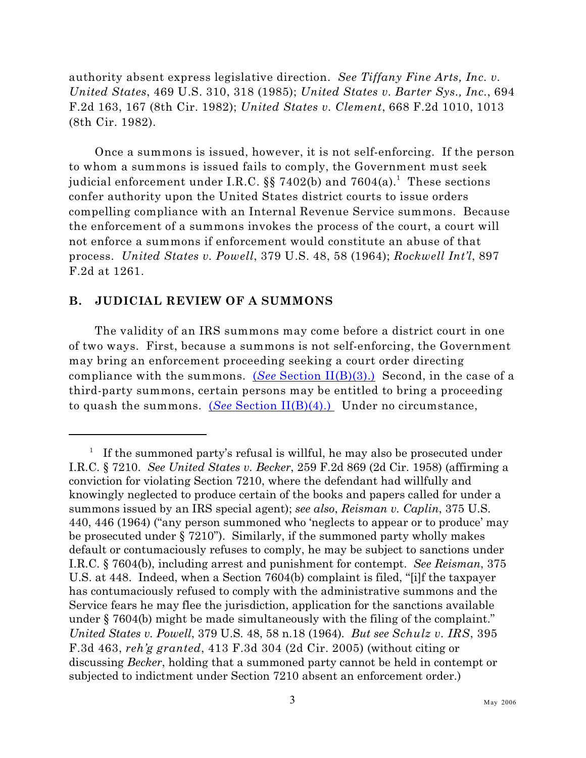authority absent express legislative direction. *See Tiffany Fine Arts, Inc. v. United States*, 469 U.S. 310, 318 (1985); *United States v. Barter Sys., Inc.*, 694 F.2d 163, 167 (8th Cir. 1982); *United States v. Clement*, 668 F.2d 1010, 1013 (8th Cir. 1982).

Once a summons is issued, however, it is not self-enforcing. If the person to whom a summons is issued fails to comply, the Government must seek judicial enforcement under I.R.C. §§ 7402(b) and 7604(a). $^{\rm 1}$  These sections confer authority upon the United States district courts to issue orders compelling compliance with an Internal Revenue Service summons. Because the enforcement of a summons invokes the process of the court, a court will not enforce a summons if enforcement would constitute an abuse of that process. *United States v. Powell*, 379 U.S. 48, 58 (1964); *Rockwell Int'l*, 897 F.2d at 1261.

#### <span id="page-20-0"></span>**B. JUDICIAL REVIEW OF A SUMMONS**

The validity of an IRS summons may come before a district court in one of two ways. First, because a summons is not self-enforcing, the Government may bring an enforcement proceeding seeking a court order directing compliance with the summons. (*See* [Section II\(B\)\(3\).\)](#page-34-0) Second, in the case of a third-party summons, certain persons may be entitled to bring a proceeding to quash the summons. (*See* [Section II\(B\)\(4\).\)](#page-44-0) Under no circumstance,

If the summoned party's refusal is willful, he may also be prosecuted under I.R.C. § 7210. *See United States v. Becker*, 259 F.2d 869 (2d Cir. 1958) (affirming a conviction for violating Section 7210, where the defendant had willfully and knowingly neglected to produce certain of the books and papers called for under a summons issued by an IRS special agent); *see also*, *Reisman v. Caplin*, 375 U.S. 440, 446 (1964) ("any person summoned who 'neglects to appear or to produce' may be prosecuted under § 7210"). Similarly, if the summoned party wholly makes default or contumaciously refuses to comply, he may be subject to sanctions under I.R.C. § 7604(b), including arrest and punishment for contempt. *See Reisman*, 375 U.S. at 448. Indeed, when a Section 7604(b) complaint is filed, "[i]f the taxpayer has contumaciously refused to comply with the administrative summons and the Service fears he may flee the jurisdiction, application for the sanctions available under § 7604(b) might be made simultaneously with the filing of the complaint." *United States v. Powell*, 379 U.S. 48, 58 n.18 (1964)*. But see Schulz v. IRS*, 395 F.3d 463, *reh'g granted*, 413 F.3d 304 (2d Cir. 2005) (without citing or discussing *Becker*, holding that a summoned party cannot be held in contempt or subjected to indictment under Section 7210 absent an enforcement order.)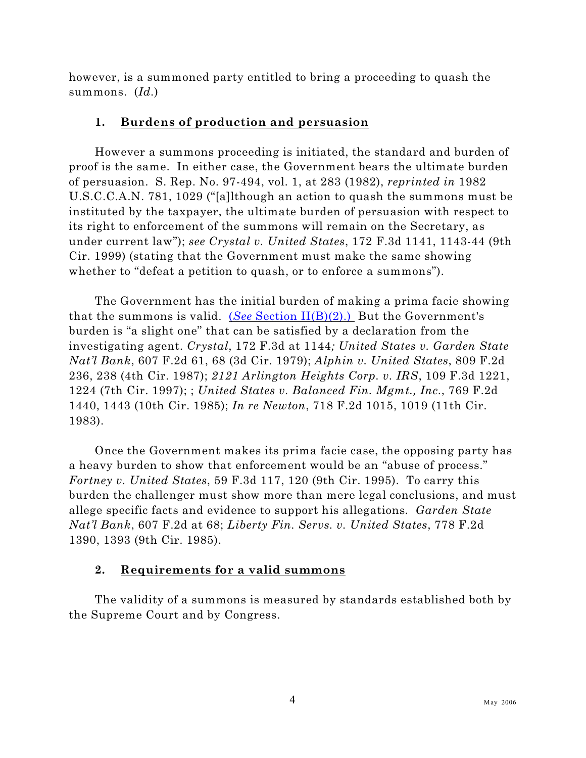however, is a summoned party entitled to bring a proceeding to quash the summons. (*Id.*)

#### <span id="page-21-0"></span>**1. Burdens of production and persuasion**

However a summons proceeding is initiated, the standard and burden of proof is the same. In either case, the Government bears the ultimate burden of persuasion. S. Rep. No. 97-494, vol. 1, at 283 (1982), *reprinted in* 1982 U.S.C.C.A.N. 781, 1029 ("[a]lthough an action to quash the summons must be instituted by the taxpayer, the ultimate burden of persuasion with respect to its right to enforcement of the summons will remain on the Secretary, as under current law"); *see Crystal v. United States*, 172 F.3d 1141, 1143-44 (9th Cir. 1999) (stating that the Government must make the same showing whether to "defeat a petition to quash, or to enforce a summons").

The Government has the initial burden of making a prima facie showing that the summons is valid. (*See* [Section II\(B\)\(2\).\)](#page-21-1) But the Government's burden is "a slight one" that can be satisfied by a declaration from the investigating agent. *Crystal*, 172 F.3d at 1144*; United States v. Garden State Nat'l Bank*, 607 F.2d 61, 68 (3d Cir. 1979); *Alphin v. United States*, 809 F.2d 236, 238 (4th Cir. 1987); *2121 Arlington Heights Corp. v. IRS*, 109 F.3d 1221, 1224 (7th Cir. 1997); ; *United States v. Balanced Fin. Mgmt., Inc.*, 769 F.2d 1440, 1443 (10th Cir. 1985); *In re Newton*, 718 F.2d 1015, 1019 (11th Cir. 1983).

Once the Government makes its prima facie case, the opposing party has a heavy burden to show that enforcement would be an "abuse of process." *Fortney v. United States*, 59 F.3d 117, 120 (9th Cir. 1995). To carry this burden the challenger must show more than mere legal conclusions, and must allege specific facts and evidence to support his allegations*. Garden State Nat'l Bank*, 607 F.2d at 68; *Liberty Fin. Servs. v. United States*, 778 F.2d 1390, 1393 (9th Cir. 1985).

#### <span id="page-21-1"></span>**2. Requirements for a valid summons**

The validity of a summons is measured by standards established both by the Supreme Court and by Congress.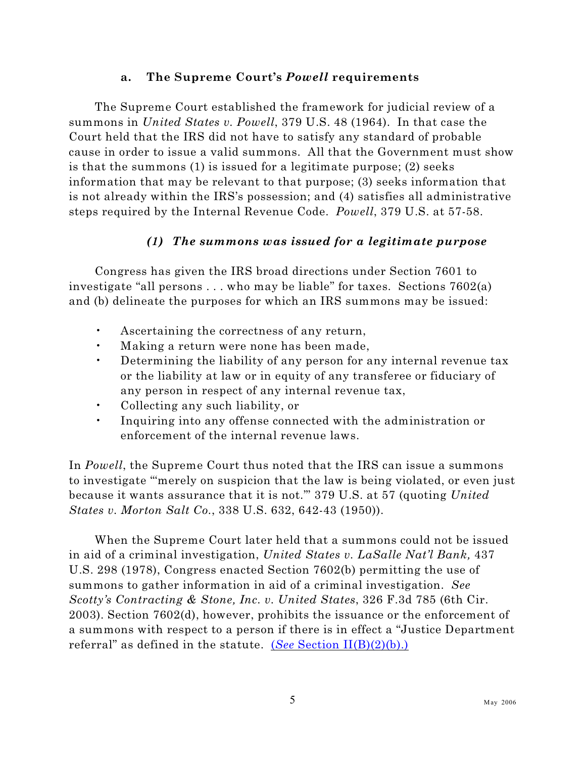#### <span id="page-22-0"></span>**a. The Supreme Court's** *Powell* **requirements**

The Supreme Court established the framework for judicial review of a summons in *United States v. Powell*, 379 U.S. 48 (1964). In that case the Court held that the IRS did not have to satisfy any standard of probable cause in order to issue a valid summons. All that the Government must show is that the summons (1) is issued for a legitimate purpose; (2) seeks information that may be relevant to that purpose; (3) seeks information that is not already within the IRS's possession; and (4) satisfies all administrative steps required by the Internal Revenue Code. *Powell*, 379 U.S. at 57-58.

#### <span id="page-22-1"></span>*(1) The summons was issued for a legitimate purpose*

Congress has given the IRS broad directions under Section 7601 to investigate "all persons . . . who may be liable" for taxes. Sections 7602(a) and (b) delineate the purposes for which an IRS summons may be issued:

- Ascertaining the correctness of any return,
- Making a return were none has been made,
- Determining the liability of any person for any internal revenue tax or the liability at law or in equity of any transferee or fiduciary of any person in respect of any internal revenue tax,
- Collecting any such liability, or
- Inquiring into any offense connected with the administration or enforcement of the internal revenue laws.

In *Powell*, the Supreme Court thus noted that the IRS can issue a summons to investigate "'merely on suspicion that the law is being violated, or even just because it wants assurance that it is not.'" 379 U.S. at 57 (quoting *United States v. Morton Salt Co.*, 338 U.S. 632, 642-43 (1950)).

When the Supreme Court later held that a summons could not be issued in aid of a criminal investigation, *United States v. LaSalle Nat'l Bank,* 437 U.S. 298 (1978), Congress enacted Section 7602(b) permitting the use of summons to gather information in aid of a criminal investigation. *See Scotty's Contracting & Stone, Inc. v. United States*, 326 F.3d 785 (6th Cir. 2003). Section 7602(d), however, prohibits the issuance or the enforcement of a summons with respect to a person if there is in effect a "Justice Department referral" as defined in the statute. (*See* [Section II\(B\)\(2\)\(b\).\)](#page-21-1)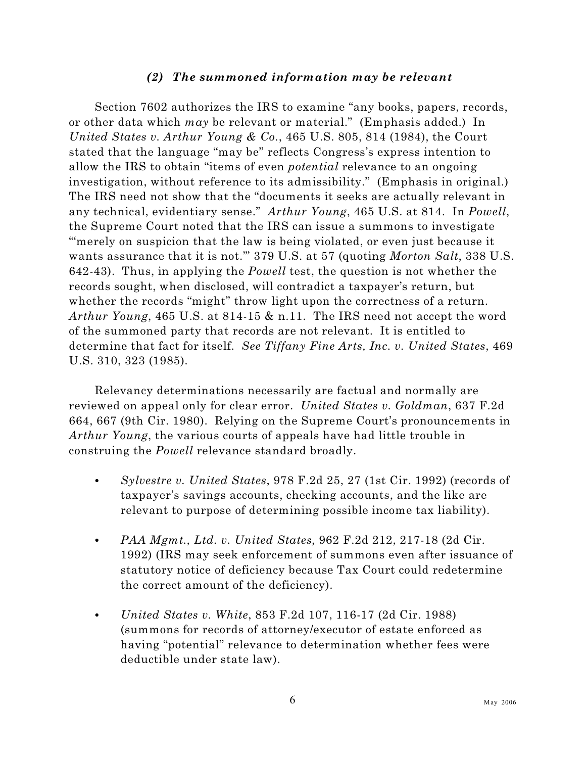#### <span id="page-23-0"></span>*(2) The summoned information may be relevant*

Section 7602 authorizes the IRS to examine "any books, papers, records, or other data which *may* be relevant or material." (Emphasis added.) In *United States v. Arthur Young & Co.*, 465 U.S. 805, 814 (1984), the Court stated that the language "may be" reflects Congress's express intention to allow the IRS to obtain "items of even *potential* relevance to an ongoing investigation, without reference to its admissibility." (Emphasis in original.) The IRS need not show that the "documents it seeks are actually relevant in any technical, evidentiary sense." *Arthur Young*, 465 U.S. at 814. In *Powell*, the Supreme Court noted that the IRS can issue a summons to investigate "merely on suspicion that the law is being violated, or even just because it wants assurance that it is not.'" 379 U.S. at 57 (quoting *Morton Salt*, 338 U.S. 642-43). Thus, in applying the *Powell* test, the question is not whether the records sought, when disclosed, will contradict a taxpayer's return, but whether the records "might" throw light upon the correctness of a return. *Arthur Young*, 465 U.S. at 814-15 & n.11. The IRS need not accept the word of the summoned party that records are not relevant. It is entitled to determine that fact for itself. *See Tiffany Fine Arts, Inc. v. United States*, 469 U.S. 310, 323 (1985).

Relevancy determinations necessarily are factual and normally are reviewed on appeal only for clear error. *United States v. Goldman*, 637 F.2d 664, 667 (9th Cir. 1980). Relying on the Supreme Court's pronouncements in *Arthur Young*, the various courts of appeals have had little trouble in construing the *Powell* relevance standard broadly.

- C *Sylvestre v. United States*, 978 F.2d 25, 27 (1st Cir. 1992) (records of taxpayer's savings accounts, checking accounts, and the like are relevant to purpose of determining possible income tax liability).
- C *PAA Mgmt., Ltd. v. United States,* 962 F.2d 212, 217-18 (2d Cir. 1992) (IRS may seek enforcement of summons even after issuance of statutory notice of deficiency because Tax Court could redetermine the correct amount of the deficiency).
- C *United States v. White*, 853 F.2d 107, 116-17 (2d Cir. 1988) (summons for records of attorney/executor of estate enforced as having "potential" relevance to determination whether fees were deductible under state law).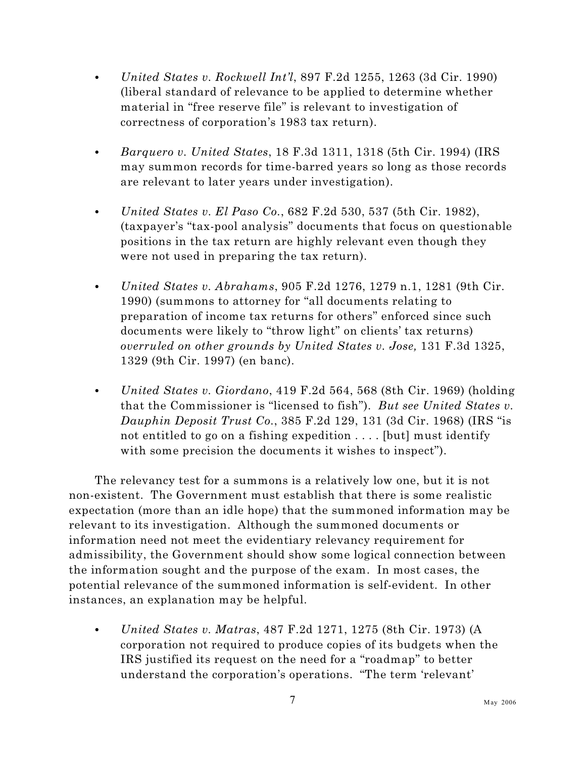- *United States v. Rockwell Int'l*, 897 F.2d 1255, 1263 (3d Cir. 1990) (liberal standard of relevance to be applied to determine whether material in "free reserve file" is relevant to investigation of correctness of corporation's 1983 tax return).
- *Barquero v. United States*, 18 F.3d 1311, 1318 (5th Cir. 1994) (IRS may summon records for time-barred years so long as those records are relevant to later years under investigation).
- *United States v. El Paso Co.*, 682 F.2d 530, 537 (5th Cir. 1982), (taxpayer's "tax-pool analysis" documents that focus on questionable positions in the tax return are highly relevant even though they were not used in preparing the tax return).
- C *United States v. Abrahams*, 905 F.2d 1276, 1279 n.1, 1281 (9th Cir. 1990) (summons to attorney for "all documents relating to preparation of income tax returns for others" enforced since such documents were likely to "throw light" on clients' tax returns) *overruled on other grounds by United States v. Jose,* 131 F.3d 1325, 1329 (9th Cir. 1997) (en banc).
- C *United States v. Giordano*, 419 F.2d 564, 568 (8th Cir. 1969) (holding that the Commissioner is "licensed to fish"). *But see United States v. Dauphin Deposit Trust Co.*, 385 F.2d 129, 131 (3d Cir. 1968) (IRS "is not entitled to go on a fishing expedition . . . . [but] must identify with some precision the documents it wishes to inspect").

The relevancy test for a summons is a relatively low one, but it is not non-existent. The Government must establish that there is some realistic expectation (more than an idle hope) that the summoned information may be relevant to its investigation. Although the summoned documents or information need not meet the evidentiary relevancy requirement for admissibility, the Government should show some logical connection between the information sought and the purpose of the exam. In most cases, the potential relevance of the summoned information is self-evident. In other instances, an explanation may be helpful.

C *United States v. Matras*, 487 F.2d 1271, 1275 (8th Cir. 1973) (A corporation not required to produce copies of its budgets when the IRS justified its request on the need for a "roadmap" to better understand the corporation's operations. "The term 'relevant'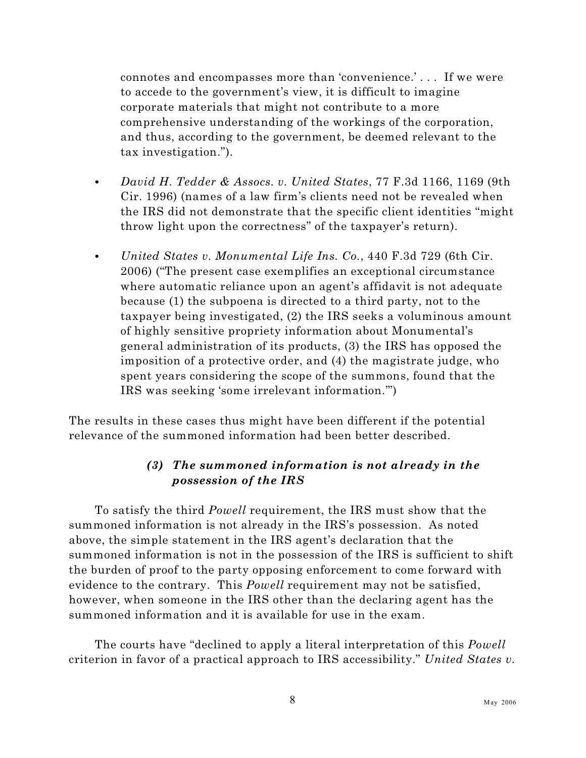connotes and encompasses more than 'convenience.' . . . If we were to accede to the government's view, it is difficult to imagine corporate materials that might not contribute to a more comprehensive understanding of the workings of the corporation, and thus, according to the government, be deemed relevant to the tax investigation.").

- C *David H. Tedder & Assocs. v. United States*, 77 F.3d 1166, 1169 (9th Cir. 1996) (names of a law firm's clients need not be revealed when the IRS did not demonstrate that the specific client identities "might throw light upon the correctness" of the taxpayer's return).
- C *United States v. Monumental Life Ins. Co.*, 440 F.3d 729 (6th Cir. 2006) ("The present case exemplifies an exceptional circumstance where automatic reliance upon an agent's affidavit is not adequate because (1) the subpoena is directed to a third party, not to the taxpayer being investigated, (2) the IRS seeks a voluminous amount of highly sensitive propriety information about Monumental's general administration of its products, (3) the IRS has opposed the imposition of a protective order, and (4) the magistrate judge, who spent years considering the scope of the summons, found that the IRS was seeking 'some irrelevant information.'")

The results in these cases thus might have been different if the potential relevance of the summoned information had been better described.

#### <span id="page-25-0"></span>*(3) The summoned information is not already in the possession of the IRS*

To satisfy the third *Powell* requirement, the IRS must show that the summoned information is not already in the IRS's possession. As noted above, the simple statement in the IRS agent's declaration that the summoned information is not in the possession of the IRS is sufficient to shift the burden of proof to the party opposing enforcement to come forward with evidence to the contrary. This *Powell* requirement may not be satisfied, however, when someone in the IRS other than the declaring agent has the summoned information and it is available for use in the exam.

The courts have "declined to apply a literal interpretation of this *Powell* criterion in favor of a practical approach to IRS accessibility." *United States v.*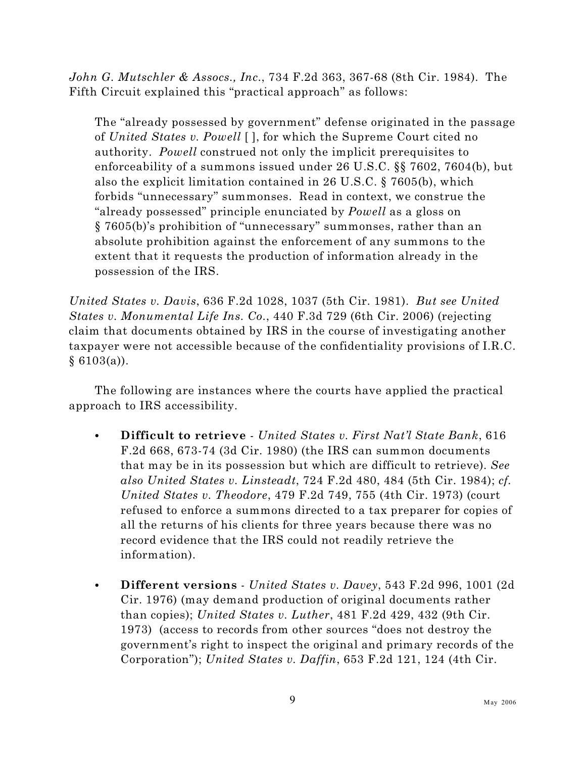*John G. Mutschler & Assocs., Inc.*, 734 F.2d 363, 367-68 (8th Cir. 1984). The Fifth Circuit explained this "practical approach" as follows:

The "already possessed by government" defense originated in the passage of *United States v. Powell* [ ], for which the Supreme Court cited no authority. *Powell* construed not only the implicit prerequisites to enforceability of a summons issued under 26 U.S.C. §§ 7602, 7604(b), but also the explicit limitation contained in 26 U.S.C. § 7605(b), which forbids "unnecessary" summonses. Read in context, we construe the "already possessed" principle enunciated by *Powell* as a gloss on § 7605(b)'s prohibition of "unnecessary" summonses, rather than an absolute prohibition against the enforcement of any summons to the extent that it requests the production of information already in the possession of the IRS.

*United States v. Davis*, 636 F.2d 1028, 1037 (5th Cir. 1981). *But see United States v. Monumental Life Ins. Co.*, 440 F.3d 729 (6th Cir. 2006) (rejecting claim that documents obtained by IRS in the course of investigating another taxpayer were not accessible because of the confidentiality provisions of I.R.C.  $§ 6103(a)$ .

The following are instances where the courts have applied the practical approach to IRS accessibility.

- C **Difficult to retrieve** *United States v. First Nat'l State Bank*, 616 F.2d 668, 673-74 (3d Cir. 1980) (the IRS can summon documents that may be in its possession but which are difficult to retrieve). *See also United States v. Linsteadt*, 724 F.2d 480, 484 (5th Cir. 1984); *cf. United States v. Theodore*, 479 F.2d 749, 755 (4th Cir. 1973) (court refused to enforce a summons directed to a tax preparer for copies of all the returns of his clients for three years because there was no record evidence that the IRS could not readily retrieve the information).
- C **Different versions**  *United States v. Davey*, 543 F.2d 996, 1001 (2d Cir. 1976) (may demand production of original documents rather than copies); *United States v. Luther*, 481 F.2d 429, 432 (9th Cir. 1973) (access to records from other sources "does not destroy the government's right to inspect the original and primary records of the Corporation"); *United States v. Daffin*, 653 F.2d 121, 124 (4th Cir.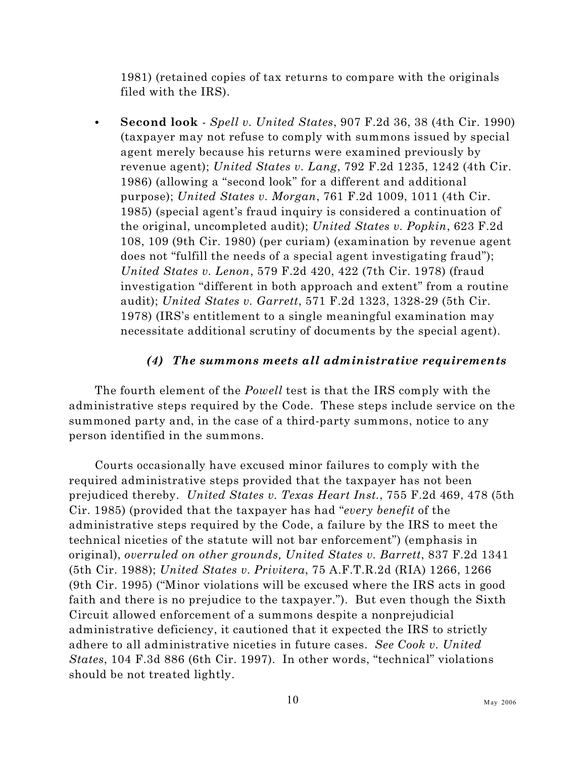1981) (retained copies of tax returns to compare with the originals filed with the IRS).

C **Second look** - *Spell v. United States*, 907 F.2d 36, 38 (4th Cir. 1990) (taxpayer may not refuse to comply with summons issued by special agent merely because his returns were examined previously by revenue agent); *United States v. Lang*, 792 F.2d 1235, 1242 (4th Cir. 1986) (allowing a "second look" for a different and additional purpose); *United States v. Morgan*, 761 F.2d 1009, 1011 (4th Cir. 1985) (special agent's fraud inquiry is considered a continuation of the original, uncompleted audit); *United States v. Popkin*, 623 F.2d 108, 109 (9th Cir. 1980) (per curiam) (examination by revenue agent does not "fulfill the needs of a special agent investigating fraud"); *United States v. Lenon*, 579 F.2d 420, 422 (7th Cir. 1978) (fraud investigation "different in both approach and extent" from a routine audit); *United States v. Garrett*, 571 F.2d 1323, 1328-29 (5th Cir. 1978) (IRS's entitlement to a single meaningful examination may necessitate additional scrutiny of documents by the special agent).

#### <span id="page-27-0"></span>*(4) The summons meets all administrative requirements*

The fourth element of the *Powell* test is that the IRS comply with the administrative steps required by the Code. These steps include service on the summoned party and, in the case of a third-party summons, notice to any person identified in the summons.

Courts occasionally have excused minor failures to comply with the required administrative steps provided that the taxpayer has not been prejudiced thereby. *United States v. Texas Heart Inst.*, 755 F.2d 469, 478 (5th Cir. 1985) (provided that the taxpayer has had "*every benefit* of the administrative steps required by the Code, a failure by the IRS to meet the technical niceties of the statute will not bar enforcement") (emphasis in original), *overruled on other grounds, United States v. Barrett*, 837 F.2d 1341 (5th Cir. 1988); *United States v. Privitera*, 75 A.F.T.R.2d (RIA) 1266, 1266 (9th Cir. 1995) ("Minor violations will be excused where the IRS acts in good faith and there is no prejudice to the taxpayer."). But even though the Sixth Circuit allowed enforcement of a summons despite a nonprejudicial administrative deficiency, it cautioned that it expected the IRS to strictly adhere to all administrative niceties in future cases. *See Cook v. United States*, 104 F.3d 886 (6th Cir. 1997). In other words, "technical" violations should be not treated lightly.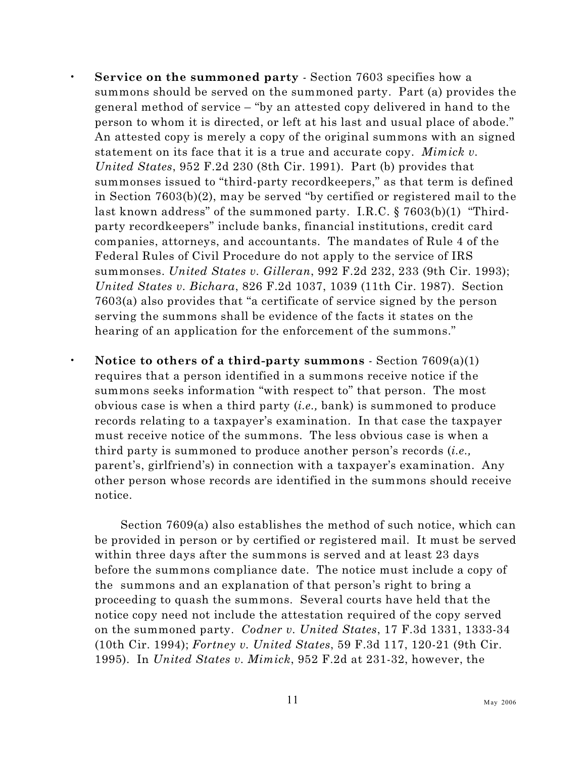- **Service on the summoned party** Section 7603 specifies how a summons should be served on the summoned party. Part (a) provides the general method of service – "by an attested copy delivered in hand to the person to whom it is directed, or left at his last and usual place of abode." An attested copy is merely a copy of the original summons with an signed statement on its face that it is a true and accurate copy. *Mimick v. United States*, 952 F.2d 230 (8th Cir. 1991). Part (b) provides that summonses issued to "third-party recordkeepers," as that term is defined in Section 7603(b)(2), may be served "by certified or registered mail to the last known address" of the summoned party. I.R.C. § 7603(b)(1) "Thirdparty recordkeepers" include banks, financial institutions, credit card companies, attorneys, and accountants. The mandates of Rule 4 of the Federal Rules of Civil Procedure do not apply to the service of IRS summonses. *United States v. Gilleran*, 992 F.2d 232, 233 (9th Cir. 1993); *United States v. Bichara*, 826 F.2d 1037, 1039 (11th Cir. 1987). Section 7603(a) also provides that "a certificate of service signed by the person serving the summons shall be evidence of the facts it states on the hearing of an application for the enforcement of the summons."
- **Notice to others of a third-party summons**  Section 7609(a)(1) requires that a person identified in a summons receive notice if the summons seeks information "with respect to" that person. The most obvious case is when a third party (*i.e.,* bank) is summoned to produce records relating to a taxpayer's examination. In that case the taxpayer must receive notice of the summons. The less obvious case is when a third party is summoned to produce another person's records (*i.e.,* parent's, girlfriend's) in connection with a taxpayer's examination. Any other person whose records are identified in the summons should receive notice.

Section 7609(a) also establishes the method of such notice, which can be provided in person or by certified or registered mail. It must be served within three days after the summons is served and at least 23 days before the summons compliance date. The notice must include a copy of the summons and an explanation of that person's right to bring a proceeding to quash the summons. Several courts have held that the notice copy need not include the attestation required of the copy served on the summoned party. *Codner v. United States*, 17 F.3d 1331, 1333-34 (10th Cir. 1994); *Fortney v. United States*, 59 F.3d 117, 120-21 (9th Cir. 1995). In *United States v. Mimick*, 952 F.2d at 231-32, however, the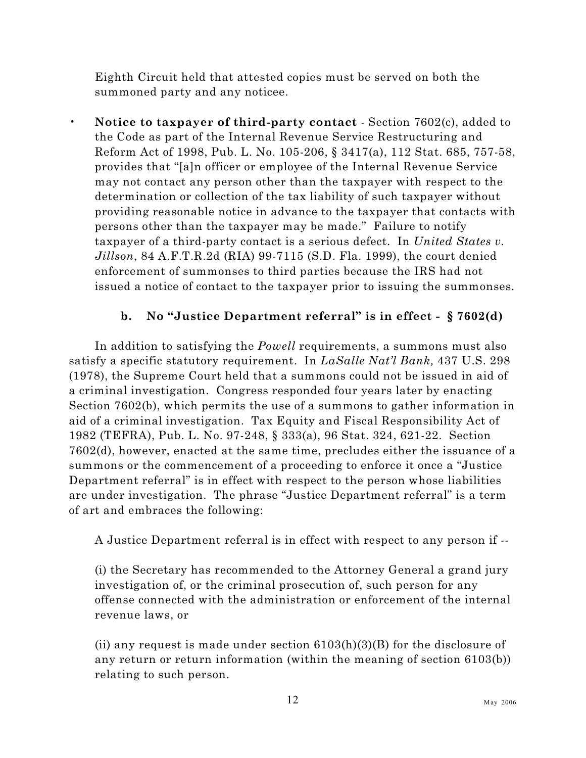Eighth Circuit held that attested copies must be served on both the summoned party and any noticee.

• **Notice to taxpayer of third-party contact** *-* Section 7602(c), added to the Code as part of the Internal Revenue Service Restructuring and Reform Act of 1998, Pub. L. No. 105-206, § 3417(a), 112 Stat. 685, 757-58, provides that "[a]n officer or employee of the Internal Revenue Service may not contact any person other than the taxpayer with respect to the determination or collection of the tax liability of such taxpayer without providing reasonable notice in advance to the taxpayer that contacts with persons other than the taxpayer may be made." Failure to notify taxpayer of a third-party contact is a serious defect. In *United States v. Jillson*, 84 A.F.T.R.2d (RIA) 99-7115 (S.D. Fla. 1999), the court denied enforcement of summonses to third parties because the IRS had not issued a notice of contact to the taxpayer prior to issuing the summonses.

#### <span id="page-29-0"></span>**b. No "Justice Department referral" is in effect - § 7602(d)**

In addition to satisfying the *Powell* requirements, a summons must also satisfy a specific statutory requirement. In *LaSalle Nat'l Bank,* 437 U.S. 298 (1978), the Supreme Court held that a summons could not be issued in aid of a criminal investigation. Congress responded four years later by enacting Section 7602(b), which permits the use of a summons to gather information in aid of a criminal investigation. Tax Equity and Fiscal Responsibility Act of 1982 (TEFRA), Pub. L. No. 97-248, § 333(a), 96 Stat. 324, 621-22. Section 7602(d), however, enacted at the same time, precludes either the issuance of a summons or the commencement of a proceeding to enforce it once a "Justice Department referral" is in effect with respect to the person whose liabilities are under investigation. The phrase "Justice Department referral" is a term of art and embraces the following:

A Justice Department referral is in effect with respect to any person if --

(i) the Secretary has recommended to the Attorney General a grand jury investigation of, or the criminal prosecution of, such person for any offense connected with the administration or enforcement of the internal revenue laws, or

(ii) any request is made under section  $6103(h)(3)(B)$  for the disclosure of any return or return information (within the meaning of section 6103(b)) relating to such person.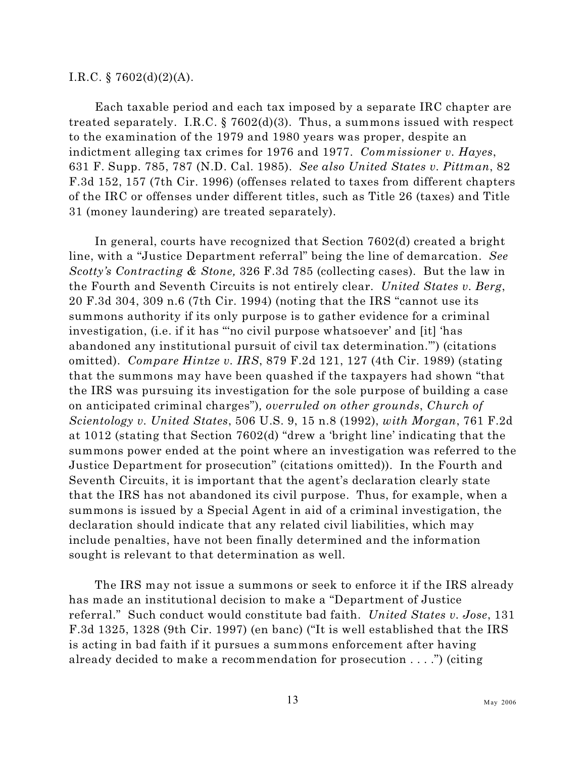#### I.R.C. § 7602(d)(2)(A).

Each taxable period and each tax imposed by a separate IRC chapter are treated separately. I.R.C.  $\S 7602(d)(3)$ . Thus, a summons issued with respect to the examination of the 1979 and 1980 years was proper, despite an indictment alleging tax crimes for 1976 and 1977. *Commissioner v. Hayes*, 631 F. Supp. 785, 787 (N.D. Cal. 1985). *See also United States v. Pittman*, 82 F.3d 152, 157 (7th Cir. 1996) (offenses related to taxes from different chapters of the IRC or offenses under different titles, such as Title 26 (taxes) and Title 31 (money laundering) are treated separately).

In general, courts have recognized that Section 7602(d) created a bright line, with a "Justice Department referral" being the line of demarcation. *See Scotty's Contracting & Stone,* 326 F.3d 785 (collecting cases). But the law in the Fourth and Seventh Circuits is not entirely clear. *United States v. Berg*, 20 F.3d 304, 309 n.6 (7th Cir. 1994) (noting that the IRS "cannot use its summons authority if its only purpose is to gather evidence for a criminal investigation, (i.e. if it has "'no civil purpose whatsoever' and [it] 'has abandoned any institutional pursuit of civil tax determination.'") (citations omitted). *Compare Hintze v. IRS*, 879 F.2d 121, 127 (4th Cir. 1989) (stating that the summons may have been quashed if the taxpayers had shown "that the IRS was pursuing its investigation for the sole purpose of building a case on anticipated criminal charges")*, overruled on other grounds*, *Church of Scientology v. United States*, 506 U.S. 9, 15 n.8 (1992), *with Morgan*, 761 F.2d at 1012 (stating that Section 7602(d) "drew a 'bright line' indicating that the summons power ended at the point where an investigation was referred to the Justice Department for prosecution" (citations omitted)). In the Fourth and Seventh Circuits, it is important that the agent's declaration clearly state that the IRS has not abandoned its civil purpose. Thus, for example, when a summons is issued by a Special Agent in aid of a criminal investigation, the declaration should indicate that any related civil liabilities, which may include penalties, have not been finally determined and the information sought is relevant to that determination as well.

The IRS may not issue a summons or seek to enforce it if the IRS already has made an institutional decision to make a "Department of Justice referral." Such conduct would constitute bad faith. *United States v. Jose*, 131 F.3d 1325, 1328 (9th Cir. 1997) (en banc) ("It is well established that the IRS is acting in bad faith if it pursues a summons enforcement after having already decided to make a recommendation for prosecution . . . .") (citing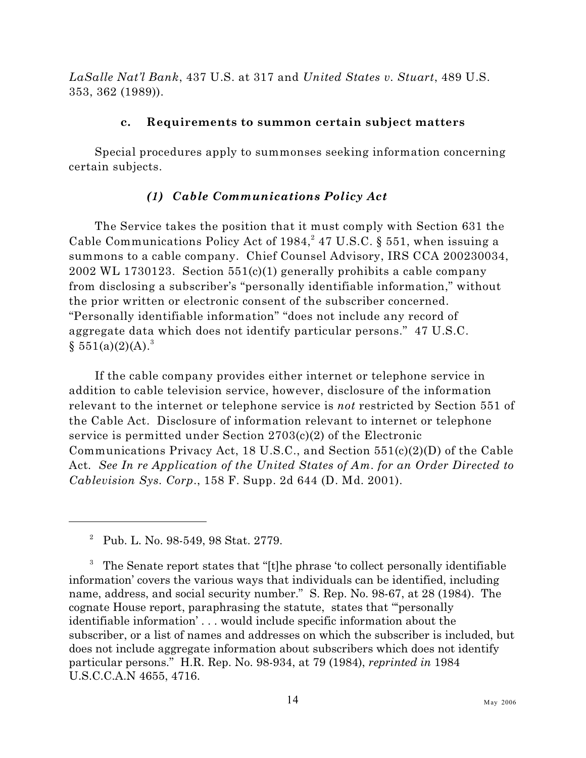*LaSalle Nat'l Bank*, 437 U.S. at 317 and *United States v. Stuart*, 489 U.S. 353, 362 (1989)).

#### <span id="page-31-0"></span>**c. Requirements to summon certain subject matters**

Special procedures apply to summonses seeking information concerning certain subjects.

#### <span id="page-31-1"></span>*(1) Cable Communications Policy Act*

The Service takes the position that it must comply with Section 631 the Cable Communications Policy Act of  $1984, 47$  U.S.C. § 551, when issuing a summons to a cable company. Chief Counsel Advisory, IRS CCA 200230034, 2002 WL 1730123. Section  $551(c)(1)$  generally prohibits a cable company from disclosing a subscriber's "personally identifiable information," without the prior written or electronic consent of the subscriber concerned. "Personally identifiable information" "does not include any record of aggregate data which does not identify particular persons." 47 U.S.C.  $§ 551(a)(2)(A).$ <sup>3</sup>

If the cable company provides either internet or telephone service in addition to cable television service, however, disclosure of the information relevant to the internet or telephone service is *not* restricted by Section 551 of the Cable Act. Disclosure of information relevant to internet or telephone service is permitted under Section 2703(c)(2) of the Electronic Communications Privacy Act, 18 U.S.C., and Section 551(c)(2)(D) of the Cable Act*. See In re Application of the United States of Am. for an Order Directed to Cablevision Sys. Corp*., 158 F. Supp. 2d 644 (D. Md. 2001).

<sup>&</sup>lt;sup>2</sup> Pub. L. No. 98-549, 98 Stat. 2779.

 $3$  The Senate report states that "[t]he phrase 'to collect personally identifiable information' covers the various ways that individuals can be identified, including name, address, and social security number." S. Rep. No. 98-67, at 28 (1984). The cognate House report, paraphrasing the statute, states that "'personally identifiable information' . . . would include specific information about the subscriber, or a list of names and addresses on which the subscriber is included, but does not include aggregate information about subscribers which does not identify particular persons." H.R. Rep. No. 98-934, at 79 (1984), *reprinted in* 1984 U.S.C.C.A.N 4655, 4716.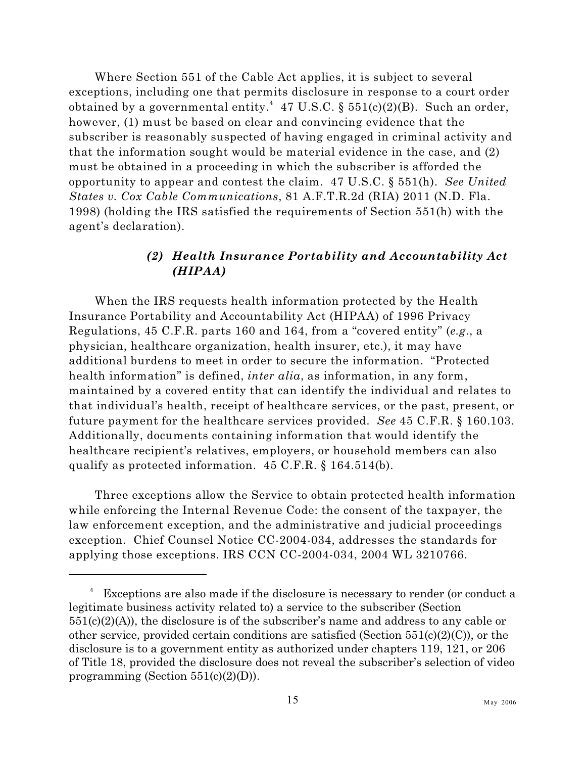Where Section 551 of the Cable Act applies, it is subject to several exceptions, including one that permits disclosure in response to a court order obtained by a governmental entity.<sup>4</sup> 47 U.S.C. § 551(c)(2)(B). Such an order, however, (1) must be based on clear and convincing evidence that the subscriber is reasonably suspected of having engaged in criminal activity and that the information sought would be material evidence in the case, and (2) must be obtained in a proceeding in which the subscriber is afforded the opportunity to appear and contest the claim. 47 U.S.C. § 551(h). *See United States v. Cox Cable Communications*, 81 A.F.T.R.2d (RIA) 2011 (N.D. Fla. 1998) (holding the IRS satisfied the requirements of Section 551(h) with the agent's declaration).

#### <span id="page-32-0"></span>*(2) Health Insurance Portability and Accountability Act (HIPAA)*

When the IRS requests health information protected by the Health Insurance Portability and Accountability Act (HIPAA) of 1996 Privacy Regulations, 45 C.F.R. parts 160 and 164, from a "covered entity" (*e.g*., a physician, healthcare organization, health insurer, etc.), it may have additional burdens to meet in order to secure the information. "Protected health information" is defined, *inter alia*, as information, in any form, maintained by a covered entity that can identify the individual and relates to that individual's health, receipt of healthcare services, or the past, present, or future payment for the healthcare services provided. *See* 45 C.F.R. § 160.103. Additionally, documents containing information that would identify the healthcare recipient's relatives, employers, or household members can also qualify as protected information. 45 C.F.R. § 164.514(b).

Three exceptions allow the Service to obtain protected health information while enforcing the Internal Revenue Code: the consent of the taxpayer, the law enforcement exception, and the administrative and judicial proceedings exception. Chief Counsel Notice CC-2004-034, addresses the standards for applying those exceptions. IRS CCN CC-2004-034, 2004 WL 3210766.

 $4$  Exceptions are also made if the disclosure is necessary to render (or conduct a legitimate business activity related to) a service to the subscriber (Section  $551(c)(2)(A)$ , the disclosure is of the subscriber's name and address to any cable or other service, provided certain conditions are satisfied (Section  $551(c)(2)(C)$ ), or the disclosure is to a government entity as authorized under chapters 119, 121, or 206 of Title 18, provided the disclosure does not reveal the subscriber's selection of video programming (Section  $551(c)(2)(D)$ ).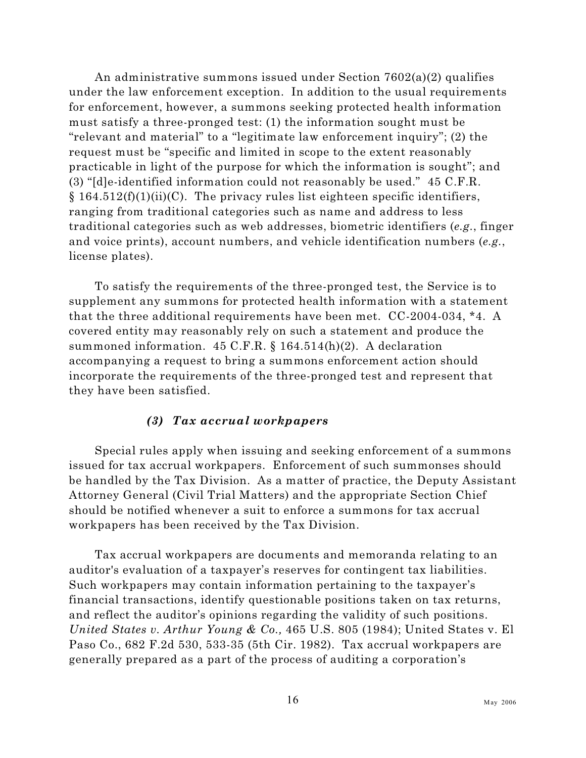An administrative summons issued under Section  $7602(a)(2)$  qualifies under the law enforcement exception. In addition to the usual requirements for enforcement, however, a summons seeking protected health information must satisfy a three-pronged test: (1) the information sought must be "relevant and material" to a "legitimate law enforcement inquiry"; (2) the request must be "specific and limited in scope to the extent reasonably practicable in light of the purpose for which the information is sought"; and (3) "[d]e-identified information could not reasonably be used." 45 C.F.R.  $§$  164.512(f)(1)(ii)(C). The privacy rules list eighteen specific identifiers, ranging from traditional categories such as name and address to less traditional categories such as web addresses, biometric identifiers (*e.g.*, finger and voice prints), account numbers, and vehicle identification numbers (*e.g.*, license plates).

To satisfy the requirements of the three-pronged test, the Service is to supplement any summons for protected health information with a statement that the three additional requirements have been met. CC-2004-034, \*4. A covered entity may reasonably rely on such a statement and produce the summoned information.  $45$  C.F.R. §  $164.514(h)(2)$ . A declaration accompanying a request to bring a summons enforcement action should incorporate the requirements of the three-pronged test and represent that they have been satisfied.

#### <span id="page-33-0"></span>*(3) Tax accrual workpapers*

Special rules apply when issuing and seeking enforcement of a summons issued for tax accrual workpapers. Enforcement of such summonses should be handled by the Tax Division. As a matter of practice, the Deputy Assistant Attorney General (Civil Trial Matters) and the appropriate Section Chief should be notified whenever a suit to enforce a summons for tax accrual workpapers has been received by the Tax Division.

Tax accrual workpapers are documents and memoranda relating to an auditor's evaluation of a taxpayer's reserves for contingent tax liabilities. Such workpapers may contain information pertaining to the taxpayer's financial transactions, identify questionable positions taken on tax returns, and reflect the auditor's opinions regarding the validity of such positions. *United States v. Arthur Young & Co.,* 465 U.S. 805 (1984); United States v. El Paso Co., 682 F.2d 530, 533-35 (5th Cir. 1982). Tax accrual workpapers are generally prepared as a part of the process of auditing a corporation's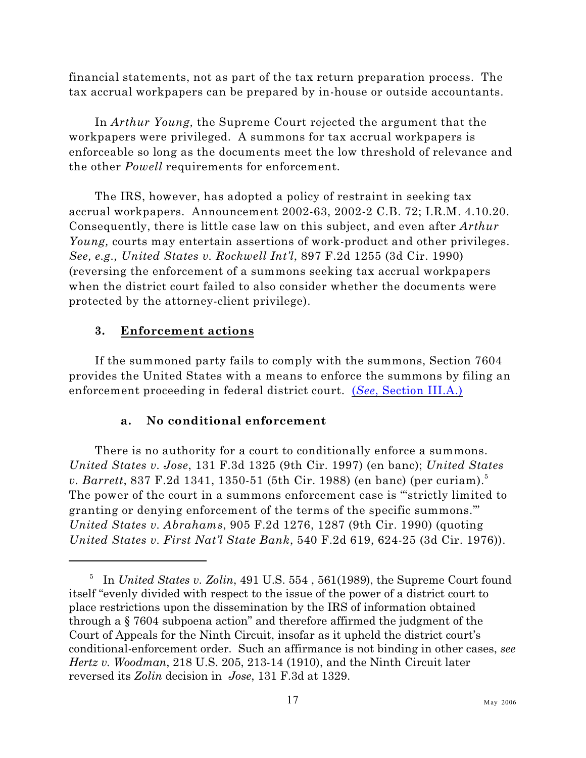financial statements, not as part of the tax return preparation process. The tax accrual workpapers can be prepared by in-house or outside accountants.

In *Arthur Young,* the Supreme Court rejected the argument that the workpapers were privileged. A summons for tax accrual workpapers is enforceable so long as the documents meet the low threshold of relevance and the other *Powell* requirements for enforcement.

The IRS, however, has adopted a policy of restraint in seeking tax accrual workpapers. Announcement 2002-63, 2002-2 C.B. 72; I.R.M. 4.10.20. Consequently, there is little case law on this subject, and even after *Arthur Young,* courts may entertain assertions of work-product and other privileges. *See, e.g., United States v. Rockwell Int'l*, 897 F.2d 1255 (3d Cir. 1990) (reversing the enforcement of a summons seeking tax accrual workpapers when the district court failed to also consider whether the documents were protected by the attorney-client privilege).

#### <span id="page-34-0"></span>**3. Enforcement actions**

If the summoned party fails to comply with the summons, Section 7604 provides the United States with a means to enforce the summons by filing an enforcement proceeding in federal district court. (*See*[, Section III.A.\)](#page-89-1)

#### <span id="page-34-1"></span>**a. No conditional enforcement**

There is no authority for a court to conditionally enforce a summons. *United States v. Jose*, 131 F.3d 1325 (9th Cir. 1997) (en banc); *United States v. Barrett*, 837 F.2d 1341, 1350-51 (5th Cir. 1988) (en banc) (per curiam).<sup>5</sup> The power of the court in a summons enforcement case is "'strictly limited to granting or denying enforcement of the terms of the specific summons.'" *United States v. Abrahams*, 905 F.2d 1276, 1287 (9th Cir. 1990) (quoting *United States v. First Nat'l State Bank*, 540 F.2d 619, 624-25 (3d Cir. 1976)).

<sup>&</sup>lt;sup>5</sup> In *United States v. Zolin*, 491 U.S. 554, 561(1989), the Supreme Court found itself "evenly divided with respect to the issue of the power of a district court to place restrictions upon the dissemination by the IRS of information obtained through a § 7604 subpoena action" and therefore affirmed the judgment of the Court of Appeals for the Ninth Circuit, insofar as it upheld the district court's conditional-enforcement order. Such an affirmance is not binding in other cases, *see Hertz v. Woodman*, 218 U.S. 205, 213-14 (1910), and the Ninth Circuit later reversed its *Zolin* decision in *Jose*, 131 F.3d at 1329.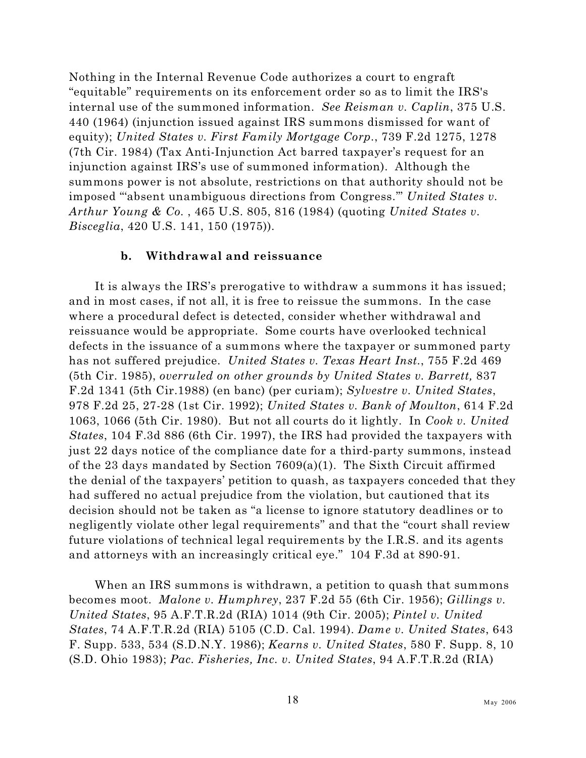Nothing in the Internal Revenue Code authorizes a court to engraft "equitable" requirements on its enforcement order so as to limit the IRS's internal use of the summoned information. *See Reisman v. Caplin*, 375 U.S. 440 (1964) (injunction issued against IRS summons dismissed for want of equity); *United States v. First Family Mortgage Corp.*, 739 F.2d 1275, 1278 (7th Cir. 1984) (Tax Anti-Injunction Act barred taxpayer's request for an injunction against IRS's use of summoned information). Although the summons power is not absolute, restrictions on that authority should not be imposed "'absent unambiguous directions from Congress.'" *United States v. Arthur Young & Co.* , 465 U.S. 805, 816 (1984) (quoting *United States v. Bisceglia*, 420 U.S. 141, 150 (1975)).

#### <span id="page-35-0"></span>**b. Withdrawal and reissuance**

It is always the IRS's prerogative to withdraw a summons it has issued; and in most cases, if not all, it is free to reissue the summons. In the case where a procedural defect is detected, consider whether withdrawal and reissuance would be appropriate. Some courts have overlooked technical defects in the issuance of a summons where the taxpayer or summoned party has not suffered prejudice. *United States v. Texas Heart Inst.*, 755 F.2d 469 (5th Cir. 1985), *overruled on other grounds by United States v. Barrett,* 837 F.2d 1341 (5th Cir.1988) (en banc) (per curiam); *Sylvestre v. United States*, 978 F.2d 25, 27-28 (1st Cir. 1992); *United States v. Bank of Moulton*, 614 F.2d 1063, 1066 (5th Cir. 1980). But not all courts do it lightly. In *Cook v. United States*, 104 F.3d 886 (6th Cir. 1997), the IRS had provided the taxpayers with just 22 days notice of the compliance date for a third-party summons, instead of the 23 days mandated by Section 7609(a)(1). The Sixth Circuit affirmed the denial of the taxpayers' petition to quash, as taxpayers conceded that they had suffered no actual prejudice from the violation, but cautioned that its decision should not be taken as "a license to ignore statutory deadlines or to negligently violate other legal requirements" and that the "court shall review future violations of technical legal requirements by the I.R.S. and its agents and attorneys with an increasingly critical eye." 104 F.3d at 890-91.

When an IRS summons is withdrawn, a petition to quash that summons becomes moot. *Malone v. Humphrey*, 237 F.2d 55 (6th Cir. 1956); *Gillings v. United States*, 95 A.F.T.R.2d (RIA) 1014 (9th Cir. 2005); *Pintel v. United States*, 74 A.F.T.R.2d (RIA) 5105 (C.D. Cal. 1994). *Dame v. United States*, 643 F. Supp. 533, 534 (S.D.N.Y. 1986); *Kearns v. United States*, 580 F. Supp. 8, 10 (S.D. Ohio 1983); *Pac. Fisheries, Inc. v. United States*, 94 A.F.T.R.2d (RIA)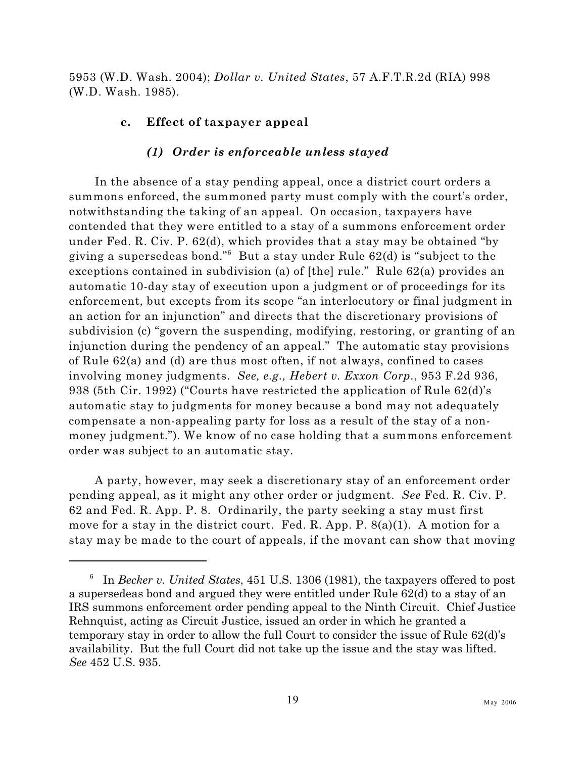5953 (W.D. Wash. 2004); *Dollar v. United States*, 57 A.F.T.R.2d (RIA) 998 (W.D. Wash. 1985).

### **c. Effect of taxpayer appeal**

### *(1) Order is enforceable unless stayed*

In the absence of a stay pending appeal, once a district court orders a summons enforced, the summoned party must comply with the court's order, notwithstanding the taking of an appeal. On occasion, taxpayers have contended that they were entitled to a stay of a summons enforcement order under Fed. R. Civ. P. 62(d), which provides that a stay may be obtained "by giving a supersedeas bond." But a stay under Rule  $62(d)$  is "subject to the exceptions contained in subdivision (a) of [the] rule." Rule 62(a) provides an automatic 10-day stay of execution upon a judgment or of proceedings for its enforcement, but excepts from its scope "an interlocutory or final judgment in an action for an injunction" and directs that the discretionary provisions of subdivision (c) "govern the suspending, modifying, restoring, or granting of an injunction during the pendency of an appeal." The automatic stay provisions of Rule 62(a) and (d) are thus most often, if not always, confined to cases involving money judgments. *See, e.g., Hebert v. Exxon Corp.*, 953 F.2d 936, 938 (5th Cir. 1992) ("Courts have restricted the application of Rule 62(d)'s automatic stay to judgments for money because a bond may not adequately compensate a non-appealing party for loss as a result of the stay of a nonmoney judgment."). We know of no case holding that a summons enforcement order was subject to an automatic stay.

A party, however, may seek a discretionary stay of an enforcement order pending appeal, as it might any other order or judgment. *See* Fed. R. Civ. P. 62 and Fed. R. App. P. 8. Ordinarily, the party seeking a stay must first move for a stay in the district court. Fed. R. App. P. 8(a)(1). A motion for a stay may be made to the court of appeals, if the movant can show that moving

In *Becker v. United States*, 451 U.S. 1306 (1981), the taxpayers offered to post <sup>6</sup> a supersedeas bond and argued they were entitled under Rule 62(d) to a stay of an IRS summons enforcement order pending appeal to the Ninth Circuit. Chief Justice Rehnquist, acting as Circuit Justice, issued an order in which he granted a temporary stay in order to allow the full Court to consider the issue of Rule 62(d)'s availability. But the full Court did not take up the issue and the stay was lifted. *See* 452 U.S. 935.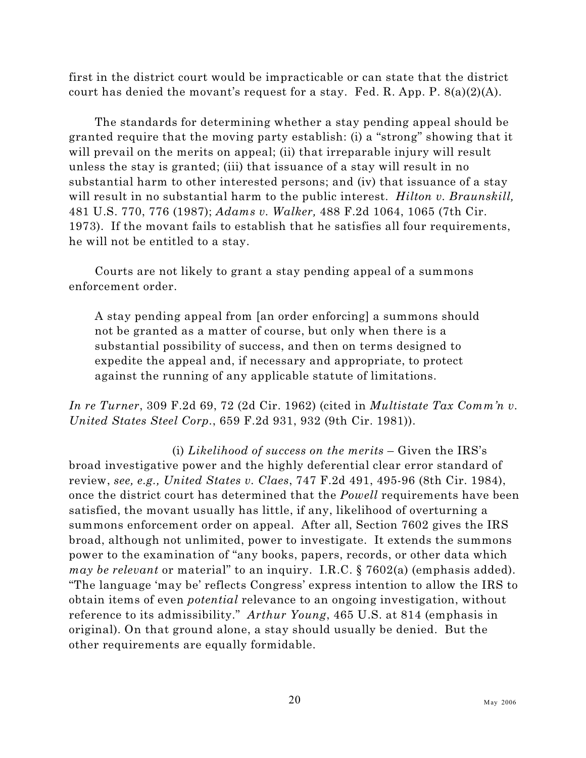first in the district court would be impracticable or can state that the district court has denied the movant's request for a stay. Fed. R. App. P.  $8(a)(2)(A)$ .

The standards for determining whether a stay pending appeal should be granted require that the moving party establish: (i) a "strong" showing that it will prevail on the merits on appeal; (ii) that irreparable injury will result unless the stay is granted; (iii) that issuance of a stay will result in no substantial harm to other interested persons; and (iv) that issuance of a stay will result in no substantial harm to the public interest. *Hilton v. Braunskill,* 481 U.S. 770, 776 (1987); *Adams v. Walker,* 488 F.2d 1064, 1065 (7th Cir. 1973). If the movant fails to establish that he satisfies all four requirements, he will not be entitled to a stay.

Courts are not likely to grant a stay pending appeal of a summons enforcement order.

A stay pending appeal from [an order enforcing] a summons should not be granted as a matter of course, but only when there is a substantial possibility of success, and then on terms designed to expedite the appeal and, if necessary and appropriate, to protect against the running of any applicable statute of limitations.

*In re Turner*, 309 F.2d 69, 72 (2d Cir. 1962) (cited in *Multistate Tax Comm'n v. United States Steel Corp.*, 659 F.2d 931, 932 (9th Cir. 1981)).

(i) *Likelihood of success on the merits* – Given the IRS's broad investigative power and the highly deferential clear error standard of review, *see, e.g., United States v. Claes*, 747 F.2d 491, 495-96 (8th Cir. 1984), once the district court has determined that the *Powell* requirements have been satisfied, the movant usually has little, if any, likelihood of overturning a summons enforcement order on appeal. After all, Section 7602 gives the IRS broad, although not unlimited, power to investigate. It extends the summons power to the examination of "any books, papers, records, or other data which *may be relevant* or material" to an inquiry. I.R.C. § 7602(a) (emphasis added). "The language 'may be' reflects Congress' express intention to allow the IRS to obtain items of even *potential* relevance to an ongoing investigation, without reference to its admissibility." *Arthur Young*, 465 U.S. at 814 (emphasis in original). On that ground alone, a stay should usually be denied. But the other requirements are equally formidable.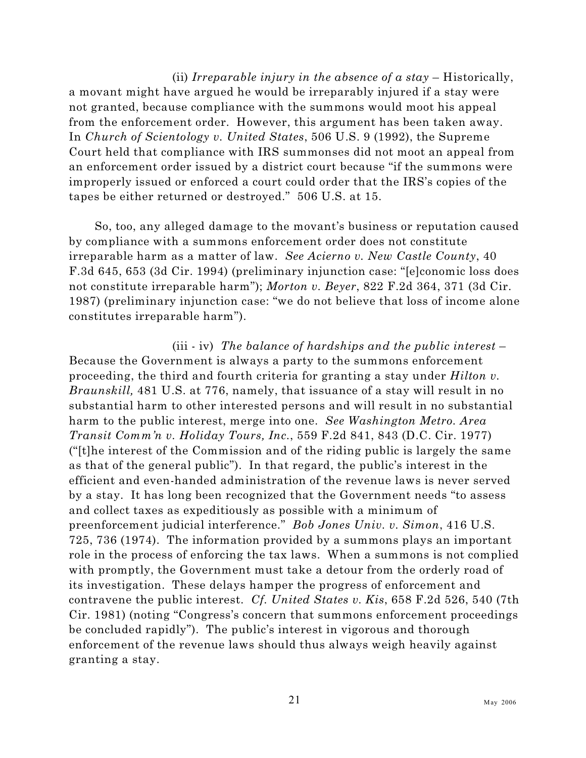(ii) *Irreparable injury in the absence of a stay* – Historically, a movant might have argued he would be irreparably injured if a stay were not granted, because compliance with the summons would moot his appeal from the enforcement order. However, this argument has been taken away. In *Church of Scientology v. United States*, 506 U.S. 9 (1992), the Supreme Court held that compliance with IRS summonses did not moot an appeal from an enforcement order issued by a district court because "if the summons were improperly issued or enforced a court could order that the IRS's copies of the tapes be either returned or destroyed." 506 U.S. at 15.

So, too, any alleged damage to the movant's business or reputation caused by compliance with a summons enforcement order does not constitute irreparable harm as a matter of law. *See Acierno v. New Castle County*, 40 F.3d 645, 653 (3d Cir. 1994) (preliminary injunction case: "[e]conomic loss does not constitute irreparable harm"); *Morton v. Beyer*, 822 F.2d 364, 371 (3d Cir. 1987) (preliminary injunction case: "we do not believe that loss of income alone constitutes irreparable harm").

(iii - iv) *The balance of hardships and the public interest* – Because the Government is always a party to the summons enforcement proceeding, the third and fourth criteria for granting a stay under *Hilton v. Braunskill,* 481 U.S. at 776, namely, that issuance of a stay will result in no substantial harm to other interested persons and will result in no substantial harm to the public interest, merge into one. *See Washington Metro. Area Transit Comm'n v. Holiday Tours, Inc.*, 559 F.2d 841, 843 (D.C. Cir. 1977) ("[t]he interest of the Commission and of the riding public is largely the same as that of the general public"). In that regard, the public's interest in the efficient and even-handed administration of the revenue laws is never served by a stay. It has long been recognized that the Government needs "to assess and collect taxes as expeditiously as possible with a minimum of preenforcement judicial interference." *Bob Jones Univ. v. Simon*, 416 U.S. 725, 736 (1974). The information provided by a summons plays an important role in the process of enforcing the tax laws. When a summons is not complied with promptly, the Government must take a detour from the orderly road of its investigation. These delays hamper the progress of enforcement and contravene the public interest. *Cf. United States v. Kis*, 658 F.2d 526, 540 (7th Cir. 1981) (noting "Congress's concern that summons enforcement proceedings be concluded rapidly"). The public's interest in vigorous and thorough enforcement of the revenue laws should thus always weigh heavily against granting a stay.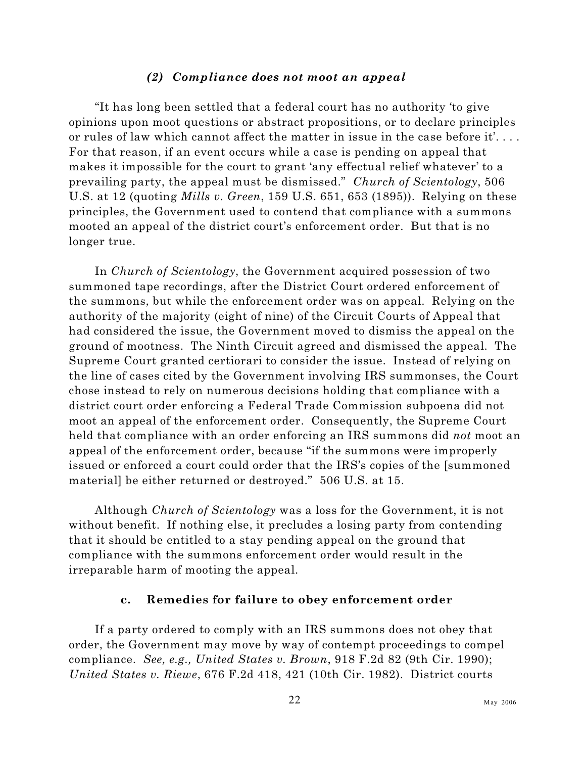#### *(2) Compliance does not moot an appeal*

"It has long been settled that a federal court has no authority 'to give opinions upon moot questions or abstract propositions, or to declare principles or rules of law which cannot affect the matter in issue in the case before it'. . . . For that reason, if an event occurs while a case is pending on appeal that makes it impossible for the court to grant 'any effectual relief whatever' to a prevailing party, the appeal must be dismissed." *Church of Scientology*, 506 U.S. at 12 (quoting *Mills v. Green*, 159 U.S. 651, 653 (1895)). Relying on these principles, the Government used to contend that compliance with a summons mooted an appeal of the district court's enforcement order. But that is no longer true.

In *Church of Scientology*, the Government acquired possession of two summoned tape recordings, after the District Court ordered enforcement of the summons, but while the enforcement order was on appeal. Relying on the authority of the majority (eight of nine) of the Circuit Courts of Appeal that had considered the issue, the Government moved to dismiss the appeal on the ground of mootness. The Ninth Circuit agreed and dismissed the appeal. The Supreme Court granted certiorari to consider the issue. Instead of relying on the line of cases cited by the Government involving IRS summonses, the Court chose instead to rely on numerous decisions holding that compliance with a district court order enforcing a Federal Trade Commission subpoena did not moot an appeal of the enforcement order. Consequently, the Supreme Court held that compliance with an order enforcing an IRS summons did *not* moot an appeal of the enforcement order, because "if the summons were improperly issued or enforced a court could order that the IRS's copies of the [summoned material] be either returned or destroyed." 506 U.S. at 15.

Although *Church of Scientology* was a loss for the Government, it is not without benefit. If nothing else, it precludes a losing party from contending that it should be entitled to a stay pending appeal on the ground that compliance with the summons enforcement order would result in the irreparable harm of mooting the appeal.

#### **c. Remedies for failure to obey enforcement order**

If a party ordered to comply with an IRS summons does not obey that order, the Government may move by way of contempt proceedings to compel compliance. *See, e.g., United States v. Brown*, 918 F.2d 82 (9th Cir. 1990); *United States v. Riewe*, 676 F.2d 418, 421 (10th Cir. 1982). District courts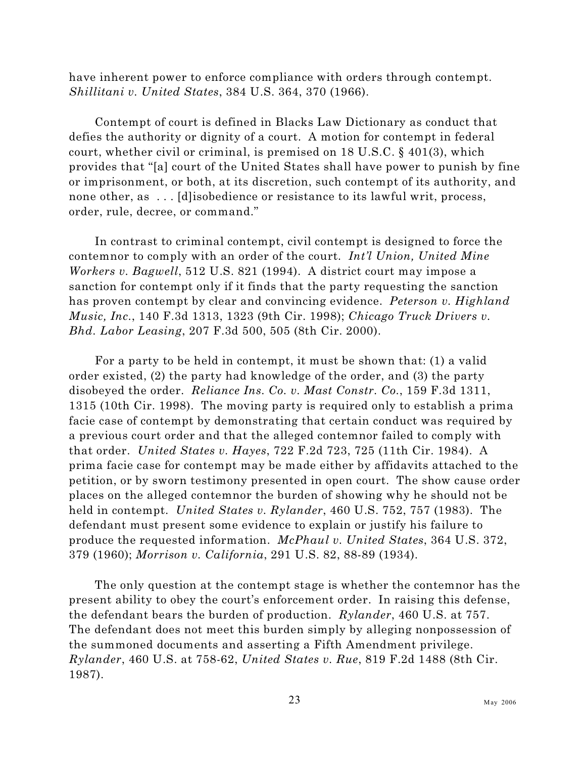have inherent power to enforce compliance with orders through contempt. *Shillitani v. United States*, 384 U.S. 364, 370 (1966).

Contempt of court is defined in Blacks Law Dictionary as conduct that defies the authority or dignity of a court. A motion for contempt in federal court, whether civil or criminal, is premised on 18 U.S.C. § 401(3), which provides that "[a] court of the United States shall have power to punish by fine or imprisonment, or both, at its discretion, such contempt of its authority, and none other, as ... [d] isobedience or resistance to its lawful writ, process, order, rule, decree, or command."

In contrast to criminal contempt, civil contempt is designed to force the contemnor to comply with an order of the court. *Int'l Union, United Mine Workers v. Bagwell*, 512 U.S. 821 (1994). A district court may impose a sanction for contempt only if it finds that the party requesting the sanction has proven contempt by clear and convincing evidence. *Peterson v. Highland Music, Inc.*, 140 F.3d 1313, 1323 (9th Cir. 1998); *Chicago Truck Drivers v. Bhd. Labor Leasing*, 207 F.3d 500, 505 (8th Cir. 2000).

For a party to be held in contempt, it must be shown that: (1) a valid order existed, (2) the party had knowledge of the order, and (3) the party disobeyed the order. *Reliance Ins. Co. v. Mast Constr. Co.*, 159 F.3d 1311, 1315 (10th Cir. 1998). The moving party is required only to establish a prima facie case of contempt by demonstrating that certain conduct was required by a previous court order and that the alleged contemnor failed to comply with that order. *United States v. Hayes*, 722 F.2d 723, 725 (11th Cir. 1984). A prima facie case for contempt may be made either by affidavits attached to the petition, or by sworn testimony presented in open court. The show cause order places on the alleged contemnor the burden of showing why he should not be held in contempt. *United States v. Rylander*, 460 U.S. 752, 757 (1983). The defendant must present some evidence to explain or justify his failure to produce the requested information. *McPhaul v. United States*, 364 U.S. 372, 379 (1960); *Morrison v. California*, 291 U.S. 82, 88-89 (1934).

The only question at the contempt stage is whether the contemnor has the present ability to obey the court's enforcement order. In raising this defense, the defendant bears the burden of production. *Rylander*, 460 U.S. at 757. The defendant does not meet this burden simply by alleging nonpossession of the summoned documents and asserting a Fifth Amendment privilege. *Rylander*, 460 U.S. at 758-62, *United States v. Rue*, 819 F.2d 1488 (8th Cir. 1987).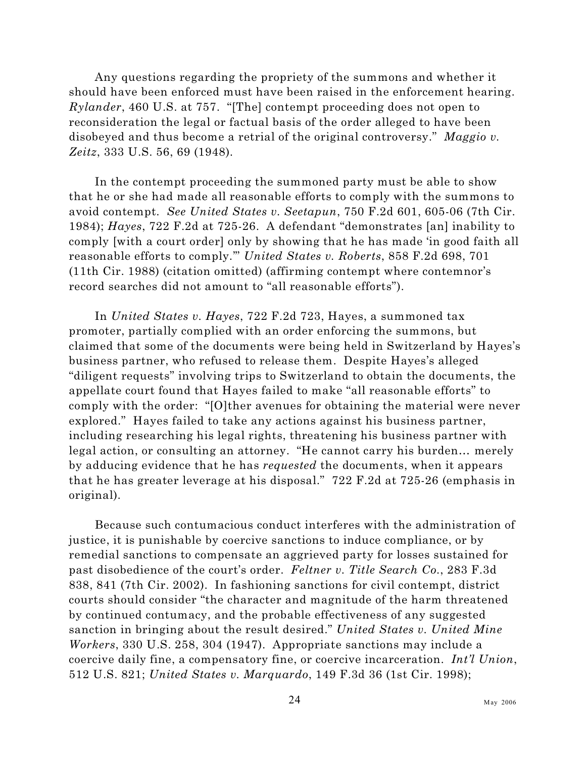Any questions regarding the propriety of the summons and whether it should have been enforced must have been raised in the enforcement hearing. *Rylander*, 460 U.S. at 757. "[The] contempt proceeding does not open to reconsideration the legal or factual basis of the order alleged to have been disobeyed and thus become a retrial of the original controversy." *Maggio v. Zeitz*, 333 U.S. 56, 69 (1948).

In the contempt proceeding the summoned party must be able to show that he or she had made all reasonable efforts to comply with the summons to avoid contempt. *See United States v. Seetapun*, 750 F.2d 601, 605-06 (7th Cir. 1984); *Hayes*, 722 F.2d at 725-26. A defendant "demonstrates [an] inability to comply [with a court order] only by showing that he has made 'in good faith all reasonable efforts to comply.'" *United States v. Roberts*, 858 F.2d 698, 701 (11th Cir. 1988) (citation omitted) (affirming contempt where contemnor's record searches did not amount to "all reasonable efforts").

In *United States v. Hayes*, 722 F.2d 723, Hayes, a summoned tax promoter, partially complied with an order enforcing the summons, but claimed that some of the documents were being held in Switzerland by Hayes's business partner, who refused to release them. Despite Hayes's alleged "diligent requests" involving trips to Switzerland to obtain the documents, the appellate court found that Hayes failed to make "all reasonable efforts" to comply with the order: "[O]ther avenues for obtaining the material were never explored." Hayes failed to take any actions against his business partner, including researching his legal rights, threatening his business partner with legal action, or consulting an attorney. "He cannot carry his burden… merely by adducing evidence that he has *requested* the documents, when it appears that he has greater leverage at his disposal." 722 F.2d at 725-26 (emphasis in original).

Because such contumacious conduct interferes with the administration of justice, it is punishable by coercive sanctions to induce compliance, or by remedial sanctions to compensate an aggrieved party for losses sustained for past disobedience of the court's order. *Feltner v. Title Search Co.*, 283 F.3d 838, 841 (7th Cir. 2002). In fashioning sanctions for civil contempt, district courts should consider "the character and magnitude of the harm threatened by continued contumacy, and the probable effectiveness of any suggested sanction in bringing about the result desired." *United States v. United Mine Workers*, 330 U.S. 258, 304 (1947). Appropriate sanctions may include a coercive daily fine, a compensatory fine, or coercive incarceration. *Int'l Union*, 512 U.S. 821; *United States v. Marquardo*, 149 F.3d 36 (1st Cir. 1998);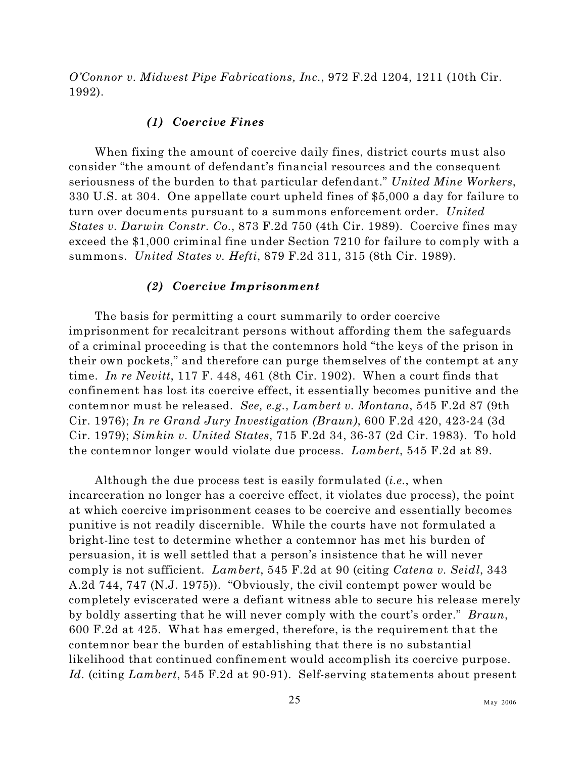*O'Connor v. Midwest Pipe Fabrications, Inc.*, 972 F.2d 1204, 1211 (10th Cir. 1992).

### *(1) Coercive Fines*

When fixing the amount of coercive daily fines, district courts must also consider "the amount of defendant's financial resources and the consequent seriousness of the burden to that particular defendant." *United Mine Workers*, 330 U.S. at 304. One appellate court upheld fines of \$5,000 a day for failure to turn over documents pursuant to a summons enforcement order. *United States v. Darwin Constr. Co.*, 873 F.2d 750 (4th Cir. 1989). Coercive fines may exceed the \$1,000 criminal fine under Section 7210 for failure to comply with a summons. *United States v. Hefti*, 879 F.2d 311, 315 (8th Cir. 1989).

#### *(2) Coercive Imprisonment*

The basis for permitting a court summarily to order coercive imprisonment for recalcitrant persons without affording them the safeguards of a criminal proceeding is that the contemnors hold "the keys of the prison in their own pockets," and therefore can purge themselves of the contempt at any time. *In re Nevitt*, 117 F. 448, 461 (8th Cir. 1902). When a court finds that confinement has lost its coercive effect, it essentially becomes punitive and the contemnor must be released. *See, e.g.*, *Lambert v. Montana*, 545 F.2d 87 (9th Cir. 1976); *In re Grand Jury Investigation (Braun)*, 600 F.2d 420, 423-24 (3d Cir. 1979); *Simkin v. United States*, 715 F.2d 34, 36-37 (2d Cir. 1983). To hold the contemnor longer would violate due process. *Lambert*, 545 F.2d at 89.

Although the due process test is easily formulated (*i.e.*, when incarceration no longer has a coercive effect, it violates due process), the point at which coercive imprisonment ceases to be coercive and essentially becomes punitive is not readily discernible. While the courts have not formulated a bright-line test to determine whether a contemnor has met his burden of persuasion, it is well settled that a person's insistence that he will never comply is not sufficient. *Lambert*, 545 F.2d at 90 (citing *Catena v. Seidl*, 343 A.2d 744, 747 (N.J. 1975)). "Obviously, the civil contempt power would be completely eviscerated were a defiant witness able to secure his release merely by boldly asserting that he will never comply with the court's order." *Braun*, 600 F.2d at 425. What has emerged, therefore, is the requirement that the contemnor bear the burden of establishing that there is no substantial likelihood that continued confinement would accomplish its coercive purpose. *Id.* (citing *Lambert*, 545 F.2d at 90-91). Self-serving statements about present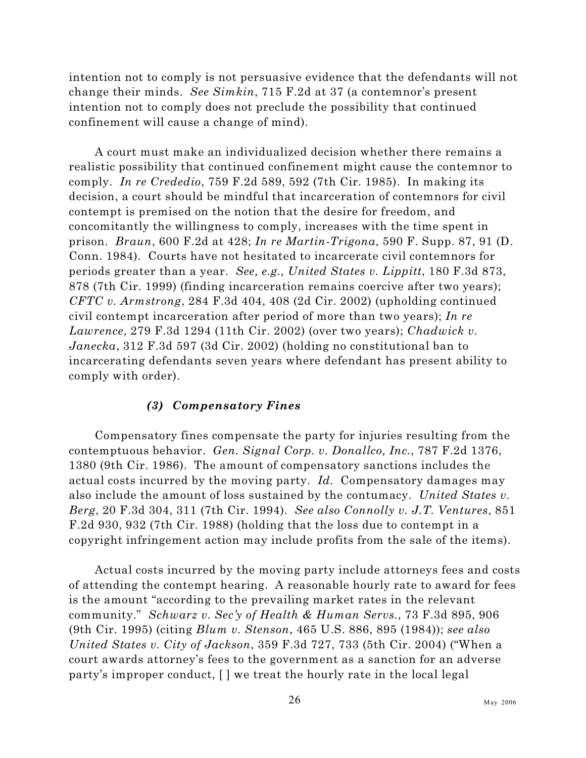intention not to comply is not persuasive evidence that the defendants will not change their minds. *See Simkin*, 715 F.2d at 37 (a contemnor's present intention not to comply does not preclude the possibility that continued confinement will cause a change of mind).

A court must make an individualized decision whether there remains a realistic possibility that continued confinement might cause the contemnor to comply. *In re Crededio*, 759 F.2d 589, 592 (7th Cir. 1985). In making its decision, a court should be mindful that incarceration of contemnors for civil contempt is premised on the notion that the desire for freedom, and concomitantly the willingness to comply, increases with the time spent in prison. *Braun*, 600 F.2d at 428; *In re Martin-Trigona*, 590 F. Supp. 87, 91 (D. Conn. 1984). Courts have not hesitated to incarcerate civil contemnors for periods greater than a year. *See, e.g., United States v. Lippitt*, 180 F.3d 873, 878 (7th Cir. 1999) (finding incarceration remains coercive after two years); *CFTC v. Armstrong*, 284 F.3d 404, 408 (2d Cir. 2002) (upholding continued civil contempt incarceration after period of more than two years); *In re Lawrence*, 279 F.3d 1294 (11th Cir. 2002) (over two years); *Chadwick v. Janecka*, 312 F.3d 597 (3d Cir. 2002) (holding no constitutional ban to incarcerating defendants seven years where defendant has present ability to comply with order).

### *(3) Compensatory Fines*

Compensatory fines compensate the party for injuries resulting from the contemptuous behavior. *Gen. Signal Corp. v. Donallco, Inc.*, 787 F.2d 1376, 1380 (9th Cir. 1986). The amount of compensatory sanctions includes the actual costs incurred by the moving party. *Id.* Compensatory damages may also include the amount of loss sustained by the contumacy. *United States v. Berg*, 20 F.3d 304, 311 (7th Cir. 1994). *See also Connolly v. J.T. Ventures*, 851 F.2d 930, 932 (7th Cir. 1988) (holding that the loss due to contempt in a copyright infringement action may include profits from the sale of the items).

Actual costs incurred by the moving party include attorneys fees and costs of attending the contempt hearing. A reasonable hourly rate to award for fees is the amount "according to the prevailing market rates in the relevant community." *Schwarz v. Sec'y of Health & Human Servs.*, 73 F.3d 895, 906 (9th Cir. 1995) (citing *Blum v. Stenson*, 465 U.S. 886, 895 (1984)); *see also United States v. City of Jackson*, 359 F.3d 727, 733 (5th Cir. 2004) ("When a court awards attorney's fees to the government as a sanction for an adverse party's improper conduct, [ ] we treat the hourly rate in the local legal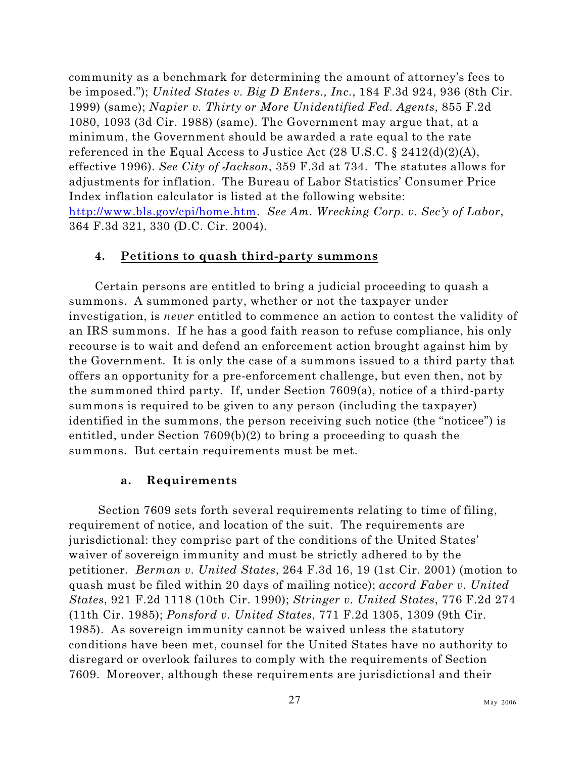community as a benchmark for determining the amount of attorney's fees to be imposed."); *United States v. Big D Enters., Inc.*, 184 F.3d 924, 936 (8th Cir. 1999) (same); *Napier v. Thirty or More Unidentified Fed. Agents*, 855 F.2d 1080, 1093 (3d Cir. 1988) (same). The Government may argue that, at a minimum, the Government should be awarded a rate equal to the rate referenced in the Equal Access to Justice Act (28 U.S.C. § 2412(d)(2)(A), effective 1996). *See City of Jackson*, 359 F.3d at 734. The statutes allows for adjustments for inflation. The Bureau of Labor Statistics' Consumer Price Index inflation calculator is listed at the following website: <http://www.bls.gov/cpi/home.htm>. *See Am. Wrecking Corp. v. Sec'y of Labor*, 364 F.3d 321, 330 (D.C. Cir. 2004).

### **4. Petitions to quash third-party summons**

Certain persons are entitled to bring a judicial proceeding to quash a summons. A summoned party, whether or not the taxpayer under investigation, is *never* entitled to commence an action to contest the validity of an IRS summons. If he has a good faith reason to refuse compliance, his only recourse is to wait and defend an enforcement action brought against him by the Government. It is only the case of a summons issued to a third party that offers an opportunity for a pre-enforcement challenge, but even then, not by the summoned third party. If, under Section 7609(a), notice of a third-party summons is required to be given to any person (including the taxpayer) identified in the summons, the person receiving such notice (the "noticee") is entitled, under Section 7609(b)(2) to bring a proceeding to quash the summons. But certain requirements must be met.

### **a. Requirements**

 Section 7609 sets forth several requirements relating to time of filing, requirement of notice, and location of the suit. The requirements are jurisdictional: they comprise part of the conditions of the United States' waiver of sovereign immunity and must be strictly adhered to by the petitioner*. Berman v. United States*, 264 F.3d 16, 19 (1st Cir. 2001) (motion to quash must be filed within 20 days of mailing notice); *accord Faber v. United States*, 921 F.2d 1118 (10th Cir. 1990); *Stringer v. United States*, 776 F.2d 274 (11th Cir. 1985); *Ponsford v. United States*, 771 F.2d 1305, 1309 (9th Cir. 1985). As sovereign immunity cannot be waived unless the statutory conditions have been met, counsel for the United States have no authority to disregard or overlook failures to comply with the requirements of Section 7609. Moreover, although these requirements are jurisdictional and their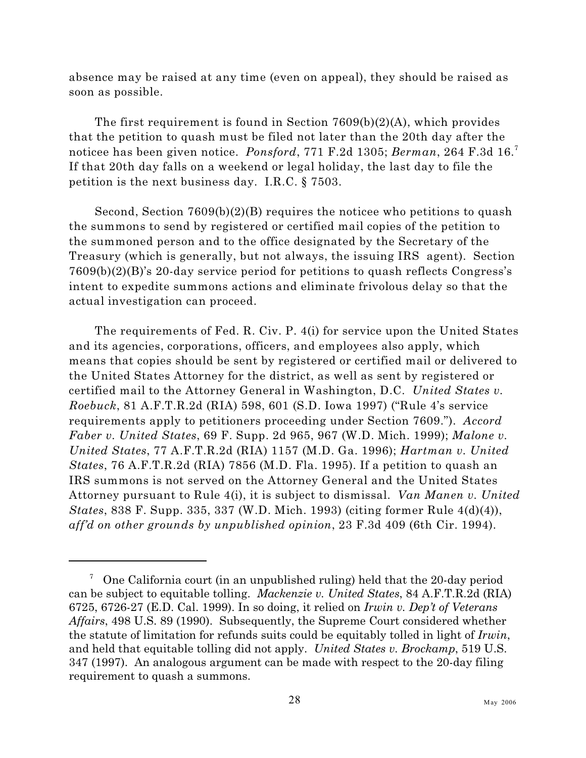absence may be raised at any time (even on appeal), they should be raised as soon as possible.

The first requirement is found in Section 7609(b)(2)(A), which provides that the petition to quash must be filed not later than the 20th day after the noticee has been given notice. *Ponsford*, 771 F.2d 1305; *Berman*, 264 F.3d 16.<sup>7</sup> If that 20th day falls on a weekend or legal holiday, the last day to file the petition is the next business day. I.R.C. § 7503.

Second, Section 7609(b)(2)(B) requires the noticee who petitions to quash the summons to send by registered or certified mail copies of the petition to the summoned person and to the office designated by the Secretary of the Treasury (which is generally, but not always, the issuing IRS agent). Section 7609(b)(2)(B)'s 20-day service period for petitions to quash reflects Congress's intent to expedite summons actions and eliminate frivolous delay so that the actual investigation can proceed.

The requirements of Fed. R. Civ. P. 4(i) for service upon the United States and its agencies, corporations, officers, and employees also apply, which means that copies should be sent by registered or certified mail or delivered to the United States Attorney for the district, as well as sent by registered or certified mail to the Attorney General in Washington, D.C. *United States v. Roebuck*, 81 A.F.T.R.2d (RIA) 598, 601 (S.D. Iowa 1997) ("Rule 4's service requirements apply to petitioners proceeding under Section 7609."). *Accord Faber v. United States*, 69 F. Supp. 2d 965, 967 (W.D. Mich. 1999); *Malone v. United States*, 77 A.F.T.R.2d (RIA) 1157 (M.D. Ga. 1996); *Hartman v. United States*, 76 A.F.T.R.2d (RIA) 7856 (M.D. Fla. 1995). If a petition to quash an IRS summons is not served on the Attorney General and the United States Attorney pursuant to Rule 4(i), it is subject to dismissal. *Van Manen v. United States*, 838 F. Supp. 335, 337 (W.D. Mich. 1993) (citing former Rule 4(d)(4)), *aff'd on other grounds by unpublished opinion*, 23 F.3d 409 (6th Cir. 1994).

 $\frac{7}{10}$  One California court (in an unpublished ruling) held that the 20-day period can be subject to equitable tolling. *Mackenzie v. United States*, 84 A.F.T.R.2d (RIA) 6725, 6726-27 (E.D. Cal. 1999). In so doing, it relied on *Irwin v. Dep't of Veterans Affairs*, 498 U.S. 89 (1990). Subsequently, the Supreme Court considered whether the statute of limitation for refunds suits could be equitably tolled in light of *Irwin*, and held that equitable tolling did not apply. *United States v. Brockamp*, 519 U.S. 347 (1997). An analogous argument can be made with respect to the 20-day filing requirement to quash a summons.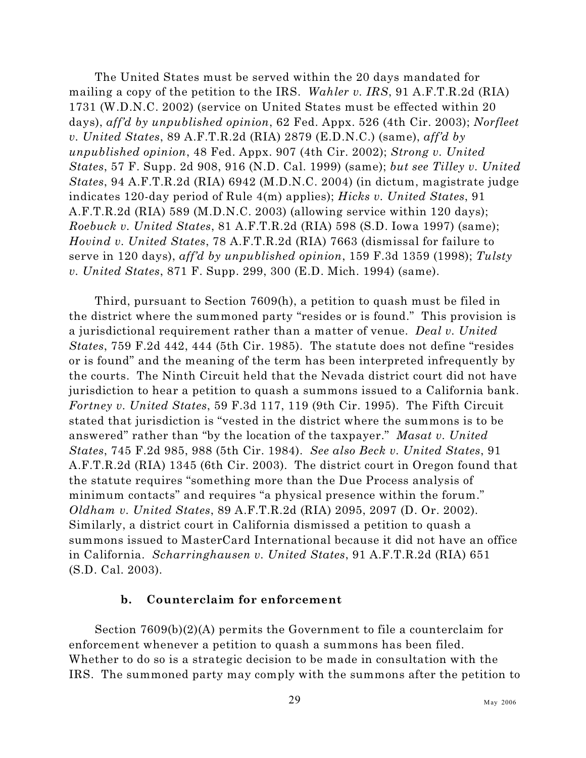The United States must be served within the 20 days mandated for mailing a copy of the petition to the IRS. *Wahler v. IRS*, 91 A.F.T.R.2d (RIA) 1731 (W.D.N.C. 2002) (service on United States must be effected within 20 days), *aff'd by unpublished opinion*, 62 Fed. Appx. 526 (4th Cir. 2003); *Norfleet v. United States*, 89 A.F.T.R.2d (RIA) 2879 (E.D.N.C.) (same), *aff'd by unpublished opinion*, 48 Fed. Appx. 907 (4th Cir. 2002); *Strong v. United States*, 57 F. Supp. 2d 908, 916 (N.D. Cal. 1999) (same); *but see Tilley v. United States*, 94 A.F.T.R.2d (RIA) 6942 (M.D.N.C. 2004) (in dictum, magistrate judge indicates 120-day period of Rule 4(m) applies); *Hicks v. United States*, 91 A.F.T.R.2d (RIA) 589 (M.D.N.C. 2003) (allowing service within 120 days); *Roebuck v. United States*, 81 A.F.T.R.2d (RIA) 598 (S.D. Iowa 1997) (same); *Hovind v. United States*, 78 A.F.T.R.2d (RIA) 7663 (dismissal for failure to serve in 120 days), *aff'd by unpublished opinion*, 159 F.3d 1359 (1998); *Tulsty v. United States*, 871 F. Supp. 299, 300 (E.D. Mich. 1994) (same).

Third, pursuant to Section 7609(h), a petition to quash must be filed in the district where the summoned party "resides or is found." This provision is a jurisdictional requirement rather than a matter of venue. *Deal v. United States*, 759 F.2d 442, 444 (5th Cir. 1985). The statute does not define "resides or is found" and the meaning of the term has been interpreted infrequently by the courts. The Ninth Circuit held that the Nevada district court did not have jurisdiction to hear a petition to quash a summons issued to a California bank. *Fortney v. United States*, 59 F.3d 117, 119 (9th Cir. 1995). The Fifth Circuit stated that jurisdiction is "vested in the district where the summons is to be answered" rather than "by the location of the taxpayer." *Masat v. United States*, 745 F.2d 985, 988 (5th Cir. 1984). *See also Beck v. United States*, 91 A.F.T.R.2d (RIA) 1345 (6th Cir. 2003). The district court in Oregon found that the statute requires "something more than the Due Process analysis of minimum contacts" and requires "a physical presence within the forum." *Oldham v. United States*, 89 A.F.T.R.2d (RIA) 2095, 2097 (D. Or. 2002). Similarly, a district court in California dismissed a petition to quash a summons issued to MasterCard International because it did not have an office in California. *Scharringhausen v. United States*, 91 A.F.T.R.2d (RIA) 651 (S.D. Cal. 2003).

## **b. Counterclaim for enforcement**

Section 7609(b)(2)(A) permits the Government to file a counterclaim for enforcement whenever a petition to quash a summons has been filed. Whether to do so is a strategic decision to be made in consultation with the IRS. The summoned party may comply with the summons after the petition to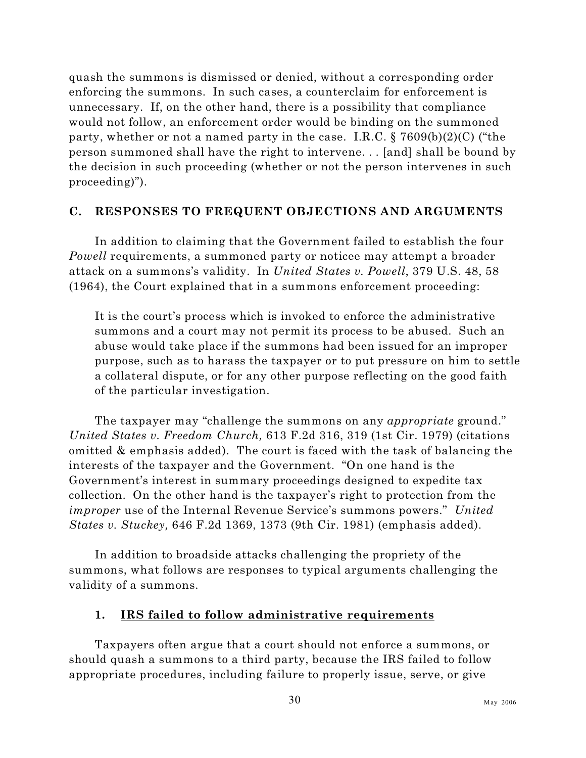quash the summons is dismissed or denied, without a corresponding order enforcing the summons. In such cases, a counterclaim for enforcement is unnecessary. If, on the other hand, there is a possibility that compliance would not follow, an enforcement order would be binding on the summoned party, whether or not a named party in the case. I.R.C. § 7609(b)(2)(C) ("the person summoned shall have the right to intervene. . . [and] shall be bound by the decision in such proceeding (whether or not the person intervenes in such proceeding)").

## **C. RESPONSES TO FREQUENT OBJECTIONS AND ARGUMENTS**

In addition to claiming that the Government failed to establish the four *Powell* requirements, a summoned party or noticee may attempt a broader attack on a summons's validity. In *United States v. Powell*, 379 U.S. 48, 58 (1964), the Court explained that in a summons enforcement proceeding:

It is the court's process which is invoked to enforce the administrative summons and a court may not permit its process to be abused. Such an abuse would take place if the summons had been issued for an improper purpose, such as to harass the taxpayer or to put pressure on him to settle a collateral dispute, or for any other purpose reflecting on the good faith of the particular investigation.

The taxpayer may "challenge the summons on any *appropriate* ground." *United States v. Freedom Church,* 613 F.2d 316, 319 (1st Cir. 1979) (citations omitted & emphasis added). The court is faced with the task of balancing the interests of the taxpayer and the Government. "On one hand is the Government's interest in summary proceedings designed to expedite tax collection. On the other hand is the taxpayer's right to protection from the *improper* use of the Internal Revenue Service's summons powers." *United States v. Stuckey,* 646 F.2d 1369, 1373 (9th Cir. 1981) (emphasis added).

In addition to broadside attacks challenging the propriety of the summons, what follows are responses to typical arguments challenging the validity of a summons.

## **1. IRS failed to follow administrative requirements**

Taxpayers often argue that a court should not enforce a summons, or should quash a summons to a third party, because the IRS failed to follow appropriate procedures, including failure to properly issue, serve, or give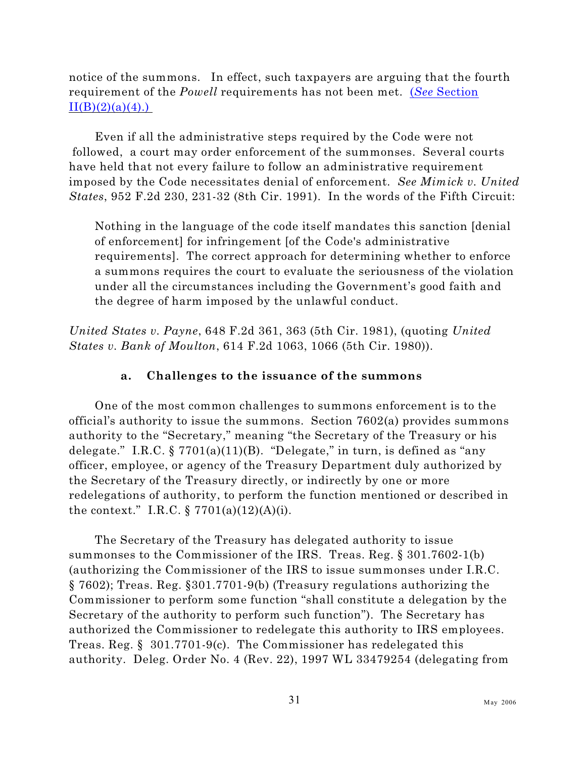notice of the summons. In effect, such taxpayers are arguing that the fourth requirement of the *Powell* requirements has not been met. (*See* [Section](#page-27-0)  $II(B)(2)(a)(4)$ .

Even if all the administrative steps required by the Code were not followed, a court may order enforcement of the summonses. Several courts have held that not every failure to follow an administrative requirement imposed by the Code necessitates denial of enforcement. *See Mimick v. United States*, 952 F.2d 230, 231-32 (8th Cir. 1991). In the words of the Fifth Circuit:

Nothing in the language of the code itself mandates this sanction [denial of enforcement] for infringement [of the Code's administrative requirements]. The correct approach for determining whether to enforce a summons requires the court to evaluate the seriousness of the violation under all the circumstances including the Government's good faith and the degree of harm imposed by the unlawful conduct.

*United States v. Payne*, 648 F.2d 361, 363 (5th Cir. 1981), (quoting *United States v. Bank of Moulton*, 614 F.2d 1063, 1066 (5th Cir. 1980)).

## **a. Challenges to the issuance of the summons**

One of the most common challenges to summons enforcement is to the official's authority to issue the summons. Section 7602(a) provides summons authority to the "Secretary," meaning "the Secretary of the Treasury or his delegate." I.R.C.  $\S 7701(a)(11)(B)$ . "Delegate," in turn, is defined as "any officer, employee, or agency of the Treasury Department duly authorized by the Secretary of the Treasury directly, or indirectly by one or more redelegations of authority, to perform the function mentioned or described in the context." I.R.C.  $\S 7701(a)(12)(A)(i)$ .

The Secretary of the Treasury has delegated authority to issue summonses to the Commissioner of the IRS. Treas. Reg. § 301.7602-1(b) (authorizing the Commissioner of the IRS to issue summonses under I.R.C. § 7602); Treas. Reg. §301.7701-9(b) (Treasury regulations authorizing the Commissioner to perform some function "shall constitute a delegation by the Secretary of the authority to perform such function"). The Secretary has authorized the Commissioner to redelegate this authority to IRS employees. Treas. Reg. § 301.7701-9(c). The Commissioner has redelegated this authority. Deleg. Order No. 4 (Rev. 22), 1997 WL 33479254 (delegating from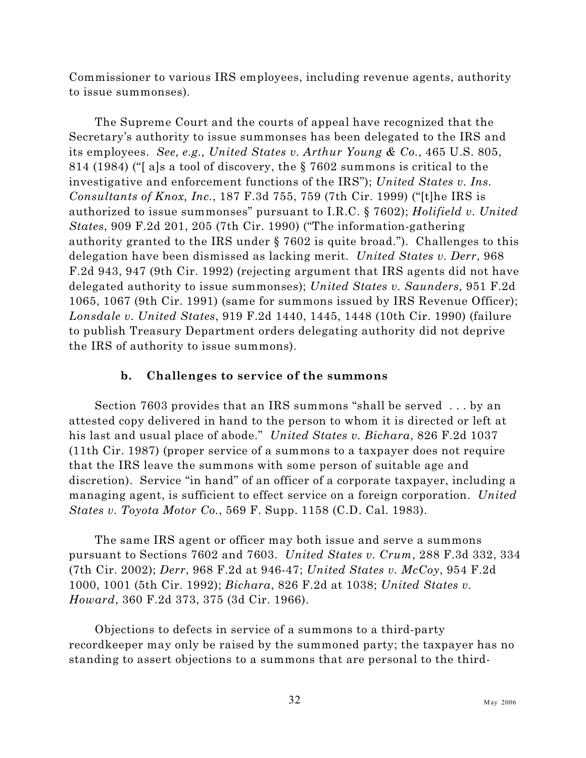Commissioner to various IRS employees, including revenue agents, authority to issue summonses).

The Supreme Court and the courts of appeal have recognized that the Secretary's authority to issue summonses has been delegated to the IRS and its employees. *See, e.g., United States v. Arthur Young & Co.*, 465 U.S. 805, 814 (1984) ("[ a]s a tool of discovery, the § 7602 summons is critical to the investigative and enforcement functions of the IRS"); *United States v. Ins. Consultants of Knox, Inc.*, 187 F.3d 755, 759 (7th Cir. 1999) ("[t]he IRS is authorized to issue summonses" pursuant to I.R.C. § 7602); *Holifield v. United States*, 909 F.2d 201, 205 (7th Cir. 1990) ("The information-gathering authority granted to the IRS under § 7602 is quite broad."). Challenges to this delegation have been dismissed as lacking merit. *United States v. Derr*, 968 F.2d 943, 947 (9th Cir. 1992) (rejecting argument that IRS agents did not have delegated authority to issue summonses); *United States v. Saunders*, 951 F.2d 1065, 1067 (9th Cir. 1991) (same for summons issued by IRS Revenue Officer); *Lonsdale v. United States*, 919 F.2d 1440, 1445, 1448 (10th Cir. 1990) (failure to publish Treasury Department orders delegating authority did not deprive the IRS of authority to issue summons).

## **b. Challenges to service of the summons**

Section 7603 provides that an IRS summons "shall be served . . . by an attested copy delivered in hand to the person to whom it is directed or left at his last and usual place of abode." *United States v. Bichara*, 826 F.2d 1037 (11th Cir. 1987) (proper service of a summons to a taxpayer does not require that the IRS leave the summons with some person of suitable age and discretion). Service "in hand" of an officer of a corporate taxpayer, including a managing agent, is sufficient to effect service on a foreign corporation. *United States v. Toyota Motor Co.*, 569 F. Supp. 1158 (C.D. Cal. 1983).

The same IRS agent or officer may both issue and serve a summons pursuant to Sections 7602 and 7603. *United States v. Crum*, 288 F.3d 332, 334 (7th Cir. 2002); *Derr*, 968 F.2d at 946-47; *United States v. McCoy*, 954 F.2d 1000, 1001 (5th Cir. 1992); *Bichara*, 826 F.2d at 1038; *United States v. Howard*, 360 F.2d 373, 375 (3d Cir. 1966).

Objections to defects in service of a summons to a third-party recordkeeper may only be raised by the summoned party; the taxpayer has no standing to assert objections to a summons that are personal to the third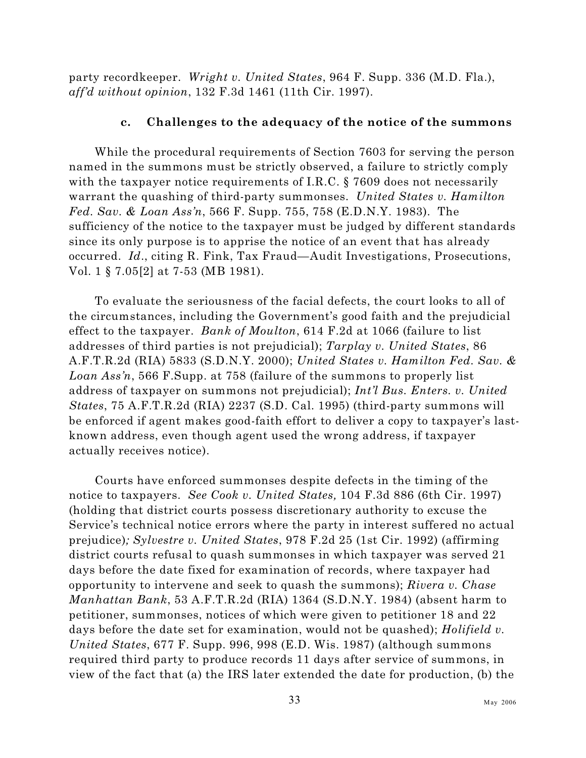party recordkeeper. *Wright v. United States*, 964 F. Supp. 336 (M.D. Fla.), *aff'd without opinion*, 132 F.3d 1461 (11th Cir. 1997).

### **c. Challenges to the adequacy of the notice of the summons**

While the procedural requirements of Section 7603 for serving the person named in the summons must be strictly observed, a failure to strictly comply with the taxpayer notice requirements of I.R.C. § 7609 does not necessarily warrant the quashing of third-party summonses. *United States v. Hamilton Fed. Sav. & Loan Ass'n*, 566 F. Supp. 755, 758 (E.D.N.Y. 1983). The sufficiency of the notice to the taxpayer must be judged by different standards since its only purpose is to apprise the notice of an event that has already occurred. *Id*., citing R. Fink, Tax Fraud—Audit Investigations, Prosecutions, Vol. 1 § 7.05[2] at 7-53 (MB 1981).

To evaluate the seriousness of the facial defects, the court looks to all of the circumstances, including the Government's good faith and the prejudicial effect to the taxpayer. *Bank of Moulton*, 614 F.2d at 1066 (failure to list addresses of third parties is not prejudicial); *Tarplay v. United States*, 86 A.F.T.R.2d (RIA) 5833 (S.D.N.Y. 2000); *United States v. Hamilton Fed. Sav. & Loan Ass'n*, 566 F.Supp. at 758 (failure of the summons to properly list address of taxpayer on summons not prejudicial); *Int'l Bus. Enters. v. United States*, 75 A.F.T.R.2d (RIA) 2237 (S.D. Cal. 1995) (third-party summons will be enforced if agent makes good-faith effort to deliver a copy to taxpayer's lastknown address, even though agent used the wrong address, if taxpayer actually receives notice).

Courts have enforced summonses despite defects in the timing of the notice to taxpayers. *See Cook v. United States,* 104 F.3d 886 (6th Cir. 1997) (holding that district courts possess discretionary authority to excuse the Service's technical notice errors where the party in interest suffered no actual prejudice)*; Sylvestre v. United States*, 978 F.2d 25 (1st Cir. 1992) (affirming district courts refusal to quash summonses in which taxpayer was served 21 days before the date fixed for examination of records, where taxpayer had opportunity to intervene and seek to quash the summons); *Rivera v. Chase Manhattan Bank*, 53 A.F.T.R.2d (RIA) 1364 (S.D.N.Y. 1984) (absent harm to petitioner, summonses, notices of which were given to petitioner 18 and 22 days before the date set for examination, would not be quashed); *Holifield v. United States*, 677 F. Supp. 996, 998 (E.D. Wis. 1987) (although summons required third party to produce records 11 days after service of summons, in view of the fact that (a) the IRS later extended the date for production, (b) the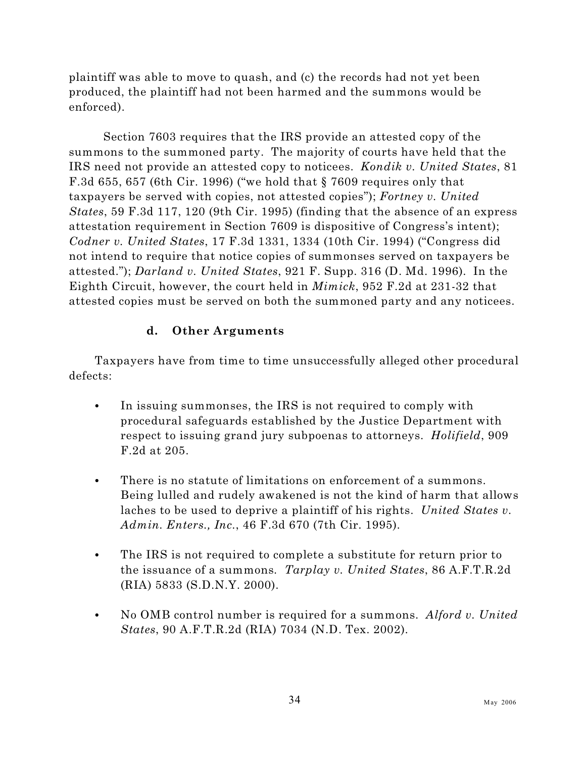plaintiff was able to move to quash, and (c) the records had not yet been produced, the plaintiff had not been harmed and the summons would be enforced).

Section 7603 requires that the IRS provide an attested copy of the summons to the summoned party. The majority of courts have held that the IRS need not provide an attested copy to noticees. *Kondik v. United States*, 81 F.3d 655, 657 (6th Cir. 1996) ("we hold that § 7609 requires only that taxpayers be served with copies, not attested copies"); *Fortney v. United States*, 59 F.3d 117, 120 (9th Cir. 1995) (finding that the absence of an express attestation requirement in Section 7609 is dispositive of Congress's intent); *Codner v. United States*, 17 F.3d 1331, 1334 (10th Cir. 1994) ("Congress did not intend to require that notice copies of summonses served on taxpayers be attested."); *Darland v. United States*, 921 F. Supp. 316 (D. Md. 1996). In the Eighth Circuit, however, the court held in *Mimick*, 952 F.2d at 231-32 that attested copies must be served on both the summoned party and any noticees.

# **d. Other Arguments**

Taxpayers have from time to time unsuccessfully alleged other procedural defects:

- In issuing summonses, the IRS is not required to comply with procedural safeguards established by the Justice Department with respect to issuing grand jury subpoenas to attorneys. *Holifield*, 909 F.2d at 205.
- There is no statute of limitations on enforcement of a summons. Being lulled and rudely awakened is not the kind of harm that allows laches to be used to deprive a plaintiff of his rights. *United States v. Admin. Enters., Inc.*, 46 F.3d 670 (7th Cir. 1995).
- The IRS is not required to complete a substitute for return prior to the issuance of a summons*. Tarplay v. United States*, 86 A.F.T.R.2d (RIA) 5833 (S.D.N.Y. 2000).
- No OMB control number is required for a summons. *Alford v. United States*, 90 A.F.T.R.2d (RIA) 7034 (N.D. Tex. 2002).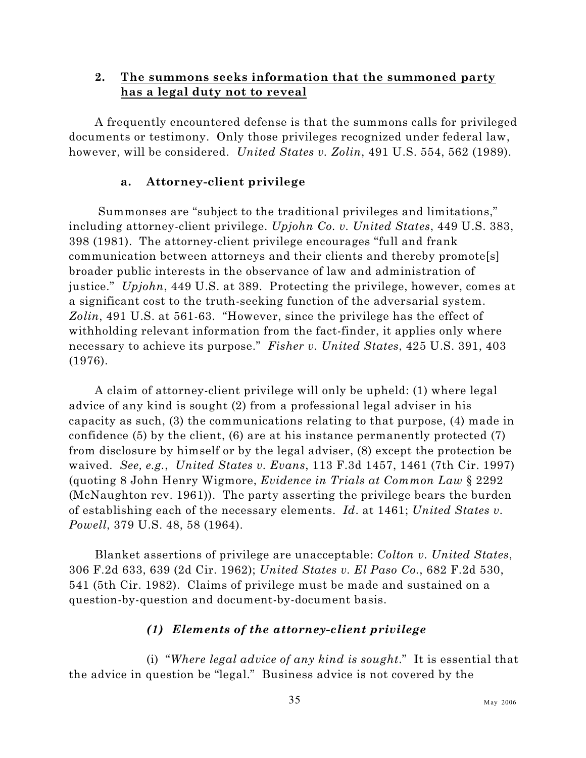# **2. The summons seeks information that the summoned party has a legal duty not to reveal**

A frequently encountered defense is that the summons calls for privileged documents or testimony. Only those privileges recognized under federal law, however, will be considered. *United States v. Zolin*, 491 U.S. 554, 562 (1989).

# **a. Attorney-client privilege**

 Summonses are "subject to the traditional privileges and limitations," including attorney-client privilege. *Upjohn Co. v. United States*, 449 U.S. 383, 398 (1981). The attorney-client privilege encourages "full and frank communication between attorneys and their clients and thereby promote[s] broader public interests in the observance of law and administration of justice." *Upjohn*, 449 U.S. at 389. Protecting the privilege, however, comes at a significant cost to the truth-seeking function of the adversarial system. *Zolin*, 491 U.S. at 561-63. "However, since the privilege has the effect of withholding relevant information from the fact-finder, it applies only where necessary to achieve its purpose." *Fisher v. United States*, 425 U.S. 391, 403 (1976).

A claim of attorney-client privilege will only be upheld: (1) where legal advice of any kind is sought (2) from a professional legal adviser in his capacity as such, (3) the communications relating to that purpose, (4) made in confidence (5) by the client, (6) are at his instance permanently protected (7) from disclosure by himself or by the legal adviser, (8) except the protection be waived. *See, e.g.*, *United States v. Evans*, 113 F.3d 1457, 1461 (7th Cir. 1997) (quoting 8 John Henry Wigmore, *Evidence in Trials at Common Law* § 2292 (McNaughton rev. 1961)). The party asserting the privilege bears the burden of establishing each of the necessary elements. *Id*. at 1461; *United States v. Powell*, 379 U.S. 48, 58 (1964).

Blanket assertions of privilege are unacceptable: *Colton v. United States*, 306 F.2d 633, 639 (2d Cir. 1962); *United States v. El Paso Co.*, 682 F.2d 530, 541 (5th Cir. 1982). Claims of privilege must be made and sustained on a question-by-question and document-by-document basis.

# *(1) Elements of the attorney-client privilege*

(i) "*Where legal advice of any kind is sought*." It is essential that the advice in question be "legal." Business advice is not covered by the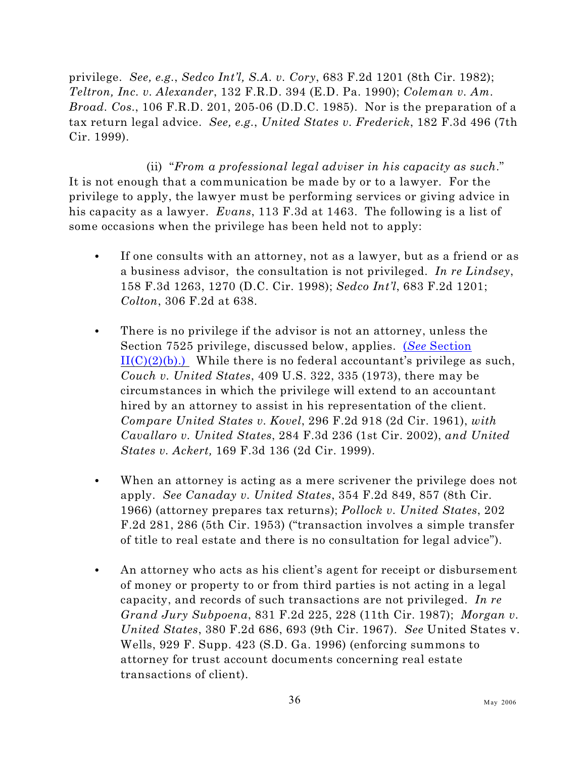privilege. *See, e.g.*, *Sedco Int'l, S.A. v. Cory*, 683 F.2d 1201 (8th Cir. 1982); *Teltron, Inc. v. Alexander*, 132 F.R.D. 394 (E.D. Pa. 1990); *Coleman v. Am. Broad. Cos.*, 106 F.R.D. 201, 205-06 (D.D.C. 1985). Nor is the preparation of a tax return legal advice. *See, e.g.*, *United States v. Frederick*, 182 F.3d 496 (7th Cir. 1999).

(ii) "*From a professional legal adviser in his capacity as such*." It is not enough that a communication be made by or to a lawyer. For the privilege to apply, the lawyer must be performing services or giving advice in his capacity as a lawyer. *Evans*, 113 F.3d at 1463. The following is a list of some occasions when the privilege has been held not to apply:

- C If one consults with an attorney, not as a lawyer, but as a friend or as a business advisor, the consultation is not privileged. *In re Lindsey*, 158 F.3d 1263, 1270 (D.C. Cir. 1998); *Sedco Int'l*, 683 F.2d 1201; *Colton*, 306 F.2d at 638.
- There is no privilege if the advisor is not an attorney, unless the Section 7525 privilege, discussed below, applies. (*See* [Section](#page-61-0)  $II(C)(2)(b)$ .) While there is no federal accountant's privilege as such, *Couch v. United States*, 409 U.S. 322, 335 (1973), there may be circumstances in which the privilege will extend to an accountant hired by an attorney to assist in his representation of the client. *Compare United States v. Kovel*, 296 F.2d 918 (2d Cir. 1961), *with Cavallaro v. United States*, 284 F.3d 236 (1st Cir. 2002), *and United States v. Ackert,* 169 F.3d 136 (2d Cir. 1999).
- When an attorney is acting as a mere scrivener the privilege does not apply. *See Canaday v. United States*, 354 F.2d 849, 857 (8th Cir. 1966) (attorney prepares tax returns); *Pollock v. United States*, 202 F.2d 281, 286 (5th Cir. 1953) ("transaction involves a simple transfer of title to real estate and there is no consultation for legal advice").
- An attorney who acts as his client's agent for receipt or disbursement of money or property to or from third parties is not acting in a legal capacity, and records of such transactions are not privileged. *In re Grand Jury Subpoena*, 831 F.2d 225, 228 (11th Cir. 1987); *Morgan v. United States*, 380 F.2d 686, 693 (9th Cir. 1967). *See* United States v. Wells, 929 F. Supp. 423 (S.D. Ga. 1996) (enforcing summons to attorney for trust account documents concerning real estate transactions of client).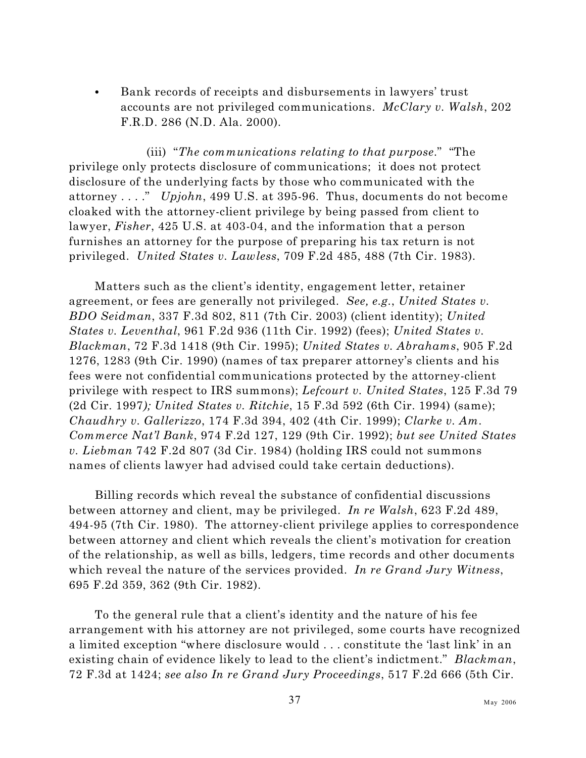• Bank records of receipts and disbursements in lawyers' trust accounts are not privileged communications. *McClary v. Walsh*, 202 F.R.D. 286 (N.D. Ala. 2000).

(iii) "*The communications relating to that purpose*." "The privilege only protects disclosure of communications; it does not protect disclosure of the underlying facts by those who communicated with the attorney . . . ." *Upjohn*, 499 U.S. at 395-96. Thus, documents do not become cloaked with the attorney-client privilege by being passed from client to lawyer, *Fisher*, 425 U.S. at 403-04, and the information that a person furnishes an attorney for the purpose of preparing his tax return is not privileged. *United States v. Lawless*, 709 F.2d 485, 488 (7th Cir. 1983).

Matters such as the client's identity, engagement letter, retainer agreement, or fees are generally not privileged. *See, e.g.*, *United States v. BDO Seidman*, 337 F.3d 802, 811 (7th Cir. 2003) (client identity); *United States v. Leventhal*, 961 F.2d 936 (11th Cir. 1992) (fees); *United States v. Blackman*, 72 F.3d 1418 (9th Cir. 1995); *United States v. Abrahams*, 905 F.2d 1276, 1283 (9th Cir. 1990) (names of tax preparer attorney's clients and his fees were not confidential communications protected by the attorney-client privilege with respect to IRS summons); *Lefcourt v. United States*, 125 F.3d 79 (2d Cir. 1997*); United States v. Ritchie*, 15 F.3d 592 (6th Cir. 1994) (same); *Chaudhry v. Gallerizzo*, 174 F.3d 394, 402 (4th Cir. 1999); *Clarke v. Am. Commerce Nat'l Bank*, 974 F.2d 127, 129 (9th Cir. 1992); *but see United States v. Liebman* 742 F.2d 807 (3d Cir. 1984) (holding IRS could not summons names of clients lawyer had advised could take certain deductions).

Billing records which reveal the substance of confidential discussions between attorney and client, may be privileged. *In re Walsh*, 623 F.2d 489, 494-95 (7th Cir. 1980). The attorney-client privilege applies to correspondence between attorney and client which reveals the client's motivation for creation of the relationship, as well as bills, ledgers, time records and other documents which reveal the nature of the services provided. *In re Grand Jury Witness*, 695 F.2d 359, 362 (9th Cir. 1982).

To the general rule that a client's identity and the nature of his fee arrangement with his attorney are not privileged, some courts have recognized a limited exception "where disclosure would . . . constitute the 'last link' in an existing chain of evidence likely to lead to the client's indictment." *Blackman*, 72 F.3d at 1424; *see also In re Grand Jury Proceedings*, 517 F.2d 666 (5th Cir.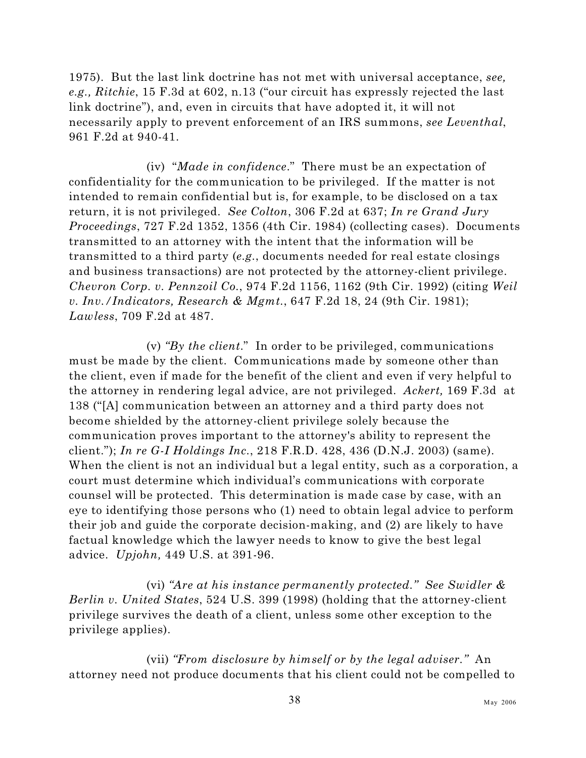1975). But the last link doctrine has not met with universal acceptance, *see, e.g., Ritchie*, 15 F.3d at 602, n.13 ("our circuit has expressly rejected the last link doctrine"), and, even in circuits that have adopted it, it will not necessarily apply to prevent enforcement of an IRS summons, *see Leventhal*, 961 F.2d at 940-41.

(iv) "*Made in confidence*." There must be an expectation of confidentiality for the communication to be privileged. If the matter is not intended to remain confidential but is, for example, to be disclosed on a tax return, it is not privileged. *See Colton*, 306 F.2d at 637; *In re Grand Jury Proceedings*, 727 F.2d 1352, 1356 (4th Cir. 1984) (collecting cases). Documents transmitted to an attorney with the intent that the information will be transmitted to a third party (*e.g.*, documents needed for real estate closings and business transactions) are not protected by the attorney-client privilege. *Chevron Corp. v. Pennzoil Co.*, 974 F.2d 1156, 1162 (9th Cir. 1992) (citing *Weil v. Inv./Indicators, Research & Mgmt.*, 647 F.2d 18, 24 (9th Cir. 1981); *Lawless*, 709 F.2d at 487.

(v) *"By the client*." In order to be privileged, communications must be made by the client. Communications made by someone other than the client, even if made for the benefit of the client and even if very helpful to the attorney in rendering legal advice, are not privileged. *Ackert,* 169 F.3d at 138 ("[A] communication between an attorney and a third party does not become shielded by the attorney-client privilege solely because the communication proves important to the attorney's ability to represent the client."); *In re G-I Holdings Inc.*, 218 F.R.D. 428, 436 (D.N.J. 2003) (same). When the client is not an individual but a legal entity, such as a corporation, a court must determine which individual's communications with corporate counsel will be protected. This determination is made case by case, with an eye to identifying those persons who (1) need to obtain legal advice to perform their job and guide the corporate decision-making, and (2) are likely to have factual knowledge which the lawyer needs to know to give the best legal advice. *Upjohn,* 449 U.S. at 391-96.

(vi) *"Are at his instance permanently protected." See Swidler & Berlin v. United States*, 524 U.S. 399 (1998) (holding that the attorney-client privilege survives the death of a client, unless some other exception to the privilege applies).

(vii) *"From disclosure by himself or by the legal adviser."* An attorney need not produce documents that his client could not be compelled to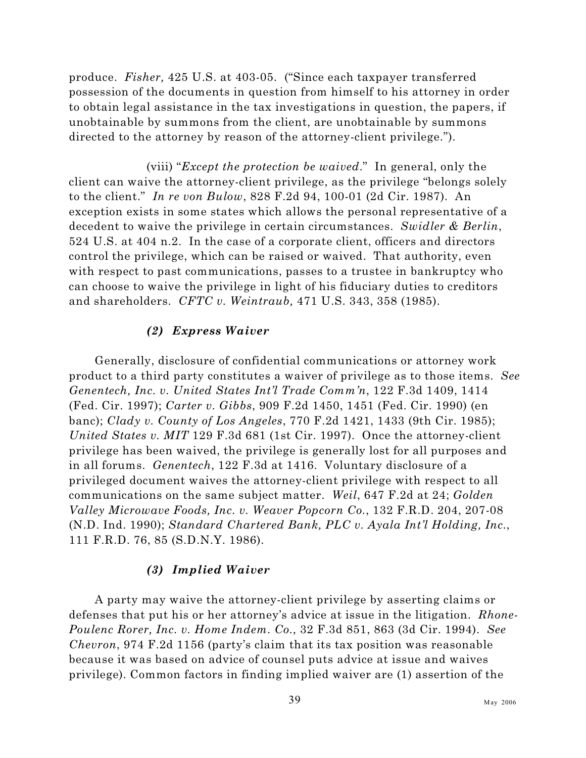produce. *Fisher,* 425 U.S. at 403-05. ("Since each taxpayer transferred possession of the documents in question from himself to his attorney in order to obtain legal assistance in the tax investigations in question, the papers, if unobtainable by summons from the client, are unobtainable by summons directed to the attorney by reason of the attorney-client privilege.").

(viii) "*Except the protection be waived*." In general, only the client can waive the attorney-client privilege, as the privilege "belongs solely to the client." *In re von Bulow*, 828 F.2d 94, 100-01 (2d Cir. 1987). An exception exists in some states which allows the personal representative of a decedent to waive the privilege in certain circumstances. *Swidler & Berlin*, 524 U.S. at 404 n.2. In the case of a corporate client, officers and directors control the privilege, which can be raised or waived. That authority, even with respect to past communications, passes to a trustee in bankruptcy who can choose to waive the privilege in light of his fiduciary duties to creditors and shareholders. *CFTC v. Weintraub,* 471 U.S. 343, 358 (1985).

### *(2) Express Waiver*

Generally, disclosure of confidential communications or attorney work product to a third party constitutes a waiver of privilege as to those items. *See Genentech, Inc. v. United States Int'l Trade Comm'n*, 122 F.3d 1409, 1414 (Fed. Cir. 1997); *Carter v. Gibbs*, 909 F.2d 1450, 1451 (Fed. Cir. 1990) (en banc); *Clady v. County of Los Angeles*, 770 F.2d 1421, 1433 (9th Cir. 1985); *United States v. MIT* 129 F.3d 681 (1st Cir. 1997). Once the attorney-client privilege has been waived, the privilege is generally lost for all purposes and in all forums. *Genentech*, 122 F.3d at 1416. Voluntary disclosure of a privileged document waives the attorney-client privilege with respect to all communications on the same subject matter. *Weil*, 647 F.2d at 24; *Golden Valley Microwave Foods, Inc. v. Weaver Popcorn Co.*, 132 F.R.D. 204, 207-08 (N.D. Ind. 1990); *Standard Chartered Bank, PLC v. Ayala Int'l Holding, Inc.*, 111 F.R.D. 76, 85 (S.D.N.Y. 1986).

### *(3) Implied Waiver*

A party may waive the attorney-client privilege by asserting claims or defenses that put his or her attorney's advice at issue in the litigation. *Rhone-Poulenc Rorer, Inc. v. Home Indem. Co.*, 32 F.3d 851, 863 (3d Cir. 1994). *See Chevron*, 974 F.2d 1156 (party's claim that its tax position was reasonable because it was based on advice of counsel puts advice at issue and waives privilege). Common factors in finding implied waiver are (1) assertion of the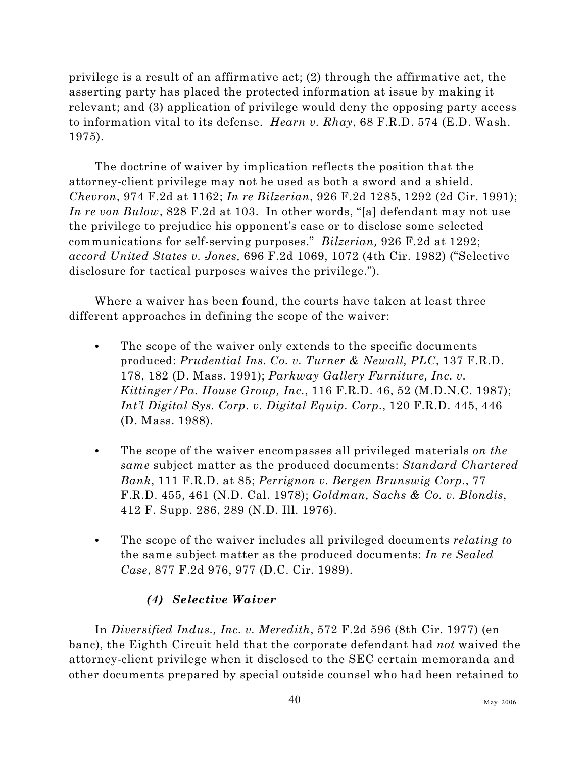privilege is a result of an affirmative act; (2) through the affirmative act, the asserting party has placed the protected information at issue by making it relevant; and (3) application of privilege would deny the opposing party access to information vital to its defense. *Hearn v. Rhay*, 68 F.R.D. 574 (E.D. Wash. 1975).

The doctrine of waiver by implication reflects the position that the attorney-client privilege may not be used as both a sword and a shield. *Chevron*, 974 F.2d at 1162; *In re Bilzerian*, 926 F.2d 1285, 1292 (2d Cir. 1991); *In re von Bulow*, 828 F.2d at 103. In other words, "[a] defendant may not use the privilege to prejudice his opponent's case or to disclose some selected communications for self-serving purposes." *Bilzerian,* 926 F.2d at 1292; *accord United States v. Jones,* 696 F.2d 1069, 1072 (4th Cir. 1982) ("Selective disclosure for tactical purposes waives the privilege.").

Where a waiver has been found, the courts have taken at least three different approaches in defining the scope of the waiver:

- The scope of the waiver only extends to the specific documents produced: *Prudential Ins. Co. v. Turner & Newall, PLC*, 137 F.R.D. 178, 182 (D. Mass. 1991); *Parkway Gallery Furniture, Inc. v. Kittinger/Pa. House Group, Inc.*, 116 F.R.D. 46, 52 (M.D.N.C. 1987); *Int'l Digital Sys. Corp. v. Digital Equip. Corp.*, 120 F.R.D. 445, 446 (D. Mass. 1988).
- The scope of the waiver encompasses all privileged materials *on the same* subject matter as the produced documents: *Standard Chartered Bank*, 111 F.R.D. at 85; *Perrignon v. Bergen Brunswig Corp.*, 77 F.R.D. 455, 461 (N.D. Cal. 1978); *Goldman, Sachs & Co. v. Blondis*, 412 F. Supp. 286, 289 (N.D. Ill. 1976).
- C The scope of the waiver includes all privileged documents *relating to* the same subject matter as the produced documents: *In re Sealed Case*, 877 F.2d 976, 977 (D.C. Cir. 1989).

# *(4) Selective Waiver*

In *Diversified Indus., Inc. v. Meredith*, 572 F.2d 596 (8th Cir. 1977) (en banc), the Eighth Circuit held that the corporate defendant had *not* waived the attorney-client privilege when it disclosed to the SEC certain memoranda and other documents prepared by special outside counsel who had been retained to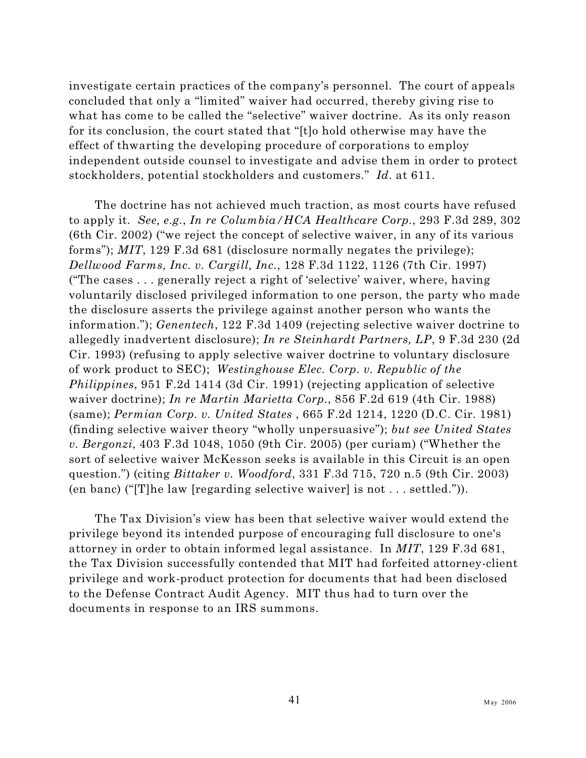investigate certain practices of the company's personnel. The court of appeals concluded that only a "limited" waiver had occurred, thereby giving rise to what has come to be called the "selective" waiver doctrine. As its only reason for its conclusion, the court stated that "[t]o hold otherwise may have the effect of thwarting the developing procedure of corporations to employ independent outside counsel to investigate and advise them in order to protect stockholders, potential stockholders and customers." *Id*. at 611.

The doctrine has not achieved much traction, as most courts have refused to apply it. *See, e.g.*, *In re Columbia/HCA Healthcare Corp.*, 293 F.3d 289, 302 (6th Cir. 2002) ("we reject the concept of selective waiver, in any of its various forms"); *MIT*, 129 F.3d 681 (disclosure normally negates the privilege); *Dellwood Farms, Inc. v. Cargill, Inc.*, 128 F.3d 1122, 1126 (7th Cir. 1997) ("The cases . . . generally reject a right of 'selective' waiver, where, having voluntarily disclosed privileged information to one person, the party who made the disclosure asserts the privilege against another person who wants the information."); *Genentech*, 122 F.3d 1409 (rejecting selective waiver doctrine to allegedly inadvertent disclosure); *In re Steinhardt Partners, LP*, 9 F.3d 230 (2d Cir. 1993) (refusing to apply selective waiver doctrine to voluntary disclosure of work product to SEC); *Westinghouse Elec. Corp. v. Republic of the Philippines*, 951 F.2d 1414 (3d Cir. 1991) (rejecting application of selective waiver doctrine); *In re Martin Marietta Corp.*, 856 F.2d 619 (4th Cir. 1988) (same); *Permian Corp. v. United States* , 665 F.2d 1214, 1220 (D.C. Cir. 1981) (finding selective waiver theory "wholly unpersuasive"); *but see United States v. Bergonzi*, 403 F.3d 1048, 1050 (9th Cir. 2005) (per curiam) ("Whether the sort of selective waiver McKesson seeks is available in this Circuit is an open question.") (citing *Bittaker v. Woodford*, 331 F.3d 715, 720 n.5 (9th Cir. 2003) (en banc) ("[T]he law [regarding selective waiver] is not . . . settled.")).

The Tax Division's view has been that selective waiver would extend the privilege beyond its intended purpose of encouraging full disclosure to one's attorney in order to obtain informed legal assistance. In *MIT*, 129 F.3d 681, the Tax Division successfully contended that MIT had forfeited attorney-client privilege and work-product protection for documents that had been disclosed to the Defense Contract Audit Agency. MIT thus had to turn over the documents in response to an IRS summons.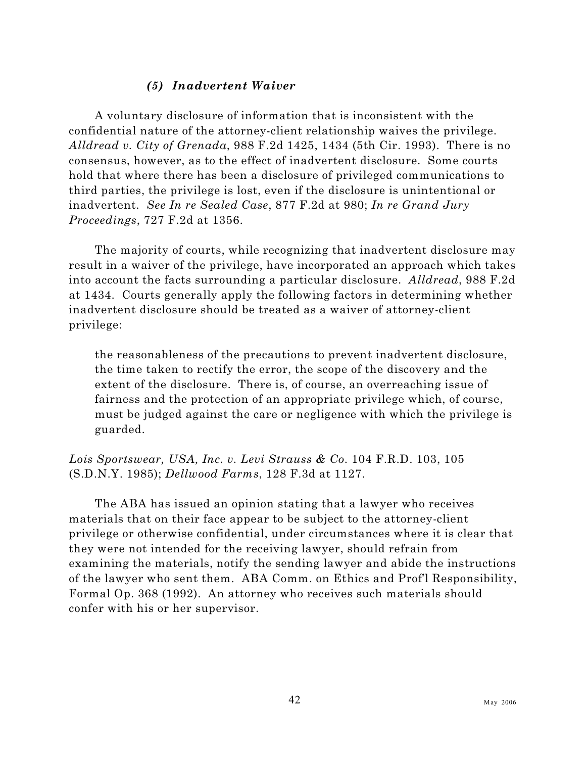## *(5) Inadvertent Waiver*

A voluntary disclosure of information that is inconsistent with the confidential nature of the attorney-client relationship waives the privilege. *Alldread v. City of Grenada*, 988 F.2d 1425, 1434 (5th Cir. 1993). There is no consensus, however, as to the effect of inadvertent disclosure. Some courts hold that where there has been a disclosure of privileged communications to third parties, the privilege is lost, even if the disclosure is unintentional or inadvertent. *See In re Sealed Case*, 877 F.2d at 980; *In re Grand Jury Proceedings*, 727 F.2d at 1356.

The majority of courts, while recognizing that inadvertent disclosure may result in a waiver of the privilege, have incorporated an approach which takes into account the facts surrounding a particular disclosure. *Alldread*, 988 F.2d at 1434. Courts generally apply the following factors in determining whether inadvertent disclosure should be treated as a waiver of attorney-client privilege:

the reasonableness of the precautions to prevent inadvertent disclosure, the time taken to rectify the error, the scope of the discovery and the extent of the disclosure. There is, of course, an overreaching issue of fairness and the protection of an appropriate privilege which, of course, must be judged against the care or negligence with which the privilege is guarded.

*Lois Sportswear, USA, Inc. v. Levi Strauss & Co.* 104 F.R.D. 103, 105 (S.D.N.Y. 1985); *Dellwood Farms*, 128 F.3d at 1127.

The ABA has issued an opinion stating that a lawyer who receives materials that on their face appear to be subject to the attorney-client privilege or otherwise confidential, under circumstances where it is clear that they were not intended for the receiving lawyer, should refrain from examining the materials, notify the sending lawyer and abide the instructions of the lawyer who sent them. ABA Comm. on Ethics and Prof'l Responsibility, Formal Op. 368 (1992). An attorney who receives such materials should confer with his or her supervisor.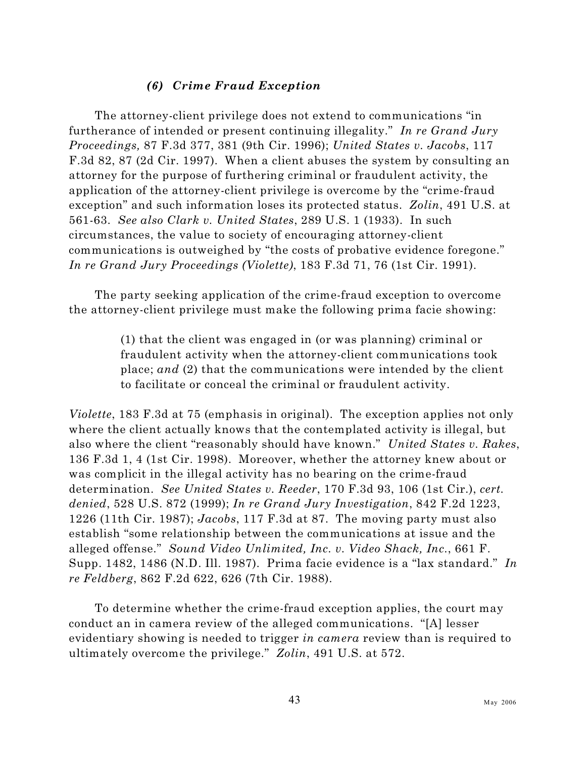## *(6) Crime Fraud Exception*

The attorney-client privilege does not extend to communications "in furtherance of intended or present continuing illegality." *In re Grand Jury Proceedings,* 87 F.3d 377, 381 (9th Cir. 1996); *United States v. Jacobs*, 117 F.3d 82, 87 (2d Cir. 1997). When a client abuses the system by consulting an attorney for the purpose of furthering criminal or fraudulent activity, the application of the attorney-client privilege is overcome by the "crime-fraud exception" and such information loses its protected status. *Zolin*, 491 U.S. at 561-63. *See also Clark v. United States*, 289 U.S. 1 (1933). In such circumstances, the value to society of encouraging attorney-client communications is outweighed by "the costs of probative evidence foregone." *In re Grand Jury Proceedings (Violette)*, 183 F.3d 71, 76 (1st Cir. 1991).

The party seeking application of the crime-fraud exception to overcome the attorney-client privilege must make the following prima facie showing:

> (1) that the client was engaged in (or was planning) criminal or fraudulent activity when the attorney-client communications took place; *and* (2) that the communications were intended by the client to facilitate or conceal the criminal or fraudulent activity.

*Violette*, 183 F.3d at 75 (emphasis in original). The exception applies not only where the client actually knows that the contemplated activity is illegal, but also where the client "reasonably should have known." *United States v. Rakes*, 136 F.3d 1, 4 (1st Cir. 1998). Moreover, whether the attorney knew about or was complicit in the illegal activity has no bearing on the crime-fraud determination. *See United States v. Reeder*, 170 F.3d 93, 106 (1st Cir.), *cert. denied*, 528 U.S. 872 (1999); *In re Grand Jury Investigation*, 842 F.2d 1223, 1226 (11th Cir. 1987); *Jacobs*, 117 F.3d at 87. The moving party must also establish "some relationship between the communications at issue and the alleged offense." *Sound Video Unlimited, Inc. v. Video Shack, Inc.*, 661 F. Supp. 1482, 1486 (N.D. Ill. 1987). Prima facie evidence is a "lax standard." *In re Feldberg*, 862 F.2d 622, 626 (7th Cir. 1988).

To determine whether the crime-fraud exception applies, the court may conduct an in camera review of the alleged communications. "[A] lesser evidentiary showing is needed to trigger *in camera* review than is required to ultimately overcome the privilege." *Zolin*, 491 U.S. at 572.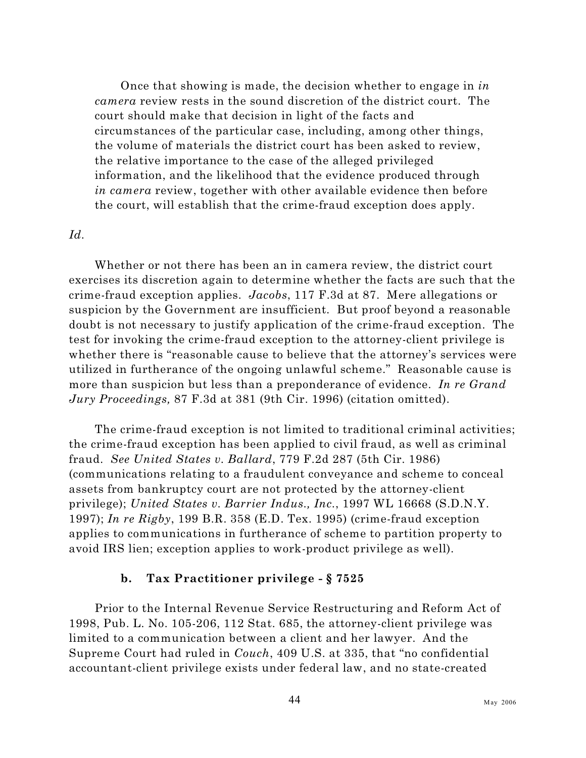Once that showing is made, the decision whether to engage in *in camera* review rests in the sound discretion of the district court. The court should make that decision in light of the facts and circumstances of the particular case, including, among other things, the volume of materials the district court has been asked to review, the relative importance to the case of the alleged privileged information, and the likelihood that the evidence produced through *in camera* review, together with other available evidence then before the court, will establish that the crime-fraud exception does apply.

#### *Id.*

Whether or not there has been an in camera review, the district court exercises its discretion again to determine whether the facts are such that the crime-fraud exception applies. *Jacobs*, 117 F.3d at 87. Mere allegations or suspicion by the Government are insufficient. But proof beyond a reasonable doubt is not necessary to justify application of the crime-fraud exception. The test for invoking the crime-fraud exception to the attorney-client privilege is whether there is "reasonable cause to believe that the attorney's services were utilized in furtherance of the ongoing unlawful scheme." Reasonable cause is more than suspicion but less than a preponderance of evidence. *In re Grand Jury Proceedings,* 87 F.3d at 381 (9th Cir. 1996) (citation omitted).

The crime-fraud exception is not limited to traditional criminal activities; the crime-fraud exception has been applied to civil fraud, as well as criminal fraud. *See United States v. Ballard*, 779 F.2d 287 (5th Cir. 1986) (communications relating to a fraudulent conveyance and scheme to conceal assets from bankruptcy court are not protected by the attorney-client privilege); *United States v. Barrier Indus., Inc.*, 1997 WL 16668 (S.D.N.Y. 1997); *In re Rigby*, 199 B.R. 358 (E.D. Tex. 1995) (crime-fraud exception applies to communications in furtherance of scheme to partition property to avoid IRS lien; exception applies to work-product privilege as well).

### <span id="page-61-0"></span>**b. Tax Practitioner privilege - § 7525**

Prior to the Internal Revenue Service Restructuring and Reform Act of 1998, Pub. L. No. 105-206, 112 Stat. 685, the attorney-client privilege was limited to a communication between a client and her lawyer. And the Supreme Court had ruled in *Couch*, 409 U.S. at 335, that "no confidential accountant-client privilege exists under federal law, and no state-created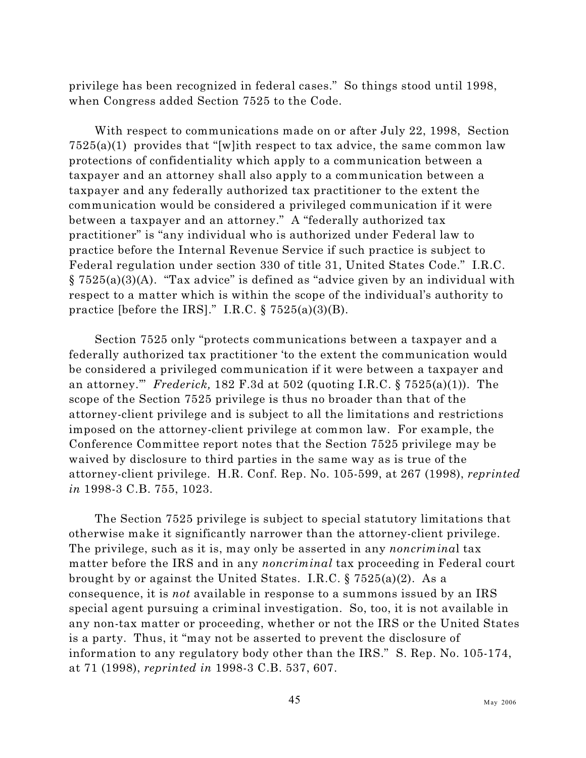privilege has been recognized in federal cases." So things stood until 1998, when Congress added Section 7525 to the Code.

With respect to communications made on or after July 22, 1998, Section  $7525(a)(1)$  provides that "[w]ith respect to tax advice, the same common law protections of confidentiality which apply to a communication between a taxpayer and an attorney shall also apply to a communication between a taxpayer and any federally authorized tax practitioner to the extent the communication would be considered a privileged communication if it were between a taxpayer and an attorney." A "federally authorized tax practitioner" is "any individual who is authorized under Federal law to practice before the Internal Revenue Service if such practice is subject to Federal regulation under section 330 of title 31, United States Code." I.R.C. § 7525(a)(3)(A). "Tax advice" is defined as "advice given by an individual with respect to a matter which is within the scope of the individual's authority to practice [before the IRS]." I.R.C.  $\S 7525(a)(3)(B)$ .

Section 7525 only "protects communications between a taxpayer and a federally authorized tax practitioner 'to the extent the communication would be considered a privileged communication if it were between a taxpayer and an attorney.'" *Frederick,* 182 F.3d at 502 (quoting I.R.C. § 7525(a)(1)). The scope of the Section 7525 privilege is thus no broader than that of the attorney-client privilege and is subject to all the limitations and restrictions imposed on the attorney-client privilege at common law. For example, the Conference Committee report notes that the Section 7525 privilege may be waived by disclosure to third parties in the same way as is true of the attorney-client privilege. H.R. Conf. Rep. No. 105-599, at 267 (1998), *reprinted in* 1998-3 C.B. 755, 1023.

The Section 7525 privilege is subject to special statutory limitations that otherwise make it significantly narrower than the attorney-client privilege. The privilege, such as it is, may only be asserted in any *noncrimina*l tax matter before the IRS and in any *noncriminal* tax proceeding in Federal court brought by or against the United States. I.R.C. § 7525(a)(2). As a consequence, it is *not* available in response to a summons issued by an IRS special agent pursuing a criminal investigation. So, too, it is not available in any non-tax matter or proceeding, whether or not the IRS or the United States is a party. Thus, it "may not be asserted to prevent the disclosure of information to any regulatory body other than the IRS." S. Rep. No. 105-174, at 71 (1998), *reprinted in* 1998-3 C.B. 537, 607.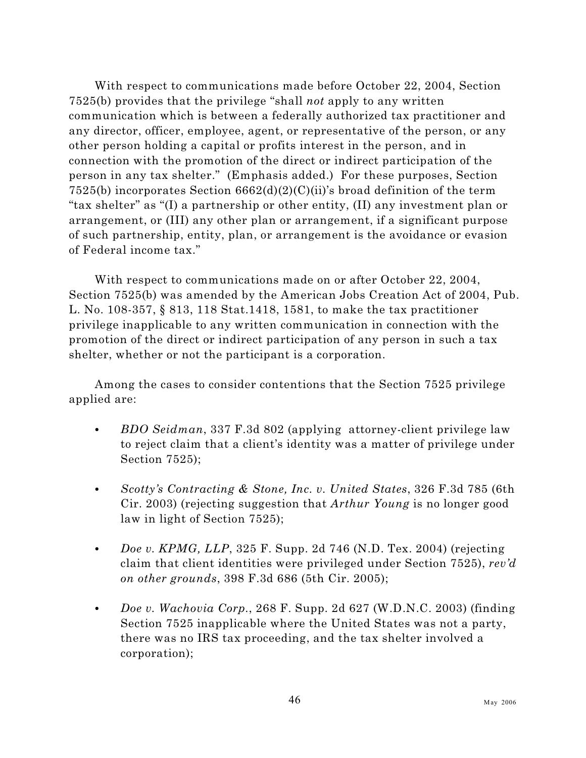With respect to communications made before October 22, 2004, Section 7525(b) provides that the privilege "shall *not* apply to any written communication which is between a federally authorized tax practitioner and any director, officer, employee, agent, or representative of the person, or any other person holding a capital or profits interest in the person, and in connection with the promotion of the direct or indirect participation of the person in any tax shelter." (Emphasis added.) For these purposes, Section 7525(b) incorporates Section  $6662(d)(2)(C)(ii)$ 's broad definition of the term "tax shelter" as "(I) a partnership or other entity, (II) any investment plan or arrangement, or (III) any other plan or arrangement, if a significant purpose of such partnership, entity, plan, or arrangement is the avoidance or evasion of Federal income tax."

With respect to communications made on or after October 22, 2004, Section 7525(b) was amended by the American Jobs Creation Act of 2004, Pub. L. No. 108-357, § 813, 118 Stat.1418, 1581, to make the tax practitioner privilege inapplicable to any written communication in connection with the promotion of the direct or indirect participation of any person in such a tax shelter, whether or not the participant is a corporation.

Among the cases to consider contentions that the Section 7525 privilege applied are:

- C *BDO Seidman*, 337 F.3d 802 (applying attorney-client privilege law to reject claim that a client's identity was a matter of privilege under Section 7525);
- C *Scotty's Contracting & Stone, Inc. v. United States*, 326 F.3d 785 (6th Cir. 2003) (rejecting suggestion that *Arthur Young* is no longer good law in light of Section 7525);
- *Doe v. KPMG, LLP*, 325 F. Supp. 2d 746 (N.D. Tex. 2004) (rejecting claim that client identities were privileged under Section 7525), *rev'd on other grounds*, 398 F.3d 686 (5th Cir. 2005);
- C *Doe v. Wachovia Corp.*, 268 F. Supp. 2d 627 (W.D.N.C. 2003) (finding Section 7525 inapplicable where the United States was not a party, there was no IRS tax proceeding, and the tax shelter involved a corporation);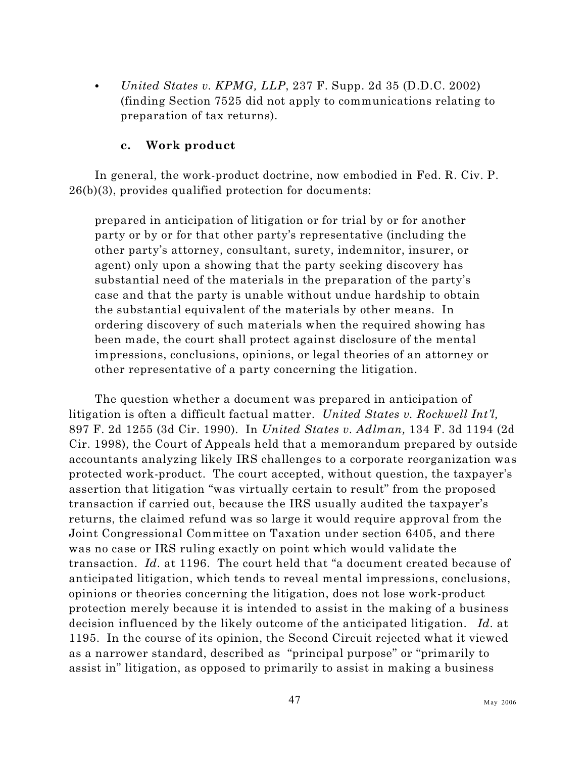$\bullet$  *United States v. KPMG, LLP, 237 F. Supp. 2d 35 (D.D.C. 2002)* (finding Section 7525 did not apply to communications relating to preparation of tax returns).

## **c. Work product**

In general, the work-product doctrine, now embodied in Fed. R. Civ. P. 26(b)(3), provides qualified protection for documents:

prepared in anticipation of litigation or for trial by or for another party or by or for that other party's representative (including the other party's attorney, consultant, surety, indemnitor, insurer, or agent) only upon a showing that the party seeking discovery has substantial need of the materials in the preparation of the party's case and that the party is unable without undue hardship to obtain the substantial equivalent of the materials by other means. In ordering discovery of such materials when the required showing has been made, the court shall protect against disclosure of the mental impressions, conclusions, opinions, or legal theories of an attorney or other representative of a party concerning the litigation.

The question whether a document was prepared in anticipation of litigation is often a difficult factual matter. *United States v. Rockwell Int'l,* 897 F. 2d 1255 (3d Cir. 1990). In *United States v. Adlman,* 134 F. 3d 1194 (2d Cir. 1998), the Court of Appeals held that a memorandum prepared by outside accountants analyzing likely IRS challenges to a corporate reorganization was protected work-product. The court accepted, without question, the taxpayer's assertion that litigation "was virtually certain to result" from the proposed transaction if carried out, because the IRS usually audited the taxpayer's returns, the claimed refund was so large it would require approval from the Joint Congressional Committee on Taxation under section 6405, and there was no case or IRS ruling exactly on point which would validate the transaction. *Id.* at 1196. The court held that "a document created because of anticipated litigation, which tends to reveal mental impressions, conclusions, opinions or theories concerning the litigation, does not lose work-product protection merely because it is intended to assist in the making of a business decision influenced by the likely outcome of the anticipated litigation. *Id.* at 1195. In the course of its opinion, the Second Circuit rejected what it viewed as a narrower standard, described as "principal purpose" or "primarily to assist in" litigation, as opposed to primarily to assist in making a business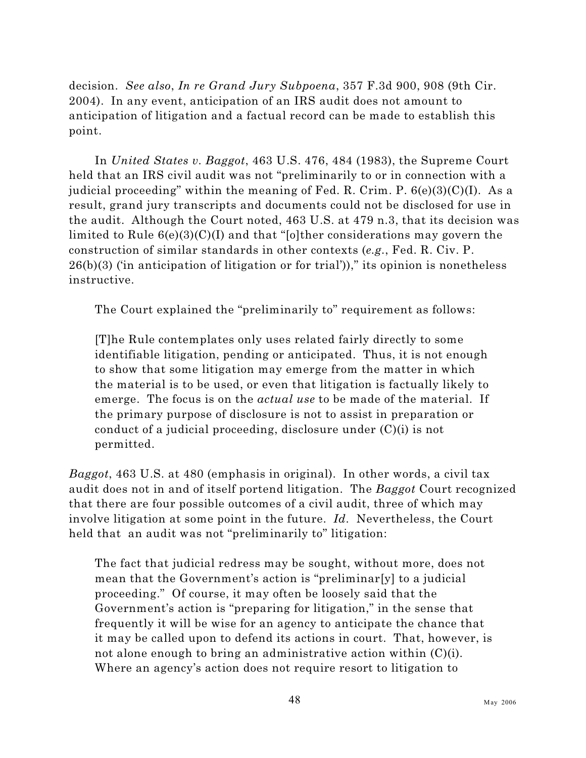decision. *See also*, *In re Grand Jury Subpoena*, 357 F.3d 900, 908 (9th Cir. 2004). In any event, anticipation of an IRS audit does not amount to anticipation of litigation and a factual record can be made to establish this point.

In *United States v. Baggot*, 463 U.S. 476, 484 (1983), the Supreme Court held that an IRS civil audit was not "preliminarily to or in connection with a judicial proceeding" within the meaning of Fed. R. Crim. P. 6(e)(3)(C)(I). As a result, grand jury transcripts and documents could not be disclosed for use in the audit. Although the Court noted, 463 U.S. at 479 n.3, that its decision was limited to Rule 6(e)(3)(C)(I) and that "[o]ther considerations may govern the construction of similar standards in other contexts (*e.g.*, Fed. R. Civ. P.  $26(b)(3)$  (in anticipation of litigation or for trial))," its opinion is nonetheless instructive.

The Court explained the "preliminarily to" requirement as follows:

[T]he Rule contemplates only uses related fairly directly to some identifiable litigation, pending or anticipated. Thus, it is not enough to show that some litigation may emerge from the matter in which the material is to be used, or even that litigation is factually likely to emerge. The focus is on the *actual use* to be made of the material. If the primary purpose of disclosure is not to assist in preparation or conduct of a judicial proceeding, disclosure under  $(C)(i)$  is not permitted.

*Baggot*, 463 U.S. at 480 (emphasis in original). In other words, a civil tax audit does not in and of itself portend litigation. The *Baggot* Court recognized that there are four possible outcomes of a civil audit, three of which may involve litigation at some point in the future. *Id.* Nevertheless, the Court held that an audit was not "preliminarily to" litigation:

The fact that judicial redress may be sought, without more, does not mean that the Government's action is "preliminar[y] to a judicial proceeding." Of course, it may often be loosely said that the Government's action is "preparing for litigation," in the sense that frequently it will be wise for an agency to anticipate the chance that it may be called upon to defend its actions in court. That, however, is not alone enough to bring an administrative action within (C)(i). Where an agency's action does not require resort to litigation to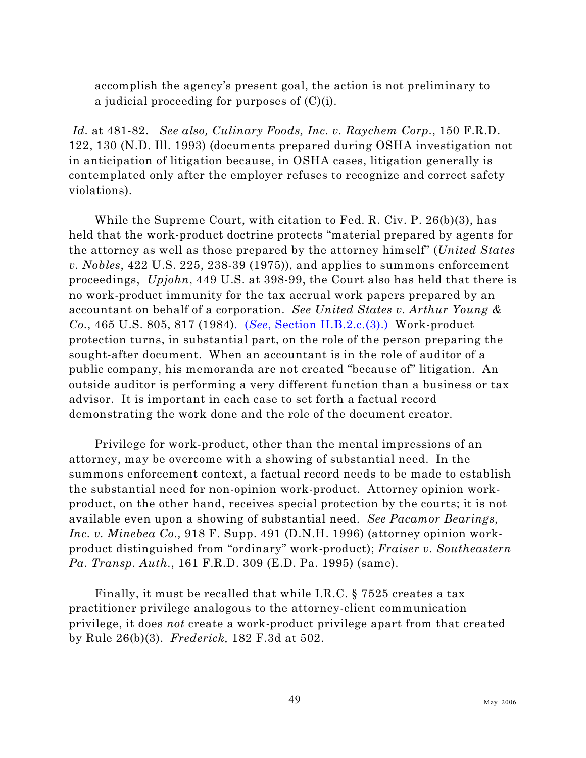accomplish the agency's present goal, the action is not preliminary to a judicial proceeding for purposes of (C)(i).

*Id.* at 481-82. *See also, Culinary Foods, Inc. v. Raychem Corp.*, 150 F.R.D. 122, 130 (N.D. Ill. 1993) (documents prepared during OSHA investigation not in anticipation of litigation because, in OSHA cases, litigation generally is contemplated only after the employer refuses to recognize and correct safety violations).

While the Supreme Court, with citation to Fed. R. Civ. P. 26(b)(3), has held that the work-product doctrine protects "material prepared by agents for the attorney as well as those prepared by the attorney himself" (*United States v. Nobles*, 422 U.S. 225, 238-39 (1975)), and applies to summons enforcement proceedings, *Upjohn*, 449 U.S. at 398-99, the Court also has held that there is no work-product immunity for the tax accrual work papers prepared by an accountant on behalf of a corporation. *See United States v. Arthur Young & Co.*, 465 U.S. 805, 817 (1984). (*See*[, Section II.B.2.c.\(3\).\)](#page-31-0) Work-product protection turns, in substantial part, on the role of the person preparing the sought-after document. When an accountant is in the role of auditor of a public company, his memoranda are not created "because of" litigation. An outside auditor is performing a very different function than a business or tax advisor. It is important in each case to set forth a factual record demonstrating the work done and the role of the document creator.

Privilege for work-product, other than the mental impressions of an attorney, may be overcome with a showing of substantial need. In the summons enforcement context, a factual record needs to be made to establish the substantial need for non-opinion work-product. Attorney opinion workproduct, on the other hand, receives special protection by the courts; it is not available even upon a showing of substantial need. *See Pacamor Bearings, Inc. v. Minebea Co.,* 918 F. Supp. 491 (D.N.H. 1996) (attorney opinion workproduct distinguished from "ordinary" work-product); *Fraiser v. Southeastern Pa. Transp. Auth.*, 161 F.R.D. 309 (E.D. Pa. 1995) (same).

Finally, it must be recalled that while I.R.C. § 7525 creates a tax practitioner privilege analogous to the attorney-client communication privilege, it does *not* create a work-product privilege apart from that created by Rule 26(b)(3). *Frederick,* 182 F.3d at 502.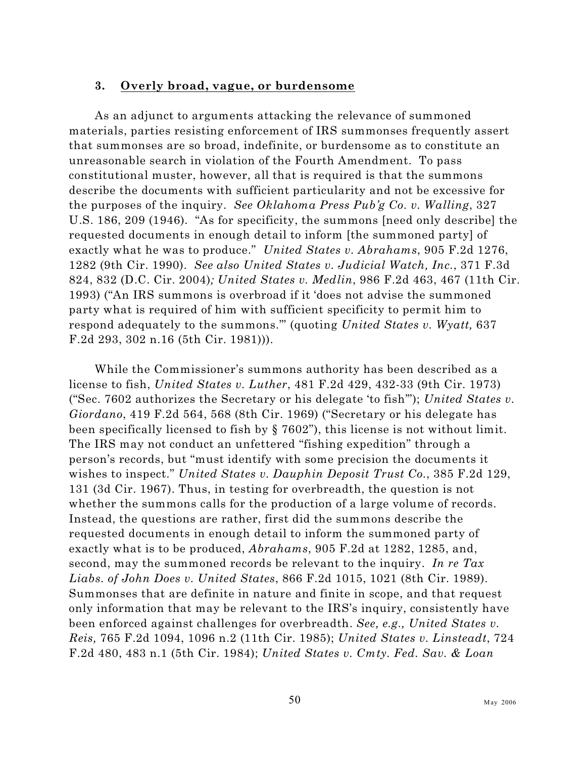### **3. Overly broad, vague, or burdensome**

As an adjunct to arguments attacking the relevance of summoned materials, parties resisting enforcement of IRS summonses frequently assert that summonses are so broad, indefinite, or burdensome as to constitute an unreasonable search in violation of the Fourth Amendment. To pass constitutional muster, however, all that is required is that the summons describe the documents with sufficient particularity and not be excessive for the purposes of the inquiry. *See Oklahoma Press Pub'g Co. v. Walling*, 327 U.S. 186, 209 (1946). "As for specificity, the summons [need only describe] the requested documents in enough detail to inform [the summoned party] of exactly what he was to produce." *United States v. Abrahams*, 905 F.2d 1276, 1282 (9th Cir. 1990). *See also United States v. Judicial Watch, Inc.*, 371 F.3d 824, 832 (D.C. Cir. 2004)*; United States v. Medlin*, 986 F.2d 463, 467 (11th Cir. 1993) ("An IRS summons is overbroad if it 'does not advise the summoned party what is required of him with sufficient specificity to permit him to respond adequately to the summons.'" (quoting *United States v. Wyatt,* 637 F.2d 293, 302 n.16 (5th Cir. 1981))).

While the Commissioner's summons authority has been described as a license to fish, *United States v. Luther*, 481 F.2d 429, 432-33 (9th Cir. 1973) ("Sec. 7602 authorizes the Secretary or his delegate 'to fish'"); *United States v. Giordano*, 419 F.2d 564, 568 (8th Cir. 1969) ("Secretary or his delegate has been specifically licensed to fish by § 7602"), this license is not without limit. The IRS may not conduct an unfettered "fishing expedition" through a person's records, but "must identify with some precision the documents it wishes to inspect." *United States v. Dauphin Deposit Trust Co.*, 385 F.2d 129, 131 (3d Cir. 1967). Thus, in testing for overbreadth, the question is not whether the summons calls for the production of a large volume of records. Instead, the questions are rather, first did the summons describe the requested documents in enough detail to inform the summoned party of exactly what is to be produced, *Abrahams*, 905 F.2d at 1282, 1285, and, second, may the summoned records be relevant to the inquiry. *In re Tax Liabs. of John Does v. United States*, 866 F.2d 1015, 1021 (8th Cir. 1989). Summonses that are definite in nature and finite in scope, and that request only information that may be relevant to the IRS's inquiry, consistently have been enforced against challenges for overbreadth. *See, e.g., United States v. Reis,* 765 F.2d 1094, 1096 n.2 (11th Cir. 1985); *United States v. Linsteadt*, 724 F.2d 480, 483 n.1 (5th Cir. 1984); *United States v. Cmty. Fed. Sav. & Loan*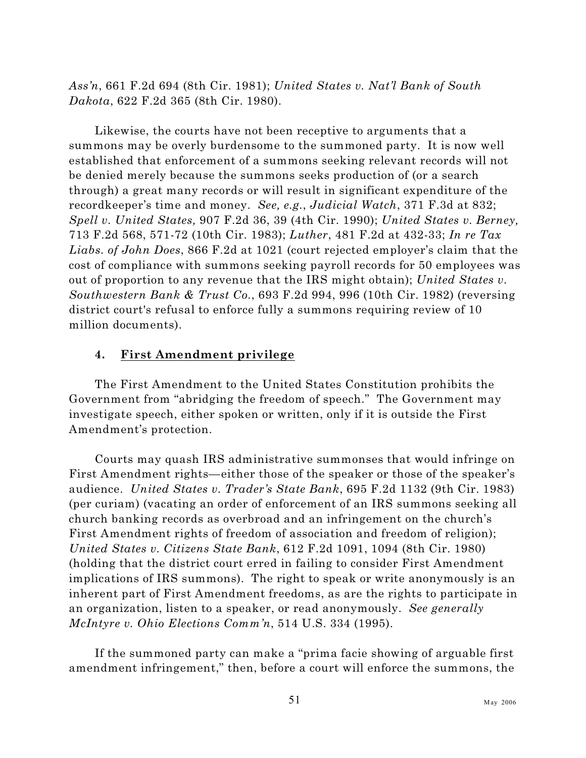*Ass'n*, 661 F.2d 694 (8th Cir. 1981); *United States v. Nat'l Bank of South Dakota*, 622 F.2d 365 (8th Cir. 1980).

Likewise, the courts have not been receptive to arguments that a summons may be overly burdensome to the summoned party. It is now well established that enforcement of a summons seeking relevant records will not be denied merely because the summons seeks production of (or a search through) a great many records or will result in significant expenditure of the recordkeeper's time and money. *See, e.g.*, *Judicial Watch*, 371 F.3d at 832; *Spell v. United States,* 907 F.2d 36, 39 (4th Cir. 1990); *United States v. Berney,* 713 F.2d 568, 571-72 (10th Cir. 1983); *Luther*, 481 F.2d at 432-33; *In re Tax Liabs. of John Does*, 866 F.2d at 1021 (court rejected employer's claim that the cost of compliance with summons seeking payroll records for 50 employees was out of proportion to any revenue that the IRS might obtain); *United States v. Southwestern Bank & Trust Co.*, 693 F.2d 994, 996 (10th Cir. 1982) (reversing district court's refusal to enforce fully a summons requiring review of 10 million documents).

# **4. First Amendment privilege**

The First Amendment to the United States Constitution prohibits the Government from "abridging the freedom of speech." The Government may investigate speech, either spoken or written, only if it is outside the First Amendment's protection.

Courts may quash IRS administrative summonses that would infringe on First Amendment rights—either those of the speaker or those of the speaker's audience. *United States v. Trader's State Bank*, 695 F.2d 1132 (9th Cir. 1983) (per curiam) (vacating an order of enforcement of an IRS summons seeking all church banking records as overbroad and an infringement on the church's First Amendment rights of freedom of association and freedom of religion); *United States v. Citizens State Bank*, 612 F.2d 1091, 1094 (8th Cir. 1980) (holding that the district court erred in failing to consider First Amendment implications of IRS summons). The right to speak or write anonymously is an inherent part of First Amendment freedoms, as are the rights to participate in an organization, listen to a speaker, or read anonymously. *See generally McIntyre v. Ohio Elections Comm'n*, 514 U.S. 334 (1995).

If the summoned party can make a "prima facie showing of arguable first amendment infringement," then, before a court will enforce the summons, the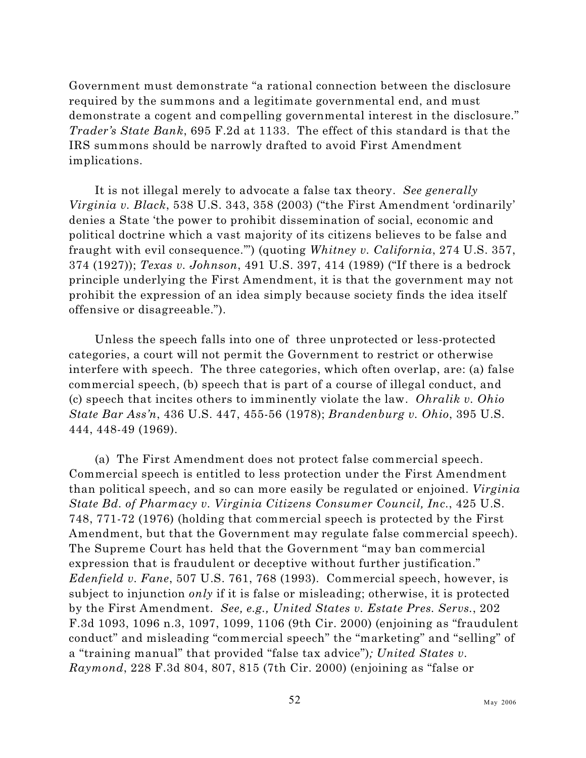Government must demonstrate "a rational connection between the disclosure required by the summons and a legitimate governmental end, and must demonstrate a cogent and compelling governmental interest in the disclosure." *Trader's State Bank*, 695 F.2d at 1133. The effect of this standard is that the IRS summons should be narrowly drafted to avoid First Amendment implications.

It is not illegal merely to advocate a false tax theory. *See generally Virginia v. Black*, 538 U.S. 343, 358 (2003) ("the First Amendment 'ordinarily' denies a State 'the power to prohibit dissemination of social, economic and political doctrine which a vast majority of its citizens believes to be false and fraught with evil consequence.'") (quoting *Whitney v. California*, 274 U.S. 357, 374 (1927)); *Texas v. Johnson*, 491 U.S. 397, 414 (1989) ("If there is a bedrock principle underlying the First Amendment, it is that the government may not prohibit the expression of an idea simply because society finds the idea itself offensive or disagreeable.").

Unless the speech falls into one of three unprotected or less-protected categories, a court will not permit the Government to restrict or otherwise interfere with speech. The three categories, which often overlap, are: (a) false commercial speech, (b) speech that is part of a course of illegal conduct, and (c) speech that incites others to imminently violate the law. *Ohralik v. Ohio State Bar Ass'n*, 436 U.S. 447, 455-56 (1978); *Brandenburg v. Ohio*, 395 U.S. 444, 448-49 (1969).

(a) The First Amendment does not protect false commercial speech. Commercial speech is entitled to less protection under the First Amendment than political speech, and so can more easily be regulated or enjoined. *Virginia State Bd. of Pharmacy v. Virginia Citizens Consumer Council, Inc.*, 425 U.S. 748, 771-72 (1976) (holding that commercial speech is protected by the First Amendment, but that the Government may regulate false commercial speech). The Supreme Court has held that the Government "may ban commercial expression that is fraudulent or deceptive without further justification." *Edenfield v. Fane*, 507 U.S. 761, 768 (1993). Commercial speech, however, is subject to injunction *only* if it is false or misleading; otherwise, it is protected by the First Amendment. *See, e.g., United States v. Estate Pres. Servs.*, 202 F.3d 1093, 1096 n.3, 1097, 1099, 1106 (9th Cir. 2000) (enjoining as "fraudulent conduct" and misleading "commercial speech" the "marketing" and "selling" of a "training manual" that provided "false tax advice")*; United States v. Raymond*, 228 F.3d 804, 807, 815 (7th Cir. 2000) (enjoining as "false or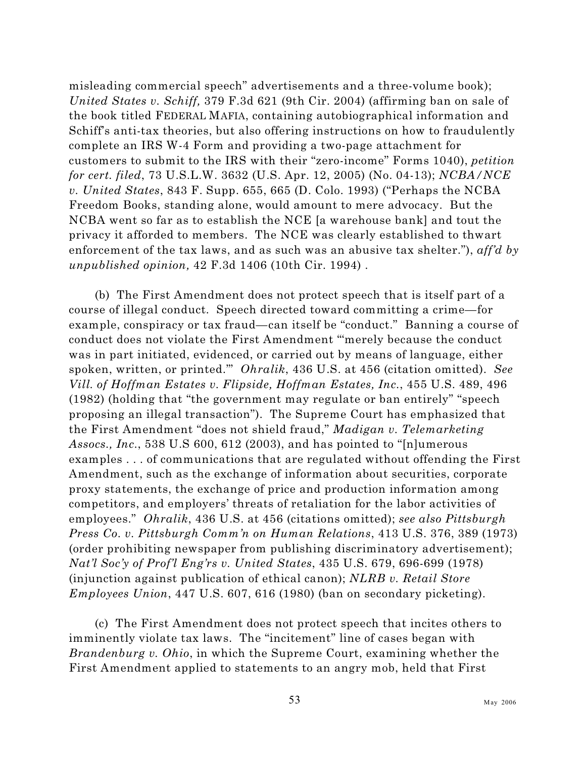misleading commercial speech" advertisements and a three-volume book); *United States v. Schiff,* 379 F.3d 621 (9th Cir. 2004) (affirming ban on sale of the book titled FEDERAL MAFIA, containing autobiographical information and Schiff's anti-tax theories, but also offering instructions on how to fraudulently complete an IRS W-4 Form and providing a two-page attachment for customers to submit to the IRS with their "zero-income" Forms 1040), *petition for cert. filed*, 73 U.S.L.W. 3632 (U.S. Apr. 12, 2005) (No. 04-13); *NCBA/NCE v. United States*, 843 F. Supp. 655, 665 (D. Colo. 1993) ("Perhaps the NCBA Freedom Books, standing alone, would amount to mere advocacy. But the NCBA went so far as to establish the NCE [a warehouse bank] and tout the privacy it afforded to members. The NCE was clearly established to thwart enforcement of the tax laws, and as such was an abusive tax shelter."), *aff'd by unpublished opinion,* 42 F.3d 1406 (10th Cir. 1994) .

(b) The First Amendment does not protect speech that is itself part of a course of illegal conduct. Speech directed toward committing a crime—for example, conspiracy or tax fraud—can itself be "conduct." Banning a course of conduct does not violate the First Amendment "'merely because the conduct was in part initiated, evidenced, or carried out by means of language, either spoken, written, or printed.'" *Ohralik*, 436 U.S. at 456 (citation omitted). *See Vill. of Hoffman Estates v. Flipside, Hoffman Estates, Inc.*, 455 U.S. 489, 496 (1982) (holding that "the government may regulate or ban entirely" "speech proposing an illegal transaction"). The Supreme Court has emphasized that the First Amendment "does not shield fraud," *Madigan v. Telemarketing Assocs., Inc.*, 538 U.S 600, 612 (2003), and has pointed to "[n]umerous examples . . . of communications that are regulated without offending the First Amendment, such as the exchange of information about securities, corporate proxy statements, the exchange of price and production information among competitors, and employers' threats of retaliation for the labor activities of employees." *Ohralik*, 436 U.S. at 456 (citations omitted); *see also Pittsburgh Press Co. v. Pittsburgh Comm'n on Human Relations*, 413 U.S. 376, 389 (1973) (order prohibiting newspaper from publishing discriminatory advertisement); *Nat'l Soc'y of Prof'l Eng'rs v. United States*, 435 U.S. 679, 696-699 (1978) (injunction against publication of ethical canon); *NLRB v. Retail Store Employees Union*, 447 U.S. 607, 616 (1980) (ban on secondary picketing).

(c) The First Amendment does not protect speech that incites others to imminently violate tax laws. The "incitement" line of cases began with *Brandenburg v. Ohio*, in which the Supreme Court, examining whether the First Amendment applied to statements to an angry mob, held that First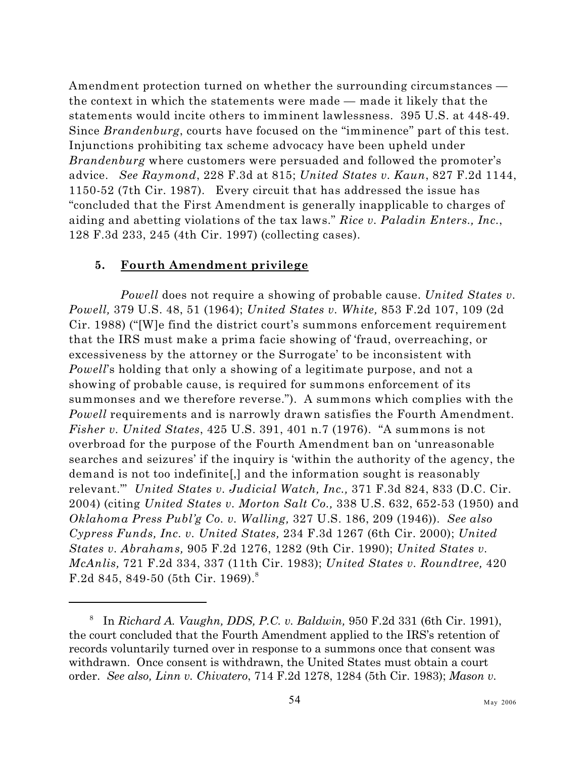Amendment protection turned on whether the surrounding circumstances the context in which the statements were made — made it likely that the statements would incite others to imminent lawlessness. 395 U.S. at 448-49. Since *Brandenburg*, courts have focused on the "imminence" part of this test. Injunctions prohibiting tax scheme advocacy have been upheld under *Brandenburg* where customers were persuaded and followed the promoter's advice. *See Raymond*, 228 F.3d at 815; *United States v. Kaun*, 827 F.2d 1144, 1150-52 (7th Cir. 1987). Every circuit that has addressed the issue has "concluded that the First Amendment is generally inapplicable to charges of aiding and abetting violations of the tax laws." *Rice v. Paladin Enters., Inc.*, 128 F.3d 233, 245 (4th Cir. 1997) (collecting cases).

## **5. Fourth Amendment privilege**

*Powell* does not require a showing of probable cause. *United States v. Powell,* 379 U.S. 48, 51 (1964); *United States v. White,* 853 F.2d 107, 109 (2d Cir. 1988) ("[W]e find the district court's summons enforcement requirement that the IRS must make a prima facie showing of 'fraud, overreaching, or excessiveness by the attorney or the Surrogate' to be inconsistent with *Powell*'s holding that only a showing of a legitimate purpose, and not a showing of probable cause, is required for summons enforcement of its summonses and we therefore reverse."). A summons which complies with the *Powell* requirements and is narrowly drawn satisfies the Fourth Amendment. *Fisher v. United States*, 425 U.S. 391, 401 n.7 (1976). "A summons is not overbroad for the purpose of the Fourth Amendment ban on 'unreasonable searches and seizures' if the inquiry is 'within the authority of the agency, the demand is not too indefinite[,] and the information sought is reasonably relevant.'" *United States v. Judicial Watch, Inc.,* 371 F.3d 824, 833 (D.C. Cir. 2004) (citing *United States v. Morton Salt Co.,* 338 U.S. 632, 652-53 (1950) and *Oklahoma Press Publ'g Co. v. Walling,* 327 U.S. 186, 209 (1946)). *See also Cypress Funds, Inc. v. United States,* 234 F.3d 1267 (6th Cir. 2000); *United States v. Abrahams,* 905 F.2d 1276, 1282 (9th Cir. 1990); *United States v. McAnlis,* 721 F.2d 334, 337 (11th Cir. 1983); *United States v. Roundtree,* 420 F.2d 845, 849-50 (5th Cir. 1969).<sup>8</sup>

In *Richard A. Vaughn, DDS, P.C. v. Baldwin,* 950 F.2d 331 (6th Cir. 1991), <sup>8</sup> the court concluded that the Fourth Amendment applied to the IRS's retention of records voluntarily turned over in response to a summons once that consent was withdrawn. Once consent is withdrawn, the United States must obtain a court order. *See also, Linn v. Chivatero*, 714 F.2d 1278, 1284 (5th Cir. 1983); *Mason v.*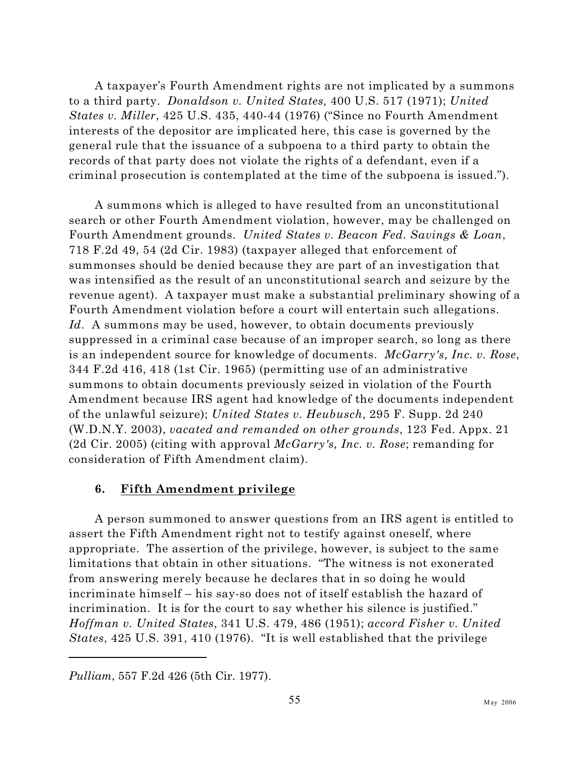A taxpayer's Fourth Amendment rights are not implicated by a summons to a third party. *Donaldson v. United States,* 400 U.S. 517 (1971); *United States v. Miller*, 425 U.S. 435, 440-44 (1976) ("Since no Fourth Amendment interests of the depositor are implicated here, this case is governed by the general rule that the issuance of a subpoena to a third party to obtain the records of that party does not violate the rights of a defendant, even if a criminal prosecution is contemplated at the time of the subpoena is issued.").

A summons which is alleged to have resulted from an unconstitutional search or other Fourth Amendment violation, however, may be challenged on Fourth Amendment grounds. *United States v. Beacon Fed. Savings & Loan*, 718 F.2d 49, 54 (2d Cir. 1983) (taxpayer alleged that enforcement of summonses should be denied because they are part of an investigation that was intensified as the result of an unconstitutional search and seizure by the revenue agent). A taxpayer must make a substantial preliminary showing of a Fourth Amendment violation before a court will entertain such allegations. *Id.* A summons may be used, however, to obtain documents previously suppressed in a criminal case because of an improper search, so long as there is an independent source for knowledge of documents. *McGarry's, Inc. v. Rose*, 344 F.2d 416, 418 (1st Cir. 1965) (permitting use of an administrative summons to obtain documents previously seized in violation of the Fourth Amendment because IRS agent had knowledge of the documents independent of the unlawful seizure); *United States v. Heubusch*, 295 F. Supp. 2d 240 (W.D.N.Y. 2003), *vacated and remanded on other grounds*, 123 Fed. Appx. 21 (2d Cir. 2005) (citing with approval *McGarry's, Inc. v. Rose*; remanding for consideration of Fifth Amendment claim).

## **6. Fifth Amendment privilege**

A person summoned to answer questions from an IRS agent is entitled to assert the Fifth Amendment right not to testify against oneself, where appropriate. The assertion of the privilege, however, is subject to the same limitations that obtain in other situations. "The witness is not exonerated from answering merely because he declares that in so doing he would incriminate himself – his say-so does not of itself establish the hazard of incrimination. It is for the court to say whether his silence is justified." *Hoffman v. United States*, 341 U.S. 479, 486 (1951); *accord Fisher v. United States*, 425 U.S. 391, 410 (1976). "It is well established that the privilege

*Pulliam*, 557 F.2d 426 (5th Cir. 1977).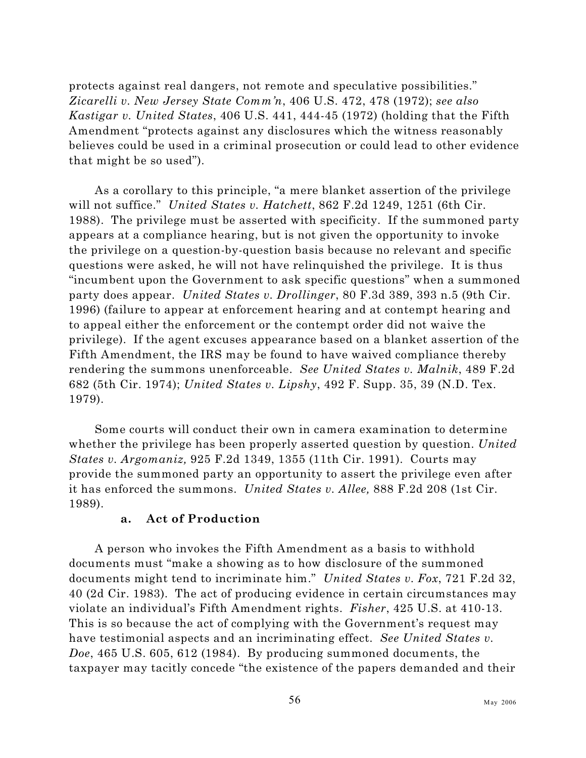protects against real dangers, not remote and speculative possibilities." *Zicarelli v. New Jersey State Comm'n*, 406 U.S. 472, 478 (1972); *see also Kastigar v. United States*, 406 U.S. 441, 444-45 (1972) (holding that the Fifth Amendment "protects against any disclosures which the witness reasonably believes could be used in a criminal prosecution or could lead to other evidence that might be so used").

As a corollary to this principle, "a mere blanket assertion of the privilege will not suffice." *United States v. Hatchett*, 862 F.2d 1249, 1251 (6th Cir. 1988). The privilege must be asserted with specificity. If the summoned party appears at a compliance hearing, but is not given the opportunity to invoke the privilege on a question-by-question basis because no relevant and specific questions were asked, he will not have relinquished the privilege. It is thus "incumbent upon the Government to ask specific questions" when a summoned party does appear. *United States v. Drollinger*, 80 F.3d 389, 393 n.5 (9th Cir. 1996) (failure to appear at enforcement hearing and at contempt hearing and to appeal either the enforcement or the contempt order did not waive the privilege). If the agent excuses appearance based on a blanket assertion of the Fifth Amendment, the IRS may be found to have waived compliance thereby rendering the summons unenforceable. *See United States v. Malnik*, 489 F.2d 682 (5th Cir. 1974); *United States v. Lipshy*, 492 F. Supp. 35, 39 (N.D. Tex. 1979).

Some courts will conduct their own in camera examination to determine whether the privilege has been properly asserted question by question. *United States v. Argomaniz,* 925 F.2d 1349, 1355 (11th Cir. 1991). Courts may provide the summoned party an opportunity to assert the privilege even after it has enforced the summons. *United States v. Allee,* 888 F.2d 208 (1st Cir. 1989).

## **a. Act of Production**

A person who invokes the Fifth Amendment as a basis to withhold documents must "make a showing as to how disclosure of the summoned documents might tend to incriminate him." *United States v. Fox*, 721 F.2d 32, 40 (2d Cir. 1983). The act of producing evidence in certain circumstances may violate an individual's Fifth Amendment rights. *Fisher*, 425 U.S. at 410-13. This is so because the act of complying with the Government's request may have testimonial aspects and an incriminating effect. *See United States v. Doe*, 465 U.S. 605, 612 (1984). By producing summoned documents, the taxpayer may tacitly concede "the existence of the papers demanded and their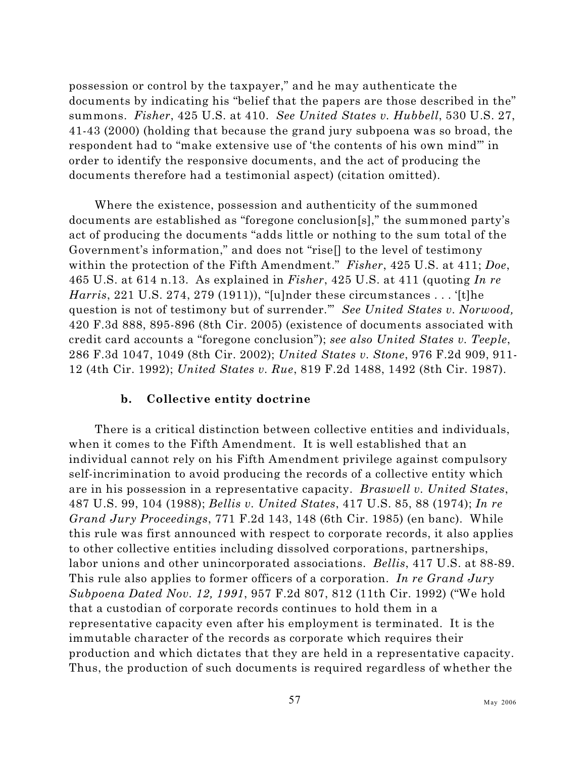possession or control by the taxpayer," and he may authenticate the documents by indicating his "belief that the papers are those described in the" summons. *Fisher*, 425 U.S. at 410. *See United States v. Hubbell*, 530 U.S. 27, 41-43 (2000) (holding that because the grand jury subpoena was so broad, the respondent had to "make extensive use of 'the contents of his own mind'" in order to identify the responsive documents, and the act of producing the documents therefore had a testimonial aspect) (citation omitted).

Where the existence, possession and authenticity of the summoned documents are established as "foregone conclusion[s]," the summoned party's act of producing the documents "adds little or nothing to the sum total of the Government's information," and does not "rise[] to the level of testimony within the protection of the Fifth Amendment." *Fisher*, 425 U.S. at 411; *Doe*, 465 U.S. at 614 n.13. As explained in *Fisher*, 425 U.S. at 411 (quoting *In re Harris*, 221 U.S. 274, 279 (1911)), "[u]nder these circumstances . . . '[t]he question is not of testimony but of surrender.'" *See United States v. Norwood,* 420 F.3d 888, 895-896 (8th Cir. 2005) (existence of documents associated with credit card accounts a "foregone conclusion"); *see also United States v. Teeple*, 286 F.3d 1047, 1049 (8th Cir. 2002); *United States v. Stone*, 976 F.2d 909, 911- 12 (4th Cir. 1992); *United States v. Rue*, 819 F.2d 1488, 1492 (8th Cir. 1987).

#### **b. Collective entity doctrine**

There is a critical distinction between collective entities and individuals, when it comes to the Fifth Amendment. It is well established that an individual cannot rely on his Fifth Amendment privilege against compulsory self-incrimination to avoid producing the records of a collective entity which are in his possession in a representative capacity. *Braswell v. United States*, 487 U.S. 99, 104 (1988); *Bellis v. United States*, 417 U.S. 85, 88 (1974); *In re Grand Jury Proceedings*, 771 F.2d 143, 148 (6th Cir. 1985) (en banc). While this rule was first announced with respect to corporate records, it also applies to other collective entities including dissolved corporations, partnerships, labor unions and other unincorporated associations. *Bellis*, 417 U.S. at 88-89. This rule also applies to former officers of a corporation. *In re Grand Jury Subpoena Dated Nov. 12, 1991*, 957 F.2d 807, 812 (11th Cir. 1992) ("We hold that a custodian of corporate records continues to hold them in a representative capacity even after his employment is terminated. It is the immutable character of the records as corporate which requires their production and which dictates that they are held in a representative capacity. Thus, the production of such documents is required regardless of whether the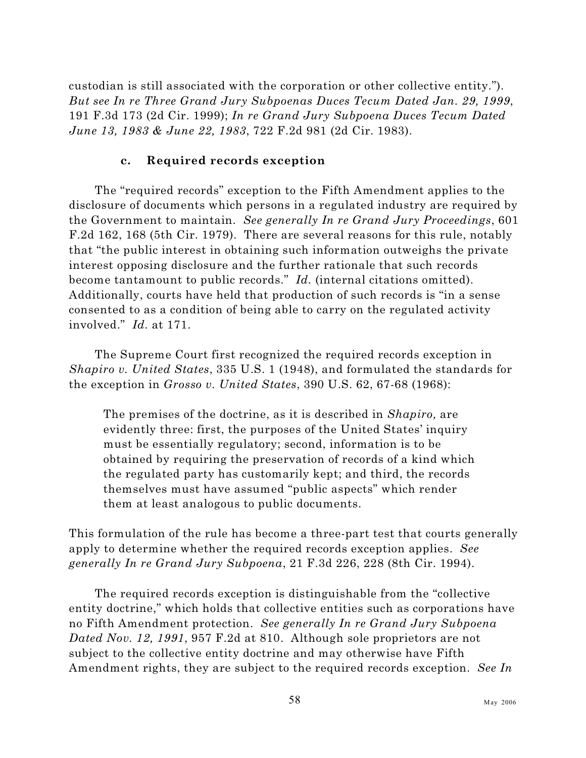custodian is still associated with the corporation or other collective entity."). *But see In re Three Grand Jury Subpoenas Duces Tecum Dated Jan. 29, 1999*, 191 F.3d 173 (2d Cir. 1999); *In re Grand Jury Subpoena Duces Tecum Dated June 13, 1983 & June 22, 1983*, 722 F.2d 981 (2d Cir. 1983).

#### **c. Required records exception**

The "required records" exception to the Fifth Amendment applies to the disclosure of documents which persons in a regulated industry are required by the Government to maintain. *See generally In re Grand Jury Proceedings*, 601 F.2d 162, 168 (5th Cir. 1979). There are several reasons for this rule, notably that "the public interest in obtaining such information outweighs the private interest opposing disclosure and the further rationale that such records become tantamount to public records." *Id.* (internal citations omitted). Additionally, courts have held that production of such records is "in a sense consented to as a condition of being able to carry on the regulated activity involved." *Id.* at 171.

The Supreme Court first recognized the required records exception in *Shapiro v. United States*, 335 U.S. 1 (1948), and formulated the standards for the exception in *Grosso v. United States*, 390 U.S. 62, 67-68 (1968):

The premises of the doctrine, as it is described in *Shapiro,* are evidently three: first, the purposes of the United States' inquiry must be essentially regulatory; second, information is to be obtained by requiring the preservation of records of a kind which the regulated party has customarily kept; and third, the records themselves must have assumed "public aspects" which render them at least analogous to public documents.

This formulation of the rule has become a three-part test that courts generally apply to determine whether the required records exception applies. *See generally In re Grand Jury Subpoena*, 21 F.3d 226, 228 (8th Cir. 1994).

The required records exception is distinguishable from the "collective entity doctrine," which holds that collective entities such as corporations have no Fifth Amendment protection. *See generally In re Grand Jury Subpoena Dated Nov. 12, 1991*, 957 F.2d at 810. Although sole proprietors are not subject to the collective entity doctrine and may otherwise have Fifth Amendment rights, they are subject to the required records exception. *See In*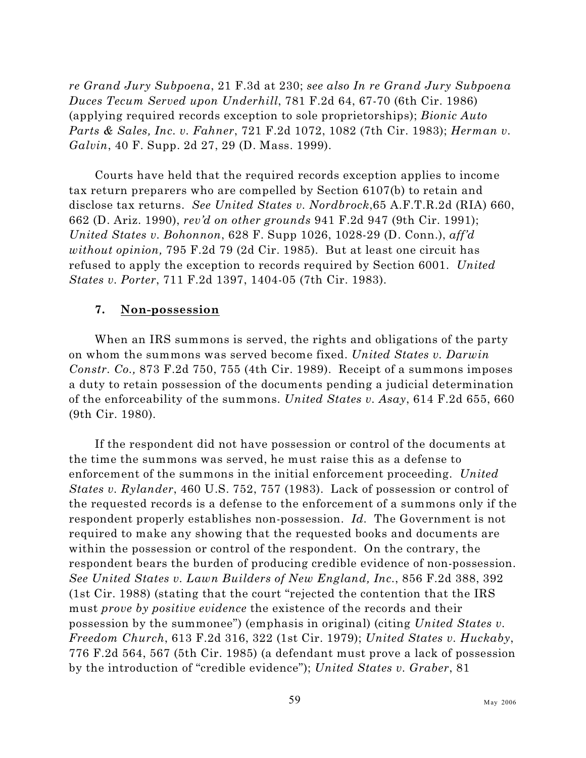*re Grand Jury Subpoena*, 21 F.3d at 230; *see also In re Grand Jury Subpoena Duces Tecum Served upon Underhill*, 781 F.2d 64, 67-70 (6th Cir. 1986) (applying required records exception to sole proprietorships); *Bionic Auto Parts & Sales, Inc. v. Fahner*, 721 F.2d 1072, 1082 (7th Cir. 1983); *Herman v. Galvin*, 40 F. Supp. 2d 27, 29 (D. Mass. 1999).

Courts have held that the required records exception applies to income tax return preparers who are compelled by Section 6107(b) to retain and disclose tax returns. *See United States v. Nordbrock*,65 A.F.T.R.2d (RIA) 660, 662 (D. Ariz. 1990), *rev'd on other grounds* 941 F.2d 947 (9th Cir. 1991); *United States v. Bohonnon*, 628 F. Supp 1026, 1028-29 (D. Conn.), *aff'd without opinion,* 795 F.2d 79 (2d Cir. 1985). But at least one circuit has refused to apply the exception to records required by Section 6001. *United States v. Porter*, 711 F.2d 1397, 1404-05 (7th Cir. 1983).

#### **7. Non-possession**

When an IRS summons is served, the rights and obligations of the party on whom the summons was served become fixed. *United States v. Darwin Constr. Co.,* 873 F.2d 750, 755 (4th Cir. 1989). Receipt of a summons imposes a duty to retain possession of the documents pending a judicial determination of the enforceability of the summons. *United States v. Asay*, 614 F.2d 655, 660 (9th Cir. 1980).

If the respondent did not have possession or control of the documents at the time the summons was served, he must raise this as a defense to enforcement of the summons in the initial enforcement proceeding. *United States v. Rylander*, 460 U.S. 752, 757 (1983). Lack of possession or control of the requested records is a defense to the enforcement of a summons only if the respondent properly establishes non-possession. *Id.* The Government is not required to make any showing that the requested books and documents are within the possession or control of the respondent. On the contrary, the respondent bears the burden of producing credible evidence of non-possession. *See United States v. Lawn Builders of New England, Inc.*, 856 F.2d 388, 392 (1st Cir. 1988) (stating that the court "rejected the contention that the IRS must *prove by positive evidence* the existence of the records and their possession by the summonee") (emphasis in original) (citing *United States v. Freedom Church*, 613 F.2d 316, 322 (1st Cir. 1979); *United States v. Huckaby*, 776 F.2d 564, 567 (5th Cir. 1985) (a defendant must prove a lack of possession by the introduction of "credible evidence"); *United States v. Graber*, 81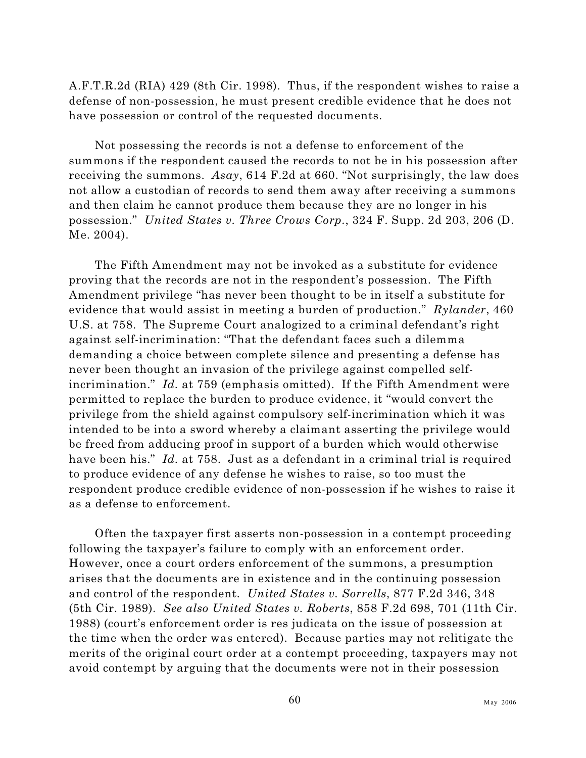A.F.T.R.2d (RIA) 429 (8th Cir. 1998). Thus, if the respondent wishes to raise a defense of non-possession, he must present credible evidence that he does not have possession or control of the requested documents.

Not possessing the records is not a defense to enforcement of the summons if the respondent caused the records to not be in his possession after receiving the summons. *Asay*, 614 F.2d at 660. "Not surprisingly, the law does not allow a custodian of records to send them away after receiving a summons and then claim he cannot produce them because they are no longer in his possession." *United States v. Three Crows Corp.*, 324 F. Supp. 2d 203, 206 (D. Me. 2004).

The Fifth Amendment may not be invoked as a substitute for evidence proving that the records are not in the respondent's possession. The Fifth Amendment privilege "has never been thought to be in itself a substitute for evidence that would assist in meeting a burden of production." *Rylander*, 460 U.S. at 758. The Supreme Court analogized to a criminal defendant's right against self-incrimination: "That the defendant faces such a dilemma demanding a choice between complete silence and presenting a defense has never been thought an invasion of the privilege against compelled selfincrimination." *Id.* at 759 (emphasis omitted). If the Fifth Amendment were permitted to replace the burden to produce evidence, it "would convert the privilege from the shield against compulsory self-incrimination which it was intended to be into a sword whereby a claimant asserting the privilege would be freed from adducing proof in support of a burden which would otherwise have been his." *Id.* at 758. Just as a defendant in a criminal trial is required to produce evidence of any defense he wishes to raise, so too must the respondent produce credible evidence of non-possession if he wishes to raise it as a defense to enforcement.

Often the taxpayer first asserts non-possession in a contempt proceeding following the taxpayer's failure to comply with an enforcement order. However, once a court orders enforcement of the summons, a presumption arises that the documents are in existence and in the continuing possession and control of the respondent. *United States v. Sorrells*, 877 F.2d 346, 348 (5th Cir. 1989). *See also United States v. Roberts*, 858 F.2d 698, 701 (11th Cir. 1988) (court's enforcement order is res judicata on the issue of possession at the time when the order was entered). Because parties may not relitigate the merits of the original court order at a contempt proceeding, taxpayers may not avoid contempt by arguing that the documents were not in their possession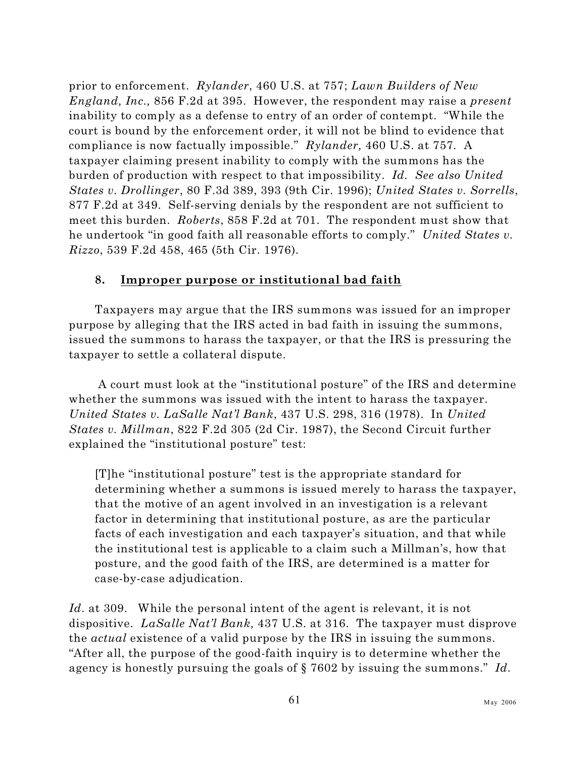prior to enforcement. *Rylander*, 460 U.S. at 757; *Lawn Builders of New England, Inc.,* 856 F.2d at 395. However, the respondent may raise a *present* inability to comply as a defense to entry of an order of contempt. "While the court is bound by the enforcement order, it will not be blind to evidence that compliance is now factually impossible." *Rylander,* 460 U.S. at 757*.* A taxpayer claiming present inability to comply with the summons has the burden of production with respect to that impossibility. *Id. See also United States v. Drollinger*, 80 F.3d 389, 393 (9th Cir. 1996); *United States v. Sorrells*, 877 F.2d at 349. Self-serving denials by the respondent are not sufficient to meet this burden. *Roberts*, 858 F.2d at 701. The respondent must show that he undertook "in good faith all reasonable efforts to comply." *United States v. Rizzo*, 539 F.2d 458, 465 (5th Cir. 1976).

## **8. Improper purpose or institutional bad faith**

Taxpayers may argue that the IRS summons was issued for an improper purpose by alleging that the IRS acted in bad faith in issuing the summons, issued the summons to harass the taxpayer, or that the IRS is pressuring the taxpayer to settle a collateral dispute.

 A court must look at the "institutional posture" of the IRS and determine whether the summons was issued with the intent to harass the taxpayer. *United States v. LaSalle Nat'l Bank*, 437 U.S. 298, 316 (1978). In *United States v. Millman*, 822 F.2d 305 (2d Cir. 1987), the Second Circuit further explained the "institutional posture" test:

[T]he "institutional posture" test is the appropriate standard for determining whether a summons is issued merely to harass the taxpayer, that the motive of an agent involved in an investigation is a relevant factor in determining that institutional posture, as are the particular facts of each investigation and each taxpayer's situation, and that while the institutional test is applicable to a claim such a Millman's, how that posture, and the good faith of the IRS, are determined is a matter for case-by-case adjudication.

*Id*. at 309. While the personal intent of the agent is relevant, it is not dispositive. *LaSalle Nat'l Bank,* 437 U.S. at 316. The taxpayer must disprove the *actual* existence of a valid purpose by the IRS in issuing the summons. "After all, the purpose of the good-faith inquiry is to determine whether the agency is honestly pursuing the goals of § 7602 by issuing the summons." *Id.*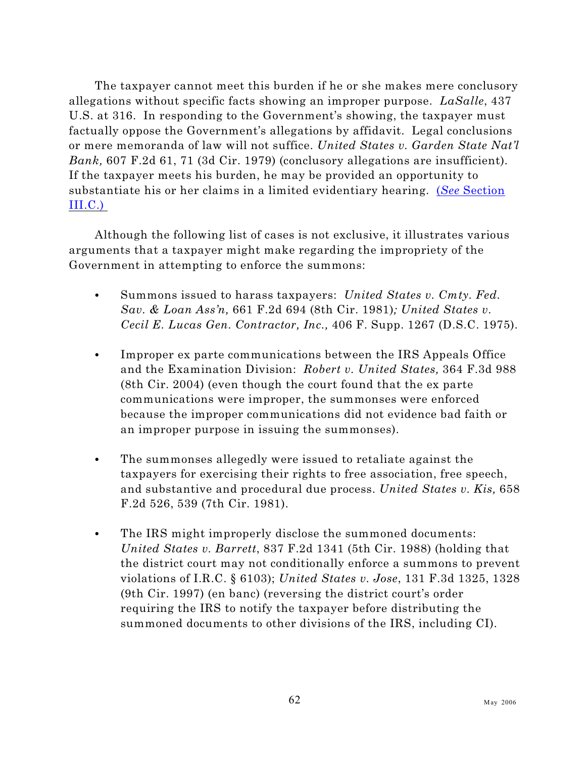The taxpayer cannot meet this burden if he or she makes mere conclusory allegations without specific facts showing an improper purpose. *LaSalle*, 437 U.S. at 316. In responding to the Government's showing, the taxpayer must factually oppose the Government's allegations by affidavit. Legal conclusions or mere memoranda of law will not suffice. *United States v. Garden State Nat'l Bank,* 607 F.2d 61, 71 (3d Cir. 1979) (conclusory allegations are insufficient). If the taxpayer meets his burden, he may be provided an opportunity to substantiate his or her claims in a limited evidentiary hearing. (*See* [Section](#page-94-0) [III.C.\)](#page-94-0)

Although the following list of cases is not exclusive, it illustrates various arguments that a taxpayer might make regarding the impropriety of the Government in attempting to enforce the summons:

- Summons issued to harass taxpayers: *United States v. Cmty. Fed. Sav. & Loan Ass'n,* 661 F.2d 694 (8th Cir. 1981)*; United States v. Cecil E. Lucas Gen. Contractor, Inc.,* 406 F. Supp. 1267 (D.S.C. 1975).
- Improper ex parte communications between the IRS Appeals Office and the Examination Division: *Robert v. United States,* 364 F.3d 988 (8th Cir. 2004) (even though the court found that the ex parte communications were improper, the summonses were enforced because the improper communications did not evidence bad faith or an improper purpose in issuing the summonses).
- The summonses allegedly were issued to retaliate against the taxpayers for exercising their rights to free association, free speech, and substantive and procedural due process. *United States v. Kis,* 658 F.2d 526, 539 (7th Cir. 1981).
- The IRS might improperly disclose the summoned documents: *United States v. Barrett*, 837 F.2d 1341 (5th Cir. 1988) (holding that the district court may not conditionally enforce a summons to prevent violations of I.R.C. § 6103); *United States v. Jose*, 131 F.3d 1325, 1328 (9th Cir. 1997) (en banc) (reversing the district court's order requiring the IRS to notify the taxpayer before distributing the summoned documents to other divisions of the IRS, including CI).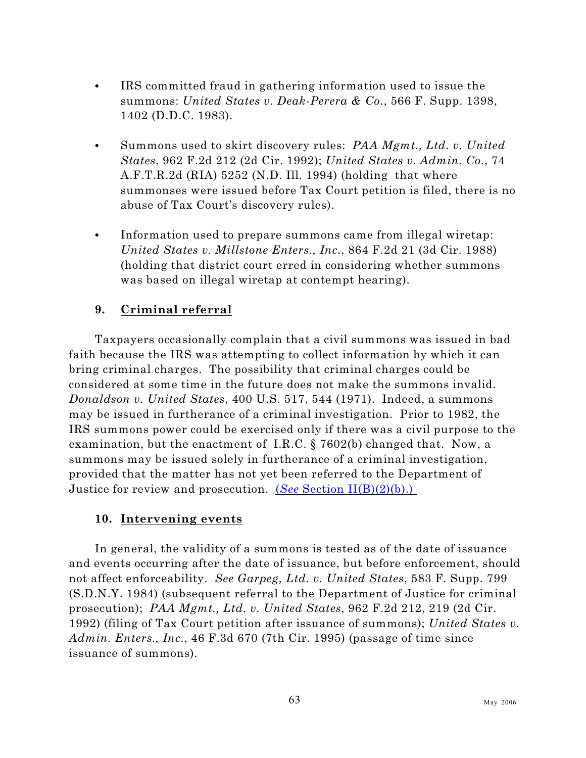- IRS committed fraud in gathering information used to issue the summons: *United States v. Deak-Perera & Co.*, 566 F. Supp. 1398, 1402 (D.D.C. 1983).
- C Summons used to skirt discovery rules: *PAA Mgmt., Ltd. v. United States*, 962 F.2d 212 (2d Cir. 1992); *United States v. Admin. Co.*, 74 A.F.T.R.2d (RIA) 5252 (N.D. Ill. 1994) (holding that where summonses were issued before Tax Court petition is filed, there is no abuse of Tax Court's discovery rules).
- Information used to prepare summons came from illegal wiretap: *United States v. Millstone Enters., Inc.*, 864 F.2d 21 (3d Cir. 1988) (holding that district court erred in considering whether summons was based on illegal wiretap at contempt hearing).

## **9. Criminal referral**

Taxpayers occasionally complain that a civil summons was issued in bad faith because the IRS was attempting to collect information by which it can bring criminal charges. The possibility that criminal charges could be considered at some time in the future does not make the summons invalid. *Donaldson v. United States*, 400 U.S. 517, 544 (1971). Indeed, a summons may be issued in furtherance of a criminal investigation. Prior to 1982, the IRS summons power could be exercised only if there was a civil purpose to the examination, but the enactment of I.R.C. § 7602(b) changed that. Now, a summons may be issued solely in furtherance of a criminal investigation, provided that the matter has not yet been referred to the Department of Justice for review and prosecution. (*See* [Section II\(B\)\(2\)\(b\).\)](#page-29-0) 

#### **10. Intervening events**

In general, the validity of a summons is tested as of the date of issuance and events occurring after the date of issuance, but before enforcement, should not affect enforceability. *See Garpeg, Ltd. v. United States*, 583 F. Supp. 799 (S.D.N.Y. 1984) (subsequent referral to the Department of Justice for criminal prosecution); *PAA Mgmt., Ltd. v. United States*, 962 F.2d 212, 219 (2d Cir. 1992) (filing of Tax Court petition after issuance of summons); *United States v. Admin. Enters., Inc.*, 46 F.3d 670 (7th Cir. 1995) (passage of time since issuance of summons).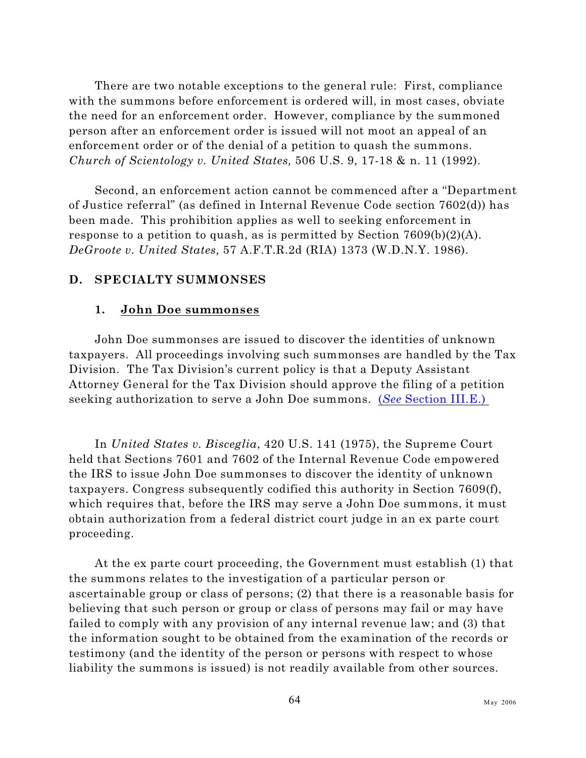There are two notable exceptions to the general rule: First, compliance with the summons before enforcement is ordered will, in most cases, obviate the need for an enforcement order. However, compliance by the summoned person after an enforcement order is issued will not moot an appeal of an enforcement order or of the denial of a petition to quash the summons. *Church of Scientology v. United States,* 506 U.S. 9, 17-18 & n. 11 (1992).

Second, an enforcement action cannot be commenced after a "Department of Justice referral" (as defined in Internal Revenue Code section 7602(d)) has been made. This prohibition applies as well to seeking enforcement in response to a petition to quash, as is permitted by Section  $7609(b)(2)(A)$ . *DeGroote v. United States,* 57 A.F.T.R.2d (RIA) 1373 (W.D.N.Y. 1986).

#### **D. SPECIALTY SUMMONSES**

#### **1. John Doe summonses**

John Doe summonses are issued to discover the identities of unknown taxpayers. All proceedings involving such summonses are handled by the Tax Division. The Tax Division's current policy is that a Deputy Assistant Attorney General for the Tax Division should approve the filing of a petition seeking authorization to serve a John Doe summons. (*See* [Section III.E.\)](#page-97-0)

In *United States v. Bisceglia*, 420 U.S. 141 (1975), the Supreme Court held that Sections 7601 and 7602 of the Internal Revenue Code empowered the IRS to issue John Doe summonses to discover the identity of unknown taxpayers. Congress subsequently codified this authority in Section 7609(f), which requires that, before the IRS may serve a John Doe summons, it must obtain authorization from a federal district court judge in an ex parte court proceeding.

At the ex parte court proceeding, the Government must establish (1) that the summons relates to the investigation of a particular person or ascertainable group or class of persons; (2) that there is a reasonable basis for believing that such person or group or class of persons may fail or may have failed to comply with any provision of any internal revenue law; and (3) that the information sought to be obtained from the examination of the records or testimony (and the identity of the person or persons with respect to whose liability the summons is issued) is not readily available from other sources.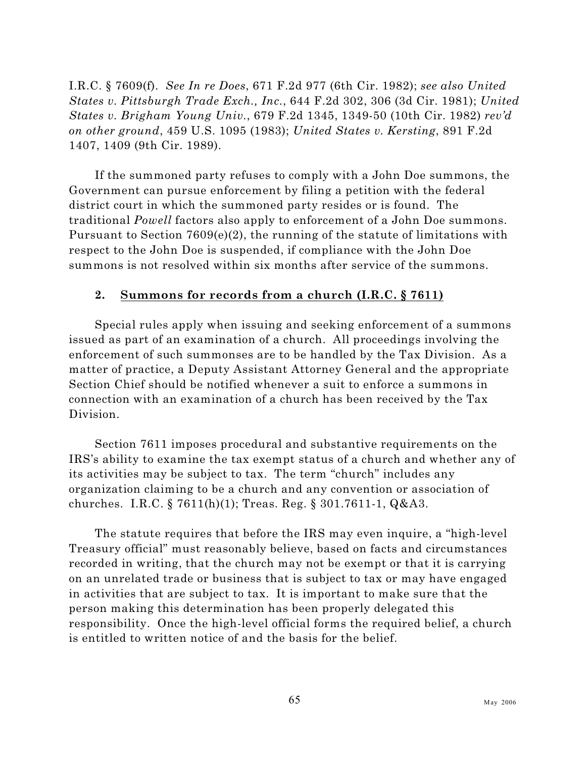I.R.C. § 7609(f). *See In re Does*, 671 F.2d 977 (6th Cir. 1982); *see also United States v. Pittsburgh Trade Exch., Inc.*, 644 F.2d 302, 306 (3d Cir. 1981); *United States v. Brigham Young Univ.*, 679 F.2d 1345, 1349-50 (10th Cir. 1982) *rev'd on other ground*, 459 U.S. 1095 (1983); *United States v. Kersting*, 891 F.2d 1407, 1409 (9th Cir. 1989).

If the summoned party refuses to comply with a John Doe summons, the Government can pursue enforcement by filing a petition with the federal district court in which the summoned party resides or is found. The traditional *Powell* factors also apply to enforcement of a John Doe summons. Pursuant to Section 7609(e)(2), the running of the statute of limitations with respect to the John Doe is suspended, if compliance with the John Doe summons is not resolved within six months after service of the summons.

#### **2. Summons for records from a church (I.R.C. § 7611)**

Special rules apply when issuing and seeking enforcement of a summons issued as part of an examination of a church. All proceedings involving the enforcement of such summonses are to be handled by the Tax Division. As a matter of practice, a Deputy Assistant Attorney General and the appropriate Section Chief should be notified whenever a suit to enforce a summons in connection with an examination of a church has been received by the Tax Division.

Section 7611 imposes procedural and substantive requirements on the IRS's ability to examine the tax exempt status of a church and whether any of its activities may be subject to tax. The term "church" includes any organization claiming to be a church and any convention or association of churches. I.R.C. § 7611(h)(1); Treas. Reg. § 301.7611-1, Q&A3.

The statute requires that before the IRS may even inquire, a "high-level Treasury official" must reasonably believe, based on facts and circumstances recorded in writing, that the church may not be exempt or that it is carrying on an unrelated trade or business that is subject to tax or may have engaged in activities that are subject to tax. It is important to make sure that the person making this determination has been properly delegated this responsibility. Once the high-level official forms the required belief, a church is entitled to written notice of and the basis for the belief.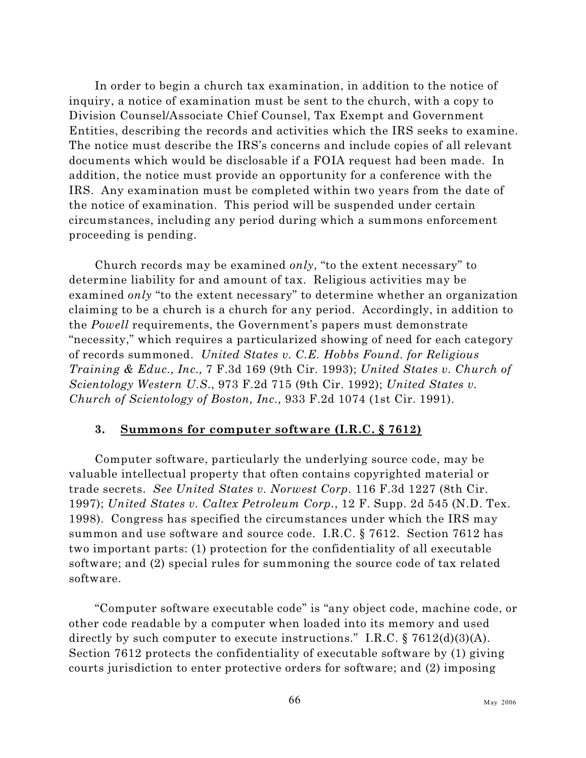In order to begin a church tax examination, in addition to the notice of inquiry, a notice of examination must be sent to the church, with a copy to Division Counsel/Associate Chief Counsel, Tax Exempt and Government Entities, describing the records and activities which the IRS seeks to examine. The notice must describe the IRS's concerns and include copies of all relevant documents which would be disclosable if a FOIA request had been made. In addition, the notice must provide an opportunity for a conference with the IRS. Any examination must be completed within two years from the date of the notice of examination. This period will be suspended under certain circumstances, including any period during which a summons enforcement proceeding is pending.

Church records may be examined *only*, "to the extent necessary" to determine liability for and amount of tax. Religious activities may be examined *only* "to the extent necessary" to determine whether an organization claiming to be a church is a church for any period. Accordingly, in addition to the *Powell* requirements, the Government's papers must demonstrate "necessity," which requires a particularized showing of need for each category of records summoned. *United States v. C.E. Hobbs Found. for Religious Training & Educ., Inc.,* 7 F.3d 169 (9th Cir. 1993); *United States v. Church of Scientology Western U.S.*, 973 F.2d 715 (9th Cir. 1992); *United States v. Church of Scientology of Boston, Inc.,* 933 F.2d 1074 (1st Cir. 1991).

## **3. Summons for computer software (I.R.C. § 7612)**

Computer software, particularly the underlying source code, may be valuable intellectual property that often contains copyrighted material or trade secrets. *See United States v. Norwest Corp.* 116 F.3d 1227 (8th Cir. 1997); *United States v. Caltex Petroleum Corp.*, 12 F. Supp. 2d 545 (N.D. Tex. 1998). Congress has specified the circumstances under which the IRS may summon and use software and source code. I.R.C. § 7612. Section 7612 has two important parts: (1) protection for the confidentiality of all executable software; and (2) special rules for summoning the source code of tax related software.

"Computer software executable code" is "any object code, machine code, or other code readable by a computer when loaded into its memory and used directly by such computer to execute instructions." I.R.C.  $\S 7612(d)(3)(A)$ . Section 7612 protects the confidentiality of executable software by (1) giving courts jurisdiction to enter protective orders for software; and (2) imposing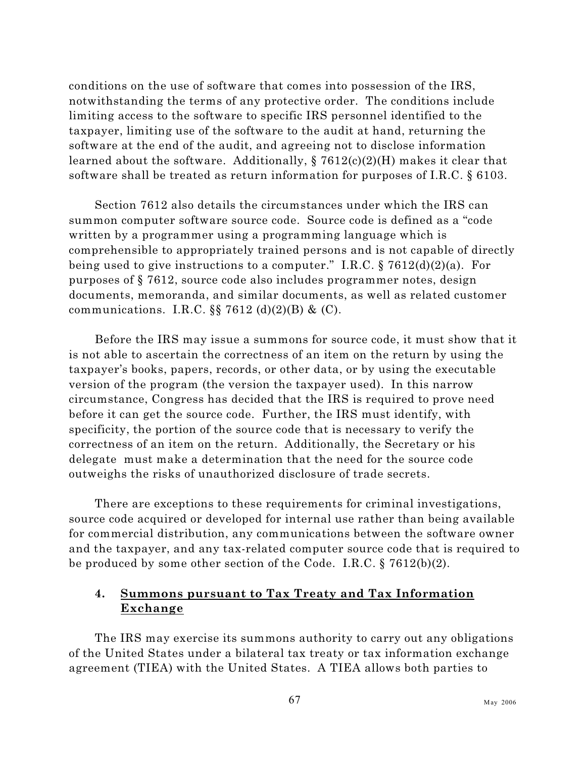conditions on the use of software that comes into possession of the IRS, notwithstanding the terms of any protective order. The conditions include limiting access to the software to specific IRS personnel identified to the taxpayer, limiting use of the software to the audit at hand, returning the software at the end of the audit, and agreeing not to disclose information learned about the software. Additionally, § 7612(c)(2)(H) makes it clear that software shall be treated as return information for purposes of I.R.C. § 6103.

Section 7612 also details the circumstances under which the IRS can summon computer software source code. Source code is defined as a "code written by a programmer using a programming language which is comprehensible to appropriately trained persons and is not capable of directly being used to give instructions to a computer." I.R.C.  $\S 7612(d)(2)(a)$ . For purposes of § 7612, source code also includes programmer notes, design documents, memoranda, and similar documents, as well as related customer communications. I.R.C.  $\S$  7612 (d)(2)(B) & (C).

Before the IRS may issue a summons for source code, it must show that it is not able to ascertain the correctness of an item on the return by using the taxpayer's books, papers, records, or other data, or by using the executable version of the program (the version the taxpayer used). In this narrow circumstance, Congress has decided that the IRS is required to prove need before it can get the source code. Further, the IRS must identify, with specificity, the portion of the source code that is necessary to verify the correctness of an item on the return. Additionally, the Secretary or his delegate must make a determination that the need for the source code outweighs the risks of unauthorized disclosure of trade secrets.

There are exceptions to these requirements for criminal investigations, source code acquired or developed for internal use rather than being available for commercial distribution, any communications between the software owner and the taxpayer, and any tax-related computer source code that is required to be produced by some other section of the Code. I.R.C. § 7612(b)(2).

## **4. Summons pursuant to Tax Treaty and Tax Information Exchange**

The IRS may exercise its summons authority to carry out any obligations of the United States under a bilateral tax treaty or tax information exchange agreement (TIEA) with the United States. A TIEA allows both parties to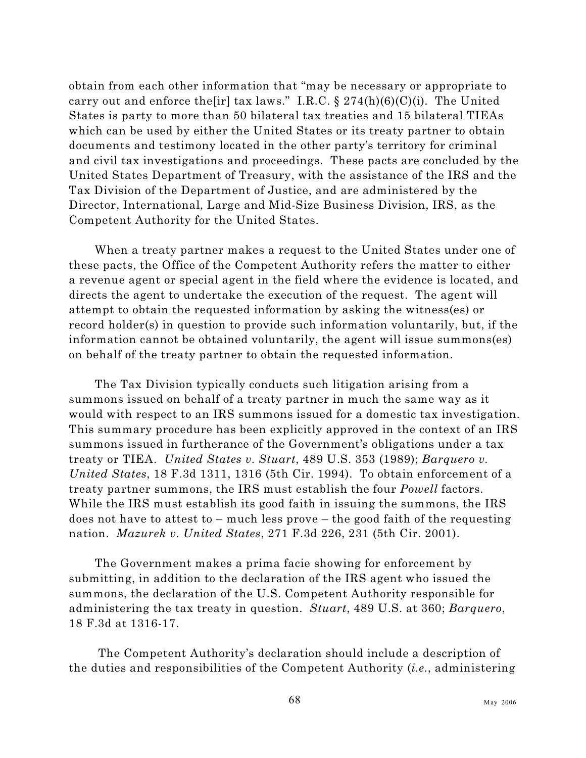obtain from each other information that "may be necessary or appropriate to carry out and enforce the [ir] tax laws." I.R.C.  $\S 274(h)(6)(C)(i)$ . The United States is party to more than 50 bilateral tax treaties and 15 bilateral TIEAs which can be used by either the United States or its treaty partner to obtain documents and testimony located in the other party's territory for criminal and civil tax investigations and proceedings. These pacts are concluded by the United States Department of Treasury, with the assistance of the IRS and the Tax Division of the Department of Justice, and are administered by the Director, International, Large and Mid-Size Business Division, IRS, as the Competent Authority for the United States.

When a treaty partner makes a request to the United States under one of these pacts, the Office of the Competent Authority refers the matter to either a revenue agent or special agent in the field where the evidence is located, and directs the agent to undertake the execution of the request. The agent will attempt to obtain the requested information by asking the witness(es) or record holder(s) in question to provide such information voluntarily, but, if the information cannot be obtained voluntarily, the agent will issue summons(es) on behalf of the treaty partner to obtain the requested information.

The Tax Division typically conducts such litigation arising from a summons issued on behalf of a treaty partner in much the same way as it would with respect to an IRS summons issued for a domestic tax investigation. This summary procedure has been explicitly approved in the context of an IRS summons issued in furtherance of the Government's obligations under a tax treaty or TIEA. *United States v. Stuart*, 489 U.S. 353 (1989); *Barquero v. United States*, 18 F.3d 1311, 1316 (5th Cir. 1994). To obtain enforcement of a treaty partner summons, the IRS must establish the four *Powell* factors. While the IRS must establish its good faith in issuing the summons, the IRS does not have to attest to – much less prove – the good faith of the requesting nation. *Mazurek v. United States*, 271 F.3d 226, 231 (5th Cir. 2001).

The Government makes a prima facie showing for enforcement by submitting, in addition to the declaration of the IRS agent who issued the summons, the declaration of the U.S. Competent Authority responsible for administering the tax treaty in question. *Stuart*, 489 U.S. at 360; *Barquero*, 18 F.3d at 1316-17.

 The Competent Authority's declaration should include a description of the duties and responsibilities of the Competent Authority (*i.e.*, administering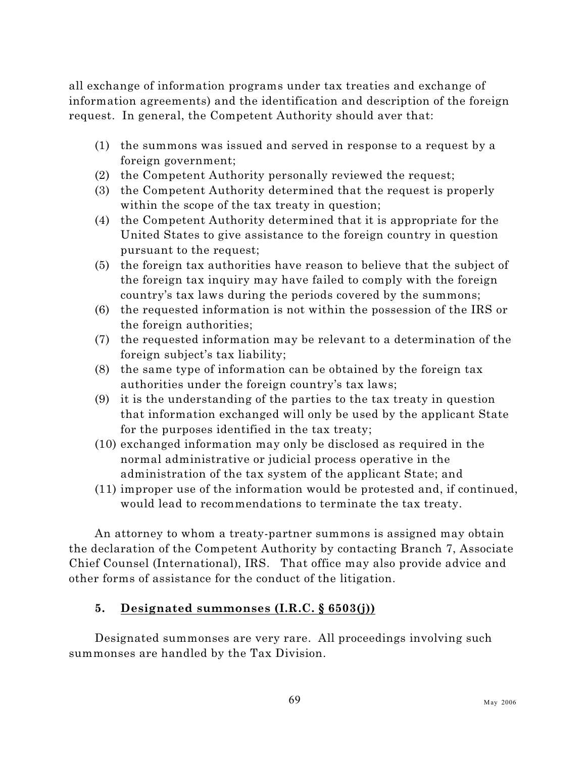all exchange of information programs under tax treaties and exchange of information agreements) and the identification and description of the foreign request. In general, the Competent Authority should aver that:

- (1) the summons was issued and served in response to a request by a foreign government;
- (2) the Competent Authority personally reviewed the request;
- (3) the Competent Authority determined that the request is properly within the scope of the tax treaty in question;
- (4) the Competent Authority determined that it is appropriate for the United States to give assistance to the foreign country in question pursuant to the request;
- (5) the foreign tax authorities have reason to believe that the subject of the foreign tax inquiry may have failed to comply with the foreign country's tax laws during the periods covered by the summons;
- (6) the requested information is not within the possession of the IRS or the foreign authorities;
- (7) the requested information may be relevant to a determination of the foreign subject's tax liability;
- (8) the same type of information can be obtained by the foreign tax authorities under the foreign country's tax laws;
- (9) it is the understanding of the parties to the tax treaty in question that information exchanged will only be used by the applicant State for the purposes identified in the tax treaty;
- (10) exchanged information may only be disclosed as required in the normal administrative or judicial process operative in the administration of the tax system of the applicant State; and
- (11) improper use of the information would be protested and, if continued, would lead to recommendations to terminate the tax treaty.

An attorney to whom a treaty-partner summons is assigned may obtain the declaration of the Competent Authority by contacting Branch 7, Associate Chief Counsel (International), IRS. That office may also provide advice and other forms of assistance for the conduct of the litigation.

## **5. Designated summonses (I.R.C. § 6503(j))**

Designated summonses are very rare. All proceedings involving such summonses are handled by the Tax Division.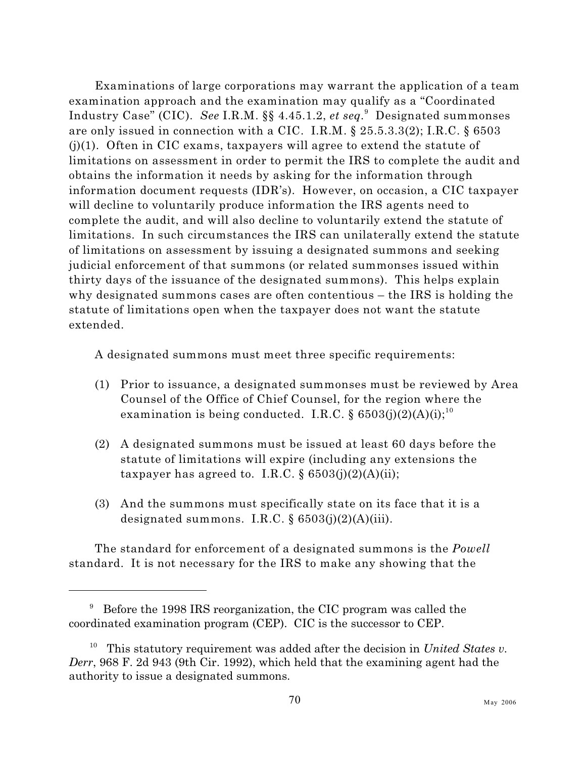Examinations of large corporations may warrant the application of a team examination approach and the examination may qualify as a "Coordinated Industry Case" (CIC). *See* I.R.M. §§ 4.45.1.2, *et seq.* Designated summonses are only issued in connection with a CIC. I.R.M. § 25.5.3.3(2); I.R.C. § 6503  $(j)(1)$ . Often in CIC exams, taxpayers will agree to extend the statute of limitations on assessment in order to permit the IRS to complete the audit and obtains the information it needs by asking for the information through information document requests (IDR's). However, on occasion, a CIC taxpayer will decline to voluntarily produce information the IRS agents need to complete the audit, and will also decline to voluntarily extend the statute of limitations. In such circumstances the IRS can unilaterally extend the statute of limitations on assessment by issuing a designated summons and seeking judicial enforcement of that summons (or related summonses issued within thirty days of the issuance of the designated summons). This helps explain why designated summons cases are often contentious – the IRS is holding the statute of limitations open when the taxpayer does not want the statute extended.

A designated summons must meet three specific requirements:

- (1) Prior to issuance, a designated summonses must be reviewed by Area Counsel of the Office of Chief Counsel, for the region where the examination is being conducted. I.R.C. §  $6503(j)(2)(A)(i);$ <sup>10</sup>
- (2) A designated summons must be issued at least 60 days before the statute of limitations will expire (including any extensions the taxpayer has agreed to. I.R.C.  $\S 6503(i)(2)(A)(ii);$
- (3) And the summons must specifically state on its face that it is a designated summons. I.R.C.  $\S 6503(j)(2)(A)(iii)$ .

The standard for enforcement of a designated summons is the *Powell* standard. It is not necessary for the IRS to make any showing that the

 $9$  Before the 1998 IRS reorganization, the CIC program was called the coordinated examination program (CEP). CIC is the successor to CEP.

This statutory requirement was added after the decision in *United States v. Derr*, 968 F. 2d 943 (9th Cir. 1992), which held that the examining agent had the authority to issue a designated summons.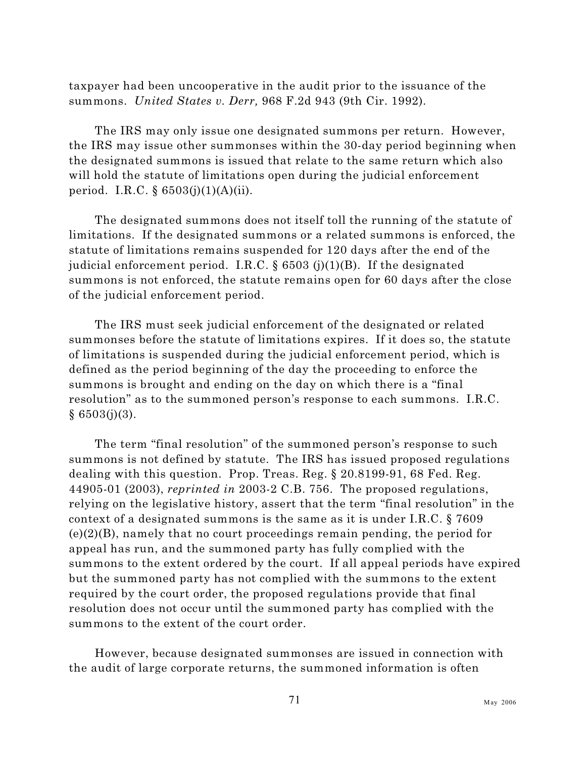taxpayer had been uncooperative in the audit prior to the issuance of the summons. *United States v. Derr,* 968 F.2d 943 (9th Cir. 1992).

The IRS may only issue one designated summons per return. However, the IRS may issue other summonses within the 30-day period beginning when the designated summons is issued that relate to the same return which also will hold the statute of limitations open during the judicial enforcement period. I.R.C.  $\S 6503(j)(1)(A)(ii)$ .

The designated summons does not itself toll the running of the statute of limitations. If the designated summons or a related summons is enforced, the statute of limitations remains suspended for 120 days after the end of the judicial enforcement period. I.R.C.  $\S$  6503 (j)(1)(B). If the designated summons is not enforced, the statute remains open for 60 days after the close of the judicial enforcement period.

The IRS must seek judicial enforcement of the designated or related summonses before the statute of limitations expires. If it does so, the statute of limitations is suspended during the judicial enforcement period, which is defined as the period beginning of the day the proceeding to enforce the summons is brought and ending on the day on which there is a "final resolution" as to the summoned person's response to each summons. I.R.C.  $§ 6503(j)(3).$ 

The term "final resolution" of the summoned person's response to such summons is not defined by statute. The IRS has issued proposed regulations dealing with this question. Prop. Treas. Reg. § 20.8199-91, 68 Fed. Reg. 44905-01 (2003), *reprinted in* 2003-2 C.B. 756. The proposed regulations, relying on the legislative history, assert that the term "final resolution" in the context of a designated summons is the same as it is under I.R.C. § 7609 (e)(2)(B), namely that no court proceedings remain pending, the period for appeal has run, and the summoned party has fully complied with the summons to the extent ordered by the court. If all appeal periods have expired but the summoned party has not complied with the summons to the extent required by the court order, the proposed regulations provide that final resolution does not occur until the summoned party has complied with the summons to the extent of the court order.

However, because designated summonses are issued in connection with the audit of large corporate returns, the summoned information is often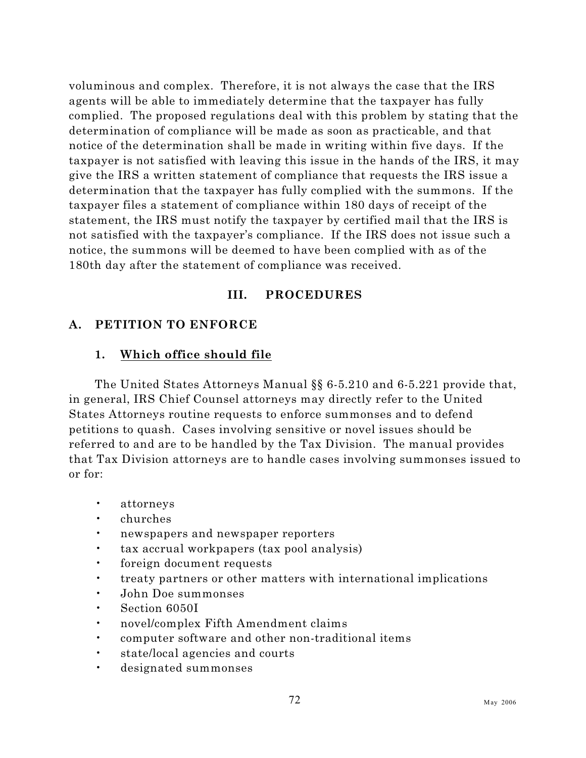voluminous and complex. Therefore, it is not always the case that the IRS agents will be able to immediately determine that the taxpayer has fully complied. The proposed regulations deal with this problem by stating that the determination of compliance will be made as soon as practicable, and that notice of the determination shall be made in writing within five days. If the taxpayer is not satisfied with leaving this issue in the hands of the IRS, it may give the IRS a written statement of compliance that requests the IRS issue a determination that the taxpayer has fully complied with the summons. If the taxpayer files a statement of compliance within 180 days of receipt of the statement, the IRS must notify the taxpayer by certified mail that the IRS is not satisfied with the taxpayer's compliance. If the IRS does not issue such a notice, the summons will be deemed to have been complied with as of the 180th day after the statement of compliance was received.

## **III. PROCEDURES**

## **A. PETITION TO ENFORCE**

## <span id="page-89-0"></span>**1. Which office should file**

The United States Attorneys Manual §§ 6-5.210 and 6-5.221 provide that, in general, IRS Chief Counsel attorneys may directly refer to the United States Attorneys routine requests to enforce summonses and to defend petitions to quash. Cases involving sensitive or novel issues should be referred to and are to be handled by the Tax Division. The manual provides that Tax Division attorneys are to handle cases involving summonses issued to or for:

- attorneys
- churches
- newspapers and newspaper reporters
- tax accrual workpapers (tax pool analysis)
- foreign document requests
- treaty partners or other matters with international implications
- John Doe summonses
- Section 6050I
- novel/complex Fifth Amendment claims
- computer software and other non-traditional items
- state/local agencies and courts
- designated summonses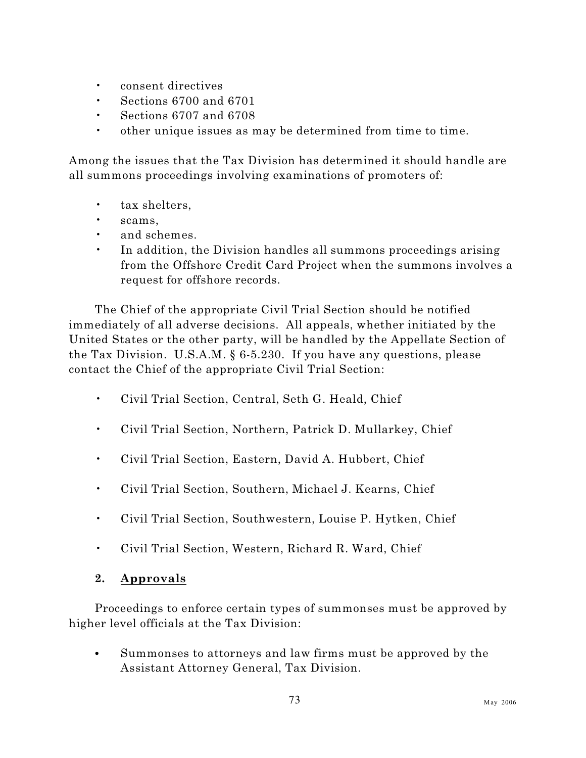- consent directives
- Sections 6700 and 6701
- Sections 6707 and 6708
- other unique issues as may be determined from time to time.

Among the issues that the Tax Division has determined it should handle are all summons proceedings involving examinations of promoters of:

- tax shelters,
- scams,
- and schemes.
- In addition, the Division handles all summons proceedings arising from the Offshore Credit Card Project when the summons involves a request for offshore records.

The Chief of the appropriate Civil Trial Section should be notified immediately of all adverse decisions. All appeals, whether initiated by the United States or the other party, will be handled by the Appellate Section of the Tax Division. U.S.A.M. § 6-5.230. If you have any questions, please contact the Chief of the appropriate Civil Trial Section:

- Civil Trial Section, Central, Seth G. Heald, Chief
- Civil Trial Section, Northern, Patrick D. Mullarkey, Chief
- Civil Trial Section, Eastern, David A. Hubbert, Chief
- Civil Trial Section, Southern, Michael J. Kearns, Chief
- Civil Trial Section, Southwestern, Louise P. Hytken, Chief
- Civil Trial Section, Western, Richard R. Ward, Chief

## <span id="page-90-0"></span>**2. Approvals**

Proceedings to enforce certain types of summonses must be approved by higher level officials at the Tax Division:

• Summonses to attorneys and law firms must be approved by the Assistant Attorney General, Tax Division.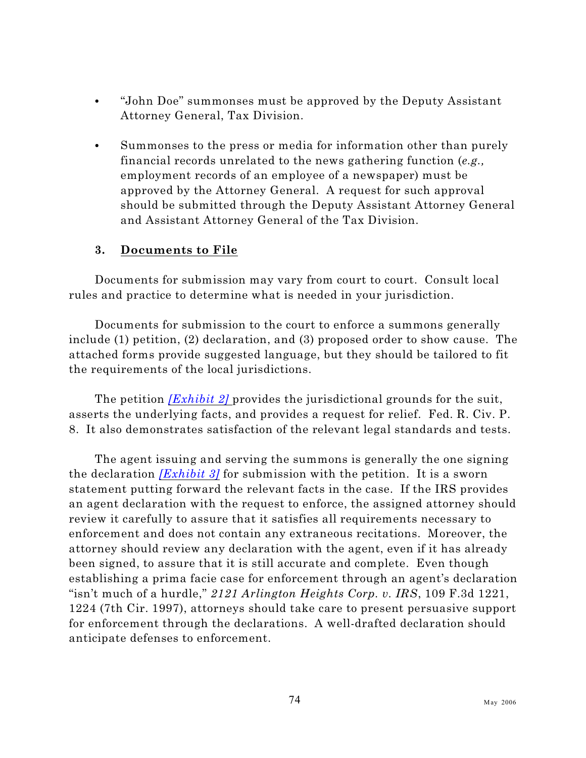- "John Doe" summonses must be approved by the Deputy Assistant Attorney General, Tax Division.
- Summonses to the press or media for information other than purely financial records unrelated to the news gathering function (*e.g.,* employment records of an employee of a newspaper) must be approved by the Attorney General. A request for such approval should be submitted through the Deputy Assistant Attorney General and Assistant Attorney General of the Tax Division.

## **3. Documents to File**

Documents for submission may vary from court to court. Consult local rules and practice to determine what is needed in your jurisdiction.

Documents for submission to the court to enforce a summons generally include (1) petition, (2) declaration, and (3) proposed order to show cause. The attached forms provide suggested language, but they should be tailored to fit the requirements of the local jurisdictions.

The petition *[\[Exhibit 2\]](#page-103-0)* provides the jurisdictional grounds for the suit, asserts the underlying facts, and provides a request for relief. Fed. R. Civ. P. 8. It also demonstrates satisfaction of the relevant legal standards and tests.

The agent issuing and serving the summons is generally the one signing the declaration *[\[Exhibit 3\]](#page-107-0)* for submission with the petition. It is a sworn statement putting forward the relevant facts in the case. If the IRS provides an agent declaration with the request to enforce, the assigned attorney should review it carefully to assure that it satisfies all requirements necessary to enforcement and does not contain any extraneous recitations. Moreover, the attorney should review any declaration with the agent, even if it has already been signed, to assure that it is still accurate and complete. Even though establishing a prima facie case for enforcement through an agent's declaration "isn't much of a hurdle," *2121 Arlington Heights Corp. v. IRS*, 109 F.3d 1221, 1224 (7th Cir. 1997), attorneys should take care to present persuasive support for enforcement through the declarations. A well-drafted declaration should anticipate defenses to enforcement.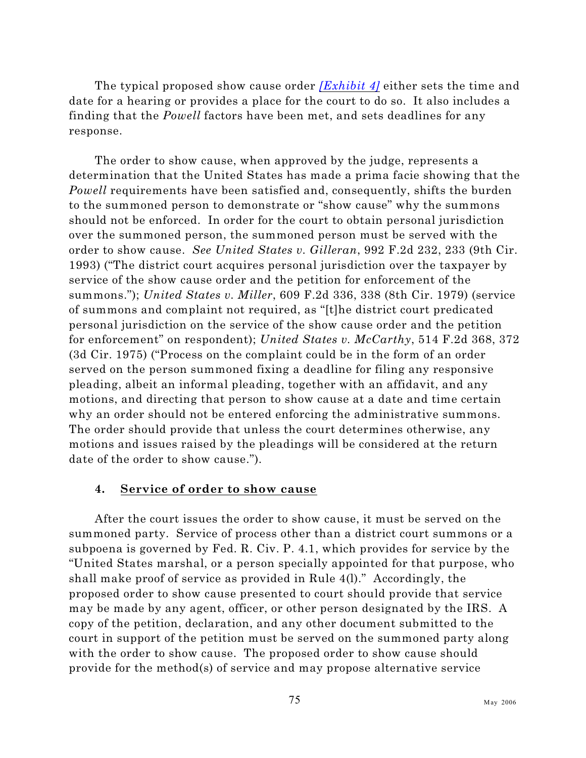The typical proposed show cause order *[\[Exhibit 4\]](#page-110-0)* either sets the time and date for a hearing or provides a place for the court to do so. It also includes a finding that the *Powell* factors have been met, and sets deadlines for any response.

The order to show cause, when approved by the judge, represents a determination that the United States has made a prima facie showing that the *Powell* requirements have been satisfied and, consequently, shifts the burden to the summoned person to demonstrate or "show cause" why the summons should not be enforced. In order for the court to obtain personal jurisdiction over the summoned person, the summoned person must be served with the order to show cause. *See United States v. Gilleran*, 992 F.2d 232, 233 (9th Cir. 1993) ("The district court acquires personal jurisdiction over the taxpayer by service of the show cause order and the petition for enforcement of the summons."); *United States v. Miller*, 609 F.2d 336, 338 (8th Cir. 1979) (service of summons and complaint not required, as "[t]he district court predicated personal jurisdiction on the service of the show cause order and the petition for enforcement" on respondent); *United States v. McCarthy*, 514 F.2d 368, 372 (3d Cir. 1975) ("Process on the complaint could be in the form of an order served on the person summoned fixing a deadline for filing any responsive pleading, albeit an informal pleading, together with an affidavit, and any motions, and directing that person to show cause at a date and time certain why an order should not be entered enforcing the administrative summons. The order should provide that unless the court determines otherwise, any motions and issues raised by the pleadings will be considered at the return date of the order to show cause.").

#### **4. Service of order to show cause**

After the court issues the order to show cause, it must be served on the summoned party. Service of process other than a district court summons or a subpoena is governed by Fed. R. Civ. P. 4.1, which provides for service by the "United States marshal, or a person specially appointed for that purpose, who shall make proof of service as provided in Rule 4(l)." Accordingly, the proposed order to show cause presented to court should provide that service may be made by any agent, officer, or other person designated by the IRS. A copy of the petition, declaration, and any other document submitted to the court in support of the petition must be served on the summoned party along with the order to show cause. The proposed order to show cause should provide for the method(s) of service and may propose alternative service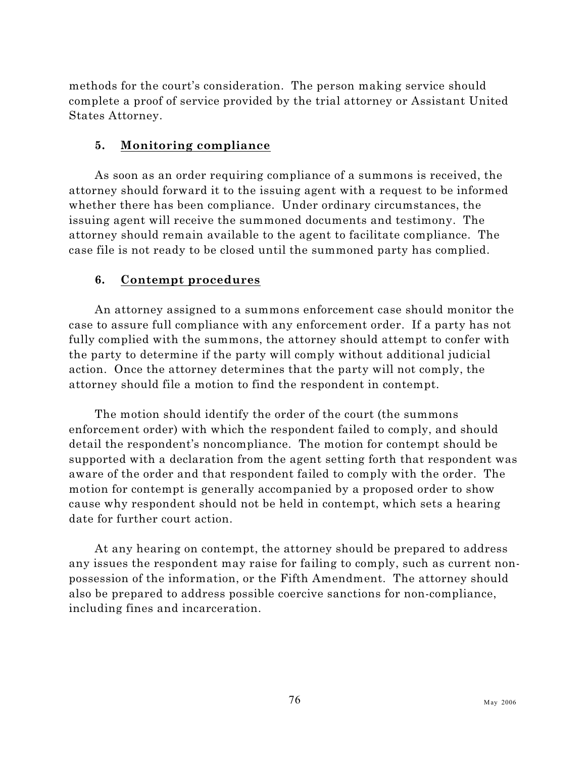methods for the court's consideration. The person making service should complete a proof of service provided by the trial attorney or Assistant United States Attorney.

## **5. Monitoring compliance**

As soon as an order requiring compliance of a summons is received, the attorney should forward it to the issuing agent with a request to be informed whether there has been compliance. Under ordinary circumstances, the issuing agent will receive the summoned documents and testimony. The attorney should remain available to the agent to facilitate compliance. The case file is not ready to be closed until the summoned party has complied.

## **6. Contempt procedures**

An attorney assigned to a summons enforcement case should monitor the case to assure full compliance with any enforcement order. If a party has not fully complied with the summons, the attorney should attempt to confer with the party to determine if the party will comply without additional judicial action. Once the attorney determines that the party will not comply, the attorney should file a motion to find the respondent in contempt.

The motion should identify the order of the court (the summons enforcement order) with which the respondent failed to comply, and should detail the respondent's noncompliance. The motion for contempt should be supported with a declaration from the agent setting forth that respondent was aware of the order and that respondent failed to comply with the order. The motion for contempt is generally accompanied by a proposed order to show cause why respondent should not be held in contempt, which sets a hearing date for further court action.

At any hearing on contempt, the attorney should be prepared to address any issues the respondent may raise for failing to comply, such as current nonpossession of the information, or the Fifth Amendment. The attorney should also be prepared to address possible coercive sanctions for non-compliance, including fines and incarceration.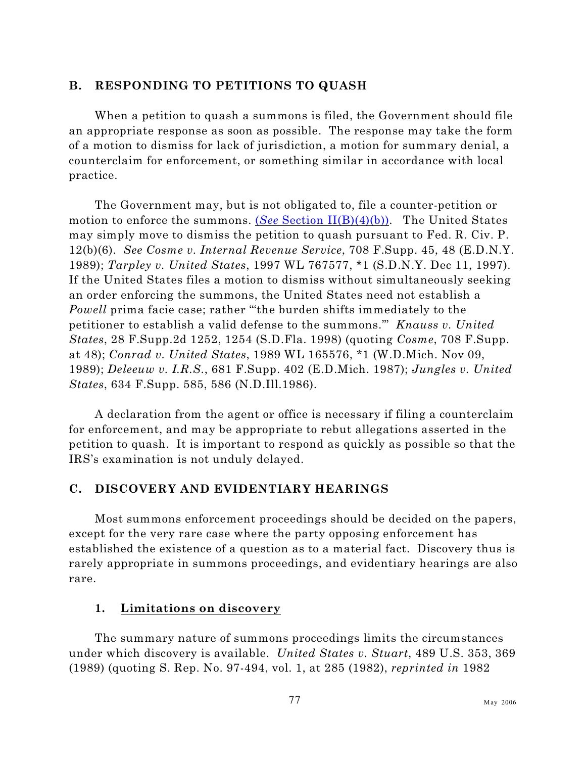#### **B. RESPONDING TO PETITIONS TO QUASH**

When a petition to quash a summons is filed, the Government should file an appropriate response as soon as possible. The response may take the form of a motion to dismiss for lack of jurisdiction, a motion for summary denial, a counterclaim for enforcement, or something similar in accordance with local practice.

The Government may, but is not obligated to, file a counter-petition or motion to enforce the summons. (*See* [Section II\(B\)\(4\)\(b\)\)](#page-46-0). The United States may simply move to dismiss the petition to quash pursuant to Fed. R. Civ. P. 12(b)(6). *See Cosme v. Internal Revenue Service*, 708 F.Supp. 45, 48 (E.D.N.Y. 1989); *Tarpley v. United States*, 1997 WL 767577, \*1 (S.D.N.Y. Dec 11, 1997). If the United States files a motion to dismiss without simultaneously seeking an order enforcing the summons, the United States need not establish a *Powell* prima facie case; rather "'the burden shifts immediately to the petitioner to establish a valid defense to the summons.'" *Knauss v. United States*, 28 F.Supp.2d 1252, 1254 (S.D.Fla. 1998) (quoting *Cosme*, 708 F.Supp. at 48); *Conrad v. United States*, 1989 WL 165576, \*1 (W.D.Mich. Nov 09, 1989); *Deleeuw v. I.R.S.*, 681 F.Supp. 402 (E.D.Mich. 1987); *Jungles v. United States*, 634 F.Supp. 585, 586 (N.D.Ill.1986).

A declaration from the agent or office is necessary if filing a counterclaim for enforcement, and may be appropriate to rebut allegations asserted in the petition to quash. It is important to respond as quickly as possible so that the IRS's examination is not unduly delayed.

## <span id="page-94-0"></span>**C. DISCOVERY AND EVIDENTIARY HEARINGS**

Most summons enforcement proceedings should be decided on the papers, except for the very rare case where the party opposing enforcement has established the existence of a question as to a material fact. Discovery thus is rarely appropriate in summons proceedings, and evidentiary hearings are also rare.

#### **1. Limitations on discovery**

The summary nature of summons proceedings limits the circumstances under which discovery is available. *United States v. Stuart*, 489 U.S. 353, 369 (1989) (quoting S. Rep. No. 97-494, vol. 1, at 285 (1982), *reprinted in* 1982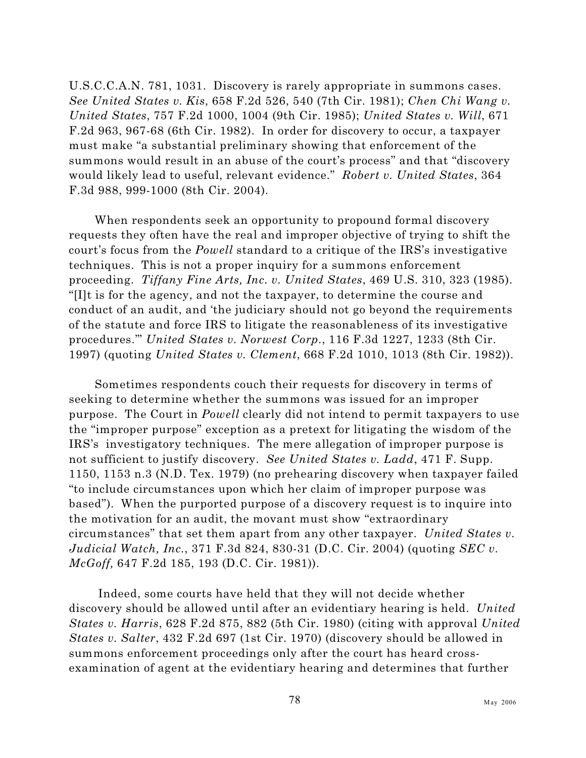U.S.C.C.A.N. 781, 1031. Discovery is rarely appropriate in summons cases. *See United States v. Kis*, 658 F.2d 526, 540 (7th Cir. 1981); *Chen Chi Wang v. United States*, 757 F.2d 1000, 1004 (9th Cir. 1985); *United States v. Will*, 671 F.2d 963, 967-68 (6th Cir. 1982). In order for discovery to occur, a taxpayer must make "a substantial preliminary showing that enforcement of the summons would result in an abuse of the court's process" and that "discovery would likely lead to useful, relevant evidence." *Robert v. United States*, 364 F.3d 988, 999-1000 (8th Cir. 2004).

When respondents seek an opportunity to propound formal discovery requests they often have the real and improper objective of trying to shift the court's focus from the *Powell* standard to a critique of the IRS's investigative techniques. This is not a proper inquiry for a summons enforcement proceeding. *Tiffany Fine Arts, Inc. v. United States*, 469 U.S. 310, 323 (1985). "[I]t is for the agency, and not the taxpayer, to determine the course and conduct of an audit, and 'the judiciary should not go beyond the requirements of the statute and force IRS to litigate the reasonableness of its investigative procedures.'" *United States v. Norwest Corp.*, 116 F.3d 1227, 1233 (8th Cir. 1997) (quoting *United States v. Clement*, 668 F.2d 1010, 1013 (8th Cir. 1982)).

Sometimes respondents couch their requests for discovery in terms of seeking to determine whether the summons was issued for an improper purpose. The Court in *Powell* clearly did not intend to permit taxpayers to use the "improper purpose" exception as a pretext for litigating the wisdom of the IRS's investigatory techniques. The mere allegation of improper purpose is not sufficient to justify discovery. *See United States v. Ladd*, 471 F. Supp. 1150, 1153 n.3 (N.D. Tex. 1979) (no prehearing discovery when taxpayer failed "to include circumstances upon which her claim of improper purpose was based"). When the purported purpose of a discovery request is to inquire into the motivation for an audit, the movant must show "extraordinary circumstances" that set them apart from any other taxpayer. *United States v. Judicial Watch, Inc.*, 371 F.3d 824, 830-31 (D.C. Cir. 2004) (quoting *SEC v. McGoff,* 647 F.2d 185, 193 (D.C. Cir. 1981)).

 Indeed, some courts have held that they will not decide whether discovery should be allowed until after an evidentiary hearing is held. *United States v. Harris*, 628 F.2d 875, 882 (5th Cir. 1980) (citing with approval *United States v. Salter*, 432 F.2d 697 (1st Cir. 1970) (discovery should be allowed in summons enforcement proceedings only after the court has heard crossexamination of agent at the evidentiary hearing and determines that further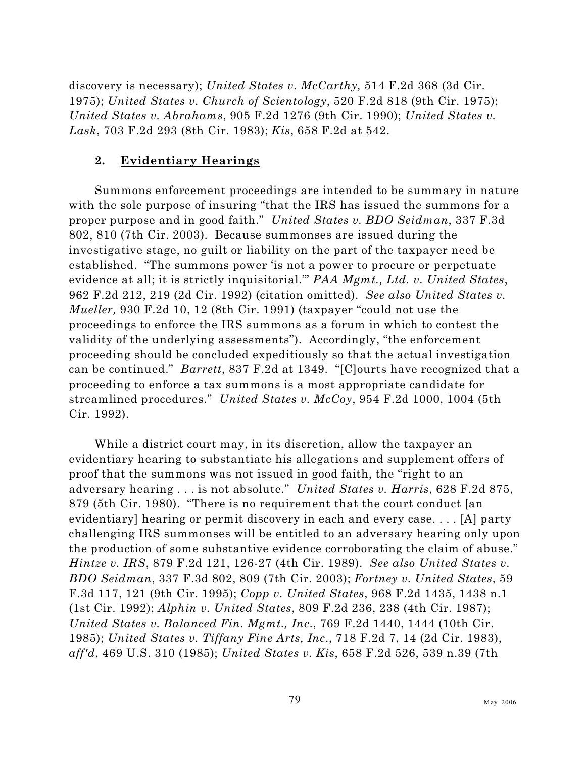discovery is necessary); *United States v. McCarthy,* 514 F.2d 368 (3d Cir. 1975); *United States v. Church of Scientology*, 520 F.2d 818 (9th Cir. 1975); *United States v. Abrahams*, 905 F.2d 1276 (9th Cir. 1990); *United States v. Lask*, 703 F.2d 293 (8th Cir. 1983); *Kis*, 658 F.2d at 542.

### **2. Evidentiary Hearings**

Summons enforcement proceedings are intended to be summary in nature with the sole purpose of insuring "that the IRS has issued the summons for a proper purpose and in good faith." *United States v. BDO Seidman*, 337 F.3d 802, 810 (7th Cir. 2003). Because summonses are issued during the investigative stage, no guilt or liability on the part of the taxpayer need be established. "The summons power 'is not a power to procure or perpetuate evidence at all; it is strictly inquisitorial.'" *PAA Mgmt., Ltd. v. United States*, 962 F.2d 212, 219 (2d Cir. 1992) (citation omitted). *See also United States v. Mueller,* 930 F.2d 10, 12 (8th Cir. 1991) (taxpayer "could not use the proceedings to enforce the IRS summons as a forum in which to contest the validity of the underlying assessments"). Accordingly, "the enforcement proceeding should be concluded expeditiously so that the actual investigation can be continued." *Barrett*, 837 F.2d at 1349. "[C]ourts have recognized that a proceeding to enforce a tax summons is a most appropriate candidate for streamlined procedures." *United States v. McCoy*, 954 F.2d 1000, 1004 (5th Cir. 1992).

While a district court may, in its discretion, allow the taxpayer an evidentiary hearing to substantiate his allegations and supplement offers of proof that the summons was not issued in good faith, the "right to an adversary hearing . . . is not absolute." *United States v. Harris*, 628 F.2d 875, 879 (5th Cir. 1980). "There is no requirement that the court conduct [an evidentiary] hearing or permit discovery in each and every case. . . . [A] party challenging IRS summonses will be entitled to an adversary hearing only upon the production of some substantive evidence corroborating the claim of abuse." *Hintze v. IRS*, 879 F.2d 121, 126-27 (4th Cir. 1989). *See also United States v. BDO Seidman*, 337 F.3d 802, 809 (7th Cir. 2003); *Fortney v. United States*, 59 F.3d 117, 121 (9th Cir. 1995); *Copp v. United States*, 968 F.2d 1435, 1438 n.1 (1st Cir. 1992); *Alphin v. United States*, 809 F.2d 236, 238 (4th Cir. 1987); *United States v. Balanced Fin. Mgmt., Inc*., 769 F.2d 1440, 1444 (10th Cir. 1985); *United States v. Tiffany Fine Arts, Inc*., 718 F.2d 7, 14 (2d Cir. 1983), *aff'd*, 469 U.S. 310 (1985); *United States v. Kis*, 658 F.2d 526, 539 n.39 (7th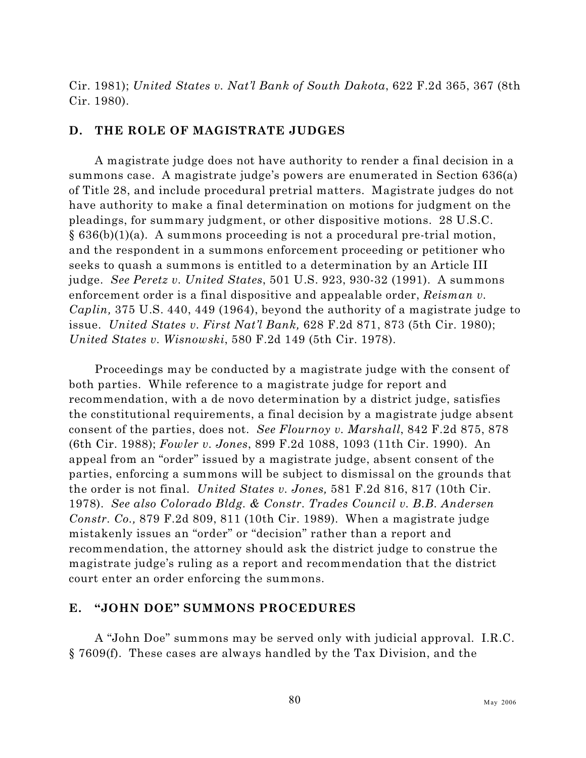Cir. 1981); *United States v. Nat'l Bank of South Dakota*, 622 F.2d 365, 367 (8th Cir. 1980).

#### **D. THE ROLE OF MAGISTRATE JUDGES**

A magistrate judge does not have authority to render a final decision in a summons case. A magistrate judge's powers are enumerated in Section 636(a) of Title 28, and include procedural pretrial matters. Magistrate judges do not have authority to make a final determination on motions for judgment on the pleadings, for summary judgment, or other dispositive motions. 28 U.S.C.  $§ 636(b)(1)(a)$ . A summons proceeding is not a procedural pre-trial motion, and the respondent in a summons enforcement proceeding or petitioner who seeks to quash a summons is entitled to a determination by an Article III judge. *See Peretz v. United States*, 501 U.S. 923, 930-32 (1991). A summons enforcement order is a final dispositive and appealable order, *Reisman v. Caplin,* 375 U.S. 440, 449 (1964), beyond the authority of a magistrate judge to issue. *United States v. First Nat'l Bank,* 628 F.2d 871, 873 (5th Cir. 1980); *United States v. Wisnowski*, 580 F.2d 149 (5th Cir. 1978).

Proceedings may be conducted by a magistrate judge with the consent of both parties. While reference to a magistrate judge for report and recommendation, with a de novo determination by a district judge, satisfies the constitutional requirements, a final decision by a magistrate judge absent consent of the parties, does not. *See Flournoy v. Marshall*, 842 F.2d 875, 878 (6th Cir. 1988); *Fowler v. Jones*, 899 F.2d 1088, 1093 (11th Cir. 1990). An appeal from an "order" issued by a magistrate judge, absent consent of the parties, enforcing a summons will be subject to dismissal on the grounds that the order is not final. *United States v. Jones,* 581 F.2d 816, 817 (10th Cir. 1978). *See also Colorado Bldg. & Constr. Trades Council v. B.B. Andersen Constr. Co.,* 879 F.2d 809, 811 (10th Cir. 1989). When a magistrate judge mistakenly issues an "order" or "decision" rather than a report and recommendation, the attorney should ask the district judge to construe the magistrate judge's ruling as a report and recommendation that the district court enter an order enforcing the summons.

#### <span id="page-97-0"></span>**E. "JOHN DOE" SUMMONS PROCEDURES**

A "John Doe" summons may be served only with judicial approval. I.R.C. § 7609(f). These cases are always handled by the Tax Division, and the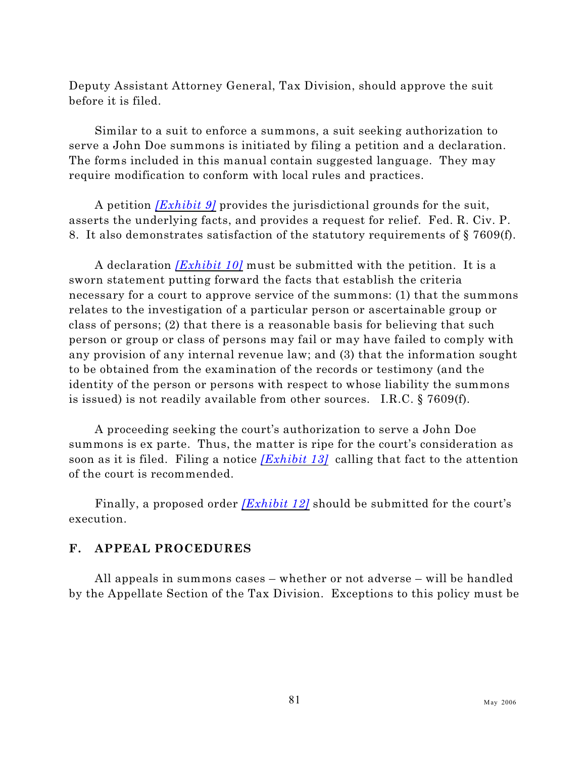Deputy Assistant Attorney General, Tax Division, should approve the suit before it is filed.

Similar to a suit to enforce a summons, a suit seeking authorization to serve a John Doe summons is initiated by filing a petition and a declaration. The forms included in this manual contain suggested language. They may require modification to conform with local rules and practices.

A petition *[\[Exhibit 9\]](#page-126-0)* provides the jurisdictional grounds for the suit, asserts the underlying facts, and provides a request for relief. Fed. R. Civ. P. 8. It also demonstrates satisfaction of the statutory requirements of § 7609(f).

A declaration *[\[Exhibit 10\]](#page-128-0)* must be submitted with the petition. It is a sworn statement putting forward the facts that establish the criteria necessary for a court to approve service of the summons: (1) that the summons relates to the investigation of a particular person or ascertainable group or class of persons; (2) that there is a reasonable basis for believing that such person or group or class of persons may fail or may have failed to comply with any provision of any internal revenue law; and (3) that the information sought to be obtained from the examination of the records or testimony (and the identity of the person or persons with respect to whose liability the summons is issued) is not readily available from other sources. I.R.C. § 7609(f).

A proceeding seeking the court's authorization to serve a John Doe summons is ex parte. Thus, the matter is ripe for the court's consideration as soon as it is filed. Filing a notice *[\[Exhibit 13\]](#page-138-0)* calling that fact to the attention of the court is recommended.

Finally, a proposed order *[\[Exhibit 12\]](#page-136-0)* should be submitted for the court's execution.

## **F. APPEAL PROCEDURES**

All appeals in summons cases – whether or not adverse – will be handled by the Appellate Section of the Tax Division. Exceptions to this policy must be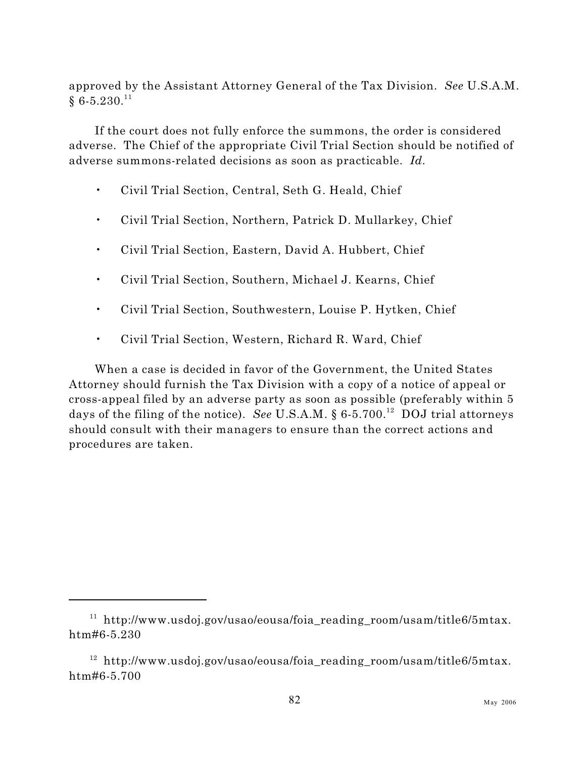approved by the Assistant Attorney General of the Tax Division. *See* U.S.A.M.  $\S~6$ - $5.230.^{11}$ 

If the court does not fully enforce the summons, the order is considered adverse. The Chief of the appropriate Civil Trial Section should be notified of adverse summons-related decisions as soon as practicable. *Id.*

- Civil Trial Section, Central, Seth G. Heald, Chief
- Civil Trial Section, Northern, Patrick D. Mullarkey, Chief
- Civil Trial Section, Eastern, David A. Hubbert, Chief
- Civil Trial Section, Southern, Michael J. Kearns, Chief
- Civil Trial Section, Southwestern, Louise P. Hytken, Chief
- Civil Trial Section, Western, Richard R. Ward, Chief

When a case is decided in favor of the Government, the United States Attorney should furnish the Tax Division with a copy of a notice of appeal or cross-appeal filed by an adverse party as soon as possible (preferably within 5 days of the filing of the notice). *See* U.S.A.M.  $\S 6-5.700$ .<sup>12</sup> DOJ trial attorneys should consult with their managers to ensure than the correct actions and procedures are taken.

 $11$  http://www.usdoj.gov/usao/eousa/foia\_reading\_room/usam/title6/5mtax. htm#6-5.230

<sup>&</sup>lt;sup>12</sup> http://www.usdoj.gov/usao/eousa/foia reading room/usam/title6/5mtax. htm#6-5.700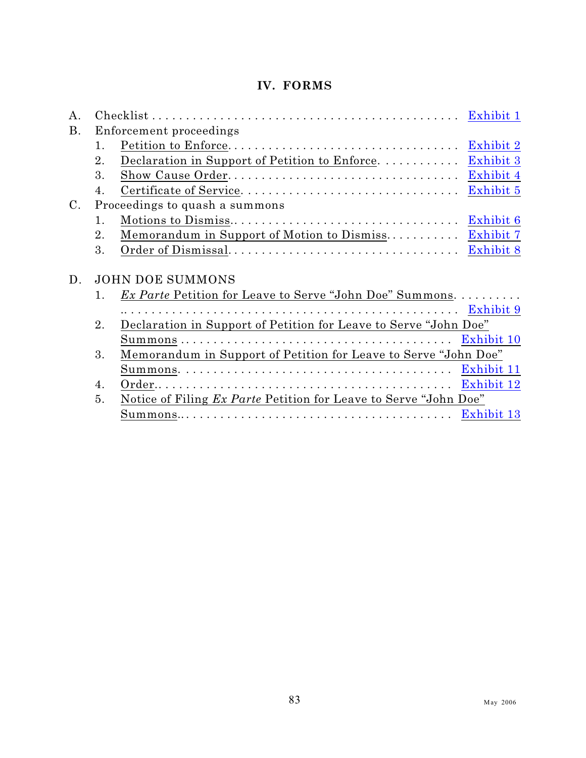## **IV. FORMS**

| Α.        |                                                                        | $\mathbf{Checklist} \dots \dots \dots \dots \dots \dots \dots \dots \dots \dots \dots \dots \dots \dots$<br>Exhibit 1 |  |  |  |
|-----------|------------------------------------------------------------------------|-----------------------------------------------------------------------------------------------------------------------|--|--|--|
| <b>B.</b> | Enforcement proceedings                                                |                                                                                                                       |  |  |  |
|           | 1.                                                                     | Exhibit 2                                                                                                             |  |  |  |
|           | 2.                                                                     | Declaration in Support of Petition to Enforce<br>Exhibit 3                                                            |  |  |  |
|           | 3.                                                                     | Exhibit 4                                                                                                             |  |  |  |
|           | 4.                                                                     | Certificate of Service<br>Exhibit 5                                                                                   |  |  |  |
| $\rm C$ . | Proceedings to quash a summons                                         |                                                                                                                       |  |  |  |
|           | 1.                                                                     | Exhibit 6                                                                                                             |  |  |  |
|           | 2.                                                                     | Memorandum in Support of Motion to Dismiss<br>Exhibit 7                                                               |  |  |  |
|           | 3.                                                                     | Exhibit 8                                                                                                             |  |  |  |
|           |                                                                        |                                                                                                                       |  |  |  |
| D.        | <b>JOHN DOE SUMMONS</b>                                                |                                                                                                                       |  |  |  |
|           | $\mathbf{1}$ .                                                         | <i>Ex Parte</i> Petition for Leave to Serve "John Doe" Summons.                                                       |  |  |  |
|           |                                                                        |                                                                                                                       |  |  |  |
|           | Declaration in Support of Petition for Leave to Serve "John Doe"<br>2. |                                                                                                                       |  |  |  |
|           |                                                                        |                                                                                                                       |  |  |  |
|           | 3.                                                                     | Memorandum in Support of Petition for Leave to Serve "John Doe"                                                       |  |  |  |
|           |                                                                        |                                                                                                                       |  |  |  |
|           | 4.                                                                     |                                                                                                                       |  |  |  |
|           | 5.                                                                     | <u>Notice of Filing Ex Parte Petition for Leave to Serve "John Doe"</u>                                               |  |  |  |
|           |                                                                        |                                                                                                                       |  |  |  |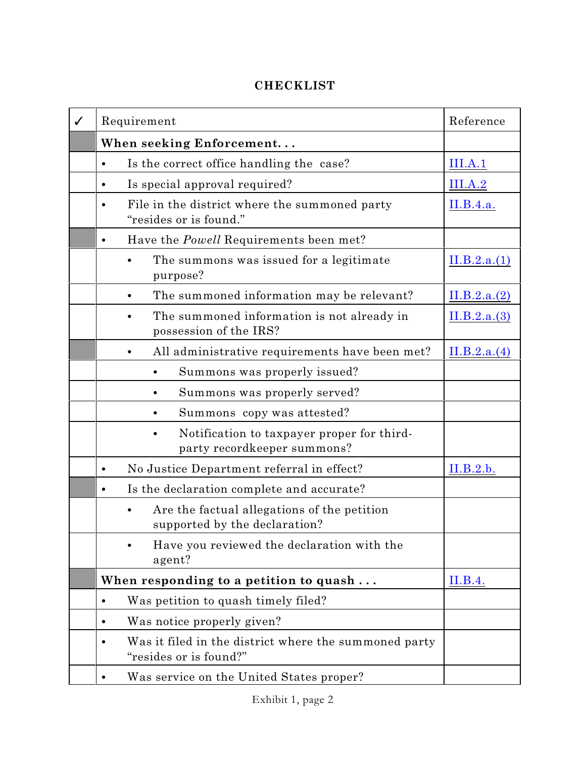# <span id="page-101-0"></span>**CHECKLIST**

| ✓ | Requirement                                                                          | Reference    |
|---|--------------------------------------------------------------------------------------|--------------|
|   | When seeking Enforcement                                                             |              |
|   | Is the correct office handling the case?<br>$\bullet$                                | III.A.1      |
|   | Is special approval required?<br>$\bullet$                                           | III.A.2      |
|   | File in the district where the summoned party<br>"resides or is found."              | II.B.4.a.    |
|   | Have the <i>Powell</i> Requirements been met?<br>$\bullet$                           |              |
|   | The summons was issued for a legitimate<br>purpose?                                  | II.B.2.a.(1) |
|   | The summoned information may be relevant?                                            | II.B.2.a.(2) |
|   | The summoned information is not already in<br>possession of the IRS?                 | II.B.2.a.(3) |
|   | All administrative requirements have been met?                                       | II.B.2.a.(4) |
|   | Summons was properly issued?                                                         |              |
|   | Summons was properly served?                                                         |              |
|   | Summons copy was attested?                                                           |              |
|   | Notification to taxpayer proper for third-<br>party recordkeeper summons?            |              |
|   | No Justice Department referral in effect?<br>$\bullet$                               | II.B.2.b.    |
|   | Is the declaration complete and accurate?<br>$\bullet$                               |              |
|   | Are the factual allegations of the petition<br>supported by the declaration?         |              |
|   | Have you reviewed the declaration with the<br>agent?                                 |              |
|   | When responding to a petition to quash                                               | II.B.4.      |
|   | Was petition to quash timely filed?<br>$\bullet$                                     |              |
|   | Was notice properly given?<br>$\bullet$                                              |              |
|   | Was it filed in the district where the summoned party<br>٠<br>"resides or is found?" |              |
|   | Was service on the United States proper?                                             |              |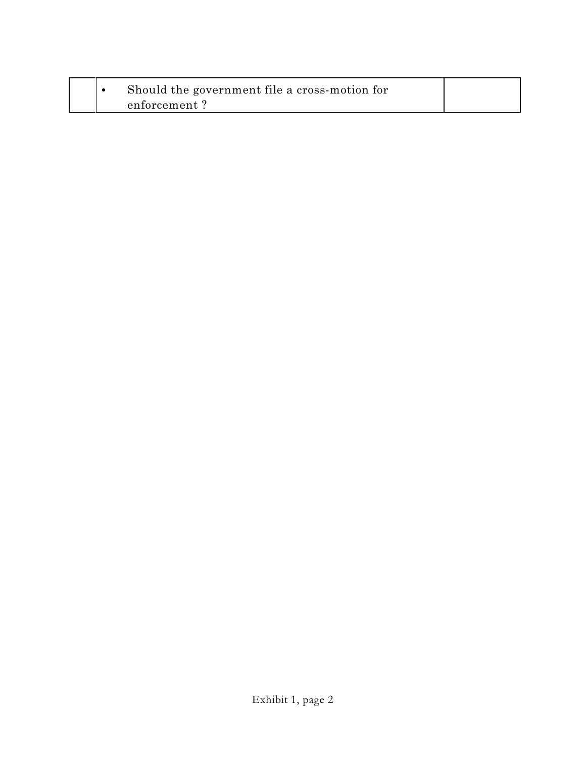|  | Should the government file a cross-motion for |  |
|--|-----------------------------------------------|--|
|  | enforcement?                                  |  |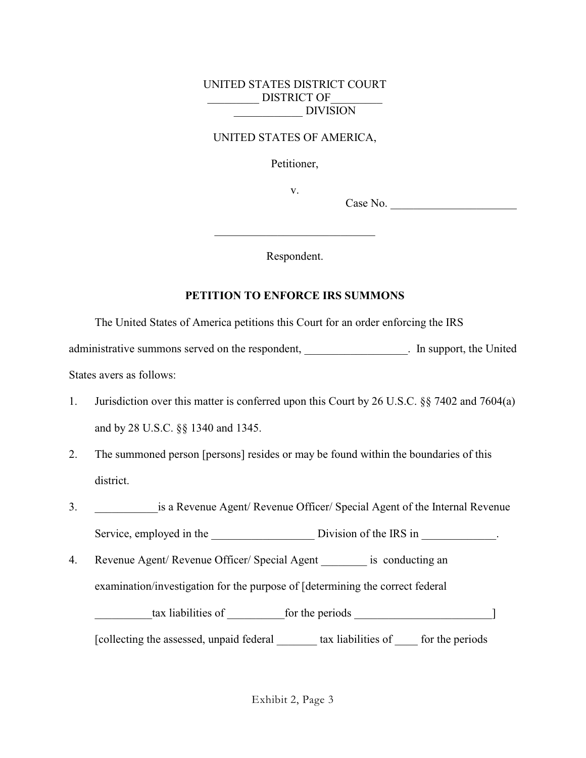#### UNITED STATES DISTRICT COURT DISTRICT OF \_\_\_\_\_\_\_\_\_\_\_\_ DIVISION

#### UNITED STATES OF AMERICA,

Petitioner,

v.

Case No. \_\_\_\_\_\_\_\_\_\_\_\_\_\_\_\_\_\_\_\_\_\_

Respondent.

\_\_\_\_\_\_\_\_\_\_\_\_\_\_\_\_\_\_\_\_\_\_\_\_\_\_\_\_

#### <span id="page-103-0"></span>**PETITION TO ENFORCE IRS SUMMONS**

The United States of America petitions this Court for an order enforcing the IRS

administrative summons served on the respondent, and the United contract in support, the United

States avers as follows:

- 1. Jurisdiction over this matter is conferred upon this Court by 26 U.S.C. §§ 7402 and 7604(a) and by 28 U.S.C. §§ 1340 and 1345.
- 2. The summoned person [persons] resides or may be found within the boundaries of this district.
- 3. **Show is a Revenue Agent/ Revenue Officer/ Special Agent of the Internal Revenue** Service, employed in the Division of the IRS in  $\cdot$
- 4. Revenue Agent/ Revenue Officer/ Special Agent is conducting an examination/investigation for the purpose of [determining the correct federal \_\_\_\_\_\_\_\_\_\_tax liabilities of \_\_\_\_\_\_\_\_\_\_for the periods \_\_\_\_\_\_\_\_\_\_\_\_\_\_\_\_\_\_\_\_\_\_\_\_]

[collecting the assessed, unpaid federal \_\_\_\_\_\_\_ tax liabilities of \_\_\_\_ for the periods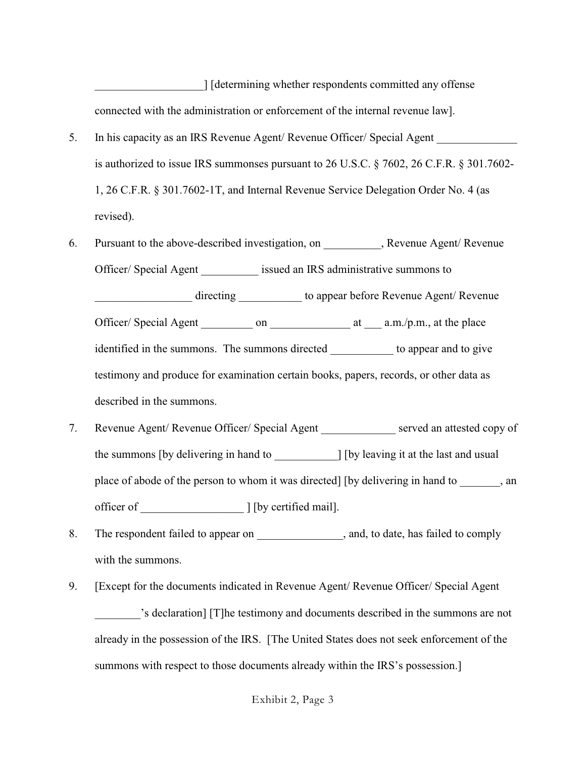\_\_\_\_\_\_\_\_\_\_\_\_\_\_\_\_\_\_\_] [determining whether respondents committed any offense connected with the administration or enforcement of the internal revenue law].

- 5. In his capacity as an IRS Revenue Agent/ Revenue Officer/ Special Agent is authorized to issue IRS summonses pursuant to 26 U.S.C. § 7602, 26 C.F.R. § 301.7602- 1, 26 C.F.R. § 301.7602-1T, and Internal Revenue Service Delegation Order No. 4 (as revised).
- 6. Pursuant to the above-described investigation, on , Revenue Agent/ Revenue Officer/ Special Agent issued an IRS administrative summons to directing to appear before Revenue Agent/ Revenue Officer/ Special Agent \_\_\_\_\_\_\_ on \_\_\_\_\_\_\_\_\_\_\_\_\_\_ at \_\_\_\_ a.m./p.m., at the place identified in the summons. The summons directed to appear and to give

testimony and produce for examination certain books, papers, records, or other data as described in the summons.

- 7. Revenue Agent/ Revenue Officer/ Special Agent served an attested copy of the summons [by delivering in hand to \_\_\_\_\_\_\_\_\_\_\_] [by leaving it at the last and usual place of abode of the person to whom it was directed] [by delivering in hand to  $\qquad \qquad$ , an officer of \_\_\_\_\_\_\_\_\_\_\_\_\_\_\_\_\_\_ ] [by certified mail].
- 8. The respondent failed to appear on  $\qquad \qquad$ , and, to date, has failed to comply with the summons.
- 9. [Except for the documents indicated in Revenue Agent/ Revenue Officer/ Special Agent 's declaration] [T]he testimony and documents described in the summons are not already in the possession of the IRS. [The United States does not seek enforcement of the summons with respect to those documents already within the IRS's possession.]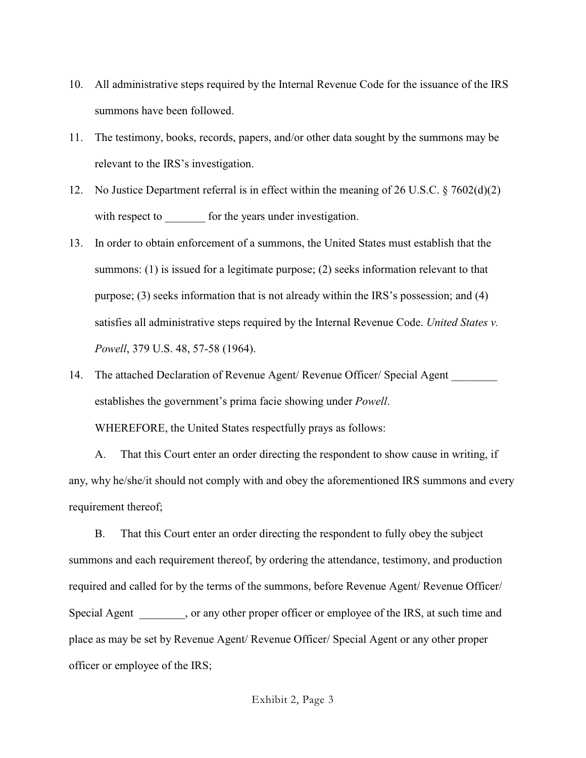- 10. All administrative steps required by the Internal Revenue Code for the issuance of the IRS summons have been followed.
- 11. The testimony, books, records, papers, and/or other data sought by the summons may be relevant to the IRS's investigation.
- 12. No Justice Department referral is in effect within the meaning of 26 U.S.C. § 7602(d)(2) with respect to for the years under investigation.
- 13. In order to obtain enforcement of a summons, the United States must establish that the summons: (1) is issued for a legitimate purpose; (2) seeks information relevant to that purpose; (3) seeks information that is not already within the IRS's possession; and (4) satisfies all administrative steps required by the Internal Revenue Code. *United States v. Powell*, 379 U.S. 48, 57-58 (1964).
- 14. The attached Declaration of Revenue Agent/ Revenue Officer/ Special Agent establishes the government's prima facie showing under *Powell*. WHEREFORE, the United States respectfully prays as follows:

A. That this Court enter an order directing the respondent to show cause in writing, if any, why he/she/it should not comply with and obey the aforementioned IRS summons and every requirement thereof;

B. That this Court enter an order directing the respondent to fully obey the subject summons and each requirement thereof, by ordering the attendance, testimony, and production required and called for by the terms of the summons, before Revenue Agent/ Revenue Officer/ Special Agent , or any other proper officer or employee of the IRS, at such time and place as may be set by Revenue Agent/ Revenue Officer/ Special Agent or any other proper officer or employee of the IRS;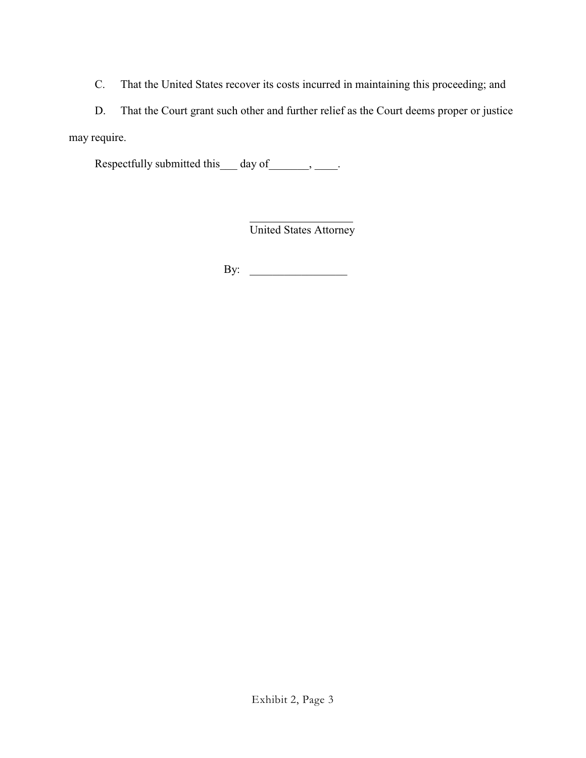C. That the United States recover its costs incurred in maintaining this proceeding; and

D. That the Court grant such other and further relief as the Court deems proper or justice may require.

Respectfully submitted this  $\qquad$  day of  $\qquad \qquad$ .

 $\overline{a}$ United States Attorney

By: \_\_\_\_\_\_\_\_\_\_\_\_\_\_\_\_\_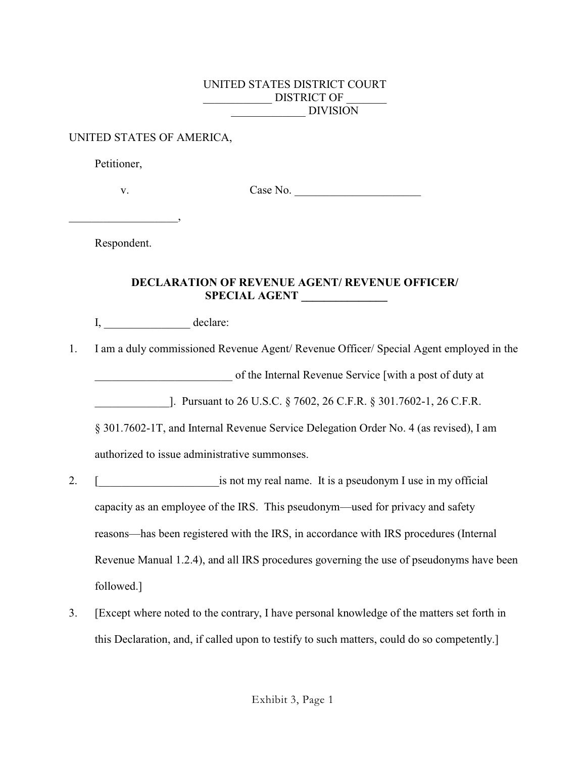#### UNITED STATES DISTRICT COURT DISTRICT OF \_\_\_\_\_\_\_\_\_\_\_\_\_ DIVISION

#### UNITED STATES OF AMERICA,

Petitioner,

\_\_\_\_\_\_\_\_\_\_\_\_\_\_\_\_\_\_\_,

v. Case No.

Respondent.

#### <span id="page-107-0"></span>**DECLARATION OF REVENUE AGENT/ REVENUE OFFICER/ SPECIAL AGENT \_\_\_\_\_\_\_\_\_\_\_\_\_\_\_**

I, \_\_\_\_\_\_\_\_\_\_\_\_\_\_\_ declare:

1. I am a duly commissioned Revenue Agent/ Revenue Officer/ Special Agent employed in the

\_\_\_\_\_\_\_\_\_\_\_\_\_\_\_\_\_\_\_\_\_\_\_\_ of the Internal Revenue Service [with a post of duty at

\_\_\_\_\_\_\_\_\_\_\_\_\_]. Pursuant to 26 U.S.C. § 7602, 26 C.F.R. § 301.7602-1, 26 C.F.R.

§ 301.7602-1T, and Internal Revenue Service Delegation Order No. 4 (as revised), I am authorized to issue administrative summonses.

- 2. [ is not my real name. It is a pseudonym I use in my official capacity as an employee of the IRS. This pseudonym—used for privacy and safety reasons—has been registered with the IRS, in accordance with IRS procedures (Internal Revenue Manual 1.2.4), and all IRS procedures governing the use of pseudonyms have been followed.]
- 3. [Except where noted to the contrary, I have personal knowledge of the matters set forth in this Declaration, and, if called upon to testify to such matters, could do so competently.]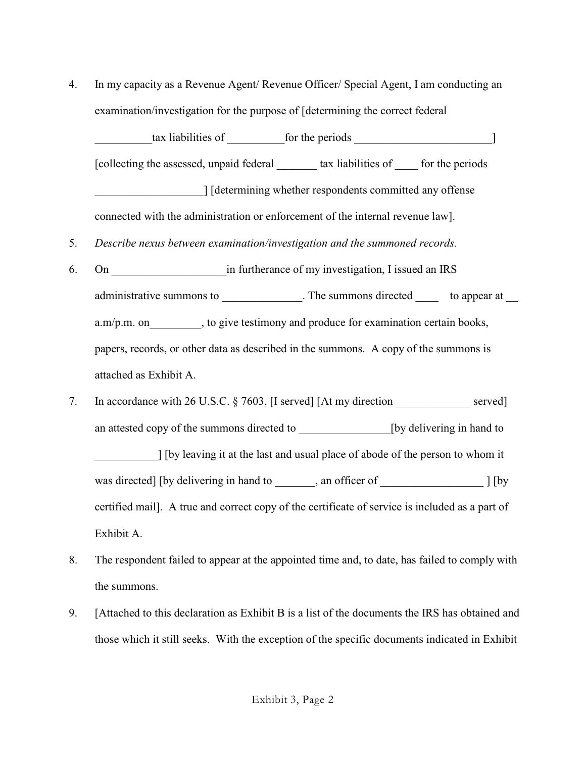4. In my capacity as a Revenue Agent/ Revenue Officer/ Special Agent, I am conducting an examination/investigation for the purpose of [determining the correct federal

tax liabilities of for the periods  $\qquad$ [collecting the assessed, unpaid federal \_\_\_\_\_\_\_ tax liabilities of \_\_\_\_ for the periods \_\_\_\_\_\_\_\_\_\_\_\_\_\_\_\_\_\_\_] [determining whether respondents committed any offense connected with the administration or enforcement of the internal revenue law].

- 5. *Describe nexus between examination/investigation and the summoned records.*
- 6. On **Example 2.1** in furtherance of my investigation, I issued an IRS administrative summons to  $\blacksquare$  The summons directed to appear at a.m/p.m. on , to give testimony and produce for examination certain books, papers, records, or other data as described in the summons. A copy of the summons is attached as Exhibit A.
- 7. In accordance with 26 U.S.C. § 7603, [I served] [At my direction served] an attested copy of the summons directed to [by delivering in hand to \_\_\_\_\_\_\_\_\_\_\_] [by leaving it at the last and usual place of abode of the person to whom it was directed] [by delivering in hand to  $\qquad \qquad$ , an officer of  $\qquad \qquad$  ] [by certified mail]. A true and correct copy of the certificate of service is included as a part of Exhibit A.
- 8. The respondent failed to appear at the appointed time and, to date, has failed to comply with the summons.
- 9. [Attached to this declaration as Exhibit B is a list of the documents the IRS has obtained and those which it still seeks. With the exception of the specific documents indicated in Exhibit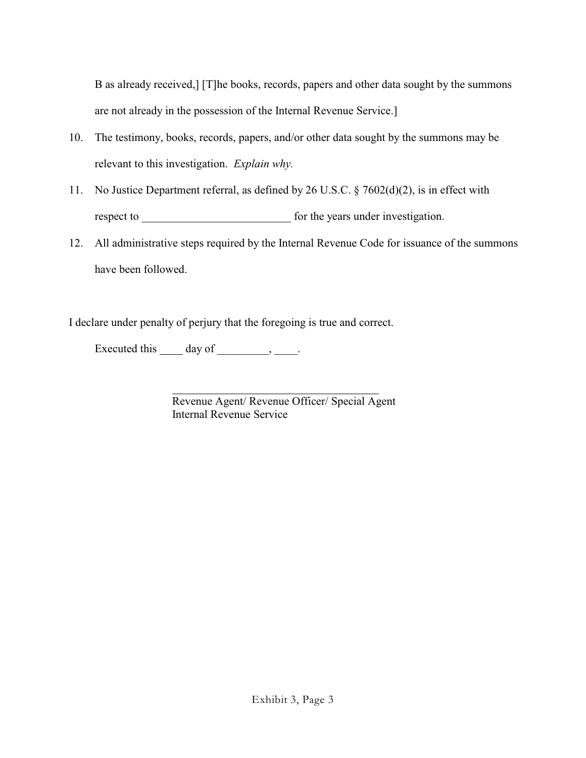B as already received,] [T]he books, records, papers and other data sought by the summons are not already in the possession of the Internal Revenue Service.]

- 10. The testimony, books, records, papers, and/or other data sought by the summons may be relevant to this investigation. *Explain why.*
- 11. No Justice Department referral, as defined by 26 U.S.C. § 7602(d)(2), is in effect with respect to **example 1** for the years under investigation.
- 12. All administrative steps required by the Internal Revenue Code for issuance of the summons have been followed.

I declare under penalty of perjury that the foregoing is true and correct.

Executed this  $\qquad \qquad$  day of  $\qquad \qquad$ ,  $\qquad \qquad$ .

l Revenue Agent/ Revenue Officer/ Special Agent Internal Revenue Service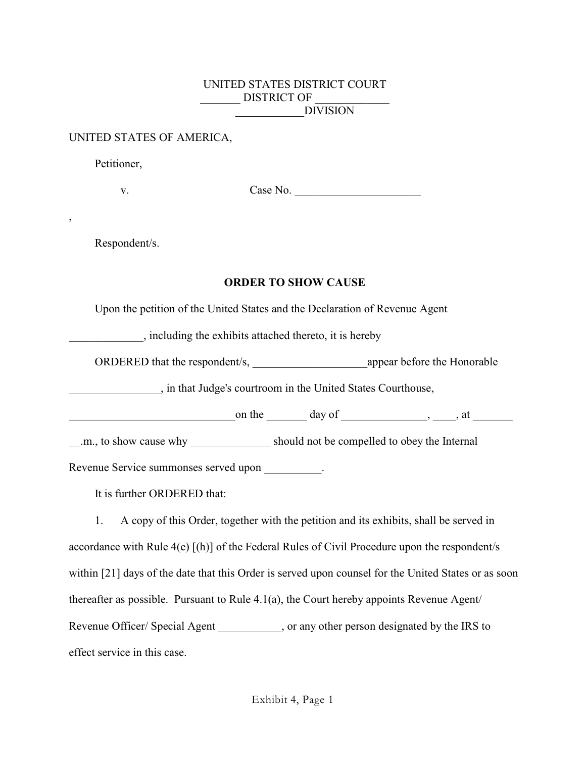### UNITED STATES DISTRICT COURT DISTRICT OF \_\_\_\_\_\_\_\_\_\_\_\_DIVISION

### UNITED STATES OF AMERICA,

Petitioner,

,

v. Case No.

Respondent/s.

## **ORDER TO SHOW CAUSE**

Upon the petition of the United States and the Declaration of Revenue Agent

\_\_\_\_\_\_\_\_\_\_\_\_\_, including the exhibits attached thereto, it is hereby

ORDERED that the respondent/s, appear before the Honorable

\_\_\_\_\_\_\_\_\_\_\_\_\_\_\_\_, in that Judge's courtroom in the United States Courthouse,

on the day of the state  $\frac{1}{2}$ , at

\_\_.m., to show cause why \_\_\_\_\_\_\_\_\_\_\_\_\_\_ should not be compelled to obey the Internal

Revenue Service summonses served upon  $\cdot$ 

It is further ORDERED that:

1. A copy of this Order, together with the petition and its exhibits, shall be served in accordance with Rule 4(e) [(h)] of the Federal Rules of Civil Procedure upon the respondent/s within [21] days of the date that this Order is served upon counsel for the United States or as soon thereafter as possible. Pursuant to Rule 4.1(a), the Court hereby appoints Revenue Agent/ Revenue Officer/ Special Agent \_\_\_\_\_\_\_\_\_, or any other person designated by the IRS to effect service in this case.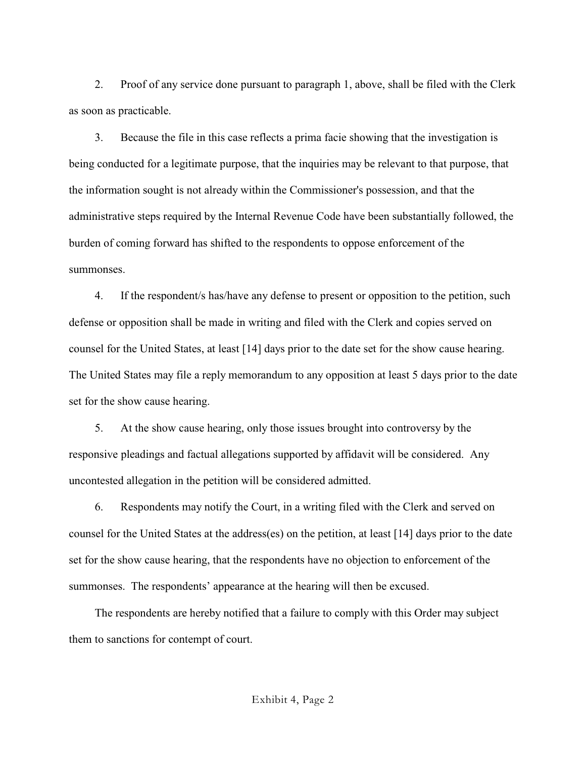2. Proof of any service done pursuant to paragraph 1, above, shall be filed with the Clerk as soon as practicable.

3. Because the file in this case reflects a prima facie showing that the investigation is being conducted for a legitimate purpose, that the inquiries may be relevant to that purpose, that the information sought is not already within the Commissioner's possession, and that the administrative steps required by the Internal Revenue Code have been substantially followed, the burden of coming forward has shifted to the respondents to oppose enforcement of the summonses.

4. If the respondent/s has/have any defense to present or opposition to the petition, such defense or opposition shall be made in writing and filed with the Clerk and copies served on counsel for the United States, at least [14] days prior to the date set for the show cause hearing. The United States may file a reply memorandum to any opposition at least 5 days prior to the date set for the show cause hearing.

5. At the show cause hearing, only those issues brought into controversy by the responsive pleadings and factual allegations supported by affidavit will be considered. Any uncontested allegation in the petition will be considered admitted.

6. Respondents may notify the Court, in a writing filed with the Clerk and served on counsel for the United States at the address(es) on the petition, at least [14] days prior to the date set for the show cause hearing, that the respondents have no objection to enforcement of the summonses. The respondents' appearance at the hearing will then be excused.

The respondents are hereby notified that a failure to comply with this Order may subject them to sanctions for contempt of court.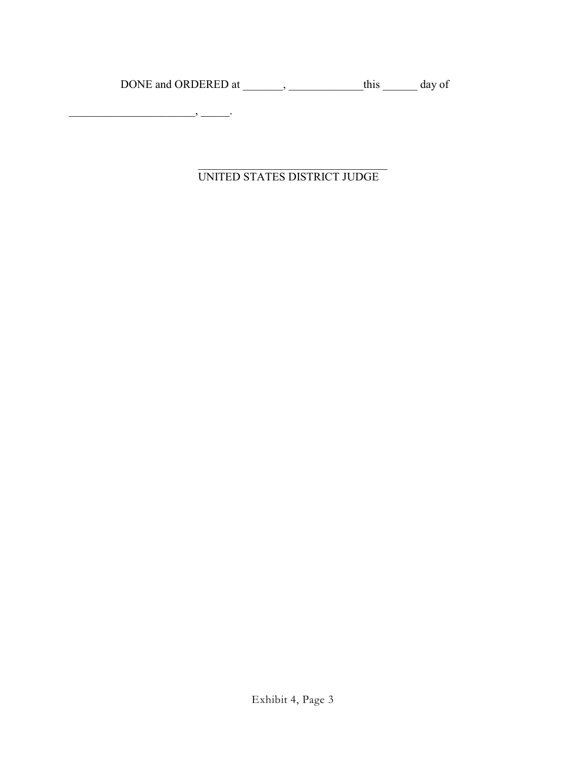DONE and ORDERED at \_\_\_\_\_\_, \_\_\_\_\_\_\_\_\_\_\_\_this \_\_\_\_\_\_\_ day of

\_\_\_\_\_\_\_\_\_\_\_\_\_\_\_\_\_\_\_\_\_\_, \_\_\_\_\_.

 $\mathcal{L}_\mathcal{L}$  , where  $\mathcal{L}_\mathcal{L}$  , we have the set of the set of the set of the set of the set of the set of the set of the set of the set of the set of the set of the set of the set of the set of the set of the set UNITED STATES DISTRICT JUDGE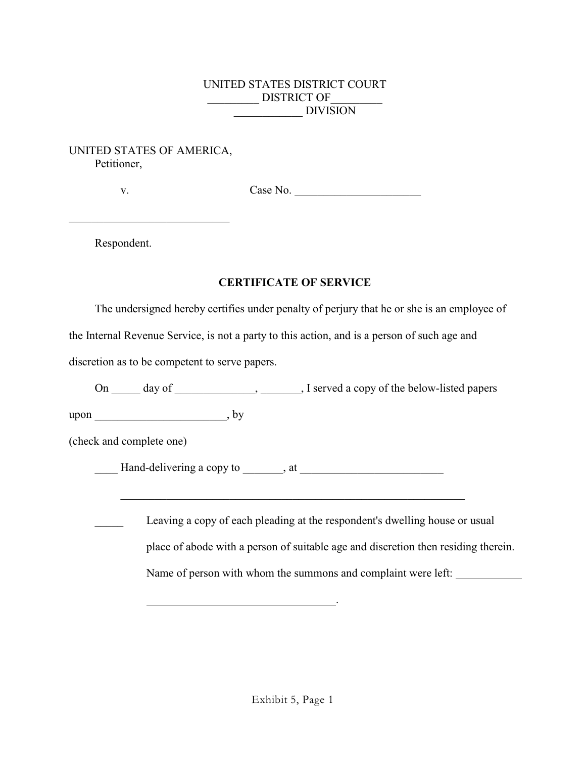# UNITED STATES DISTRICT COURT DISTRICT OF \_\_\_\_\_\_\_\_\_\_\_\_ DIVISION

## UNITED STATES OF AMERICA, Petitioner,

\_\_\_\_\_\_\_\_\_\_\_\_\_\_\_\_\_\_\_\_\_\_\_\_\_\_\_\_

v. Case No. \_\_\_\_\_\_\_\_\_\_\_\_\_\_\_\_\_\_\_\_\_\_

Respondent.

# **CERTIFICATE OF SERVICE**

The undersigned hereby certifies under penalty of perjury that he or she is an employee of

the Internal Revenue Service, is not a party to this action, and is a person of such age and

discretion as to be competent to serve papers.

On \_\_\_\_\_ day of \_\_\_\_\_\_\_\_\_\_\_\_, \_\_\_\_\_\_, I served a copy of the below-listed papers

upon \_\_\_\_\_\_\_\_\_\_\_\_\_\_\_\_\_\_\_\_\_\_\_, by

(check and complete one)

\_\_\_\_ Hand-delivering a copy to \_\_\_\_\_\_\_, at \_\_\_\_\_\_\_\_\_\_\_\_\_\_\_\_\_\_\_\_\_\_\_\_\_

.

\_\_\_\_\_\_\_\_\_\_\_\_\_\_\_\_\_\_\_\_\_\_\_\_\_\_\_\_\_\_\_\_\_\_\_\_\_\_\_\_\_\_\_\_\_\_\_\_\_\_\_\_\_\_\_\_\_\_\_\_

Leaving a copy of each pleading at the respondent's dwelling house or usual place of abode with a person of suitable age and discretion then residing therein. Name of person with whom the summons and complaint were left: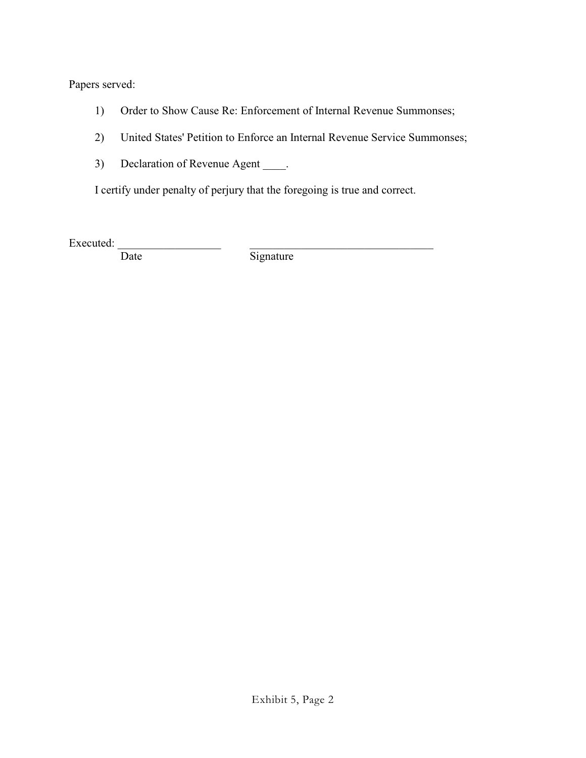Papers served:

- 1) Order to Show Cause Re: Enforcement of Internal Revenue Summonses;
- 2) United States' Petition to Enforce an Internal Revenue Service Summonses;
- 3) Declaration of Revenue Agent \_\_\_\_.

I certify under penalty of perjury that the foregoing is true and correct.

Executed:  $\frac{1}{\text{Date}}$ 

Signature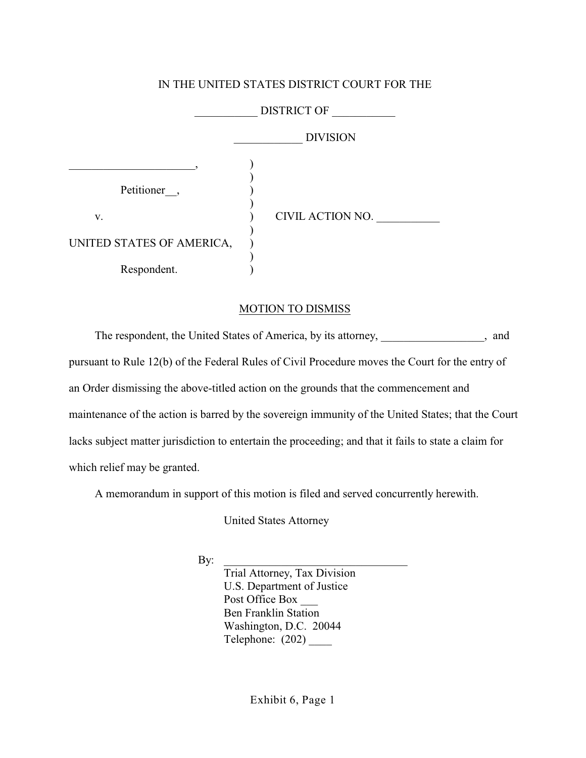# \_\_\_\_\_\_\_\_\_\_\_ DISTRICT OF \_\_\_\_\_\_\_\_\_\_\_ \_\_\_\_\_\_\_\_\_\_\_\_ DIVISION  $\qquad \qquad \qquad \qquad \qquad \text{---}, \qquad \qquad \text{---},$  $\mathcal{L}$ Petitioner<sub>,</sub> ) v. ) CIVIL ACTION NO. \_\_\_\_\_\_\_\_\_\_\_ ) UNITED STATES OF AMERICA, ) Respondent.

## IN THE UNITED STATES DISTRICT COURT FOR THE

### MOTION TO DISMISS

The respondent, the United States of America, by its attorney, \_\_\_\_\_\_\_\_\_\_\_\_\_\_, and pursuant to Rule 12(b) of the Federal Rules of Civil Procedure moves the Court for the entry of an Order dismissing the above-titled action on the grounds that the commencement and maintenance of the action is barred by the sovereign immunity of the United States; that the Court lacks subject matter jurisdiction to entertain the proceeding; and that it fails to state a claim for which relief may be granted.

A memorandum in support of this motion is filed and served concurrently herewith.

United States Attorney

By: \_\_\_\_\_\_\_\_\_\_\_\_\_\_\_\_\_\_\_\_\_\_\_\_\_\_\_\_\_\_\_\_

Trial Attorney, Tax Division U.S. Department of Justice Post Office Box Ben Franklin Station Washington, D.C. 20044 Telephone: (202) \_\_\_\_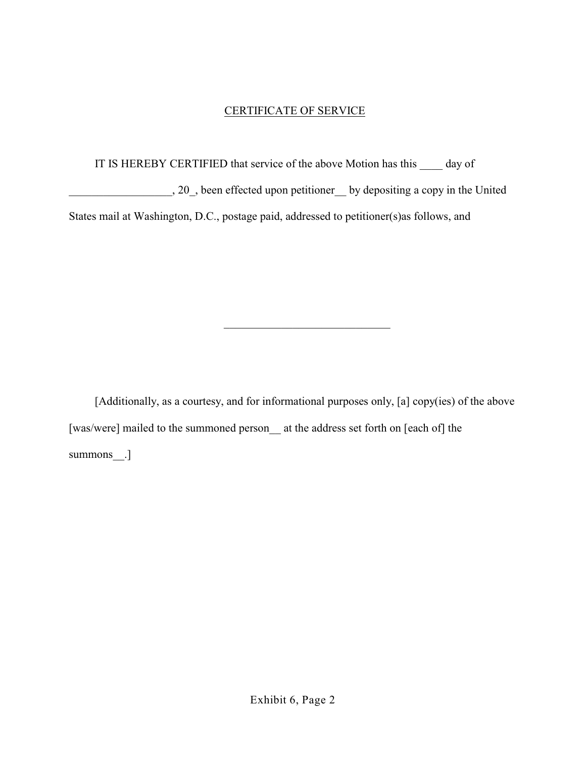# CERTIFICATE OF SERVICE

IT IS HEREBY CERTIFIED that service of the above Motion has this day of \_\_\_\_\_\_\_\_\_\_\_\_\_\_\_\_\_\_, 20\_, been effected upon petitioner\_\_ by depositing a copy in the United States mail at Washington, D.C., postage paid, addressed to petitioner(s)as follows, and

[Additionally, as a courtesy, and for informational purposes only, [a] copy(ies) of the above [was/were] mailed to the summoned person at the address set forth on [each of] the summons\_\_.]

\_\_\_\_\_\_\_\_\_\_\_\_\_\_\_\_\_\_\_\_\_\_\_\_\_\_\_\_\_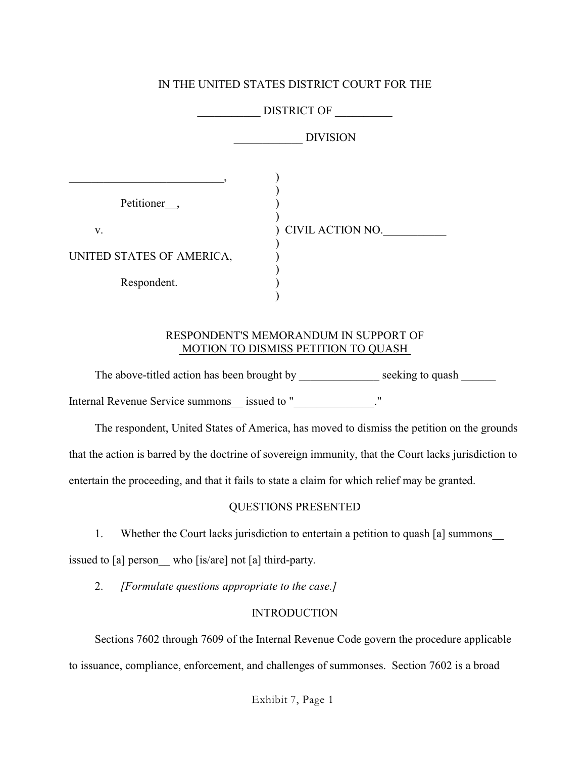# IN THE UNITED STATES DISTRICT COURT FOR THE

|                                                               | <b>DISTRICT OF</b> |
|---------------------------------------------------------------|--------------------|
|                                                               | <b>DIVISION</b>    |
| Petitioner,<br>V.<br>UNITED STATES OF AMERICA,<br>Respondent. | CIVIL ACTION NO.   |

## RESPONDENT'S MEMORANDUM IN SUPPORT OF MOTION TO DISMISS PETITION TO QUASH

The above-titled action has been brought by \_\_\_\_\_\_\_\_\_\_\_\_\_\_\_\_ seeking to quash \_\_\_\_\_\_\_ Internal Revenue Service summons \_\_ issued to "\_\_\_\_\_\_\_\_\_\_\_\_\_\_."

The respondent, United States of America, has moved to dismiss the petition on the grounds that the action is barred by the doctrine of sovereign immunity, that the Court lacks jurisdiction to entertain the proceeding, and that it fails to state a claim for which relief may be granted.

# QUESTIONS PRESENTED

1. Whether the Court lacks jurisdiction to entertain a petition to quash [a] summons\_\_

issued to [a] person who [is/are] not [a] third-party.

2. *[Formulate questions appropriate to the case.]*

# **INTRODUCTION**

Sections 7602 through 7609 of the Internal Revenue Code govern the procedure applicable to issuance, compliance, enforcement, and challenges of summonses. Section 7602 is a broad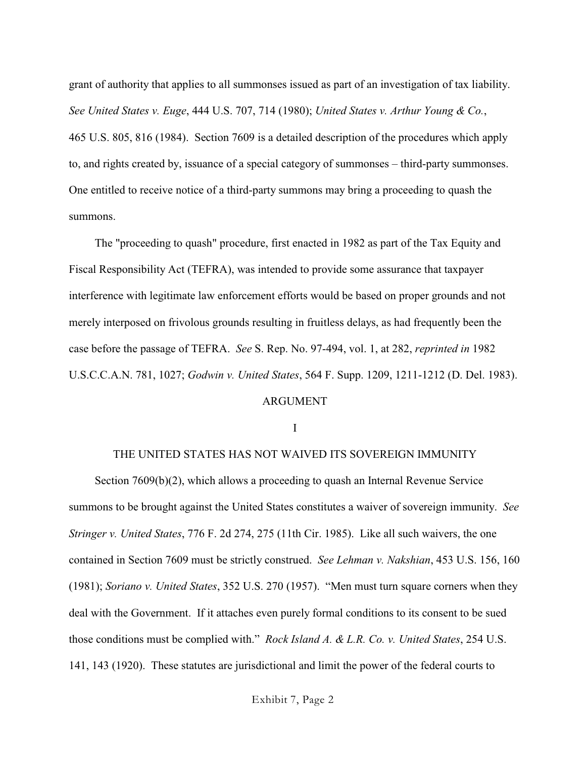grant of authority that applies to all summonses issued as part of an investigation of tax liability. *See United States v. Euge*, 444 U.S. 707, 714 (1980); *United States v. Arthur Young & Co.*, 465 U.S. 805, 816 (1984). Section 7609 is a detailed description of the procedures which apply to, and rights created by, issuance of a special category of summonses – third-party summonses. One entitled to receive notice of a third-party summons may bring a proceeding to quash the summons.

The "proceeding to quash" procedure, first enacted in 1982 as part of the Tax Equity and Fiscal Responsibility Act (TEFRA), was intended to provide some assurance that taxpayer interference with legitimate law enforcement efforts would be based on proper grounds and not merely interposed on frivolous grounds resulting in fruitless delays, as had frequently been the case before the passage of TEFRA. *See* S. Rep. No. 97-494, vol. 1, at 282, *reprinted in* 1982 U.S.C.C.A.N. 781, 1027; *Godwin v. United States*, 564 F. Supp. 1209, 1211-1212 (D. Del. 1983).

### ARGUMENT

I

### THE UNITED STATES HAS NOT WAIVED ITS SOVEREIGN IMMUNITY

Section 7609(b)(2), which allows a proceeding to quash an Internal Revenue Service summons to be brought against the United States constitutes a waiver of sovereign immunity. *See Stringer v. United States*, 776 F. 2d 274, 275 (11th Cir. 1985). Like all such waivers, the one contained in Section 7609 must be strictly construed. *See Lehman v. Nakshian*, 453 U.S. 156, 160 (1981); *Soriano v. United States*, 352 U.S. 270 (1957). "Men must turn square corners when they deal with the Government. If it attaches even purely formal conditions to its consent to be sued those conditions must be complied with." *Rock Island A. & L.R. Co. v. United States*, 254 U.S. 141, 143 (1920). These statutes are jurisdictional and limit the power of the federal courts to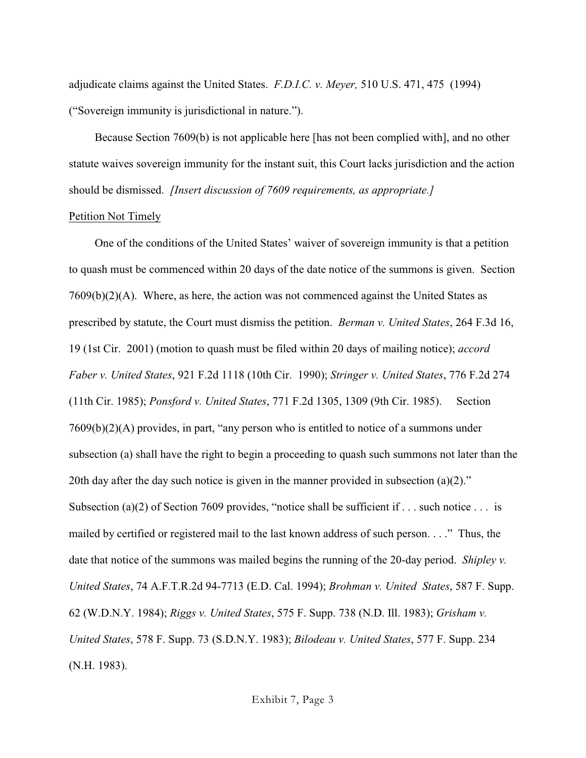adjudicate claims against the United States. *F.D.I.C. v. Meyer,* 510 U.S. 471, 475 (1994) ("Sovereign immunity is jurisdictional in nature.").

Because Section 7609(b) is not applicable here [has not been complied with], and no other statute waives sovereign immunity for the instant suit, this Court lacks jurisdiction and the action should be dismissed. *[Insert discussion of 7609 requirements, as appropriate.]*

### Petition Not Timely

One of the conditions of the United States' waiver of sovereign immunity is that a petition to quash must be commenced within 20 days of the date notice of the summons is given. Section  $7609(b)(2)(A)$ . Where, as here, the action was not commenced against the United States as prescribed by statute, the Court must dismiss the petition. *Berman v. United States*, 264 F.3d 16, 19 (1st Cir. 2001) (motion to quash must be filed within 20 days of mailing notice); *accord Faber v. United States*, 921 F.2d 1118 (10th Cir. 1990); *Stringer v. United States*, 776 F.2d 274 (11th Cir. 1985); *Ponsford v. United States*, 771 F.2d 1305, 1309 (9th Cir. 1985). Section 7609(b)(2)(A) provides, in part, "any person who is entitled to notice of a summons under subsection (a) shall have the right to begin a proceeding to quash such summons not later than the 20th day after the day such notice is given in the manner provided in subsection  $(a)(2)$ ." Subsection (a)(2) of Section 7609 provides, "notice shall be sufficient if . . . such notice . . . is mailed by certified or registered mail to the last known address of such person. . . ." Thus, the date that notice of the summons was mailed begins the running of the 20-day period. *Shipley v. United States*, 74 A.F.T.R.2d 94-7713 (E.D. Cal. 1994); *Brohman v. United States*, 587 F. Supp. 62 (W.D.N.Y. 1984); *Riggs v. United States*, 575 F. Supp. 738 (N.D. Ill. 1983); *Grisham v. United States*, 578 F. Supp. 73 (S.D.N.Y. 1983); *Bilodeau v. United States*, 577 F. Supp. 234 (N.H. 1983).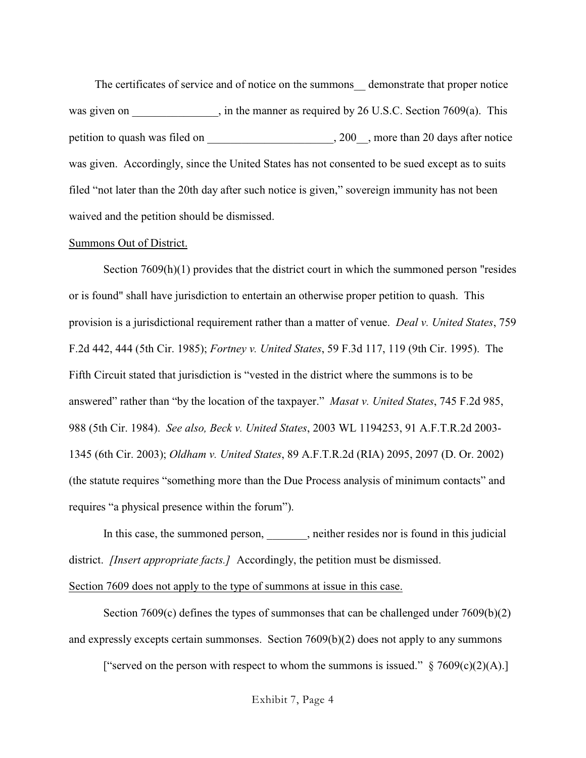The certificates of service and of notice on the summons\_\_ demonstrate that proper notice was given on  $\qquad \qquad$ , in the manner as required by 26 U.S.C. Section 7609(a). This petition to quash was filed on  $\qquad \qquad$ , 200 , more than 20 days after notice was given. Accordingly, since the United States has not consented to be sued except as to suits filed "not later than the 20th day after such notice is given," sovereign immunity has not been waived and the petition should be dismissed.

### Summons Out of District.

Section 7609(h)(1) provides that the district court in which the summoned person "resides or is found" shall have jurisdiction to entertain an otherwise proper petition to quash. This provision is a jurisdictional requirement rather than a matter of venue. *Deal v. United States*, 759 F.2d 442, 444 (5th Cir. 1985); *Fortney v. United States*, 59 F.3d 117, 119 (9th Cir. 1995). The Fifth Circuit stated that jurisdiction is "vested in the district where the summons is to be answered" rather than "by the location of the taxpayer." *Masat v. United States*, 745 F.2d 985, 988 (5th Cir. 1984). *See also, Beck v. United States*, 2003 WL 1194253, 91 A.F.T.R.2d 2003- 1345 (6th Cir. 2003); *Oldham v. United States*, 89 A.F.T.R.2d (RIA) 2095, 2097 (D. Or. 2002) (the statute requires "something more than the Due Process analysis of minimum contacts" and requires "a physical presence within the forum").

In this case, the summoned person, either resides nor is found in this judicial district. *[Insert appropriate facts.]* Accordingly, the petition must be dismissed.

Section 7609 does not apply to the type of summons at issue in this case.

Section 7609(c) defines the types of summonses that can be challenged under 7609(b)(2) and expressly excepts certain summonses. Section 7609(b)(2) does not apply to any summons

["served on the person with respect to whom the summons is issued."  $\S 7609(c)(2)(A)$ .]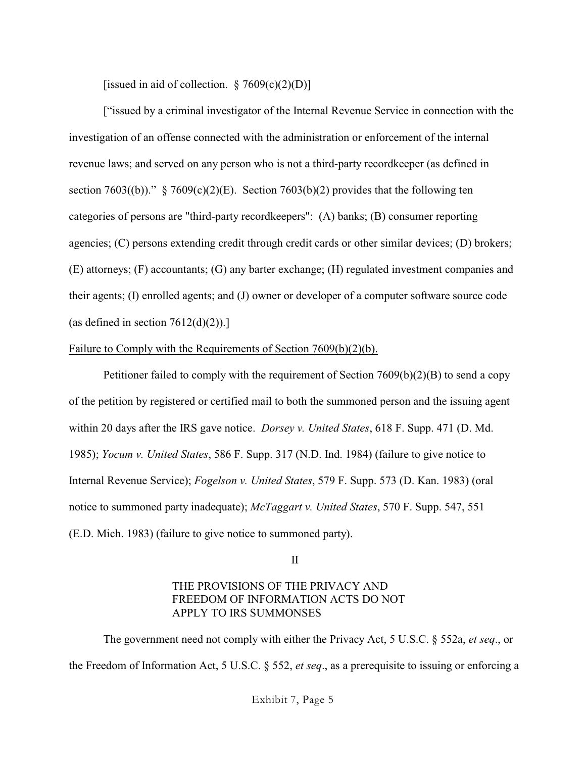[issued in aid of collection.  $\S 7609(c)(2)(D)$ ]

["issued by a criminal investigator of the Internal Revenue Service in connection with the investigation of an offense connected with the administration or enforcement of the internal revenue laws; and served on any person who is not a third-party recordkeeper (as defined in section 7603((b))."  $\S$  7609(c)(2)(E). Section 7603(b)(2) provides that the following ten categories of persons are "third-party recordkeepers": (A) banks; (B) consumer reporting agencies; (C) persons extending credit through credit cards or other similar devices; (D) brokers; (E) attorneys; (F) accountants; (G) any barter exchange; (H) regulated investment companies and their agents; (I) enrolled agents; and (J) owner or developer of a computer software source code (as defined in section  $7612(d)(2)$ ).]

### Failure to Comply with the Requirements of Section 7609(b)(2)(b).

Petitioner failed to comply with the requirement of Section 7609(b)(2)(B) to send a copy of the petition by registered or certified mail to both the summoned person and the issuing agent within 20 days after the IRS gave notice. *Dorsey v. United States*, 618 F. Supp. 471 (D. Md. 1985); *Yocum v. United States*, 586 F. Supp. 317 (N.D. Ind. 1984) (failure to give notice to Internal Revenue Service); *Fogelson v. United States*, 579 F. Supp. 573 (D. Kan. 1983) (oral notice to summoned party inadequate); *McTaggart v. United States*, 570 F. Supp. 547, 551 (E.D. Mich. 1983) (failure to give notice to summoned party).

#### II

### THE PROVISIONS OF THE PRIVACY AND FREEDOM OF INFORMATION ACTS DO NOT APPLY TO IRS SUMMONSES

The government need not comply with either the Privacy Act, 5 U.S.C. § 552a, *et seq*., or the Freedom of Information Act, 5 U.S.C. § 552, *et seq*., as a prerequisite to issuing or enforcing a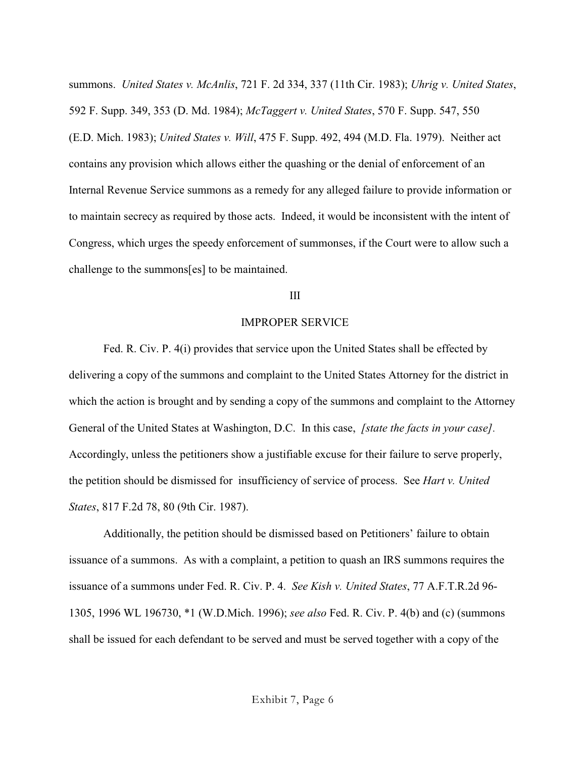summons. *United States v. McAnlis*, 721 F. 2d 334, 337 (11th Cir. 1983); *Uhrig v. United States*, 592 F. Supp. 349, 353 (D. Md. 1984); *McTaggert v. United States*, 570 F. Supp. 547, 550 (E.D. Mich. 1983); *United States v. Will*, 475 F. Supp. 492, 494 (M.D. Fla. 1979). Neither act contains any provision which allows either the quashing or the denial of enforcement of an Internal Revenue Service summons as a remedy for any alleged failure to provide information or to maintain secrecy as required by those acts. Indeed, it would be inconsistent with the intent of Congress, which urges the speedy enforcement of summonses, if the Court were to allow such a challenge to the summons[es] to be maintained.

### III

### IMPROPER SERVICE

Fed. R. Civ. P. 4(i) provides that service upon the United States shall be effected by delivering a copy of the summons and complaint to the United States Attorney for the district in which the action is brought and by sending a copy of the summons and complaint to the Attorney General of the United States at Washington, D.C. In this case, *[state the facts in your case].* Accordingly, unless the petitioners show a justifiable excuse for their failure to serve properly, the petition should be dismissed for insufficiency of service of process. See *Hart v. United States*, 817 F.2d 78, 80 (9th Cir. 1987).

Additionally, the petition should be dismissed based on Petitioners' failure to obtain issuance of a summons. As with a complaint, a petition to quash an IRS summons requires the issuance of a summons under Fed. R. Civ. P. 4. *See Kish v. United States*, 77 A.F.T.R.2d 96- 1305, 1996 WL 196730, \*1 (W.D.Mich. 1996); *see also* Fed. R. Civ. P. 4(b) and (c) (summons shall be issued for each defendant to be served and must be served together with a copy of the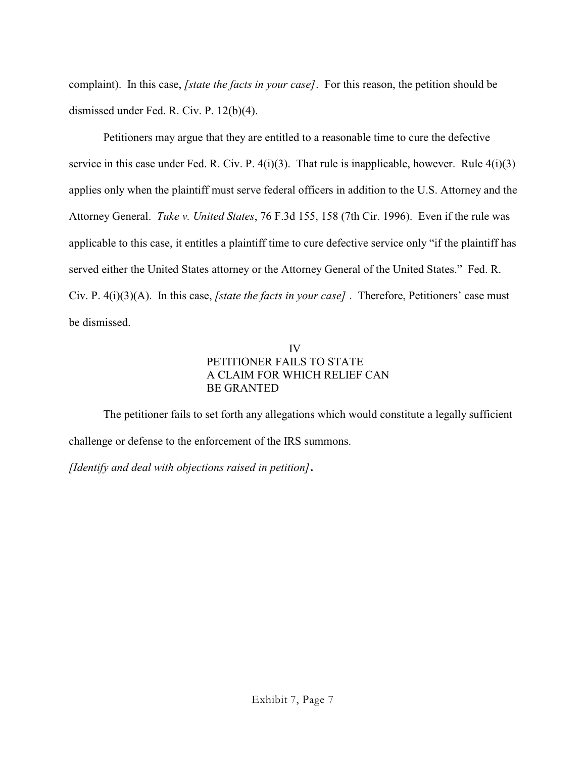complaint). In this case, *[state the facts in your case]*. For this reason, the petition should be dismissed under Fed. R. Civ. P. 12(b)(4).

Petitioners may argue that they are entitled to a reasonable time to cure the defective service in this case under Fed. R. Civ. P.  $4(i)(3)$ . That rule is inapplicable, however. Rule  $4(i)(3)$ applies only when the plaintiff must serve federal officers in addition to the U.S. Attorney and the Attorney General. *Tuke v. United States*, 76 F.3d 155, 158 (7th Cir. 1996). Even if the rule was applicable to this case, it entitles a plaintiff time to cure defective service only "if the plaintiff has served either the United States attorney or the Attorney General of the United States." Fed. R. Civ. P. 4(i)(3)(A). In this case, *[state the facts in your case]* . Therefore, Petitioners' case must be dismissed.

## IV PETITIONER FAILS TO STATE A CLAIM FOR WHICH RELIEF CAN BE GRANTED

The petitioner fails to set forth any allegations which would constitute a legally sufficient challenge or defense to the enforcement of the IRS summons.

*[Identify and deal with objections raised in petition]***.**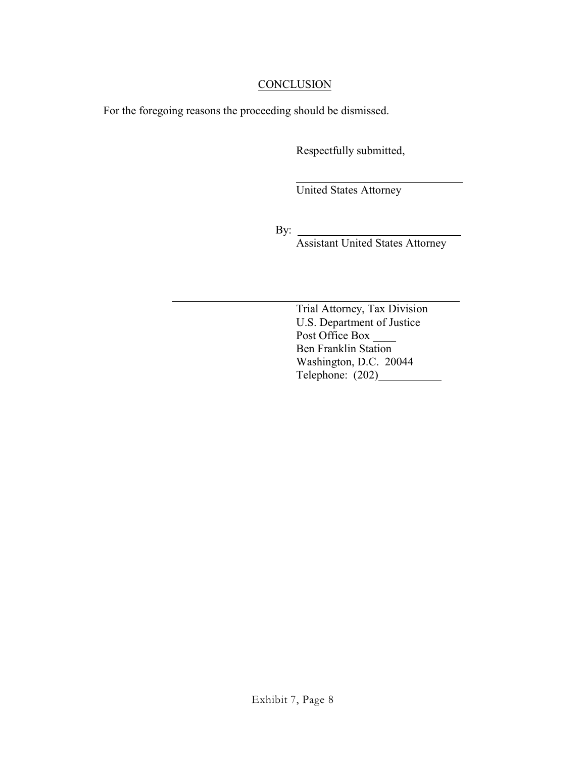# **CONCLUSION**

l

For the foregoing reasons the proceeding should be dismissed.

Respectfully submitted,

United States Attorney

By:

Assistant United States Attorney

 $\overline{a}$ Trial Attorney, Tax Division U.S. Department of Justice Post Office Box \_\_\_\_\_\_ Ben Franklin Station Washington, D.C. 20044 Telephone: (202)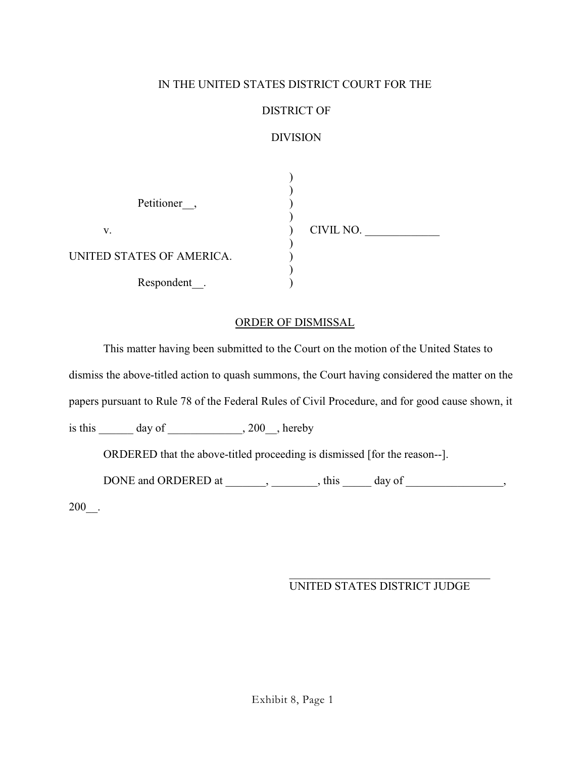# IN THE UNITED STATES DISTRICT COURT FOR THE

# DISTRICT OF

# DIVISION

| Petitioner,               |           |
|---------------------------|-----------|
| V.                        | CIVIL NO. |
| UNITED STATES OF AMERICA. |           |
| Respondent                |           |

## ORDER OF DISMISSAL

This matter having been submitted to the Court on the motion of the United States to

dismiss the above-titled action to quash summons, the Court having considered the matter on the

papers pursuant to Rule 78 of the Federal Rules of Civil Procedure, and for good cause shown, it

is this  $\_\_\_\_\$  day of  $\_\_\_\_\$ , 200 $\_\_\_\$  hereby

ORDERED that the above-titled proceeding is dismissed [for the reason--].

DONE and ORDERED at \_\_\_\_\_\_, \_\_\_\_\_\_\_, this \_\_\_\_\_ day of \_\_\_\_\_\_\_\_\_\_\_\_\_\_, 200\_\_.

# UNITED STATES DISTRICT JUDGE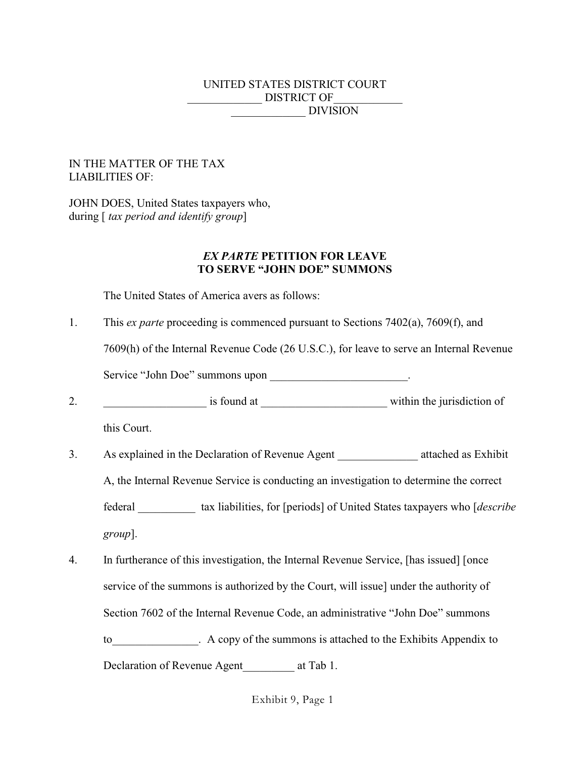# UNITED STATES DISTRICT COURT DISTRICT OF DIVISION

### IN THE MATTER OF THE TAX LIABILITIES OF:

JOHN DOES, United States taxpayers who, during [ *tax period and identify group*]

### *EX PARTE* **PETITION FOR LEAVE TO SERVE "JOHN DOE" SUMMONS**

The United States of America avers as follows:

1. This *ex parte* proceeding is commenced pursuant to Sections 7402(a), 7609(f), and

7609(h) of the Internal Revenue Code (26 U.S.C.), for leave to serve an Internal Revenue

Service "John Doe" summons upon \_\_\_\_\_\_\_\_\_\_\_\_\_\_\_\_\_\_\_\_\_\_\_\_\_.

2. The is found at the interval is found at  $\sim$  within the jurisdiction of

this Court.

- 3. As explained in the Declaration of Revenue Agent attached as Exhibit A, the Internal Revenue Service is conducting an investigation to determine the correct federal \_\_\_\_\_\_\_\_\_\_ tax liabilities, for [periods] of United States taxpayers who [*describe group*].
- 4. In furtherance of this investigation, the Internal Revenue Service, [has issued] [once service of the summons is authorized by the Court, will issue] under the authority of Section 7602 of the Internal Revenue Code, an administrative "John Doe" summons to the Summons is attached to the Exhibits Appendix to the Exhibits Appendix to Declaration of Revenue Agent at Tab 1.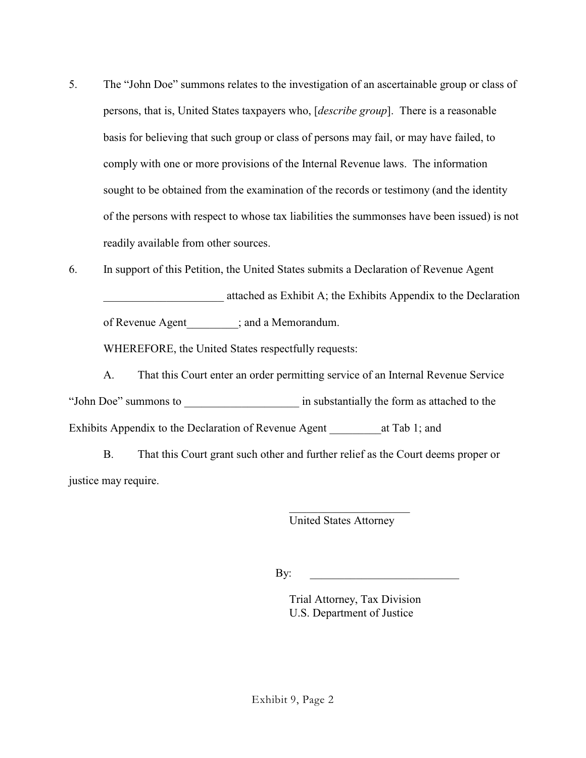- 5. The "John Doe" summons relates to the investigation of an ascertainable group or class of persons, that is, United States taxpayers who, [*describe group*]. There is a reasonable basis for believing that such group or class of persons may fail, or may have failed, to comply with one or more provisions of the Internal Revenue laws. The information sought to be obtained from the examination of the records or testimony (and the identity of the persons with respect to whose tax liabilities the summonses have been issued) is not readily available from other sources.
- 6. In support of this Petition, the United States submits a Declaration of Revenue Agent \_\_\_\_\_\_\_\_\_\_\_\_\_\_\_\_\_\_\_\_\_ attached as Exhibit A; the Exhibits Appendix to the Declaration of Revenue Agent\_\_\_\_\_\_\_\_\_; and a Memorandum.

WHEREFORE, the United States respectfully requests:

A. That this Court enter an order permitting service of an Internal Revenue Service "John Doe" summons to  $\qquad \qquad$  in substantially the form as attached to the Exhibits Appendix to the Declaration of Revenue Agent at Tab 1; and

B. That this Court grant such other and further relief as the Court deems proper or justice may require.

United States Attorney

By: \_\_\_\_\_\_\_\_\_\_\_\_\_\_\_\_\_\_\_\_\_\_\_\_\_\_

Trial Attorney, Tax Division U.S. Department of Justice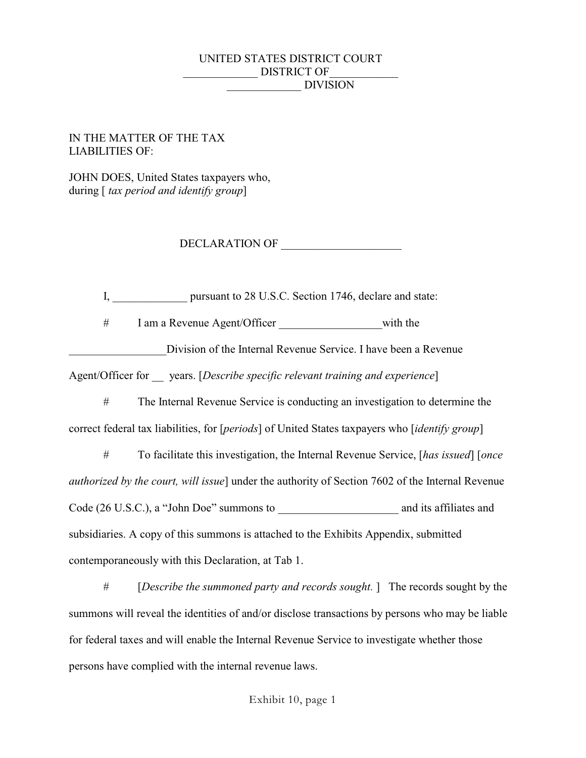## UNITED STATES DISTRICT COURT DISTRICT OF \_\_\_\_\_\_\_\_\_\_\_\_\_ DIVISION

### IN THE MATTER OF THE TAX LIABILITIES OF:

JOHN DOES, United States taxpayers who, during [ *tax period and identify group*]

DECLARATION OF

I, pursuant to 28 U.S.C. Section 1746, declare and state:

# I am a Revenue Agent/Officer \_\_\_\_\_\_\_\_\_\_\_\_\_\_\_\_\_\_with the

Division of the Internal Revenue Service. I have been a Revenue

Agent/Officer for \_\_ years. [*Describe specific relevant training and experience*]

# The Internal Revenue Service is conducting an investigation to determine the correct federal tax liabilities, for [*periods*] of United States taxpayers who [*identify group*]

# To facilitate this investigation, the Internal Revenue Service, [*has issued*] [*once authorized by the court, will issue*] under the authority of Section 7602 of the Internal Revenue Code (26 U.S.C.), a "John Doe" summons to \_\_\_\_\_\_\_\_\_\_\_\_\_\_\_\_\_\_\_\_\_ and its affiliates and subsidiaries. A copy of this summons is attached to the Exhibits Appendix, submitted contemporaneously with this Declaration, at Tab 1.

# [*Describe the summoned party and records sought.* ] The records sought by the summons will reveal the identities of and/or disclose transactions by persons who may be liable for federal taxes and will enable the Internal Revenue Service to investigate whether those persons have complied with the internal revenue laws.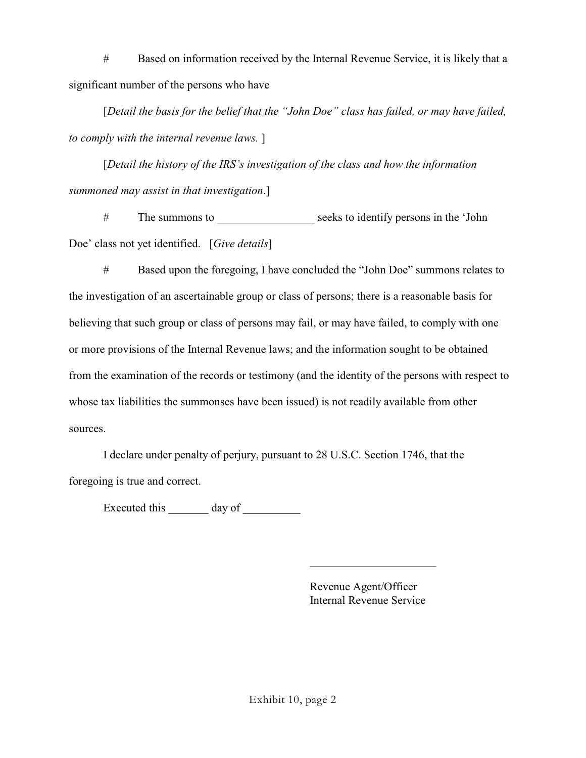# Based on information received by the Internal Revenue Service, it is likely that a significant number of the persons who have

[*Detail the basis for the belief that the "John Doe" class has failed, or may have failed, to comply with the internal revenue laws.* ]

[*Detail the history of the IRS's investigation of the class and how the information summoned may assist in that investigation*.]

# The summons to seeks to identify persons in the 'John Doe' class not yet identified. [*Give details*]

# Based upon the foregoing, I have concluded the "John Doe" summons relates to the investigation of an ascertainable group or class of persons; there is a reasonable basis for believing that such group or class of persons may fail, or may have failed, to comply with one or more provisions of the Internal Revenue laws; and the information sought to be obtained from the examination of the records or testimony (and the identity of the persons with respect to whose tax liabilities the summonses have been issued) is not readily available from other sources.

I declare under penalty of perjury, pursuant to 28 U.S.C. Section 1746, that the foregoing is true and correct.

Executed this day of

Revenue Agent/Officer Internal Revenue Service

 $\overline{\phantom{a}}$  , and the set of the set of the set of the set of the set of the set of the set of the set of the set of the set of the set of the set of the set of the set of the set of the set of the set of the set of the s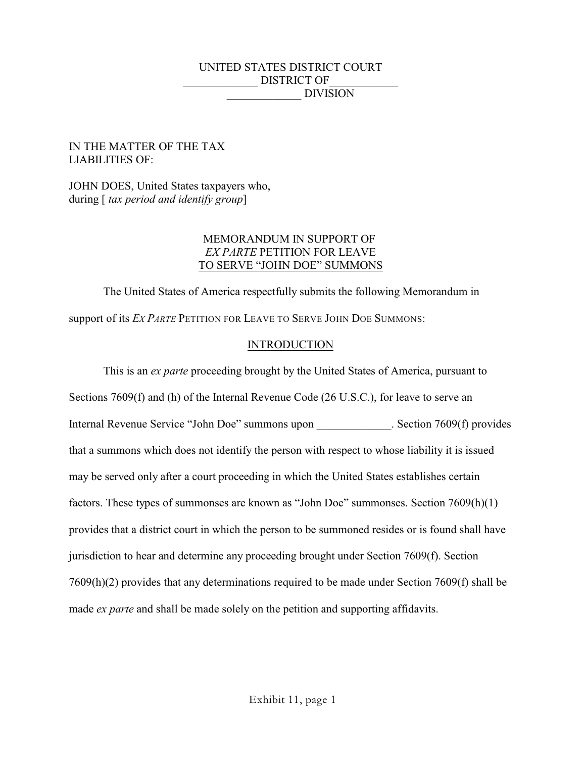## UNITED STATES DISTRICT COURT DISTRICT OF \_\_\_\_\_\_\_\_\_\_\_\_\_ DIVISION

## IN THE MATTER OF THE TAX LIABILITIES OF:

JOHN DOES, United States taxpayers who, during [ *tax period and identify group*]

## MEMORANDUM IN SUPPORT OF *EX PARTE* PETITION FOR LEAVE TO SERVE "JOHN DOE" SUMMONS

The United States of America respectfully submits the following Memorandum in support of its *EX PARTE* PETITION FOR LEAVE TO SERVE JOHN DOE SUMMONS:

# **INTRODUCTION**

This is an *ex parte* proceeding brought by the United States of America, pursuant to Sections 7609(f) and (h) of the Internal Revenue Code (26 U.S.C.), for leave to serve an Internal Revenue Service "John Doe" summons upon . Section 7609(f) provides that a summons which does not identify the person with respect to whose liability it is issued may be served only after a court proceeding in which the United States establishes certain factors. These types of summonses are known as "John Doe" summonses. Section 7609(h)(1) provides that a district court in which the person to be summoned resides or is found shall have jurisdiction to hear and determine any proceeding brought under Section 7609(f). Section 7609(h)(2) provides that any determinations required to be made under Section 7609(f) shall be made *ex parte* and shall be made solely on the petition and supporting affidavits.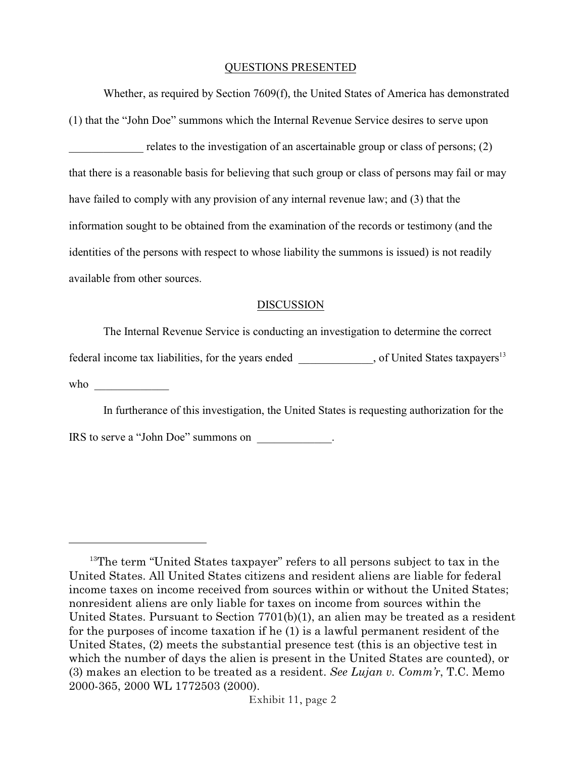### QUESTIONS PRESENTED

Whether, as required by Section 7609(f), the United States of America has demonstrated (1) that the "John Doe" summons which the Internal Revenue Service desires to serve upon relates to the investigation of an ascertainable group or class of persons;  $(2)$ that there is a reasonable basis for believing that such group or class of persons may fail or may have failed to comply with any provision of any internal revenue law; and (3) that the information sought to be obtained from the examination of the records or testimony (and the identities of the persons with respect to whose liability the summons is issued) is not readily available from other sources.

### DISCUSSION

The Internal Revenue Service is conducting an investigation to determine the correct

federal income tax liabilities, for the years ended \_\_\_\_\_\_\_\_\_\_, of United States taxpayers<sup>13</sup>

who  $\Box$ 

In furtherance of this investigation, the United States is requesting authorization for the

IRS to serve a "John Doe" summons on \_\_\_\_\_\_\_\_\_\_\_\_\_.

 $13$ The term "United States taxpayer" refers to all persons subject to tax in the United States. All United States citizens and resident aliens are liable for federal income taxes on income received from sources within or without the United States; nonresident aliens are only liable for taxes on income from sources within the United States. Pursuant to Section 7701(b)(1), an alien may be treated as a resident for the purposes of income taxation if he (1) is a lawful permanent resident of the United States, (2) meets the substantial presence test (this is an objective test in which the number of days the alien is present in the United States are counted), or (3) makes an election to be treated as a resident. *See Lujan v. Comm'r*, T.C. Memo 2000-365, 2000 WL 1772503 (2000).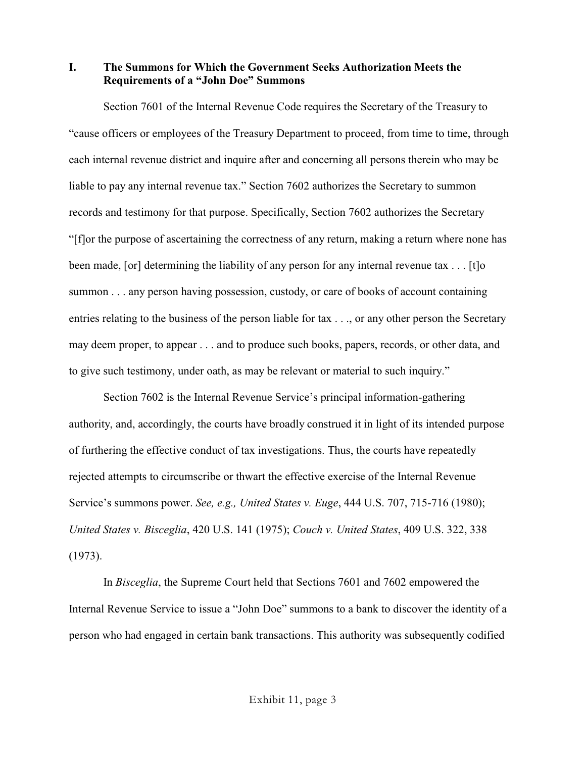**I. The Summons for Which the Government Seeks Authorization Meets the Requirements of a "John Doe" Summons**

Section 7601 of the Internal Revenue Code requires the Secretary of the Treasury to "cause officers or employees of the Treasury Department to proceed, from time to time, through each internal revenue district and inquire after and concerning all persons therein who may be liable to pay any internal revenue tax." Section 7602 authorizes the Secretary to summon records and testimony for that purpose. Specifically, Section 7602 authorizes the Secretary "[f]or the purpose of ascertaining the correctness of any return, making a return where none has been made, [or] determining the liability of any person for any internal revenue tax . . . [t]o summon . . . any person having possession, custody, or care of books of account containing entries relating to the business of the person liable for tax . . ., or any other person the Secretary may deem proper, to appear . . . and to produce such books, papers, records, or other data, and to give such testimony, under oath, as may be relevant or material to such inquiry."

Section 7602 is the Internal Revenue Service's principal information-gathering authority, and, accordingly, the courts have broadly construed it in light of its intended purpose of furthering the effective conduct of tax investigations. Thus, the courts have repeatedly rejected attempts to circumscribe or thwart the effective exercise of the Internal Revenue Service's summons power. *See, e.g., United States v. Euge*, 444 U.S. 707, 715-716 (1980); *United States v. Bisceglia*, 420 U.S. 141 (1975); *Couch v. United States*, 409 U.S. 322, 338 (1973).

In *Bisceglia*, the Supreme Court held that Sections 7601 and 7602 empowered the Internal Revenue Service to issue a "John Doe" summons to a bank to discover the identity of a person who had engaged in certain bank transactions. This authority was subsequently codified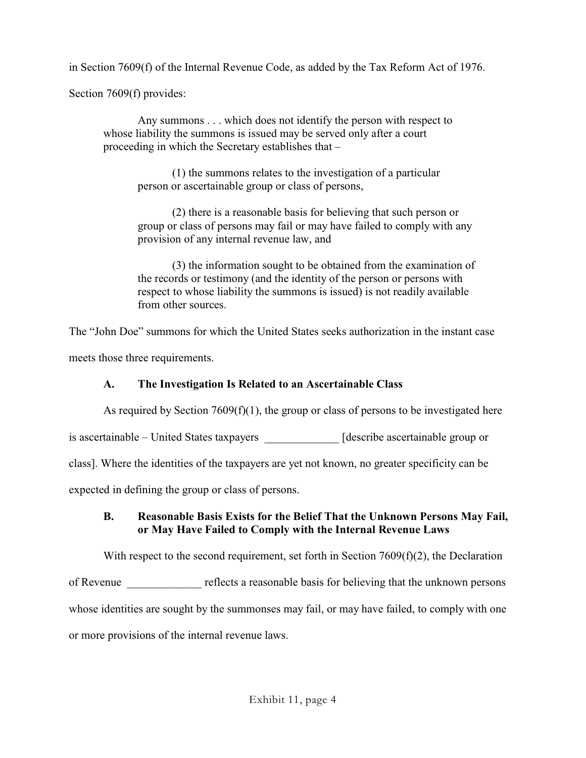in Section 7609(f) of the Internal Revenue Code, as added by the Tax Reform Act of 1976.

Section 7609(f) provides:

Any summons . . . which does not identify the person with respect to whose liability the summons is issued may be served only after a court proceeding in which the Secretary establishes that –

(1) the summons relates to the investigation of a particular person or ascertainable group or class of persons,

(2) there is a reasonable basis for believing that such person or group or class of persons may fail or may have failed to comply with any provision of any internal revenue law, and

(3) the information sought to be obtained from the examination of the records or testimony (and the identity of the person or persons with respect to whose liability the summons is issued) is not readily available from other sources.

The "John Doe" summons for which the United States seeks authorization in the instant case meets those three requirements.

# **A. The Investigation Is Related to an Ascertainable Class**

As required by Section 7609(f)(1), the group or class of persons to be investigated here

is ascertainable – United States taxpayers [describe ascertainable group or

class]. Where the identities of the taxpayers are yet not known, no greater specificity can be

expected in defining the group or class of persons.

# **B. Reasonable Basis Exists for the Belief That the Unknown Persons May Fail, or May Have Failed to Comply with the Internal Revenue Laws**

With respect to the second requirement, set forth in Section 7609(f)(2), the Declaration of Revenue reflects a reasonable basis for believing that the unknown persons whose identities are sought by the summonses may fail, or may have failed, to comply with one or more provisions of the internal revenue laws.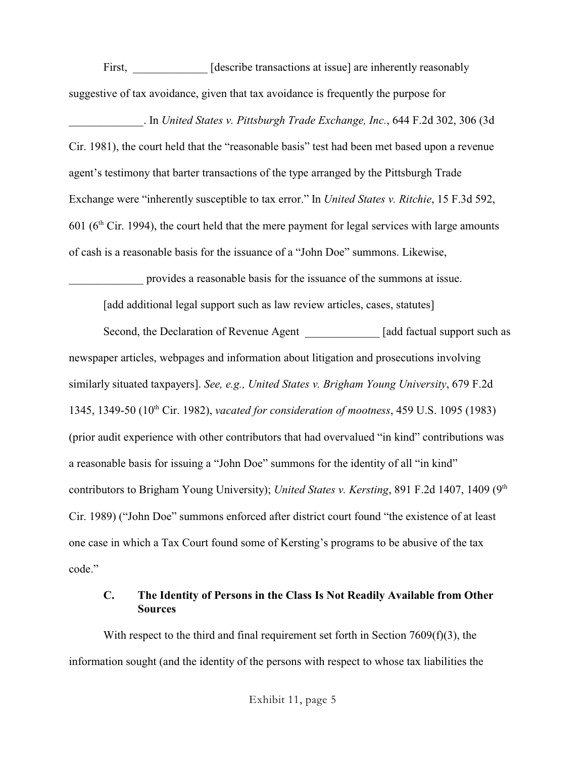First, [describe transactions at issue] are inherently reasonably suggestive of tax avoidance, given that tax avoidance is frequently the purpose for

\_\_\_\_\_\_\_\_\_\_\_\_\_. In *United States v. Pittsburgh Trade Exchange, Inc.*, 644 F.2d 302, 306 (3d Cir. 1981), the court held that the "reasonable basis" test had been met based upon a revenue agent's testimony that barter transactions of the type arranged by the Pittsburgh Trade Exchange were "inherently susceptible to tax error." In *United States v. Ritchie*, 15 F.3d 592, 601 ( $6<sup>th</sup>$  Cir. 1994), the court held that the mere payment for legal services with large amounts of cash is a reasonable basis for the issuance of a "John Doe" summons. Likewise,

provides a reasonable basis for the issuance of the summons at issue.

[add additional legal support such as law review articles, cases, statutes]

Second, the Declaration of Revenue Agent [add factual support such as newspaper articles, webpages and information about litigation and prosecutions involving similarly situated taxpayers]. *See, e.g., United States v. Brigham Young University*, 679 F.2d 1345, 1349-50 (10<sup>th</sup> Cir. 1982), *vacated for consideration of mootness*, 459 U.S. 1095 (1983) (prior audit experience with other contributors that had overvalued "in kind" contributions was a reasonable basis for issuing a "John Doe" summons for the identity of all "in kind" contributors to Brigham Young University); *United States v. Kersting*, 891 F.2d 1407, 1409 (9<sup>th</sup> Cir. 1989) ("John Doe" summons enforced after district court found "the existence of at least one case in which a Tax Court found some of Kersting's programs to be abusive of the tax code."

# **C. The Identity of Persons in the Class Is Not Readily Available from Other Sources**

With respect to the third and final requirement set forth in Section 7609(f)(3), the information sought (and the identity of the persons with respect to whose tax liabilities the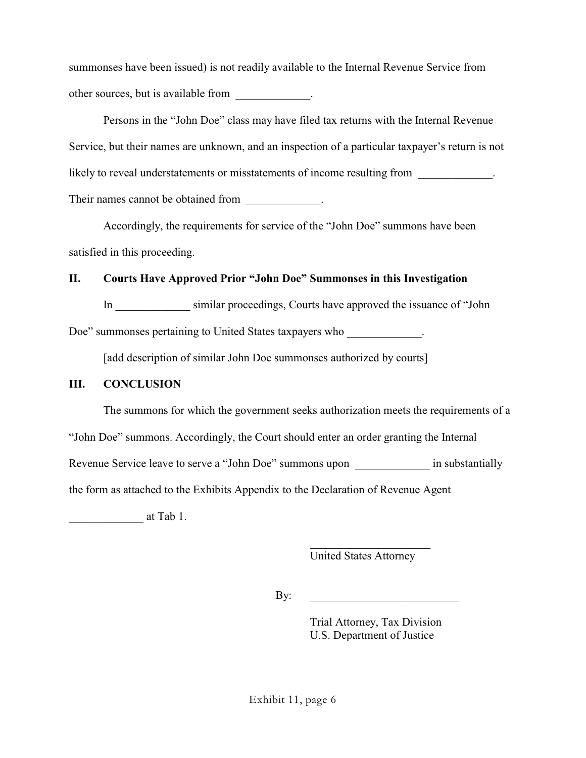summonses have been issued) is not readily available to the Internal Revenue Service from other sources, but is available from \_\_\_\_\_\_\_\_\_\_\_\_\_.

Persons in the "John Doe" class may have filed tax returns with the Internal Revenue Service, but their names are unknown, and an inspection of a particular taxpayer's return is not likely to reveal understatements or misstatements of income resulting from  $\blacksquare$ Their names cannot be obtained from \_\_\_\_\_\_\_\_\_\_\_\_.

Accordingly, the requirements for service of the "John Doe" summons have been satisfied in this proceeding.

# **II. Courts Have Approved Prior "John Doe" Summonses in this Investigation**

In \_\_\_\_\_\_\_\_\_\_\_\_\_ similar proceedings, Courts have approved the issuance of "John

Doe" summonses pertaining to United States taxpayers who \_\_\_\_\_\_\_\_\_\_\_\_\_\_\_\_\_\_\_\_\_\_\_

[add description of similar John Doe summonses authorized by courts]

## **III. CONCLUSION**

The summons for which the government seeks authorization meets the requirements of a

"John Doe" summons. Accordingly, the Court should enter an order granting the Internal

Revenue Service leave to serve a "John Doe" summons upon  $\blacksquare$  in substantially

the form as attached to the Exhibits Appendix to the Declaration of Revenue Agent

\_\_\_\_\_\_\_\_\_\_\_\_\_ at Tab 1.

 $\overline{\phantom{a}}$  , and the set of the set of the set of the set of the set of the set of the set of the set of the set of the set of the set of the set of the set of the set of the set of the set of the set of the set of the s United States Attorney

By: \_\_\_\_\_\_\_\_\_\_\_\_\_\_\_\_\_\_\_\_\_\_\_\_\_\_

Trial Attorney, Tax Division U.S. Department of Justice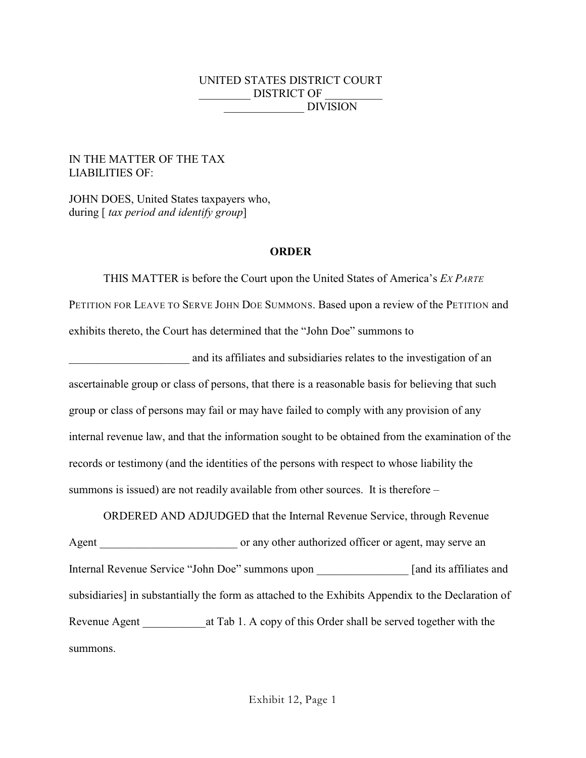## UNITED STATES DISTRICT COURT \_\_\_\_\_\_\_\_\_ DISTRICT OF \_\_\_\_\_\_\_\_\_\_ \_\_\_\_\_\_\_\_\_\_\_\_\_\_ DIVISION

### IN THE MATTER OF THE TAX LIABILITIES OF:

JOHN DOES, United States taxpayers who, during [ *tax period and identify group*]

### **ORDER**

THIS MATTER is before the Court upon the United States of America's *EX PARTE* PETITION FOR LEAVE TO SERVE JOHN DOE SUMMONS. Based upon a review of the PETITION and exhibits thereto, the Court has determined that the "John Doe" summons to

\_\_\_\_\_\_\_\_\_\_\_\_\_\_\_\_\_\_\_\_\_ and its affiliates and subsidiaries relates to the investigation of an ascertainable group or class of persons, that there is a reasonable basis for believing that such group or class of persons may fail or may have failed to comply with any provision of any internal revenue law, and that the information sought to be obtained from the examination of the records or testimony (and the identities of the persons with respect to whose liability the summons is issued) are not readily available from other sources. It is therefore –

ORDERED AND ADJUDGED that the Internal Revenue Service, through Revenue Agent or any other authorized officer or agent, may serve an Internal Revenue Service "John Doe" summons upon [and its affiliates and subsidiaries] in substantially the form as attached to the Exhibits Appendix to the Declaration of Revenue Agent at Tab 1. A copy of this Order shall be served together with the summons.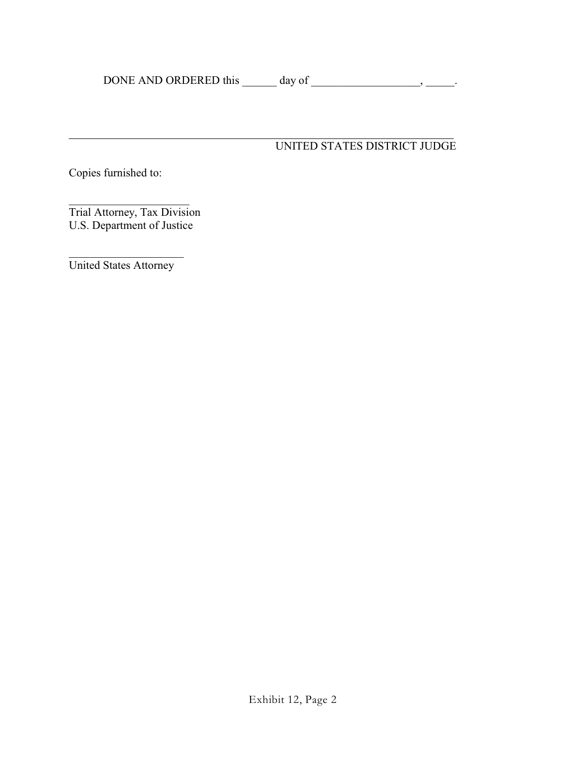### l UNITED STATES DISTRICT JUDGE

Copies furnished to:

Trial Attorney, Tax Division U.S. Department of Justice

\_\_\_\_\_\_\_\_\_\_\_\_\_\_\_\_\_\_\_\_ United States Attorney